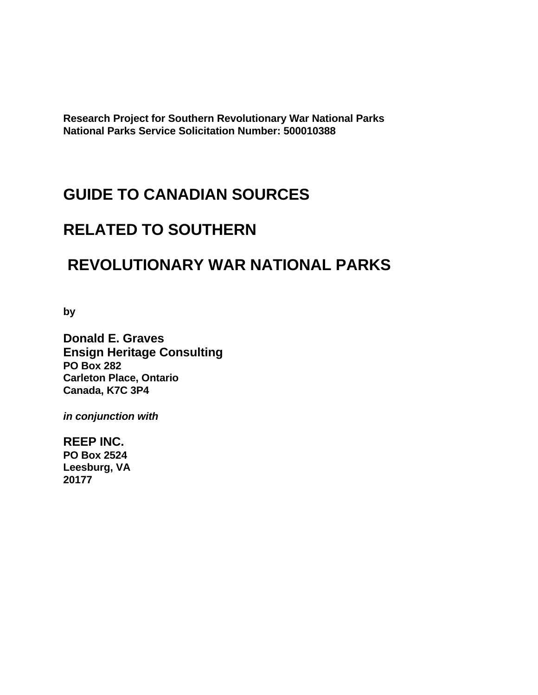**Research Project for Southern Revolutionary War National Parks National Parks Service Solicitation Number: 500010388** 

# **GUIDE TO CANADIAN SOURCES**

# **RELATED TO SOUTHERN**

# **REVOLUTIONARY WAR NATIONAL PARKS**

**by** 

**Donald E. Graves Ensign Heritage Consulting PO Box 282 Carleton Place, Ontario Canada, K7C 3P4** 

*in conjunction with* 

**REEP INC. PO Box 2524 Leesburg, VA 20177**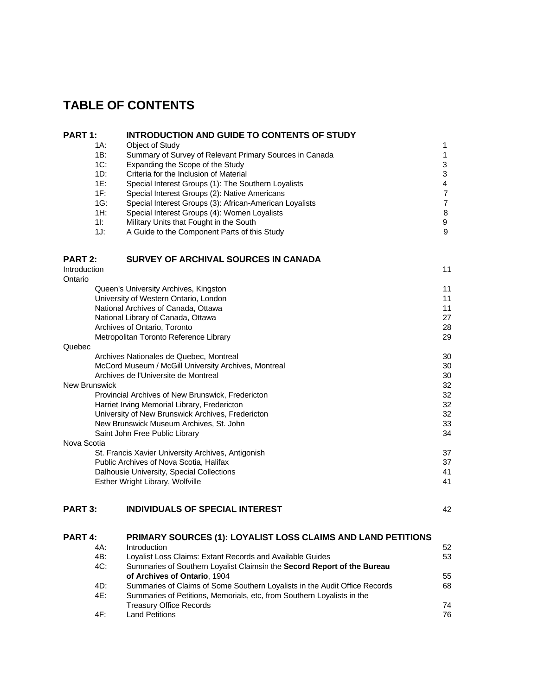# **TABLE OF CONTENTS**

| PART 1:        | <b>INTRODUCTION AND GUIDE TO CONTENTS OF STUDY</b>                         |                |
|----------------|----------------------------------------------------------------------------|----------------|
| 1A:            | Object of Study                                                            | 1              |
| 1B:            | Summary of Survey of Relevant Primary Sources in Canada                    | $\mathbf{1}$   |
| $1C$ :         | Expanding the Scope of the Study                                           | 3              |
| $1D$ :         | Criteria for the Inclusion of Material                                     | 3              |
| 1E:            | Special Interest Groups (1): The Southern Loyalists                        | 4              |
| 1F:            | Special Interest Groups (2): Native Americans                              | $\overline{7}$ |
| $1G$ :         | Special Interest Groups (3): African-American Loyalists                    | $\overline{7}$ |
| $1H$ :         | Special Interest Groups (4): Women Loyalists                               | 8              |
| $1!$ :         | Military Units that Fought in the South                                    | 9              |
| 1J:            | A Guide to the Component Parts of this Study                               | 9              |
| PART 2:        | SURVEY OF ARCHIVAL SOURCES IN CANADA                                       |                |
| Introduction   |                                                                            | 11             |
| Ontario        |                                                                            |                |
|                | Queen's University Archives, Kingston                                      | 11             |
|                | University of Western Ontario, London                                      | 11             |
|                | National Archives of Canada, Ottawa                                        | 11             |
|                | National Library of Canada, Ottawa                                         | 27             |
|                | Archives of Ontario, Toronto                                               | 28             |
|                | Metropolitan Toronto Reference Library                                     | 29             |
| Quebec         |                                                                            |                |
|                | Archives Nationales de Quebec, Montreal                                    | 30             |
|                | McCord Museum / McGill University Archives, Montreal                       | 30             |
|                | Archives de l'Universite de Montreal                                       | 30             |
| New Brunswick  |                                                                            | 32             |
|                | Provincial Archives of New Brunswick, Fredericton                          | 32             |
|                | Harriet Irving Memorial Library, Fredericton                               | 32             |
|                | University of New Brunswick Archives, Fredericton                          | 32             |
|                | New Brunswick Museum Archives, St. John                                    | 33             |
|                | Saint John Free Public Library                                             | 34             |
| Nova Scotia    |                                                                            |                |
|                | St. Francis Xavier University Archives, Antigonish                         | 37             |
|                | Public Archives of Nova Scotia, Halifax                                    | 37             |
|                |                                                                            | 41             |
|                | Dalhousie University, Special Collections                                  | 41             |
|                | Esther Wright Library, Wolfville                                           |                |
| <b>PART 3:</b> | <b>INDIVIDUALS OF SPECIAL INTEREST</b>                                     | 42             |
| <b>PART 4:</b> | PRIMARY SOURCES (1): LOYALIST LOSS CLAIMS AND LAND PETITIONS               |                |
| 4A:            | Introduction                                                               | 52             |
| 4B:            | Loyalist Loss Claims: Extant Records and Available Guides                  | 53             |
| 4C:            | Summaries of Southern Loyalist Claimsin the Secord Report of the Bureau    |                |
|                | of Archives of Ontario, 1904                                               | 55             |
| 4D:            | Summaries of Claims of Some Southern Loyalists in the Audit Office Records | 68             |
| 4E:            | Summaries of Petitions, Memorials, etc, from Southern Loyalists in the     |                |

Treasury Office Records **74** 4F: Land Petitions 76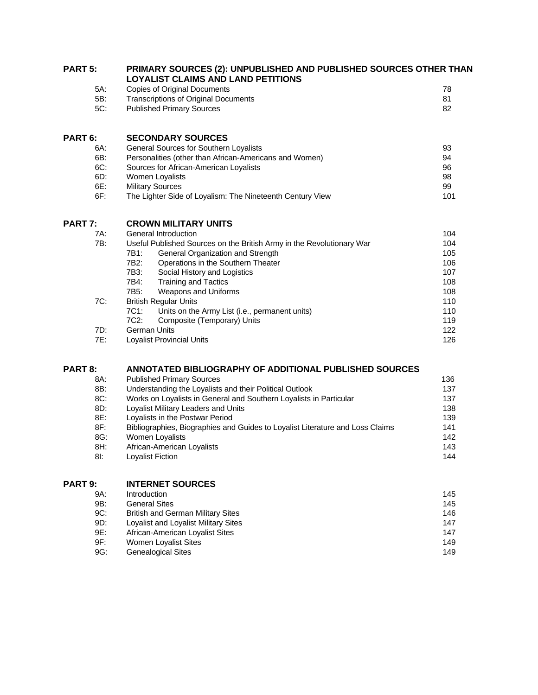| <b>PART 5:</b> | PRIMARY SOURCES (2): UNPUBLISHED AND PUBLISHED SOURCES OTHER THAN<br><b>LOYALIST CLAIMS AND LAND PETITIONS</b> |     |  |
|----------------|----------------------------------------------------------------------------------------------------------------|-----|--|
| 5A:            | <b>Copies of Original Documents</b>                                                                            | 78  |  |
| 5B:            | <b>Transcriptions of Original Documents</b>                                                                    | 81  |  |
| 5C:            | <b>Published Primary Sources</b>                                                                               | 82  |  |
| PART 6:        | <b>SECONDARY SOURCES</b>                                                                                       |     |  |
| 6A:            | General Sources for Southern Loyalists                                                                         | 93  |  |
| 6B:            | Personalities (other than African-Americans and Women)                                                         | 94  |  |
| $6C$ :         | Sources for African-American Loyalists                                                                         | 96  |  |
| 6D:            | Women Loyalists                                                                                                | 98  |  |
| 6E:            | <b>Military Sources</b>                                                                                        |     |  |
| $6F$ :         | The Lighter Side of Loyalism: The Nineteenth Century View                                                      | 101 |  |
| <b>PART 7:</b> | <b>CROWN MILITARY UNITS</b>                                                                                    |     |  |
| 7A:            | General Introduction                                                                                           | 104 |  |
| 7B:            | Useful Published Sources on the British Army in the Revolutionary War                                          | 104 |  |
|                | General Organization and Strength<br>7B1:                                                                      | 105 |  |
|                | 7B2:<br>Operations in the Southern Theater                                                                     | 106 |  |
|                | 7B3:<br>Social History and Logistics                                                                           | 107 |  |
|                | <b>Training and Tactics</b><br>7B4:                                                                            | 108 |  |
|                | Weapons and Uniforms<br>7B <sub>5</sub> :                                                                      | 108 |  |
| 7C:            | <b>British Regular Units</b>                                                                                   | 110 |  |
|                | 7C1:<br>Units on the Army List (i.e., permanent units)                                                         | 110 |  |
|                | Composite (Temporary) Units<br>7C2:                                                                            | 119 |  |
| $7D$ :         | <b>German Units</b>                                                                                            | 122 |  |
| 7E:            | <b>Loyalist Provincial Units</b>                                                                               | 126 |  |
|                |                                                                                                                |     |  |

### **PART 8: ANNOTATED BIBLIOGRAPHY OF ADDITIONAL PUBLISHED SOURCES**

| 8A: | <b>Published Primary Sources</b>                                              | 136 |
|-----|-------------------------------------------------------------------------------|-----|
| 8B: | Understanding the Loyalists and their Political Outlook                       | 137 |
| 8C: | Works on Loyalists in General and Southern Loyalists in Particular            | 137 |
| 8D: | Loyalist Military Leaders and Units                                           | 138 |
| 8E: | Loyalists in the Postwar Period                                               | 139 |
| 8F: | Bibliographies, Biographies and Guides to Loyalist Literature and Loss Claims | 141 |
| 8G: | <b>Women Loyalists</b>                                                        | 142 |
| 8H: | African-American Loyalists                                                    | 143 |
| 8I: | <b>Lovalist Fiction</b>                                                       | 144 |

### **PART 9: INTERNET SOURCES**

| 9A: | <b>Introduction</b>                  | 145 |
|-----|--------------------------------------|-----|
| 9B: | <b>General Sites</b>                 | 145 |
| 9C: | British and German Military Sites    | 146 |
| 9D: | Loyalist and Loyalist Military Sites | 147 |
| 9E: | African-American Loyalist Sites      | 147 |
| 9F: | Women Loyalist Sites                 | 149 |
| 9G: | <b>Genealogical Sites</b>            | 149 |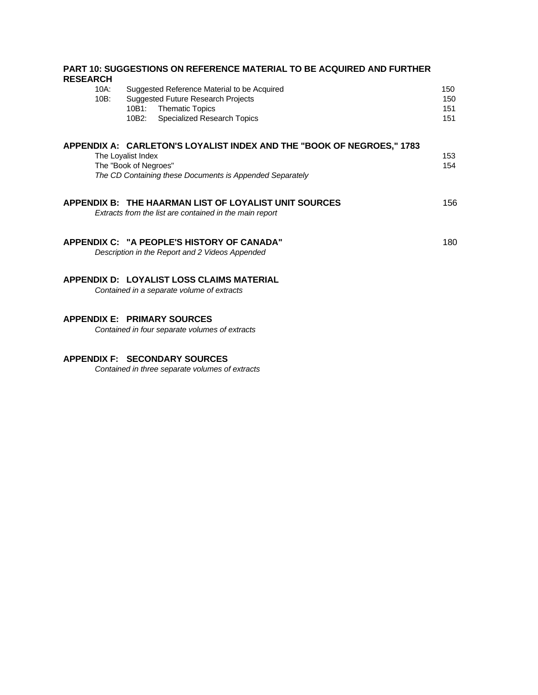| <b>RESEARCH</b>    | <b>PART 10: SUGGESTIONS ON REFERENCE MATERIAL TO BE ACQUIRED AND FURTHER</b>                                                                                               |                          |
|--------------------|----------------------------------------------------------------------------------------------------------------------------------------------------------------------------|--------------------------|
| 10A:<br>$10B$ :    | Suggested Reference Material to be Acquired<br><b>Suggested Future Research Projects</b><br><b>Thematic Topics</b><br>10B1:<br><b>Specialized Research Topics</b><br>10B2: | 150<br>150<br>151<br>151 |
| The Loyalist Index | APPENDIX A: CARLETON'S LOYALIST INDEX AND THE "BOOK OF NEGROES," 1783<br>The "Book of Negroes"<br>The CD Containing these Documents is Appended Separately                 | 153<br>154               |
|                    | APPENDIX B: THE HAARMAN LIST OF LOYALIST UNIT SOURCES<br>Extracts from the list are contained in the main report                                                           | 156                      |
|                    | APPENDIX C: "A PEOPLE'S HISTORY OF CANADA"<br>Description in the Report and 2 Videos Appended                                                                              | 180                      |
|                    | APPENDIX D: LOYALIST LOSS CLAIMS MATERIAL<br>Contained in a separate volume of extracts                                                                                    |                          |
|                    | <b>APPENDIX E: PRIMARY SOURCES</b>                                                                                                                                         |                          |

*Contained in four separate volumes of extracts*

### **APPENDIX F: SECONDARY SOURCES**

 *Contained in three separate volumes of extracts*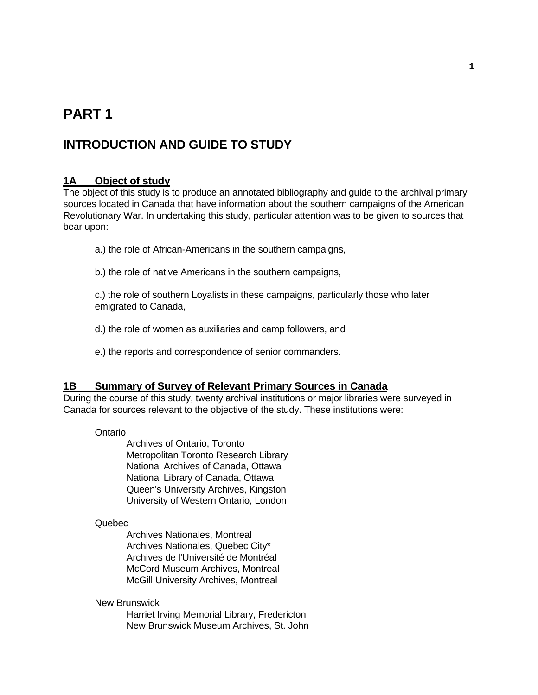# **PART 1**

## **INTRODUCTION AND GUIDE TO STUDY**

### **1A Object of study**

The object of this study is to produce an annotated bibliography and guide to the archival primary sources located in Canada that have information about the southern campaigns of the American Revolutionary War. In undertaking this study, particular attention was to be given to sources that bear upon:

- a.) the role of African-Americans in the southern campaigns,
- b.) the role of native Americans in the southern campaigns,

 c.) the role of southern Loyalists in these campaigns, particularly those who later emigrated to Canada,

- d.) the role of women as auxiliaries and camp followers, and
- e.) the reports and correspondence of senior commanders.

### **1B Summary of Survey of Relevant Primary Sources in Canada**

During the course of this study, twenty archival institutions or major libraries were surveyed in Canada for sources relevant to the objective of the study. These institutions were:

#### Ontario

 Archives of Ontario, Toronto Metropolitan Toronto Research Library National Archives of Canada, Ottawa National Library of Canada, Ottawa Queen's University Archives, Kingston University of Western Ontario, London

#### Quebec

 Archives Nationales, Montreal Archives Nationales, Quebec City\* Archives de l'Université de Montréal McCord Museum Archives, Montreal McGill University Archives, Montreal

#### New Brunswick

 Harriet Irving Memorial Library, Fredericton New Brunswick Museum Archives, St. John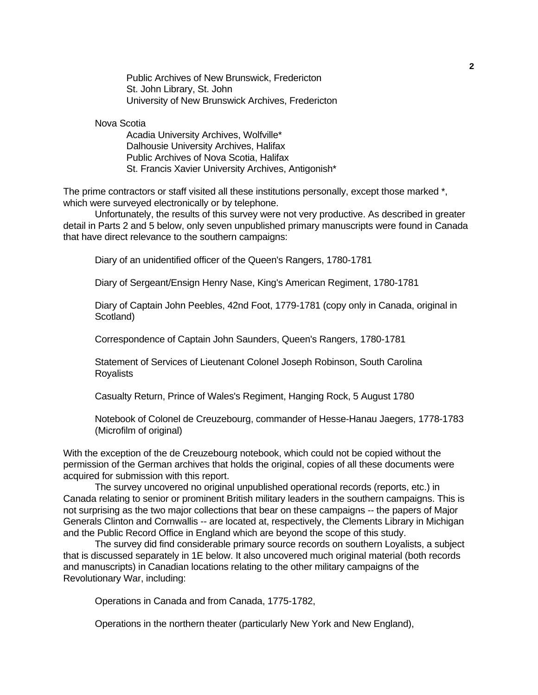Public Archives of New Brunswick, Fredericton St. John Library, St. John University of New Brunswick Archives, Fredericton

Nova Scotia

 Acadia University Archives, Wolfville\* Dalhousie University Archives, Halifax Public Archives of Nova Scotia, Halifax St. Francis Xavier University Archives, Antigonish\*

The prime contractors or staff visited all these institutions personally, except those marked  $^*$ , which were surveyed electronically or by telephone.

 Unfortunately, the results of this survey were not very productive. As described in greater detail in Parts 2 and 5 below, only seven unpublished primary manuscripts were found in Canada that have direct relevance to the southern campaigns:

Diary of an unidentified officer of the Queen's Rangers, 1780-1781

Diary of Sergeant/Ensign Henry Nase, King's American Regiment, 1780-1781

Diary of Captain John Peebles, 42nd Foot, 1779-1781 (copy only in Canada, original in Scotland)

Correspondence of Captain John Saunders, Queen's Rangers, 1780-1781

Statement of Services of Lieutenant Colonel Joseph Robinson, South Carolina Royalists

Casualty Return, Prince of Wales's Regiment, Hanging Rock, 5 August 1780

Notebook of Colonel de Creuzebourg, commander of Hesse-Hanau Jaegers, 1778-1783 (Microfilm of original)

With the exception of the de Creuzebourg notebook, which could not be copied without the permission of the German archives that holds the original, copies of all these documents were acquired for submission with this report.

 The survey uncovered no original unpublished operational records (reports, etc.) in Canada relating to senior or prominent British military leaders in the southern campaigns. This is not surprising as the two major collections that bear on these campaigns -- the papers of Major Generals Clinton and Cornwallis -- are located at, respectively, the Clements Library in Michigan and the Public Record Office in England which are beyond the scope of this study.

 The survey did find considerable primary source records on southern Loyalists, a subject that is discussed separately in 1E below. It also uncovered much original material (both records and manuscripts) in Canadian locations relating to the other military campaigns of the Revolutionary War, including:

Operations in Canada and from Canada, 1775-1782,

Operations in the northern theater (particularly New York and New England),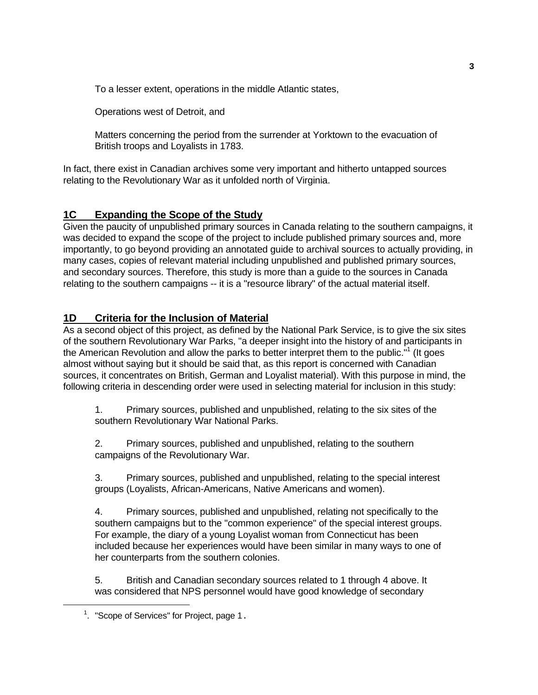To a lesser extent, operations in the middle Atlantic states,

Operations west of Detroit, and

 Matters concerning the period from the surrender at Yorktown to the evacuation of British troops and Loyalists in 1783.

In fact, there exist in Canadian archives some very important and hitherto untapped sources relating to the Revolutionary War as it unfolded north of Virginia.

### **1C Expanding the Scope of the Study**

Given the paucity of unpublished primary sources in Canada relating to the southern campaigns, it was decided to expand the scope of the project to include published primary sources and, more importantly, to go beyond providing an annotated guide to archival sources to actually providing, in many cases, copies of relevant material including unpublished and published primary sources, and secondary sources. Therefore, this study is more than a guide to the sources in Canada relating to the southern campaigns -- it is a "resource library" of the actual material itself.

### **1D Criteria for the Inclusion of Material**

As a second object of this project, as defined by the National Park Service, is to give the six sites of the southern Revolutionary War Parks, "a deeper insight into the history of and participants in the American Revolution and allow the parks to better interpret them to the public."<sup>[1](#page-6-0)</sup> (It goes almost without saying but it should be said that, as this report is concerned with Canadian sources, it concentrates on British, German and Loyalist material). With this purpose in mind, the following criteria in descending order were used in selecting material for inclusion in this study:

 1. Primary sources, published and unpublished, relating to the six sites of the southern Revolutionary War National Parks.

 2. Primary sources, published and unpublished, relating to the southern campaigns of the Revolutionary War.

 3. Primary sources, published and unpublished, relating to the special interest groups (Loyalists, African-Americans, Native Americans and women).

 4. Primary sources, published and unpublished, relating not specifically to the southern campaigns but to the "common experience" of the special interest groups. For example, the diary of a young Loyalist woman from Connecticut has been included because her experiences would have been similar in many ways to one of her counterparts from the southern colonies.

 5. British and Canadian secondary sources related to 1 through 4 above. It was considered that NPS personnel would have good knowledge of secondary

i<br>Li

<span id="page-6-0"></span> $1$ . "Scope of Services" for Project, page 1.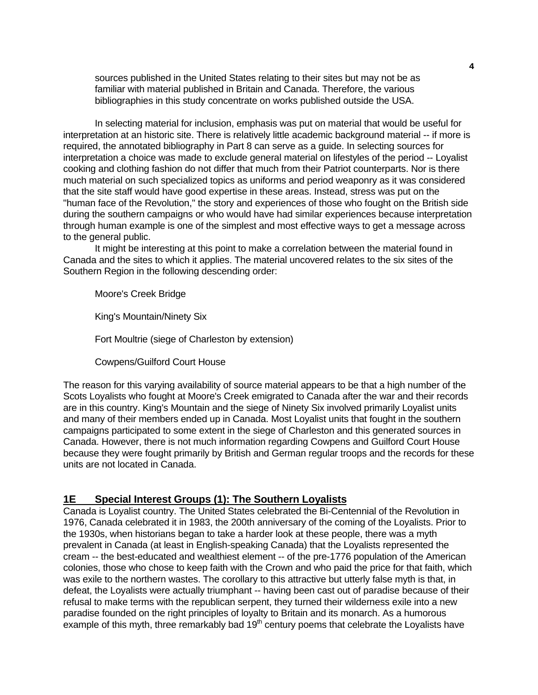sources published in the United States relating to their sites but may not be as familiar with material published in Britain and Canada. Therefore, the various bibliographies in this study concentrate on works published outside the USA.

 In selecting material for inclusion, emphasis was put on material that would be useful for interpretation at an historic site. There is relatively little academic background material -- if more is required, the annotated bibliography in Part 8 can serve as a guide. In selecting sources for interpretation a choice was made to exclude general material on lifestyles of the period -- Loyalist cooking and clothing fashion do not differ that much from their Patriot counterparts. Nor is there much material on such specialized topics as uniforms and period weaponry as it was considered that the site staff would have good expertise in these areas. Instead, stress was put on the "human face of the Revolution," the story and experiences of those who fought on the British side during the southern campaigns or who would have had similar experiences because interpretation through human example is one of the simplest and most effective ways to get a message across to the general public.

 It might be interesting at this point to make a correlation between the material found in Canada and the sites to which it applies. The material uncovered relates to the six sites of the Southern Region in the following descending order:

Moore's Creek Bridge

King's Mountain/Ninety Six

Fort Moultrie (siege of Charleston by extension)

Cowpens/Guilford Court House

The reason for this varying availability of source material appears to be that a high number of the Scots Loyalists who fought at Moore's Creek emigrated to Canada after the war and their records are in this country. King's Mountain and the siege of Ninety Six involved primarily Loyalist units and many of their members ended up in Canada. Most Loyalist units that fought in the southern campaigns participated to some extent in the siege of Charleston and this generated sources in Canada. However, there is not much information regarding Cowpens and Guilford Court House because they were fought primarily by British and German regular troops and the records for these units are not located in Canada.

### **1E Special Interest Groups (1): The Southern Loyalists**

Canada is Loyalist country. The United States celebrated the Bi-Centennial of the Revolution in 1976, Canada celebrated it in 1983, the 200th anniversary of the coming of the Loyalists. Prior to the 1930s, when historians began to take a harder look at these people, there was a myth prevalent in Canada (at least in English-speaking Canada) that the Loyalists represented the cream -- the best-educated and wealthiest element -- of the pre-1776 population of the American colonies, those who chose to keep faith with the Crown and who paid the price for that faith, which was exile to the northern wastes. The corollary to this attractive but utterly false myth is that, in defeat, the Loyalists were actually triumphant -- having been cast out of paradise because of their refusal to make terms with the republican serpent, they turned their wilderness exile into a new paradise founded on the right principles of loyalty to Britain and its monarch. As a humorous example of this myth, three remarkably bad  $19<sup>th</sup>$  century poems that celebrate the Loyalists have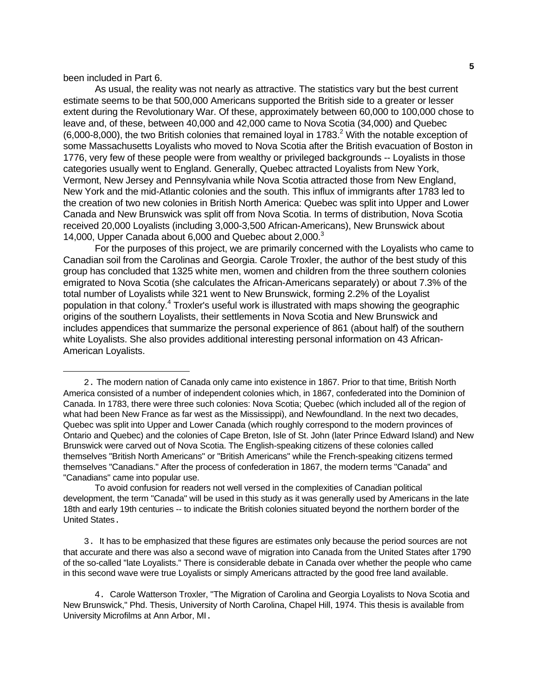### been included in Part 6.

i<br>Li

 As usual, the reality was not nearly as attractive. The statistics vary but the best current estimate seems to be that 500,000 Americans supported the British side to a greater or lesser extent during the Revolutionary War. Of these, approximately between 60,000 to 100,000 chose to leave and, of these, between 40,000 and 42,000 came to Nova Scotia (34,000) and Quebec  $(6,000-8,000)$ , the two British colonies that remained loyal in 1783.<sup>[2](#page-8-0)</sup> With the notable exception of some Massachusetts Loyalists who moved to Nova Scotia after the British evacuation of Boston in 1776, very few of these people were from wealthy or privileged backgrounds -- Loyalists in those categories usually went to England. Generally, Quebec attracted Loyalists from New York, Vermont, New Jersey and Pennsylvania while Nova Scotia attracted those from New England, New York and the mid-Atlantic colonies and the south. This influx of immigrants after 1783 led to the creation of two new colonies in British North America: Quebec was split into Upper and Lower Canada and New Brunswick was split off from Nova Scotia. In terms of distribution, Nova Scotia received 20,000 Loyalists (including 3,000-3,500 African-Americans), New Brunswick about 14,000, Upper Canada about 6,000 and Quebec about 2,000.<sup>3</sup>

 For the purposes of this project, we are primarily concerned with the Loyalists who came to Canadian soil from the Carolinas and Georgia. Carole Troxler, the author of the best study of this group has concluded that 1325 white men, women and children from the three southern colonies emigrated to Nova Scotia (she calculates the African-Americans separately) or about 7.3% of the total number of Loyalists while 321 went to New Brunswick, forming 2.2% of the Loyalist population in that colony.<sup>[4](#page-8-2)</sup> Troxler's useful work is illustrated with maps showing the geographic origins of the southern Loyalists, their settlements in Nova Scotia and New Brunswick and includes appendices that summarize the personal experience of 861 (about half) of the southern white Loyalists. She also provides additional interesting personal information on 43 African-American Loyalists.

<span id="page-8-0"></span> <sup>2.</sup> The modern nation of Canada only came into existence in 1867. Prior to that time, British North America consisted of a number of independent colonies which, in 1867, confederated into the Dominion of Canada. In 1783, there were three such colonies: Nova Scotia; Quebec (which included all of the region of what had been New France as far west as the Mississippi), and Newfoundland. In the next two decades, Quebec was split into Upper and Lower Canada (which roughly correspond to the modern provinces of Ontario and Quebec) and the colonies of Cape Breton, Isle of St. John (later Prince Edward Island) and New Brunswick were carved out of Nova Scotia. The English-speaking citizens of these colonies called themselves "British North Americans" or "British Americans" while the French-speaking citizens termed themselves "Canadians." After the process of confederation in 1867, the modern terms "Canada" and "Canadians" came into popular use.

To avoid confusion for readers not well versed in the complexities of Canadian political development, the term "Canada" will be used in this study as it was generally used by Americans in the late 18th and early 19th centuries -- to indicate the British colonies situated beyond the northern border of the United States.

<span id="page-8-1"></span> <sup>3.</sup> It has to be emphasized that these figures are estimates only because the period sources are not that accurate and there was also a second wave of migration into Canada from the United States after 1790 of the so-called "late Loyalists." There is considerable debate in Canada over whether the people who came in this second wave were true Loyalists or simply Americans attracted by the good free land available.

<span id="page-8-2"></span> <sup>4</sup>. Carole Watterson Troxler, "The Migration of Carolina and Georgia Loyalists to Nova Scotia and New Brunswick," Phd. Thesis, University of North Carolina, Chapel Hill, 1974. This thesis is available from University Microfilms at Ann Arbor, MI.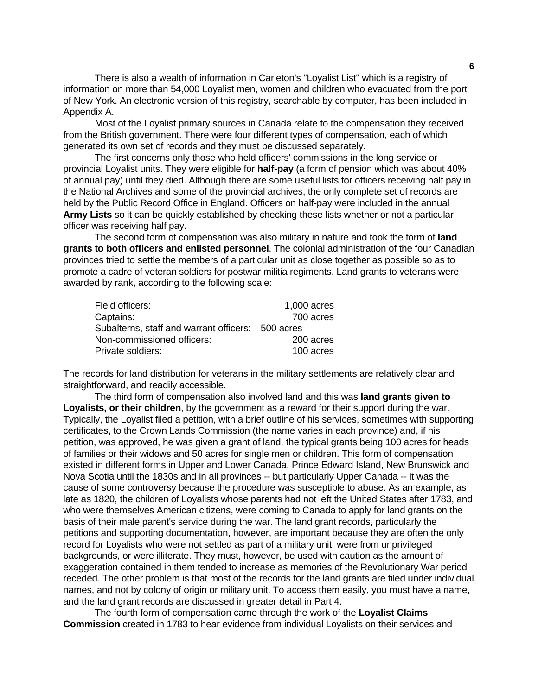There is also a wealth of information in Carleton's "Loyalist List" which is a registry of information on more than 54,000 Loyalist men, women and children who evacuated from the port of New York. An electronic version of this registry, searchable by computer, has been included in Appendix A.

 Most of the Loyalist primary sources in Canada relate to the compensation they received from the British government. There were four different types of compensation, each of which generated its own set of records and they must be discussed separately.

 The first concerns only those who held officers' commissions in the long service or provincial Loyalist units. They were eligible for **half-pay** (a form of pension which was about 40% of annual pay) until they died. Although there are some useful lists for officers receiving half pay in the National Archives and some of the provincial archives, the only complete set of records are held by the Public Record Office in England. Officers on half-pay were included in the annual **Army Lists** so it can be quickly established by checking these lists whether or not a particular officer was receiving half pay.

 The second form of compensation was also military in nature and took the form of **land grants to both officers and enlisted personnel**. The colonial administration of the four Canadian provinces tried to settle the members of a particular unit as close together as possible so as to promote a cadre of veteran soldiers for postwar militia regiments. Land grants to veterans were awarded by rank, according to the following scale:

| Field officers:                                   | 1,000 acres |
|---------------------------------------------------|-------------|
| Captains:                                         | 700 acres   |
| Subalterns, staff and warrant officers: 500 acres |             |
| Non-commissioned officers:                        | 200 acres   |
| Private soldiers:                                 | 100 acres   |

The records for land distribution for veterans in the military settlements are relatively clear and straightforward, and readily accessible.

 The third form of compensation also involved land and this was **land grants given to Loyalists, or their children**, by the government as a reward for their support during the war. Typically, the Loyalist filed a petition, with a brief outline of his services, sometimes with supporting certificates, to the Crown Lands Commission (the name varies in each province) and, if his petition, was approved, he was given a grant of land, the typical grants being 100 acres for heads of families or their widows and 50 acres for single men or children. This form of compensation existed in different forms in Upper and Lower Canada, Prince Edward Island, New Brunswick and Nova Scotia until the 1830s and in all provinces -- but particularly Upper Canada -- it was the cause of some controversy because the procedure was susceptible to abuse. As an example, as late as 1820, the children of Loyalists whose parents had not left the United States after 1783, and who were themselves American citizens, were coming to Canada to apply for land grants on the basis of their male parent's service during the war. The land grant records, particularly the petitions and supporting documentation, however, are important because they are often the only record for Loyalists who were not settled as part of a military unit, were from unprivileged backgrounds, or were illiterate. They must, however, be used with caution as the amount of exaggeration contained in them tended to increase as memories of the Revolutionary War period receded. The other problem is that most of the records for the land grants are filed under individual names, and not by colony of origin or military unit. To access them easily, you must have a name, and the land grant records are discussed in greater detail in Part 4.

 The fourth form of compensation came through the work of the **Loyalist Claims Commission** created in 1783 to hear evidence from individual Loyalists on their services and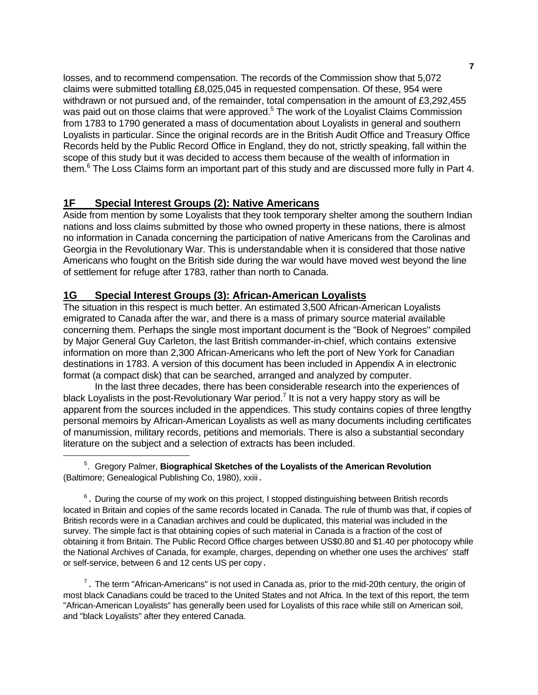losses, and to recommend compensation. The records of the Commission show that 5,072 claims were submitted totalling £8,025,045 in requested compensation. Of these, 954 were withdrawn or not pursued and, of the remainder, total compensation in the amount of £3,292,455 was paid out on those claims that were approved.<sup>[5](#page-10-0)</sup> The work of the Loyalist Claims Commission from 1783 to 1790 generated a mass of documentation about Loyalists in general and southern Loyalists in particular. Since the original records are in the British Audit Office and Treasury Office Records held by the Public Record Office in England, they do not, strictly speaking, fall within the scope of this study but it was decided to access them because of the wealth of information in them.<sup>[6](#page-10-1)</sup> The Loss Claims form an important part of this study and are discussed more fully in Part 4.

### **1F Special Interest Groups (2): Native Americans**

Aside from mention by some Loyalists that they took temporary shelter among the southern Indian nations and loss claims submitted by those who owned property in these nations, there is almost no information in Canada concerning the participation of native Americans from the Carolinas and Georgia in the Revolutionary War. This is understandable when it is considered that those native Americans who fought on the British side during the war would have moved west beyond the line of settlement for refuge after 1783, rather than north to Canada.

### **1G Special Interest Groups (3): African-American Loyalists**

The situation in this respect is much better. An estimated 3,500 African-American Loyalists emigrated to Canada after the war, and there is a mass of primary source material available concerning them. Perhaps the single most important document is the "Book of Negroes" compiled by Major General Guy Carleton, the last British commander-in-chief, which contains extensive information on more than 2,300 African-Americans who left the port of New York for Canadian destinations in 1783. A version of this document has been included in Appendix A in electronic format (a compact disk) that can be searched, arranged and analyzed by computer.

 In the last three decades, there has been considerable research into the experiences of black Loyalists in the post-Revolutionary War period.<sup>7</sup> It is not a very happy story as will be apparent from the sources included in the appendices. This study contains copies of three lengthy personal memoirs by African-American Loyalists as well as many documents including certificates of manumission, military records, petitions and memorials. There is also a substantial secondary literature on the subject and a selection of extracts has been included.

<span id="page-10-0"></span>i<br>Li <sup>5</sup> . Gregory Palmer, **Biographical Sketches of the Loyalists of the American Revolution** (Baltimore; Genealogical Publishing Co, 1980), xxiii.

<span id="page-10-1"></span><sup>6</sup>. During the course of my work on this project, I stopped distinguishing between British records located in Britain and copies of the same records located in Canada. The rule of thumb was that, if copies of British records were in a Canadian archives and could be duplicated, this material was included in the survey. The simple fact is that obtaining copies of such material in Canada is a fraction of the cost of obtaining it from Britain. The Public Record Office charges between US\$0.80 and \$1.40 per photocopy while the National Archives of Canada, for example, charges, depending on whether one uses the archives' staff or self-service, between 6 and 12 cents US per copy.

<span id="page-10-2"></span> $7$ . The term "African-Americans" is not used in Canada as, prior to the mid-20th century, the origin of most black Canadians could be traced to the United States and not Africa. In the text of this report, the term "African-American Loyalists" has generally been used for Loyalists of this race while still on American soil, and "black Loyalists" after they entered Canada.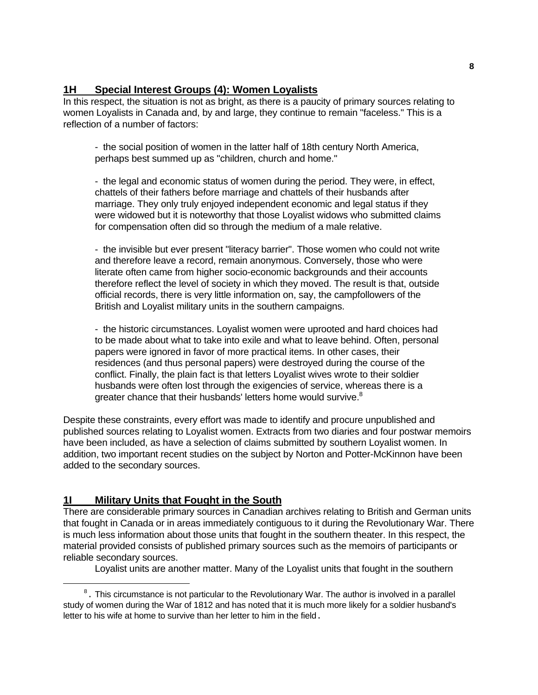### **1H Special Interest Groups (4): Women Loyalists**

In this respect, the situation is not as bright, as there is a paucity of primary sources relating to women Loyalists in Canada and, by and large, they continue to remain "faceless." This is a reflection of a number of factors:

 - the social position of women in the latter half of 18th century North America, perhaps best summed up as "children, church and home."

 - the legal and economic status of women during the period. They were, in effect, chattels of their fathers before marriage and chattels of their husbands after marriage. They only truly enjoyed independent economic and legal status if they were widowed but it is noteworthy that those Loyalist widows who submitted claims for compensation often did so through the medium of a male relative.

 - the invisible but ever present "literacy barrier". Those women who could not write and therefore leave a record, remain anonymous. Conversely, those who were literate often came from higher socio-economic backgrounds and their accounts therefore reflect the level of society in which they moved. The result is that, outside official records, there is very little information on, say, the campfollowers of the British and Loyalist military units in the southern campaigns.

 - the historic circumstances. Loyalist women were uprooted and hard choices had to be made about what to take into exile and what to leave behind. Often, personal papers were ignored in favor of more practical items. In other cases, their residences (and thus personal papers) were destroyed during the course of the conflict. Finally, the plain fact is that letters Loyalist wives wrote to their soldier husbands were often lost through the exigencies of service, whereas there is a greater chance that their husbands' letters home would survive.<sup>[8](#page-11-0)</sup>

Despite these constraints, every effort was made to identify and procure unpublished and published sources relating to Loyalist women. Extracts from two diaries and four postwar memoirs have been included, as have a selection of claims submitted by southern Loyalist women. In addition, two important recent studies on the subject by Norton and Potter-McKinnon have been added to the secondary sources.

### **1I Military Units that Fought in the South**

i

There are considerable primary sources in Canadian archives relating to British and German units that fought in Canada or in areas immediately contiguous to it during the Revolutionary War. There is much less information about those units that fought in the southern theater. In this respect, the material provided consists of published primary sources such as the memoirs of participants or reliable secondary sources.

Loyalist units are another matter. Many of the Loyalist units that fought in the southern

<span id="page-11-0"></span> $8<sup>8</sup>$ . This circumstance is not particular to the Revolutionary War. The author is involved in a parallel study of women during the War of 1812 and has noted that it is much more likely for a soldier husband's letter to his wife at home to survive than her letter to him in the field.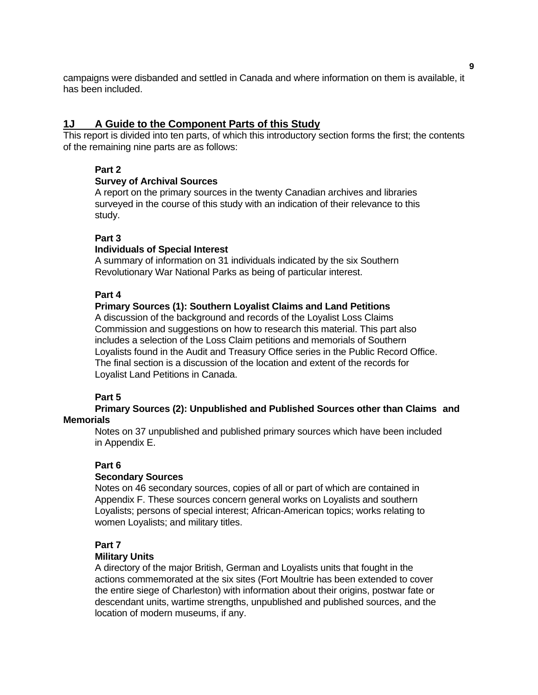campaigns were disbanded and settled in Canada and where information on them is available, it has been included.

### **1J A Guide to the Component Parts of this Study**

This report is divided into ten parts, of which this introductory section forms the first; the contents of the remaining nine parts are as follows:

### **Part 2**

### **Survey of Archival Sources**

 A report on the primary sources in the twenty Canadian archives and libraries surveyed in the course of this study with an indication of their relevance to this study.

### **Part 3**

### **Individuals of Special Interest**

 A summary of information on 31 individuals indicated by the six Southern Revolutionary War National Parks as being of particular interest.

### **Part 4**

### **Primary Sources (1): Southern Loyalist Claims and Land Petitions**

 A discussion of the background and records of the Loyalist Loss Claims Commission and suggestions on how to research this material. This part also includes a selection of the Loss Claim petitions and memorials of Southern Loyalists found in the Audit and Treasury Office series in the Public Record Office. The final section is a discussion of the location and extent of the records for Loyalist Land Petitions in Canada.

### **Part 5**

 **Primary Sources (2): Unpublished and Published Sources other than Claims and Memorials** 

 Notes on 37 unpublished and published primary sources which have been included in Appendix E.

### **Part 6**

### **Secondary Sources**

 Notes on 46 secondary sources, copies of all or part of which are contained in Appendix F. These sources concern general works on Loyalists and southern Loyalists; persons of special interest; African-American topics; works relating to women Loyalists; and military titles.

### **Part 7**

### **Military Units**

 A directory of the major British, German and Loyalists units that fought in the actions commemorated at the six sites (Fort Moultrie has been extended to cover the entire siege of Charleston) with information about their origins, postwar fate or descendant units, wartime strengths, unpublished and published sources, and the location of modern museums, if any.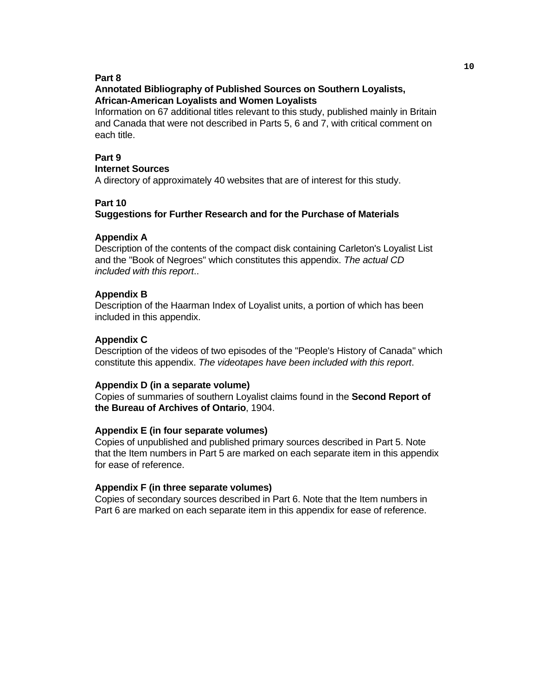#### **Part 8**

### **Annotated Bibliography of Published Sources on Southern Loyalists, African-American Loyalists and Women Loyalists**

 Information on 67 additional titles relevant to this study, published mainly in Britain and Canada that were not described in Parts 5, 6 and 7, with critical comment on each title.

### **Part 9**

#### **Internet Sources**

A directory of approximately 40 websites that are of interest for this study.

### **Part 10**

### **Suggestions for Further Research and for the Purchase of Materials**

#### **Appendix A**

 Description of the contents of the compact disk containing Carleton's Loyalist List and the "Book of Negroes" which constitutes this appendix. *The actual CD included with this report*..

#### **Appendix B**

 Description of the Haarman Index of Loyalist units, a portion of which has been included in this appendix.

#### **Appendix C**

 Description of the videos of two episodes of the "People's History of Canada" which constitute this appendix. *The videotapes have been included with this report*.

#### **Appendix D (in a separate volume)**

 Copies of summaries of southern Loyalist claims found in the **Second Report of the Bureau of Archives of Ontario**, 1904.

#### **Appendix E (in four separate volumes)**

 Copies of unpublished and published primary sources described in Part 5. Note that the Item numbers in Part 5 are marked on each separate item in this appendix for ease of reference.

#### **Appendix F (in three separate volumes)**

 Copies of secondary sources described in Part 6. Note that the Item numbers in Part 6 are marked on each separate item in this appendix for ease of reference.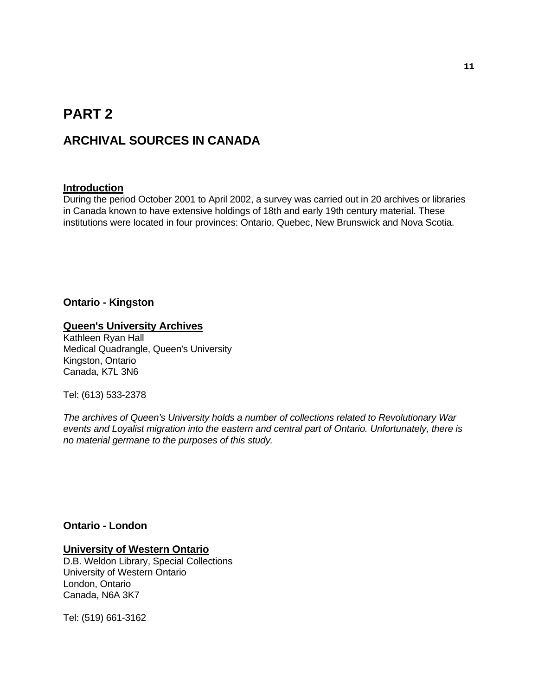# **PART 2**

## **ARCHIVAL SOURCES IN CANADA**

### **Introduction**

During the period October 2001 to April 2002, a survey was carried out in 20 archives or libraries in Canada known to have extensive holdings of 18th and early 19th century material. These institutions were located in four provinces: Ontario, Quebec, New Brunswick and Nova Scotia.

### **Ontario - Kingston**

#### **Queen's University Archives**

Kathleen Ryan Hall Medical Quadrangle, Queen's University Kingston, Ontario Canada, K7L 3N6

Tel: (613) 533-2378

*The archives of Queen's University holds a number of collections related to Revolutionary War events and Loyalist migration into the eastern and central part of Ontario. Unfortunately, there is no material germane to the purposes of this study.* 

### **Ontario - London**

#### **University of Western Ontario**

D.B. Weldon Library, Special Collections University of Western Ontario London, Ontario Canada, N6A 3K7

Tel: (519) 661-3162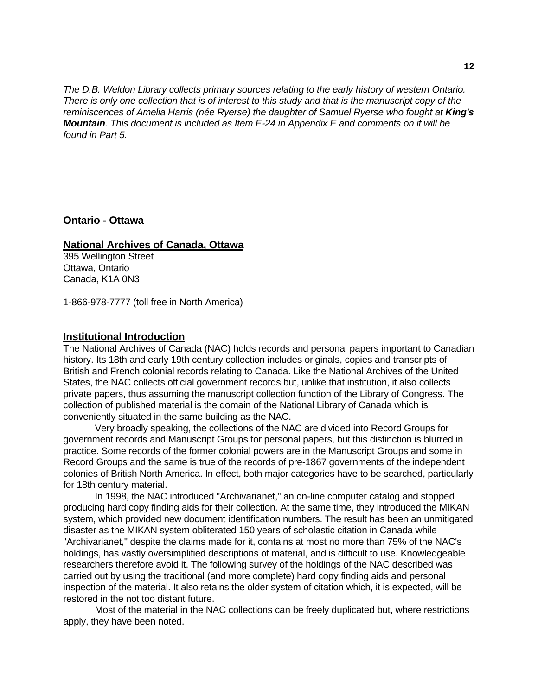*The D.B. Weldon Library collects primary sources relating to the early history of western Ontario. There is only one collection that is of interest to this study and that is the manuscript copy of the reminiscences of Amelia Harris (née Ryerse) the daughter of Samuel Ryerse who fought at King's Mountain. This document is included as Item E-24 in Appendix E and comments on it will be found in Part 5.*

**Ontario - Ottawa** 

### **National Archives of Canada, Ottawa**

395 Wellington Street Ottawa, Ontario Canada, K1A 0N3

1-866-978-7777 (toll free in North America)

### **Institutional Introduction**

The National Archives of Canada (NAC) holds records and personal papers important to Canadian history. Its 18th and early 19th century collection includes originals, copies and transcripts of British and French colonial records relating to Canada. Like the National Archives of the United States, the NAC collects official government records but, unlike that institution, it also collects private papers, thus assuming the manuscript collection function of the Library of Congress. The collection of published material is the domain of the National Library of Canada which is conveniently situated in the same building as the NAC.

 Very broadly speaking, the collections of the NAC are divided into Record Groups for government records and Manuscript Groups for personal papers, but this distinction is blurred in practice. Some records of the former colonial powers are in the Manuscript Groups and some in Record Groups and the same is true of the records of pre-1867 governments of the independent colonies of British North America. In effect, both major categories have to be searched, particularly for 18th century material.

 In 1998, the NAC introduced "Archivarianet," an on-line computer catalog and stopped producing hard copy finding aids for their collection. At the same time, they introduced the MIKAN system, which provided new document identification numbers. The result has been an unmitigated disaster as the MIKAN system obliterated 150 years of scholastic citation in Canada while "Archivarianet," despite the claims made for it, contains at most no more than 75% of the NAC's holdings, has vastly oversimplified descriptions of material, and is difficult to use. Knowledgeable researchers therefore avoid it. The following survey of the holdings of the NAC described was carried out by using the traditional (and more complete) hard copy finding aids and personal inspection of the material. It also retains the older system of citation which, it is expected, will be restored in the not too distant future.

 Most of the material in the NAC collections can be freely duplicated but, where restrictions apply, they have been noted.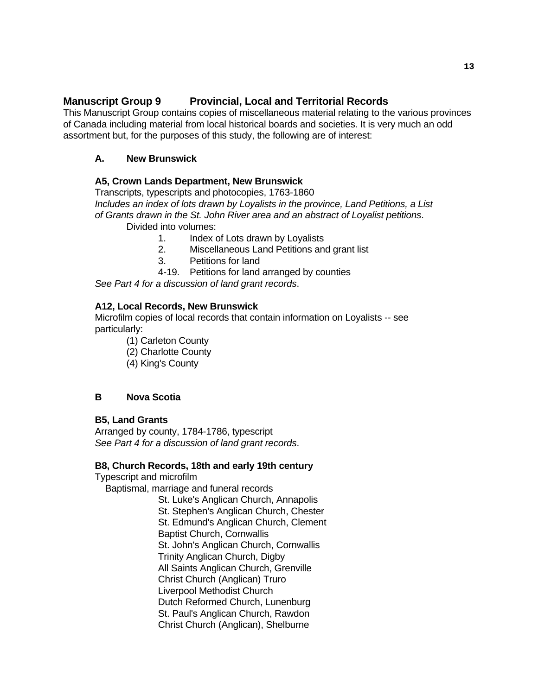### **Manuscript Group 9 Provincial, Local and Territorial Records**

This Manuscript Group contains copies of miscellaneous material relating to the various provinces of Canada including material from local historical boards and societies. It is very much an odd assortment but, for the purposes of this study, the following are of interest:

### **A. New Brunswick**

### **A5, Crown Lands Department, New Brunswick**

 Transcripts, typescripts and photocopies, 1763-1860  *Includes an index of lots drawn by Loyalists in the province, Land Petitions, a List of Grants drawn in the St. John River area and an abstract of Loyalist petitions*. Divided into volumes:

1. Index of Lots drawn by Loyalists

- 2. Miscellaneous Land Petitions and grant list
- 3. Petitions for land
- 4-19. Petitions for land arranged by counties

 *See Part 4 for a discussion of land grant records*.

### **A12, Local Records, New Brunswick**

 Microfilm copies of local records that contain information on Loyalists -- see particularly:

- (1) Carleton County
- (2) Charlotte County
- (4) King's County

### **B Nova Scotia**

### **B5, Land Grants**

 Arranged by county, 1784-1786, typescript  *See Part 4 for a discussion of land grant records*.

### **B8, Church Records, 18th and early 19th century**

Typescript and microfilm

Baptismal, marriage and funeral records

 St. Luke's Anglican Church, Annapolis St. Stephen's Anglican Church, Chester St. Edmund's Anglican Church, Clement Baptist Church, Cornwallis St. John's Anglican Church, Cornwallis Trinity Anglican Church, Digby All Saints Anglican Church, Grenville Christ Church (Anglican) Truro Liverpool Methodist Church Dutch Reformed Church, Lunenburg St. Paul's Anglican Church, Rawdon Christ Church (Anglican), Shelburne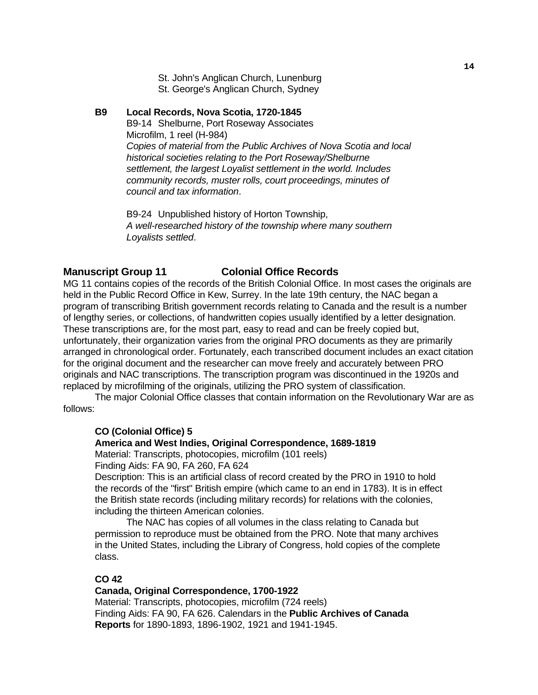St. John's Anglican Church, Lunenburg St. George's Anglican Church, Sydney

### **B9 Local Records, Nova Scotia, 1720-1845** B9-14 Shelburne, Port Roseway Associates Microfilm, 1 reel (H-984)

 *Copies of material from the Public Archives of Nova Scotia and local historical societies relating to the Port Roseway/Shelburne settlement, the largest Loyalist settlement in the world. Includes community records, muster rolls, court proceedings, minutes of council and tax information*.

 B9-24 Unpublished history of Horton Township,  *A well-researched history of the township where many southern Loyalists settled*.

### **Manuscript Group 11 Colonial Office Records**

MG 11 contains copies of the records of the British Colonial Office. In most cases the originals are held in the Public Record Office in Kew, Surrey. In the late 19th century, the NAC began a program of transcribing British government records relating to Canada and the result is a number of lengthy series, or collections, of handwritten copies usually identified by a letter designation. These transcriptions are, for the most part, easy to read and can be freely copied but, unfortunately, their organization varies from the original PRO documents as they are primarily arranged in chronological order. Fortunately, each transcribed document includes an exact citation for the original document and the researcher can move freely and accurately between PRO originals and NAC transcriptions. The transcription program was discontinued in the 1920s and replaced by microfilming of the originals, utilizing the PRO system of classification.

 The major Colonial Office classes that contain information on the Revolutionary War are as follows:

### **CO (Colonial Office) 5**

### **America and West Indies, Original Correspondence, 1689-1819**

 Material: Transcripts, photocopies, microfilm (101 reels) Finding Aids: FA 90, FA 260, FA 624

 Description: This is an artificial class of record created by the PRO in 1910 to hold the records of the "first" British empire (which came to an end in 1783). It is in effect the British state records (including military records) for relations with the colonies, including the thirteen American colonies.

 The NAC has copies of all volumes in the class relating to Canada but permission to reproduce must be obtained from the PRO. Note that many archives in the United States, including the Library of Congress, hold copies of the complete class.

### **CO 42**

 **Canada, Original Correspondence, 1700-1922**  Material: Transcripts, photocopies, microfilm (724 reels) Finding Aids: FA 90, FA 626. Calendars in the **Public Archives of Canada Reports** for 1890-1893, 1896-1902, 1921 and 1941-1945.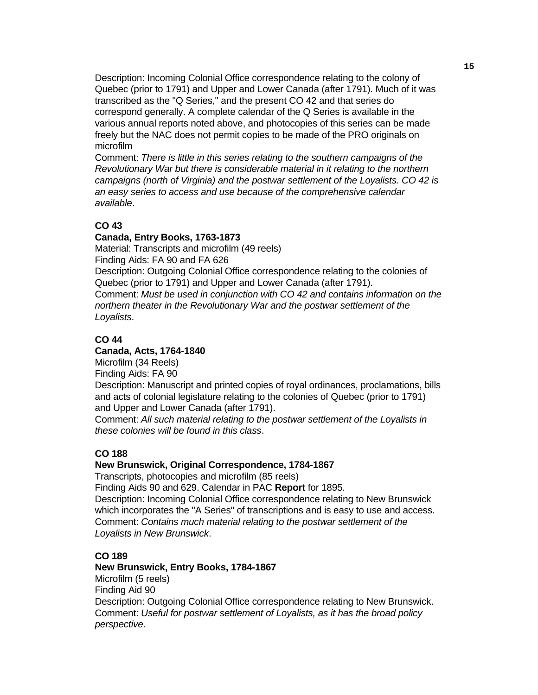Description: Incoming Colonial Office correspondence relating to the colony of Quebec (prior to 1791) and Upper and Lower Canada (after 1791). Much of it was transcribed as the "Q Series," and the present CO 42 and that series do correspond generally. A complete calendar of the Q Series is available in the various annual reports noted above, and photocopies of this series can be made freely but the NAC does not permit copies to be made of the PRO originals on microfilm

 Comment: *There is little in this series relating to the southern campaigns of the Revolutionary War but there is considerable material in it relating to the northern campaigns (north of Virginia) and the postwar settlement of the Loyalists. CO 42 is an easy series to access and use because of the comprehensive calendar available*.

### **CO 43**

#### **Canada, Entry Books, 1763-1873**

 Material: Transcripts and microfilm (49 reels) Finding Aids: FA 90 and FA 626

 Description: Outgoing Colonial Office correspondence relating to the colonies of Quebec (prior to 1791) and Upper and Lower Canada (after 1791).

 Comment: *Must be used in conjunction with CO 42 and contains information on the northern theater in the Revolutionary War and the postwar settlement of the Loyalists*.

### **CO 44**

#### **Canada, Acts, 1764-1840**

Microfilm (34 Reels)

Finding Aids: FA 90

 Description: Manuscript and printed copies of royal ordinances, proclamations, bills and acts of colonial legislature relating to the colonies of Quebec (prior to 1791) and Upper and Lower Canada (after 1791).

 Comment: *All such material relating to the postwar settlement of the Loyalists in these colonies will be found in this class*.

### **CO 188**

#### **New Brunswick, Original Correspondence, 1784-1867**

Transcripts, photocopies and microfilm (85 reels)

 Finding Aids 90 and 629. Calendar in PAC **Report** for 1895. Description: Incoming Colonial Office correspondence relating to New Brunswick which incorporates the "A Series" of transcriptions and is easy to use and access. Comment: *Contains much material relating to the postwar settlement of the Loyalists in New Brunswick*.

### **CO 189**

 **New Brunswick, Entry Books, 1784-1867**  Microfilm (5 reels) Finding Aid 90 Description: Outgoing Colonial Office correspondence relating to New Brunswick. Comment: *Useful for postwar settlement of Loyalists, as it has the broad policy perspective*.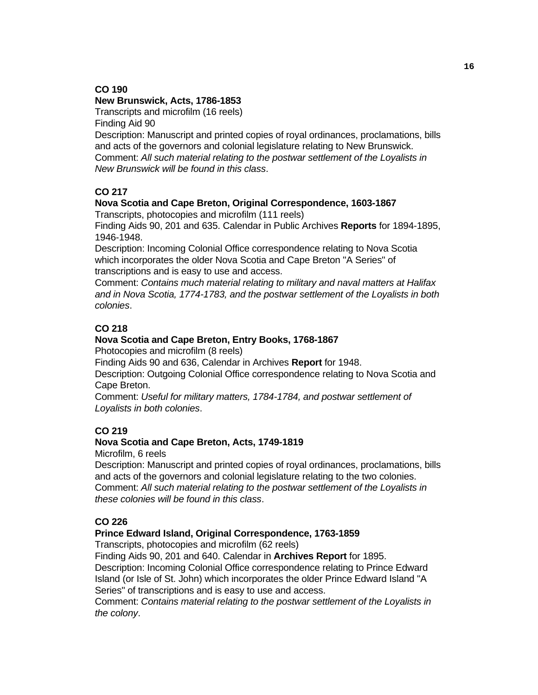### **CO 190**

### **New Brunswick, Acts, 1786-1853**

 Transcripts and microfilm (16 reels) Finding Aid 90

 Description: Manuscript and printed copies of royal ordinances, proclamations, bills and acts of the governors and colonial legislature relating to New Brunswick. Comment: *All such material relating to the postwar settlement of the Loyalists in New Brunswick will be found in this class*.

### **CO 217**

### **Nova Scotia and Cape Breton, Original Correspondence, 1603-1867**

Transcripts, photocopies and microfilm (111 reels)

 Finding Aids 90, 201 and 635. Calendar in Public Archives **Reports** for 1894-1895, 1946-1948.

 Description: Incoming Colonial Office correspondence relating to Nova Scotia which incorporates the older Nova Scotia and Cape Breton "A Series" of transcriptions and is easy to use and access.

 Comment: *Contains much material relating to military and naval matters at Halifax and in Nova Scotia, 1774-1783, and the postwar settlement of the Loyalists in both colonies*.

### **CO 218**

### **Nova Scotia and Cape Breton, Entry Books, 1768-1867**

Photocopies and microfilm (8 reels)

Finding Aids 90 and 636, Calendar in Archives **Report** for 1948.

 Description: Outgoing Colonial Office correspondence relating to Nova Scotia and Cape Breton.

 Comment: *Useful for military matters, 1784-1784, and postwar settlement of Loyalists in both colonies*.

### **CO 219**

### **Nova Scotia and Cape Breton, Acts, 1749-1819**

Microfilm, 6 reels

 Description: Manuscript and printed copies of royal ordinances, proclamations, bills and acts of the governors and colonial legislature relating to the two colonies. Comment: *All such material relating to the postwar settlement of the Loyalists in these colonies will be found in this class*.

### **CO 226**

### **Prince Edward Island, Original Correspondence, 1763-1859**

Transcripts, photocopies and microfilm (62 reels)

Finding Aids 90, 201 and 640. Calendar in **Archives Report** for 1895.

 Description: Incoming Colonial Office correspondence relating to Prince Edward Island (or Isle of St. John) which incorporates the older Prince Edward Island "A Series" of transcriptions and is easy to use and access.

 Comment: *Contains material relating to the postwar settlement of the Loyalists in the colony*.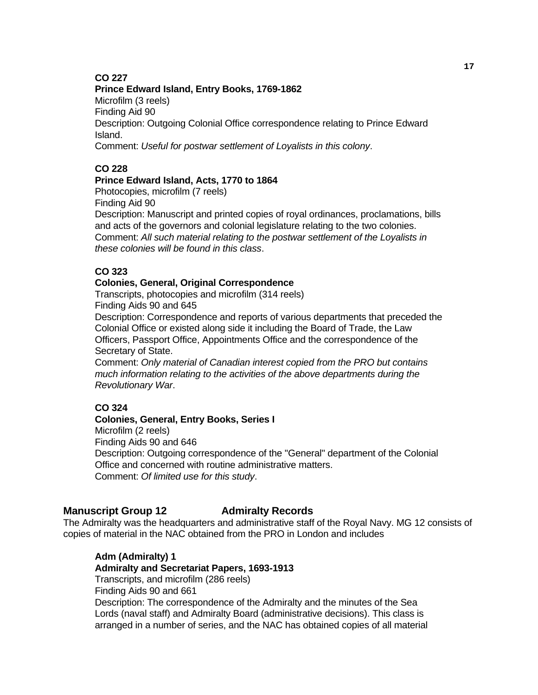### **CO 227**

#### **Prince Edward Island, Entry Books, 1769-1862**

 Microfilm (3 reels) Finding Aid 90 Description: Outgoing Colonial Office correspondence relating to Prince Edward Island. Comment: *Useful for postwar settlement of Loyalists in this colony*.

### **CO 228**

### **Prince Edward Island, Acts, 1770 to 1864**

Photocopies, microfilm (7 reels)

Finding Aid 90

 Description: Manuscript and printed copies of royal ordinances, proclamations, bills and acts of the governors and colonial legislature relating to the two colonies. Comment: *All such material relating to the postwar settlement of the Loyalists in these colonies will be found in this class*.

### **CO 323**

### **Colonies, General, Original Correspondence**

 Transcripts, photocopies and microfilm (314 reels) Finding Aids 90 and 645

 Description: Correspondence and reports of various departments that preceded the Colonial Office or existed along side it including the Board of Trade, the Law Officers, Passport Office, Appointments Office and the correspondence of the Secretary of State.

 Comment: *Only material of Canadian interest copied from the PRO but contains much information relating to the activities of the above departments during the Revolutionary War*.

### **CO 324**

### **Colonies, General, Entry Books, Series I**

Microfilm (2 reels)

Finding Aids 90 and 646

 Description: Outgoing correspondence of the "General" department of the Colonial Office and concerned with routine administrative matters. Comment: *Of limited use for this study*.

### **Manuscript Group 12 Admiralty Records**

The Admiralty was the headquarters and administrative staff of the Royal Navy. MG 12 consists of copies of material in the NAC obtained from the PRO in London and includes

## **Adm (Admiralty) 1**

### **Admiralty and Secretariat Papers, 1693-1913**

 Transcripts, and microfilm (286 reels) Finding Aids 90 and 661 Description: The correspondence of the Admiralty and the minutes of the Sea Lords (naval staff) and Admiralty Board (administrative decisions). This class is arranged in a number of series, and the NAC has obtained copies of all material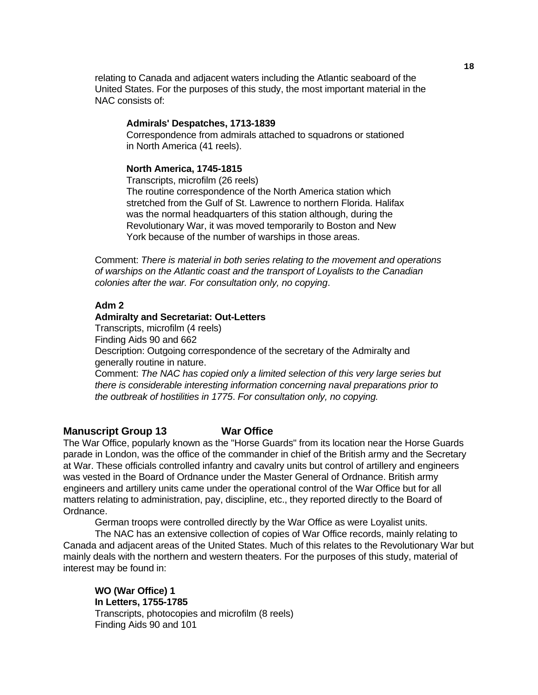relating to Canada and adjacent waters including the Atlantic seaboard of the United States. For the purposes of this study, the most important material in the NAC consists of:

#### **Admirals' Despatches, 1713-1839**

 Correspondence from admirals attached to squadrons or stationed in North America (41 reels).

#### **North America, 1745-1815**

 Transcripts, microfilm (26 reels) The routine correspondence of the North America station which stretched from the Gulf of St. Lawrence to northern Florida. Halifax was the normal headquarters of this station although, during the Revolutionary War, it was moved temporarily to Boston and New York because of the number of warships in those areas.

 Comment: *There is material in both series relating to the movement and operations of warships on the Atlantic coast and the transport of Loyalists to the Canadian colonies after the war. For consultation only, no copying*.

### **Adm 2**

#### **Admiralty and Secretariat: Out-Letters**

 Transcripts, microfilm (4 reels) Finding Aids 90 and 662 Description: Outgoing correspondence of the secretary of the Admiralty and generally routine in nature.

 Comment: *The NAC has copied only a limited selection of this very large series but there is considerable interesting information concerning naval preparations prior to the outbreak of hostilities in 1775*. *For consultation only, no copying.* 

### **Manuscript Group 13 War Office**

The War Office, popularly known as the "Horse Guards" from its location near the Horse Guards parade in London, was the office of the commander in chief of the British army and the Secretary at War. These officials controlled infantry and cavalry units but control of artillery and engineers was vested in the Board of Ordnance under the Master General of Ordnance. British army engineers and artillery units came under the operational control of the War Office but for all matters relating to administration, pay, discipline, etc., they reported directly to the Board of Ordnance.

German troops were controlled directly by the War Office as were Loyalist units.

 The NAC has an extensive collection of copies of War Office records, mainly relating to Canada and adjacent areas of the United States. Much of this relates to the Revolutionary War but mainly deals with the northern and western theaters. For the purposes of this study, material of interest may be found in:

 **WO (War Office) 1 In Letters, 1755-1785** Transcripts, photocopies and microfilm (8 reels) Finding Aids 90 and 101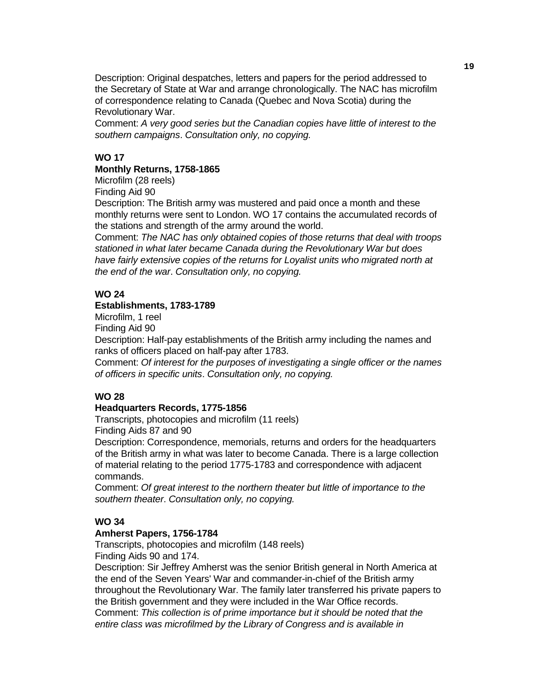Description: Original despatches, letters and papers for the period addressed to the Secretary of State at War and arrange chronologically. The NAC has microfilm of correspondence relating to Canada (Quebec and Nova Scotia) during the Revolutionary War.

 Comment: *A very good series but the Canadian copies have little of interest to the southern campaigns*. *Consultation only, no copying.* 

### **WO 17**

### **Monthly Returns, 1758-1865**

Microfilm (28 reels)

Finding Aid 90

 Description: The British army was mustered and paid once a month and these monthly returns were sent to London. WO 17 contains the accumulated records of the stations and strength of the army around the world.

 Comment: *The NAC has only obtained copies of those returns that deal with troops stationed in what later became Canada during the Revolutionary War but does have fairly extensive copies of the returns for Loyalist units who migrated north at the end of the war*. *Consultation only, no copying.* 

### **WO 24**

### **Establishments, 1783-1789**

Microfilm, 1 reel

Finding Aid 90

 Description: Half-pay establishments of the British army including the names and ranks of officers placed on half-pay after 1783.

 Comment: *Of interest for the purposes of investigating a single officer or the names of officers in specific units*. *Consultation only, no copying.* 

### **WO 28**

### **Headquarters Records, 1775-1856**

Transcripts, photocopies and microfilm (11 reels)

Finding Aids 87 and 90

 Description: Correspondence, memorials, returns and orders for the headquarters of the British army in what was later to become Canada. There is a large collection of material relating to the period 1775-1783 and correspondence with adjacent commands.

 Comment: *Of great interest to the northern theater but little of importance to the southern theater*. *Consultation only, no copying.* 

### **WO 34**

### **Amherst Papers, 1756-1784**

 Transcripts, photocopies and microfilm (148 reels) Finding Aids 90 and 174.

 Description: Sir Jeffrey Amherst was the senior British general in North America at the end of the Seven Years' War and commander-in-chief of the British army throughout the Revolutionary War. The family later transferred his private papers to the British government and they were included in the War Office records. Comment: *This collection is of prime importance but it should be noted that the entire class was microfilmed by the Library of Congress and is available in*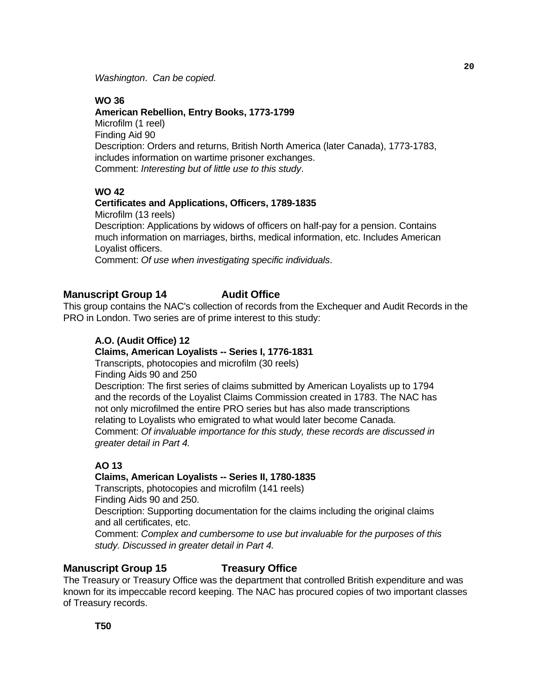*Washington*. *Can be copied.* 

### **WO 36**

### **American Rebellion, Entry Books, 1773-1799**

 Microfilm (1 reel) Finding Aid 90 Description: Orders and returns, British North America (later Canada), 1773-1783, includes information on wartime prisoner exchanges. Comment: *Interesting but of little use to this study*.

### **WO 42**

### **Certificates and Applications, Officers, 1789-1835**

 Microfilm (13 reels) Description: Applications by widows of officers on half-pay for a pension. Contains much information on marriages, births, medical information, etc. Includes American Loyalist officers.

Comment: *Of use when investigating specific individuals*.

### **Manuscript Group 14** Audit Office

This group contains the NAC's collection of records from the Exchequer and Audit Records in the PRO in London. Two series are of prime interest to this study:

### **A.O. (Audit Office) 12**

### **Claims, American Loyalists -- Series I, 1776-1831**

 Transcripts, photocopies and microfilm (30 reels) Finding Aids 90 and 250

 Description: The first series of claims submitted by American Loyalists up to 1794 and the records of the Loyalist Claims Commission created in 1783. The NAC has not only microfilmed the entire PRO series but has also made transcriptions relating to Loyalists who emigrated to what would later become Canada. Comment: *Of invaluable importance for this study, these records are discussed in greater detail in Part 4.*

### **AO 13**

### **Claims, American Loyalists -- Series II, 1780-1835**

 Transcripts, photocopies and microfilm (141 reels) Finding Aids 90 and 250. Description: Supporting documentation for the claims including the original claims and all certificates, etc. Comment: *Complex and cumbersome to use but invaluable for the purposes of this study. Discussed in greater detail in Part 4.*

### **Manuscript Group 15 Treasury Office**

The Treasury or Treasury Office was the department that controlled British expenditure and was known for its impeccable record keeping. The NAC has procured copies of two important classes of Treasury records.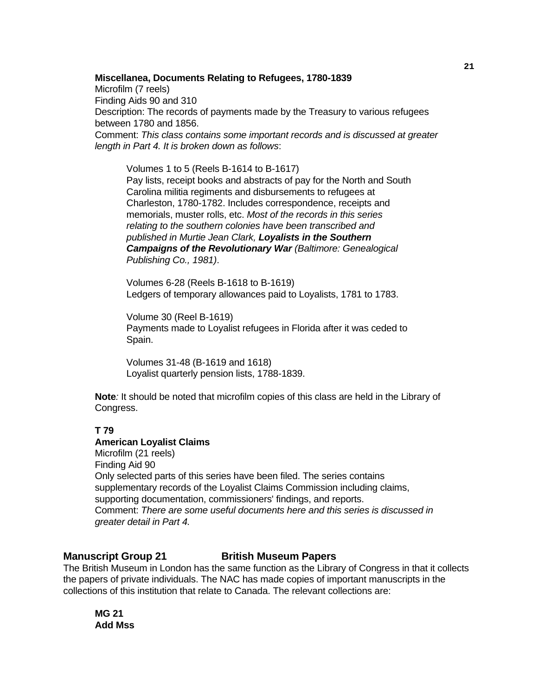#### **Miscellanea, Documents Relating to Refugees, 1780-1839**

 Microfilm (7 reels) Finding Aids 90 and 310 Description: The records of payments made by the Treasury to various refugees between 1780 and 1856. Comment: *This class contains some important records and is discussed at greater length in Part 4. It is broken down as follows*:

 Volumes 1 to 5 (Reels B-1614 to B-1617) Pay lists, receipt books and abstracts of pay for the North and South Carolina militia regiments and disbursements to refugees at Charleston, 1780-1782. Includes correspondence, receipts and memorials, muster rolls, etc. *Most of the records in this series relating to the southern colonies have been transcribed and published in Murtie Jean Clark, Loyalists in the Southern Campaigns of the Revolutionary War (Baltimore: Genealogical Publishing Co., 1981)*.

 Volumes 6-28 (Reels B-1618 to B-1619) Ledgers of temporary allowances paid to Loyalists, 1781 to 1783.

 Volume 30 (Reel B-1619) Payments made to Loyalist refugees in Florida after it was ceded to Spain.

 Volumes 31-48 (B-1619 and 1618) Loyalist quarterly pension lists, 1788-1839.

**Note***:* It should be noted that microfilm copies of this class are held in the Library of Congress.

### **T 79**

#### **American Loyalist Claims**

 Microfilm (21 reels) Finding Aid 90 Only selected parts of this series have been filed. The series contains supplementary records of the Loyalist Claims Commission including claims, supporting documentation, commissioners' findings, and reports. Comment: *There are some useful documents here and this series is discussed in greater detail in Part 4.*

### **Manuscript Group 21** British Museum Papers

The British Museum in London has the same function as the Library of Congress in that it collects the papers of private individuals. The NAC has made copies of important manuscripts in the collections of this institution that relate to Canada. The relevant collections are:

 **MG 21 Add Mss**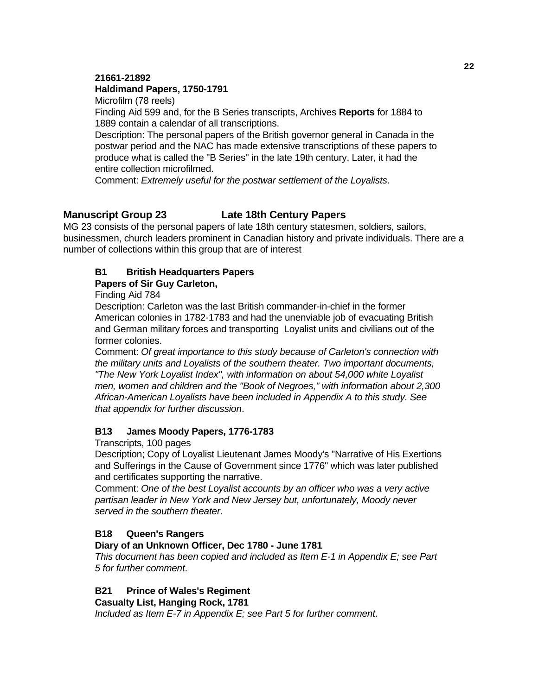### **21661-21892**

### **Haldimand Papers, 1750-1791**

Microfilm (78 reels)

 Finding Aid 599 and, for the B Series transcripts, Archives **Reports** for 1884 to 1889 contain a calendar of all transcriptions.

 Description: The personal papers of the British governor general in Canada in the postwar period and the NAC has made extensive transcriptions of these papers to produce what is called the "B Series" in the late 19th century. Later, it had the entire collection microfilmed.

Comment: *Extremely useful for the postwar settlement of the Loyalists*.

### **Manuscript Group 23 Late 18th Century Papers**

MG 23 consists of the personal papers of late 18th century statesmen, soldiers, sailors, businessmen, church leaders prominent in Canadian history and private individuals. There are a number of collections within this group that are of interest

### **B1 British Headquarters Papers**

### **Papers of Sir Guy Carleton,**

Finding Aid 784

 Description: Carleton was the last British commander-in-chief in the former American colonies in 1782-1783 and had the unenviable job of evacuating British and German military forces and transporting Loyalist units and civilians out of the former colonies.

 Comment: *Of great importance to this study because of Carleton's connection with the military units and Loyalists of the southern theater. Two important documents, "The New York Loyalist Index", with information on about 54,000 white Loyalist men, women and children and the "Book of Negroes," with information about 2,300 African-American Loyalists have been included in Appendix A to this study. See that appendix for further discussion*.

### **B13 James Moody Papers, 1776-1783**

Transcripts, 100 pages

 Description; Copy of Loyalist Lieutenant James Moody's "Narrative of His Exertions and Sufferings in the Cause of Government since 1776" which was later published and certificates supporting the narrative.

 Comment: *One of the best Loyalist accounts by an officer who was a very active partisan leader in New York and New Jersey but, unfortunately, Moody never served in the southern theater*.

### **B18 Queen's Rangers**

### **Diary of an Unknown Officer, Dec 1780 - June 1781**

 *This document has been copied and included as Item E-1 in Appendix E; see Part 5 for further comment*.

### **B21 Prince of Wales's Regiment**

 **Casualty List, Hanging Rock, 1781** 

 *Included as Item E-7 in Appendix E; see Part 5 for further comment*.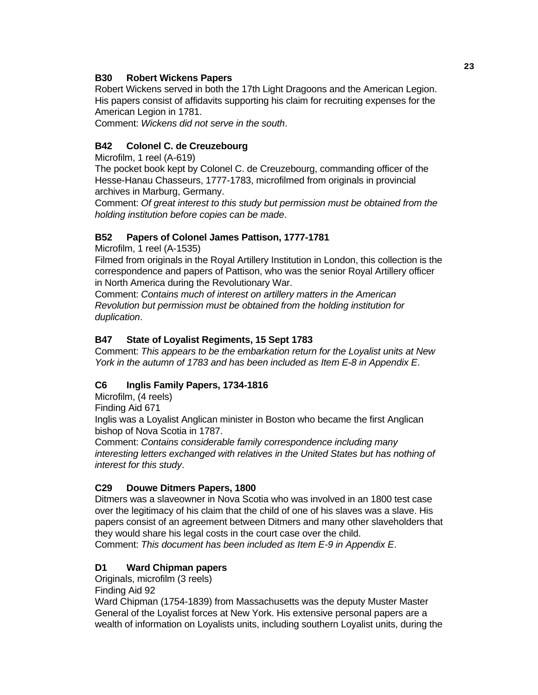### **B30 Robert Wickens Papers**

 Robert Wickens served in both the 17th Light Dragoons and the American Legion. His papers consist of affidavits supporting his claim for recruiting expenses for the American Legion in 1781.

Comment: *Wickens did not serve in the south*.

### **B42 Colonel C. de Creuzebourg**

Microfilm, 1 reel (A-619)

 The pocket book kept by Colonel C. de Creuzebourg, commanding officer of the Hesse-Hanau Chasseurs, 1777-1783, microfilmed from originals in provincial archives in Marburg, Germany.

 Comment: *Of great interest to this study but permission must be obtained from the holding institution before copies can be made*.

### **B52 Papers of Colonel James Pattison, 1777-1781**

Microfilm, 1 reel (A-1535)

 Filmed from originals in the Royal Artillery Institution in London, this collection is the correspondence and papers of Pattison, who was the senior Royal Artillery officer in North America during the Revolutionary War.

 Comment: *Contains much of interest on artillery matters in the American Revolution but permission must be obtained from the holding institution for duplication*.

### **B47 State of Loyalist Regiments, 15 Sept 1783**

Comment: *This appears to be the embarkation return for the Loyalist units at New York in the autumn of 1783 and has been included as Item E-8 in Appendix E*.

### **C6 Inglis Family Papers, 1734-1816**

Microfilm, (4 reels)

Finding Aid 671

 Inglis was a Loyalist Anglican minister in Boston who became the first Anglican bishop of Nova Scotia in 1787.

 Comment: *Contains considerable family correspondence including many interesting letters exchanged with relatives in the United States but has nothing of interest for this study*.

### **C29 Douwe Ditmers Papers, 1800**

 Ditmers was a slaveowner in Nova Scotia who was involved in an 1800 test case over the legitimacy of his claim that the child of one of his slaves was a slave. His papers consist of an agreement between Ditmers and many other slaveholders that they would share his legal costs in the court case over the child. Comment: *This document has been included as Item E-9 in Appendix E*.

### **D1 Ward Chipman papers**

Originals, microfilm (3 reels)

Finding Aid 92

 Ward Chipman (1754-1839) from Massachusetts was the deputy Muster Master General of the Loyalist forces at New York. His extensive personal papers are a wealth of information on Loyalists units, including southern Loyalist units, during the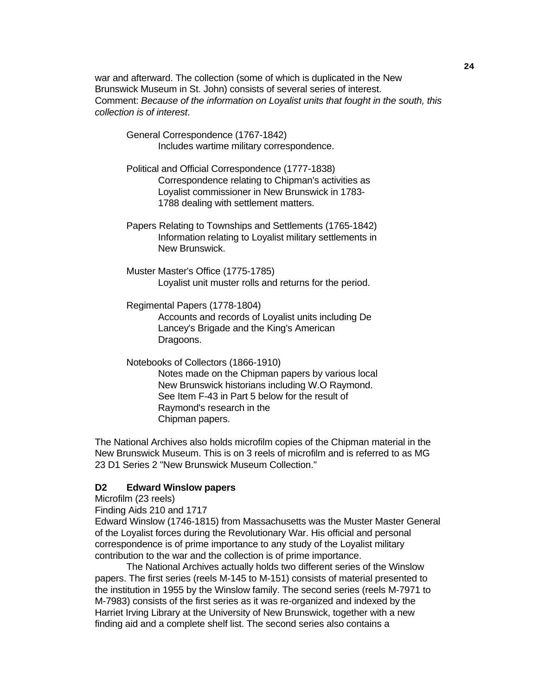war and afterward. The collection (some of which is duplicated in the New Brunswick Museum in St. John) consists of several series of interest. Comment: *Because of the information on Loyalist units that fought in the south, this collection is of interest*.

 General Correspondence (1767-1842) Includes wartime military correspondence.

 Political and Official Correspondence (1777-1838) Correspondence relating to Chipman's activities as Loyalist commissioner in New Brunswick in 1783- 1788 dealing with settlement matters.

 Papers Relating to Townships and Settlements (1765-1842) Information relating to Loyalist military settlements in New Brunswick.

 Muster Master's Office (1775-1785) Loyalist unit muster rolls and returns for the period.

 Regimental Papers (1778-1804) Accounts and records of Loyalist units including De Lancey's Brigade and the King's American Dragoons.

 Notebooks of Collectors (1866-1910) Notes made on the Chipman papers by various local New Brunswick historians including W.O Raymond. See Item F-43 in Part 5 below for the result of Raymond's research in the Chipman papers.

 The National Archives also holds microfilm copies of the Chipman material in the New Brunswick Museum. This is on 3 reels of microfilm and is referred to as MG 23 D1 Series 2 "New Brunswick Museum Collection."

#### **D2 Edward Winslow papers**

Microfilm (23 reels)

Finding Aids 210 and 1717

 Edward Winslow (1746-1815) from Massachusetts was the Muster Master General of the Loyalist forces during the Revolutionary War. His official and personal correspondence is of prime importance to any study of the Loyalist military contribution to the war and the collection is of prime importance.

 The National Archives actually holds two different series of the Winslow papers. The first series (reels M-145 to M-151) consists of material presented to the institution in 1955 by the Winslow family. The second series (reels M-7971 to M-7983) consists of the first series as it was re-organized and indexed by the Harriet Irving Library at the University of New Brunswick, together with a new finding aid and a complete shelf list. The second series also contains a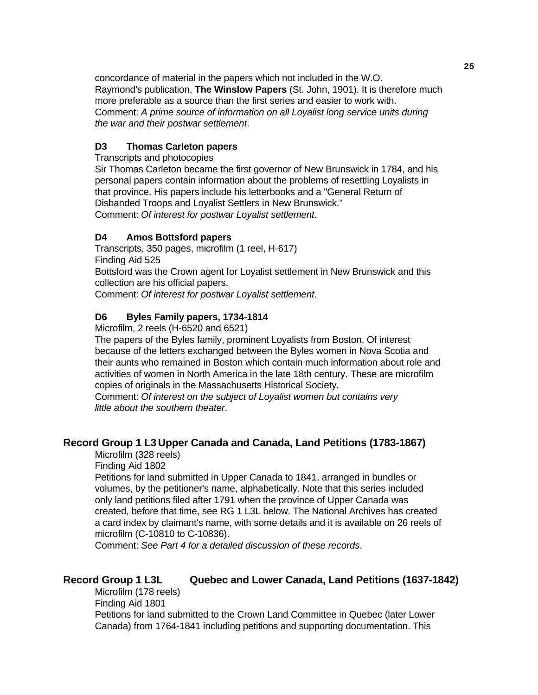concordance of material in the papers which not included in the W.O. Raymond's publication, **The Winslow Papers** (St. John, 1901). It is therefore much more preferable as a source than the first series and easier to work with. Comment: *A prime source of information on all Loyalist long service units during the war and their postwar settlement*.

### **D3 Thomas Carleton papers**

Transcripts and photocopies

 Sir Thomas Carleton became the first governor of New Brunswick in 1784, and his personal papers contain information about the problems of resettling Loyalists in that province. His papers include his letterbooks and a "General Return of Disbanded Troops and Loyalist Settlers in New Brunswick." Comment: *Of interest for postwar Loyalist settlement*.

### **D4 Amos Bottsford papers**

 Transcripts, 350 pages, microfilm (1 reel, H-617) Finding Aid 525 Bottsford was the Crown agent for Loyalist settlement in New Brunswick and this collection are his official papers. Comment: *Of interest for postwar Loyalist settlement*.

### **D6 Byles Family papers, 1734-1814**

Microfilm, 2 reels (H-6520 and 6521)

 The papers of the Byles family, prominent Loyalists from Boston. Of interest because of the letters exchanged between the Byles women in Nova Scotia and their aunts who remained in Boston which contain much information about role and activities of women in North America in the late 18th century. These are microfilm copies of originals in the Massachusetts Historical Society.

 Comment: *Of interest on the subject of Loyalist women but contains very little about the southern theater*.

### **Record Group 1 L3 Upper Canada and Canada, Land Petitions (1783-1867)**

Microfilm (328 reels)

Finding Aid 1802

 Petitions for land submitted in Upper Canada to 1841, arranged in bundles or volumes, by the petitioner's name, alphabetically. Note that this series included only land petitions filed after 1791 when the province of Upper Canada was created, before that time, see RG 1 L3L below. The National Archives has created a card index by claimant's name, with some details and it is available on 26 reels of microfilm (C-10810 to C-10836).

Comment: *See Part 4 for a detailed discussion of these records*.

### **Record Group 1 L3L Quebec and Lower Canada, Land Petitions (1637-1842)**

 Microfilm (178 reels) Finding Aid 1801 Petitions for land submitted to the Crown Land Committee in Quebec (later Lower Canada) from 1764-1841 including petitions and supporting documentation. This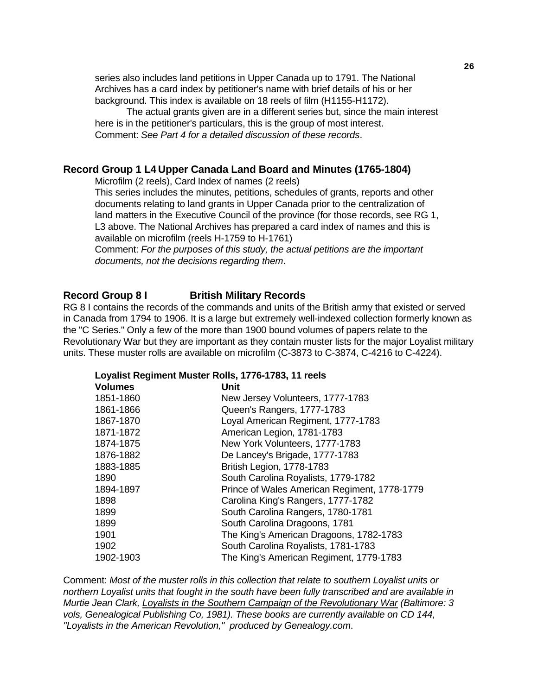series also includes land petitions in Upper Canada up to 1791. The National Archives has a card index by petitioner's name with brief details of his or her background. This index is available on 18 reels of film (H1155-H1172).

 The actual grants given are in a different series but, since the main interest here is in the petitioner's particulars, this is the group of most interest. Comment: *See Part 4 for a detailed discussion of these records*.

### **Record Group 1 L4 Upper Canada Land Board and Minutes (1765-1804)**

Microfilm (2 reels), Card Index of names (2 reels)

 This series includes the minutes, petitions, schedules of grants, reports and other documents relating to land grants in Upper Canada prior to the centralization of land matters in the Executive Council of the province (for those records, see RG 1, L3 above. The National Archives has prepared a card index of names and this is available on microfilm (reels H-1759 to H-1761)

 Comment: *For the purposes of this study, the actual petitions are the important documents, not the decisions regarding them*.

#### **Record Group 8 I British Military Records**

RG 8 I contains the records of the commands and units of the British army that existed or served in Canada from 1794 to 1906. It is a large but extremely well-indexed collection formerly known as the "C Series." Only a few of the more than 1900 bound volumes of papers relate to the Revolutionary War but they are important as they contain muster lists for the major Loyalist military units. These muster rolls are available on microfilm (C-3873 to C-3874, C-4216 to C-4224).

#### **Loyalist Regiment Muster Rolls, 1776-1783, 11 reels**

| <b>Volumes</b> | <b>Unit</b>                                  |
|----------------|----------------------------------------------|
| 1851-1860      | New Jersey Volunteers, 1777-1783             |
| 1861-1866      | Queen's Rangers, 1777-1783                   |
| 1867-1870      | Loyal American Regiment, 1777-1783           |
| 1871-1872      | American Legion, 1781-1783                   |
| 1874-1875      | New York Volunteers, 1777-1783               |
| 1876-1882      | De Lancey's Brigade, 1777-1783               |
| 1883-1885      | British Legion, 1778-1783                    |
| 1890           | South Carolina Royalists, 1779-1782          |
| 1894-1897      | Prince of Wales American Regiment, 1778-1779 |
| 1898           | Carolina King's Rangers, 1777-1782           |
| 1899           | South Carolina Rangers, 1780-1781            |
| 1899           | South Carolina Dragoons, 1781                |
| 1901           | The King's American Dragoons, 1782-1783      |
| 1902           | South Carolina Royalists, 1781-1783          |
| 1902-1903      | The King's American Regiment, 1779-1783      |

Comment: *Most of the muster rolls in this collection that relate to southern Loyalist units or northern Loyalist units that fought in the south have been fully transcribed and are available in Murtie Jean Clark, Loyalists in the Southern Campaign of the Revolutionary War (Baltimore: 3 vols, Genealogical Publishing Co, 1981). These books are currently available on CD 144, "Loyalists in the American Revolution," produced by Genealogy.com*.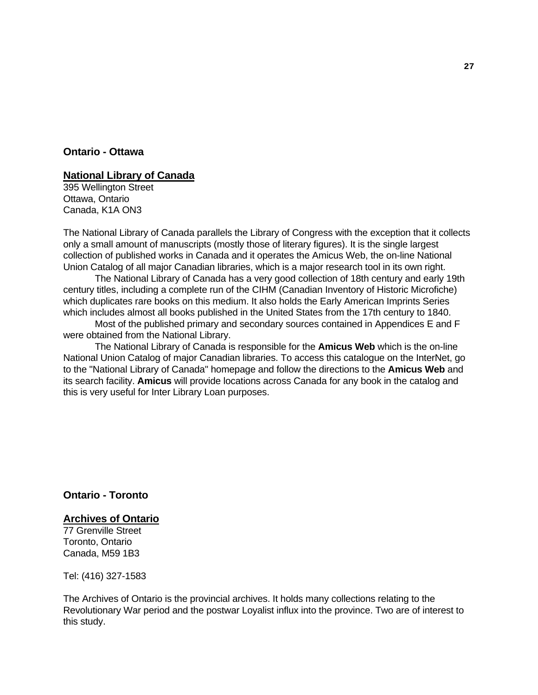### **Ontario - Ottawa**

### **National Library of Canada**

395 Wellington Street Ottawa, Ontario Canada, K1A ON3

The National Library of Canada parallels the Library of Congress with the exception that it collects only a small amount of manuscripts (mostly those of literary figures). It is the single largest collection of published works in Canada and it operates the Amicus Web, the on-line National Union Catalog of all major Canadian libraries, which is a major research tool in its own right.

 The National Library of Canada has a very good collection of 18th century and early 19th century titles, including a complete run of the CIHM (Canadian Inventory of Historic Microfiche) which duplicates rare books on this medium. It also holds the Early American Imprints Series which includes almost all books published in the United States from the 17th century to 1840.

 Most of the published primary and secondary sources contained in Appendices E and F were obtained from the National Library.

 The National Library of Canada is responsible for the **Amicus Web** which is the on-line National Union Catalog of major Canadian libraries. To access this catalogue on the InterNet, go to the "National Library of Canada" homepage and follow the directions to the **Amicus Web** and its search facility. **Amicus** will provide locations across Canada for any book in the catalog and this is very useful for Inter Library Loan purposes.

### **Ontario - Toronto**

### **Archives of Ontario**

77 Grenville Street Toronto, Ontario Canada, M59 1B3

Tel: (416) 327-1583

The Archives of Ontario is the provincial archives. It holds many collections relating to the Revolutionary War period and the postwar Loyalist influx into the province. Two are of interest to this study.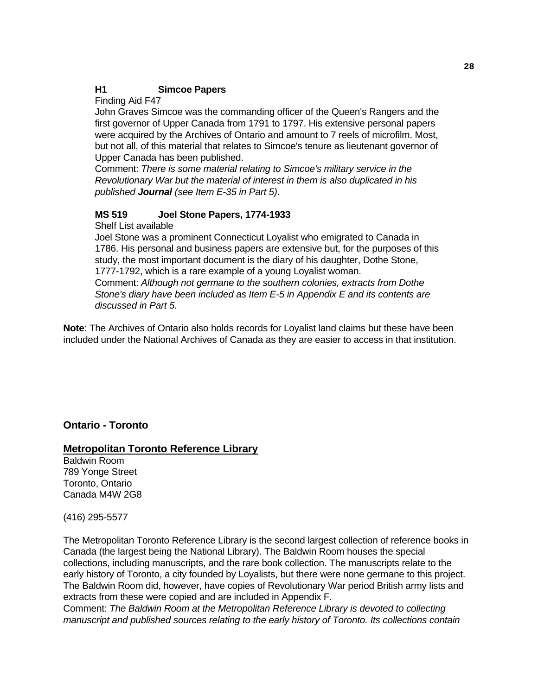### **H1 Simcoe Papers**

Finding Aid F47

 John Graves Simcoe was the commanding officer of the Queen's Rangers and the first governor of Upper Canada from 1791 to 1797. His extensive personal papers were acquired by the Archives of Ontario and amount to 7 reels of microfilm. Most, but not all, of this material that relates to Simcoe's tenure as lieutenant governor of Upper Canada has been published.

 Comment: *There is some material relating to Simcoe's military service in the Revolutionary War but the material of interest in them is also duplicated in his published Journal (see Item E-35 in Part 5)*.

### **MS 519 Joel Stone Papers, 1774-1933**

Shelf List available

 Joel Stone was a prominent Connecticut Loyalist who emigrated to Canada in 1786. His personal and business papers are extensive but, for the purposes of this study, the most important document is the diary of his daughter, Dothe Stone, 1777-1792, which is a rare example of a young Loyalist woman.

 Comment: *Although not germane to the southern colonies, extracts from Dothe Stone's diary have been included as Item E-5 in Appendix E and its contents are discussed in Part 5.*

**Note**: The Archives of Ontario also holds records for Loyalist land claims but these have been included under the National Archives of Canada as they are easier to access in that institution.

### **Ontario - Toronto**

### **Metropolitan Toronto Reference Library**

Baldwin Room 789 Yonge Street Toronto, Ontario Canada M4W 2G8

(416) 295-5577

The Metropolitan Toronto Reference Library is the second largest collection of reference books in Canada (the largest being the National Library). The Baldwin Room houses the special collections, including manuscripts, and the rare book collection. The manuscripts relate to the early history of Toronto, a city founded by Loyalists, but there were none germane to this project. The Baldwin Room did, however, have copies of Revolutionary War period British army lists and extracts from these were copied and are included in Appendix F.

Comment: *The Baldwin Room at the Metropolitan Reference Library is devoted to collecting manuscript and published sources relating to the early history of Toronto. Its collections contain*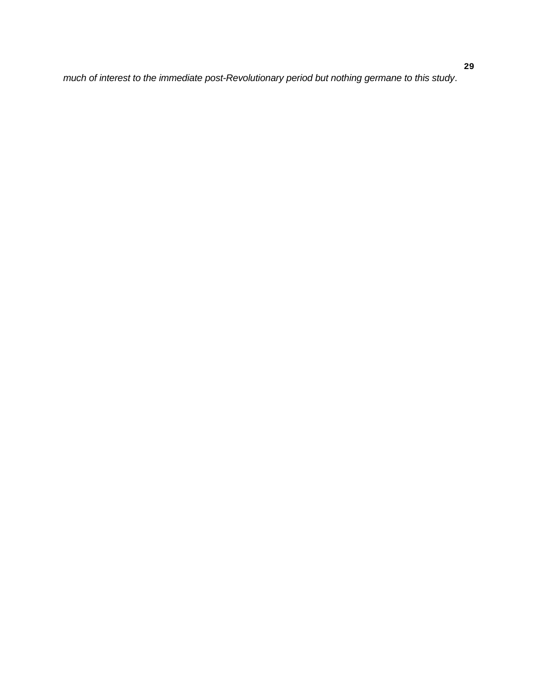*much of interest to the immediate post-Revolutionary period but nothing germane to this study*.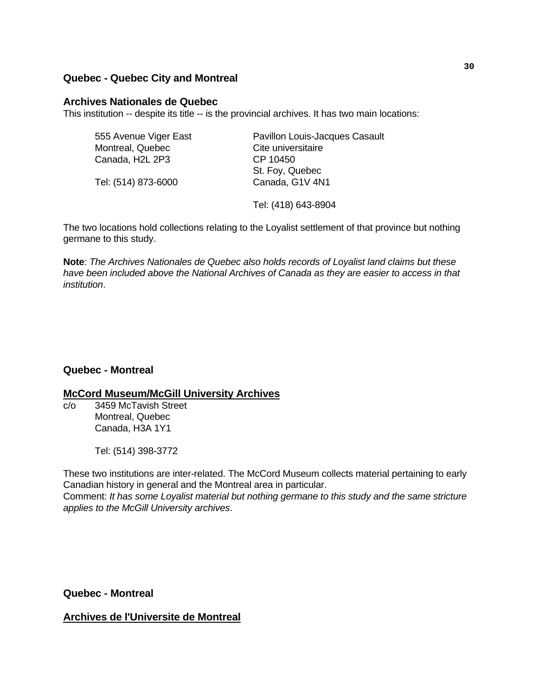### **Quebec - Quebec City and Montreal**

#### **Archives Nationales de Quebec**

This institution -- despite its title -- is the provincial archives. It has two main locations:

| 555 Avenue Viger East | Pavillon Louis-Jacques Casault |
|-----------------------|--------------------------------|
| Montreal, Quebec      | Cite universitaire             |
| Canada, H2L 2P3       | CP 10450                       |
|                       | St. Foy, Quebec                |
| Tel: (514) 873-6000   | Canada, G1V 4N1                |
|                       | Tel: (418) 643-8904            |

The two locations hold collections relating to the Loyalist settlement of that province but nothing germane to this study.

**Note**: *The Archives Nationales de Quebec also holds records of Loyalist land claims but these have been included above the National Archives of Canada as they are easier to access in that institution*.

### **Quebec - Montreal**

### **McCord Museum/McGill University Archives**

c/o 3459 McTavish Street Montreal, Quebec Canada, H3A 1Y1

Tel: (514) 398-3772

These two institutions are inter-related. The McCord Museum collects material pertaining to early Canadian history in general and the Montreal area in particular.

Comment: *It has some Loyalist material but nothing germane to this study and the same stricture applies to the McGill University archives*.

**Quebec - Montreal** 

### **Archives de l'Universite de Montreal**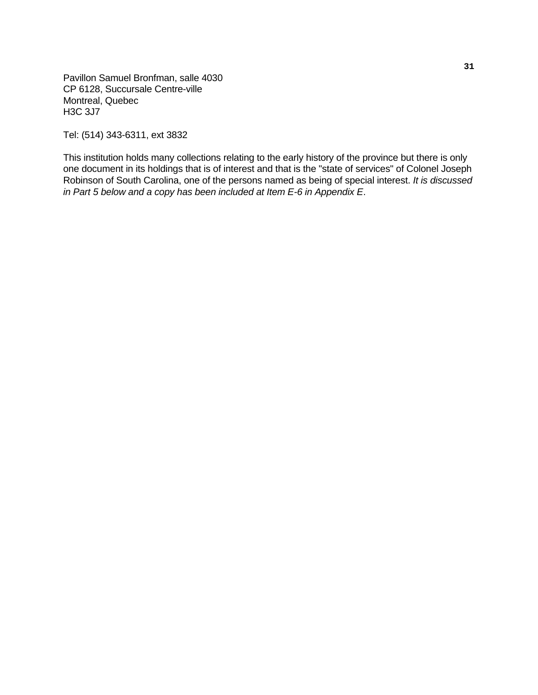Pavillon Samuel Bronfman, salle 4030 CP 6128, Succursale Centre-ville Montreal, Quebec H3C 3J7

Tel: (514) 343-6311, ext 3832

This institution holds many collections relating to the early history of the province but there is only one document in its holdings that is of interest and that is the "state of services" of Colonel Joseph Robinson of South Carolina, one of the persons named as being of special interest. *It is discussed in Part 5 below and a copy has been included at Item E-6 in Appendix E*.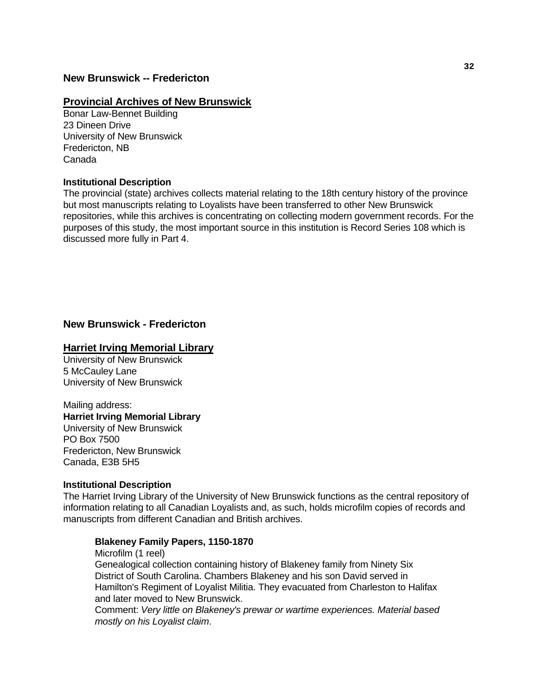### **New Brunswick -- Fredericton**

#### **Provincial Archives of New Brunswick**

Bonar Law-Bennet Building 23 Dineen Drive University of New Brunswick Fredericton, NB Canada

#### **Institutional Description**

The provincial (state) archives collects material relating to the 18th century history of the province but most manuscripts relating to Loyalists have been transferred to other New Brunswick repositories, while this archives is concentrating on collecting modern government records. For the purposes of this study, the most important source in this institution is Record Series 108 which is discussed more fully in Part 4.

### **New Brunswick - Fredericton**

### **Harriet Irving Memorial Library**

University of New Brunswick 5 McCauley Lane University of New Brunswick

## Mailing address: **Harriet Irving Memorial Library**

University of New Brunswick PO Box 7500 Fredericton, New Brunswick Canada, E3B 5H5

#### **Institutional Description**

The Harriet Irving Library of the University of New Brunswick functions as the central repository of information relating to all Canadian Loyalists and, as such, holds microfilm copies of records and manuscripts from different Canadian and British archives.

### **Blakeney Family Papers, 1150-1870**

 Microfilm (1 reel) Genealogical collection containing history of Blakeney family from Ninety Six District of South Carolina. Chambers Blakeney and his son David served in Hamilton's Regiment of Loyalist Militia. They evacuated from Charleston to Halifax and later moved to New Brunswick.

 Comment: *Very little on Blakeney's prewar or wartime experiences. Material based mostly on his Loyalist claim*.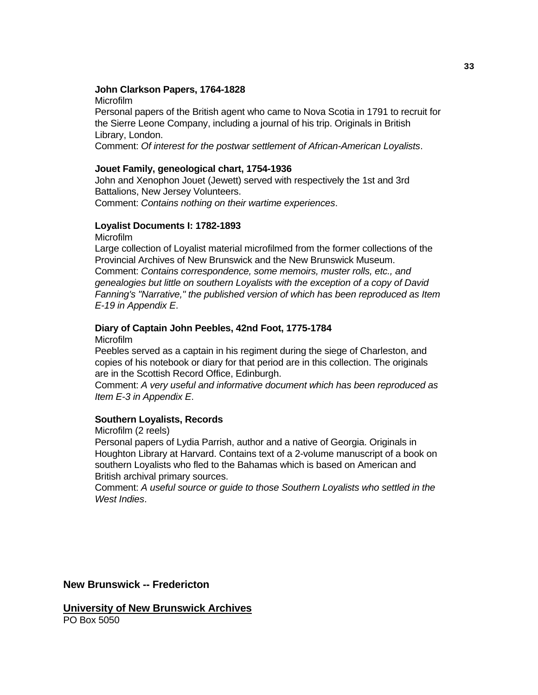#### **John Clarkson Papers, 1764-1828**

 Personal papers of the British agent who came to Nova Scotia in 1791 to recruit for the Sierre Leone Company, including a journal of his trip. Originals in British Library, London.

Comment: *Of interest for the postwar settlement of African-American Loyalists*.

#### **Jouet Family, geneological chart, 1754-1936**

 John and Xenophon Jouet (Jewett) served with respectively the 1st and 3rd Battalions, New Jersey Volunteers.

Comment: *Contains nothing on their wartime experiences*.

#### **Loyalist Documents I: 1782-1893**

Microfilm

Microfilm

 Large collection of Loyalist material microfilmed from the former collections of the Provincial Archives of New Brunswick and the New Brunswick Museum. Comment: *Contains correspondence, some memoirs, muster rolls, etc., and genealogies but little on southern Loyalists with the exception of a copy of David Fanning's "Narrative," the published version of which has been reproduced as Item E-19 in Appendix E*.

# **Diary of Captain John Peebles, 42nd Foot, 1775-1784**

Microfilm

 Peebles served as a captain in his regiment during the siege of Charleston, and copies of his notebook or diary for that period are in this collection. The originals are in the Scottish Record Office, Edinburgh.

 Comment: *A very useful and informative document which has been reproduced as Item E-3 in Appendix E*.

## **Southern Loyalists, Records**

Microfilm (2 reels)

 Personal papers of Lydia Parrish, author and a native of Georgia. Originals in Houghton Library at Harvard. Contains text of a 2-volume manuscript of a book on southern Loyalists who fled to the Bahamas which is based on American and British archival primary sources.

 Comment: *A useful source or guide to those Southern Loyalists who settled in the West Indies*.

**New Brunswick -- Fredericton** 

**University of New Brunswick Archives** PO Box 5050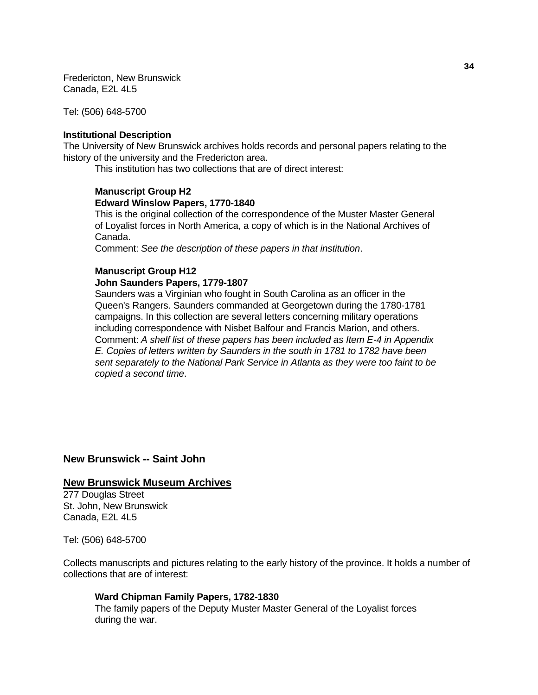Fredericton, New Brunswick Canada, E2L 4L5

Tel: (506) 648-5700

#### **Institutional Description**

The University of New Brunswick archives holds records and personal papers relating to the history of the university and the Fredericton area.

This institution has two collections that are of direct interest:

#### **Manuscript Group H2 Edward Winslow Papers, 1770-1840**

 This is the original collection of the correspondence of the Muster Master General of Loyalist forces in North America, a copy of which is in the National Archives of Canada.

Comment: *See the description of these papers in that institution*.

#### **Manuscript Group H12**

#### **John Saunders Papers, 1779-1807**

 Saunders was a Virginian who fought in South Carolina as an officer in the Queen's Rangers. Saunders commanded at Georgetown during the 1780-1781 campaigns. In this collection are several letters concerning military operations including correspondence with Nisbet Balfour and Francis Marion, and others. Comment: *A shelf list of these papers has been included as Item E-4 in Appendix E. Copies of letters written by Saunders in the south in 1781 to 1782 have been sent separately to the National Park Service in Atlanta as they were too faint to be copied a second time*.

**New Brunswick -- Saint John**

#### **New Brunswick Museum Archives**

277 Douglas Street St. John, New Brunswick Canada, E2L 4L5

Tel: (506) 648-5700

Collects manuscripts and pictures relating to the early history of the province. It holds a number of collections that are of interest:

#### **Ward Chipman Family Papers, 1782-1830**

 The family papers of the Deputy Muster Master General of the Loyalist forces during the war.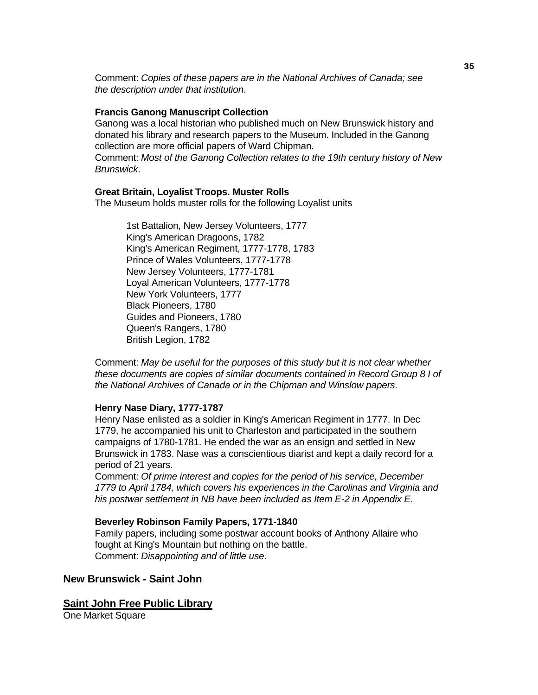Comment: *Copies of these papers are in the National Archives of Canada; see the description under that institution*.

#### **Francis Ganong Manuscript Collection**

 Ganong was a local historian who published much on New Brunswick history and donated his library and research papers to the Museum. Included in the Ganong collection are more official papers of Ward Chipman.

 Comment: *Most of the Ganong Collection relates to the 19th century history of New Brunswick*.

#### **Great Britain, Loyalist Troops. Muster Rolls**

The Museum holds muster rolls for the following Loyalist units

 1st Battalion, New Jersey Volunteers, 1777 King's American Dragoons, 1782 King's American Regiment, 1777-1778, 1783 Prince of Wales Volunteers, 1777-1778 New Jersey Volunteers, 1777-1781 Loyal American Volunteers, 1777-1778 New York Volunteers, 1777 Black Pioneers, 1780 Guides and Pioneers, 1780 Queen's Rangers, 1780 British Legion, 1782

 Comment: *May be useful for the purposes of this study but it is not clear whether these documents are copies of similar documents contained in Record Group 8 I of the National Archives of Canada or in the Chipman and Winslow papers*.

#### **Henry Nase Diary, 1777-1787**

 Henry Nase enlisted as a soldier in King's American Regiment in 1777. In Dec 1779, he accompanied his unit to Charleston and participated in the southern campaigns of 1780-1781. He ended the war as an ensign and settled in New Brunswick in 1783. Nase was a conscientious diarist and kept a daily record for a period of 21 years.

 Comment: *Of prime interest and copies for the period of his service, December 1779 to April 1784, which covers his experiences in the Carolinas and Virginia and his postwar settlement in NB have been included as Item E-2 in Appendix E*.

#### **Beverley Robinson Family Papers, 1771-1840**

 Family papers, including some postwar account books of Anthony Allaire who fought at King's Mountain but nothing on the battle. Comment: *Disappointing and of little use*.

# **New Brunswick - Saint John**

#### **Saint John Free Public Library**

One Market Square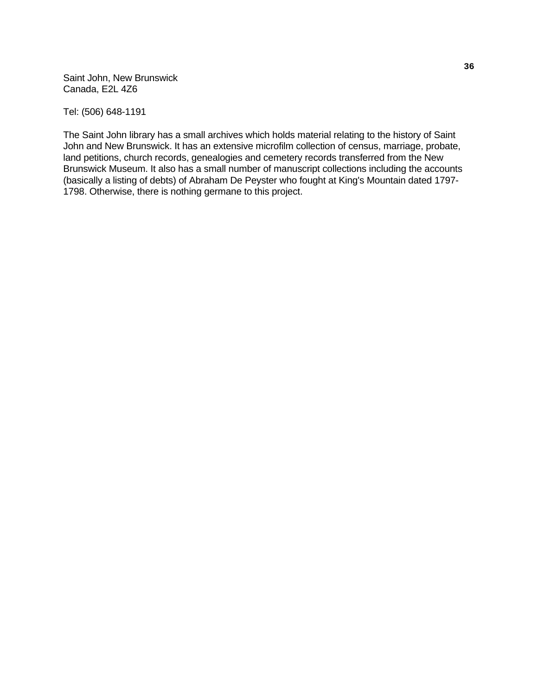Saint John, New Brunswick Canada, E2L 4Z6

Tel: (506) 648-1191

The Saint John library has a small archives which holds material relating to the history of Saint John and New Brunswick. It has an extensive microfilm collection of census, marriage, probate, land petitions, church records, genealogies and cemetery records transferred from the New Brunswick Museum. It also has a small number of manuscript collections including the accounts (basically a listing of debts) of Abraham De Peyster who fought at King's Mountain dated 1797- 1798. Otherwise, there is nothing germane to this project.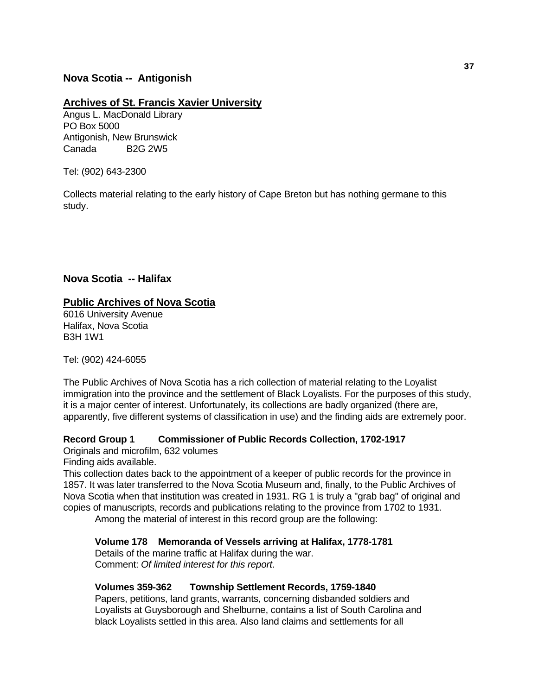# **Nova Scotia -- Antigonish**

#### **Archives of St. Francis Xavier University**

Angus L. MacDonald Library PO Box 5000 Antigonish, New Brunswick Canada B2G 2W5

Tel: (902) 643-2300

Collects material relating to the early history of Cape Breton but has nothing germane to this study.

#### **Nova Scotia -- Halifax**

#### **Public Archives of Nova Scotia**

6016 University Avenue Halifax, Nova Scotia B3H 1W1

Tel: (902) 424-6055

The Public Archives of Nova Scotia has a rich collection of material relating to the Loyalist immigration into the province and the settlement of Black Loyalists. For the purposes of this study, it is a major center of interest. Unfortunately, its collections are badly organized (there are, apparently, five different systems of classification in use) and the finding aids are extremely poor.

## **Record Group 1 Commissioner of Public Records Collection, 1702-1917**

Originals and microfilm, 632 volumes Finding aids available.

This collection dates back to the appointment of a keeper of public records for the province in 1857. It was later transferred to the Nova Scotia Museum and, finally, to the Public Archives of Nova Scotia when that institution was created in 1931. RG 1 is truly a "grab bag" of original and copies of manuscripts, records and publications relating to the province from 1702 to 1931.

Among the material of interest in this record group are the following:

#### **Volume 178 Memoranda of Vessels arriving at Halifax, 1778-1781**

 Details of the marine traffic at Halifax during the war. Comment: *Of limited interest for this report*.

#### **Volumes 359-362 Township Settlement Records, 1759-1840**

 Papers, petitions, land grants, warrants, concerning disbanded soldiers and Loyalists at Guysborough and Shelburne, contains a list of South Carolina and black Loyalists settled in this area. Also land claims and settlements for all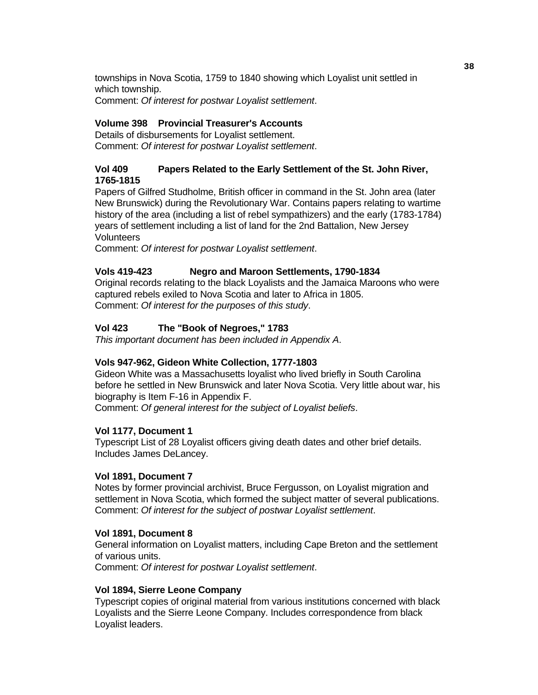townships in Nova Scotia, 1759 to 1840 showing which Loyalist unit settled in which township. Comment: *Of interest for postwar Loyalist settlement*.

# **Volume 398 Provincial Treasurer's Accounts**

 Details of disbursements for Loyalist settlement. Comment: *Of interest for postwar Loyalist settlement*.

# **Vol 409 Papers Related to the Early Settlement of the St. John River, 1765-1815**

 Papers of Gilfred Studholme, British officer in command in the St. John area (later New Brunswick) during the Revolutionary War. Contains papers relating to wartime history of the area (including a list of rebel sympathizers) and the early (1783-1784) years of settlement including a list of land for the 2nd Battalion, New Jersey **Volunteers** 

Comment: *Of interest for postwar Loyalist settlement*.

## **Vols 419-423 Negro and Maroon Settlements, 1790-1834**

 Original records relating to the black Loyalists and the Jamaica Maroons who were captured rebels exiled to Nova Scotia and later to Africa in 1805. Comment: *Of interest for the purposes of this study*.

# **Vol 423 The "Book of Negroes," 1783**

 *This important document has been included in Appendix A*.

## **Vols 947-962, Gideon White Collection, 1777-1803**

 Gideon White was a Massachusetts loyalist who lived briefly in South Carolina before he settled in New Brunswick and later Nova Scotia. Very little about war, his biography is Item F-16 in Appendix F. Comment: *Of general interest for the subject of Loyalist beliefs*.

#### **Vol 1177, Document 1**

 Typescript List of 28 Loyalist officers giving death dates and other brief details. Includes James DeLancey.

#### **Vol 1891, Document 7**

 Notes by former provincial archivist, Bruce Fergusson, on Loyalist migration and settlement in Nova Scotia, which formed the subject matter of several publications. Comment: *Of interest for the subject of postwar Loyalist settlement*.

#### **Vol 1891, Document 8**

 General information on Loyalist matters, including Cape Breton and the settlement of various units.

Comment: *Of interest for postwar Loyalist settlement*.

#### **Vol 1894, Sierre Leone Company**

 Typescript copies of original material from various institutions concerned with black Loyalists and the Sierre Leone Company. Includes correspondence from black Loyalist leaders.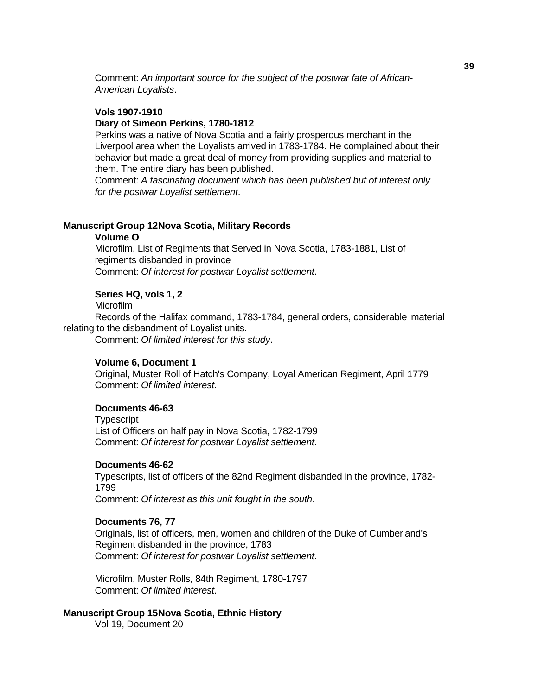Comment: *An important source for the subject of the postwar fate of African-American Loyalists*.

#### **Vols 1907-1910**

#### **Diary of Simeon Perkins, 1780-1812**

 Perkins was a native of Nova Scotia and a fairly prosperous merchant in the Liverpool area when the Loyalists arrived in 1783-1784. He complained about their behavior but made a great deal of money from providing supplies and material to them. The entire diary has been published.

 Comment: *A fascinating document which has been published but of interest only for the postwar Loyalist settlement*.

#### **Manuscript Group 12 Nova Scotia, Military Records**

#### **Volume O**

 Microfilm, List of Regiments that Served in Nova Scotia, 1783-1881, List of regiments disbanded in province Comment: *Of interest for postwar Loyalist settlement*.

#### **Series HQ, vols 1, 2**

Microfilm

 Records of the Halifax command, 1783-1784, general orders, considerable material relating to the disbandment of Loyalist units.

Comment: *Of limited interest for this study*.

#### **Volume 6, Document 1**

 Original, Muster Roll of Hatch's Company, Loyal American Regiment, April 1779 Comment: *Of limited interest*.

#### **Documents 46-63**

**Typescript**  List of Officers on half pay in Nova Scotia, 1782-1799 Comment: *Of interest for postwar Loyalist settlement*.

#### **Documents 46-62**

 Typescripts, list of officers of the 82nd Regiment disbanded in the province, 1782- 1799

Comment: *Of interest as this unit fought in the south*.

#### **Documents 76, 77**

 Originals, list of officers, men, women and children of the Duke of Cumberland's Regiment disbanded in the province, 1783 Comment: *Of interest for postwar Loyalist settlement*.

 Microfilm, Muster Rolls, 84th Regiment, 1780-1797 Comment: *Of limited interest*.

# **Manuscript Group 15 Nova Scotia, Ethnic History**

Vol 19, Document 20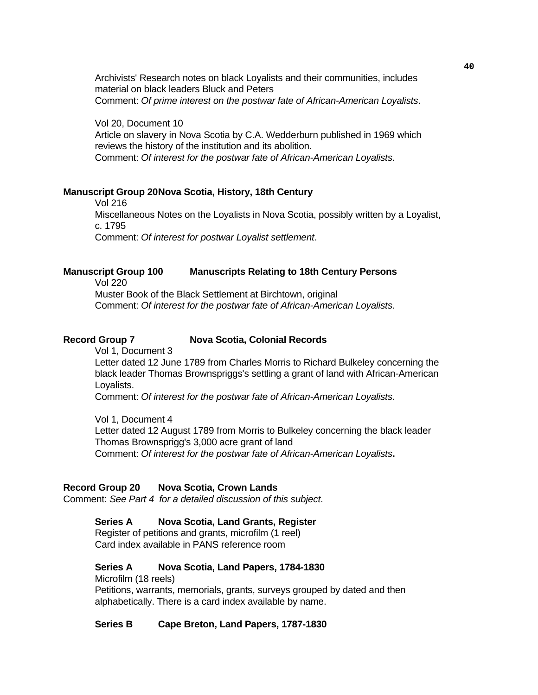Archivists' Research notes on black Loyalists and their communities, includes material on black leaders Bluck and Peters Comment: *Of prime interest on the postwar fate of African-American Loyalists*.

 Vol 20, Document 10 Article on slavery in Nova Scotia by C.A. Wedderburn published in 1969 which reviews the history of the institution and its abolition. Comment: *Of interest for the postwar fate of African-American Loyalists*.

#### **Manuscript Group 20 Nova Scotia, History, 18th Century**

 Vol 216 Miscellaneous Notes on the Loyalists in Nova Scotia, possibly written by a Loyalist, c. 1795 Comment: *Of interest for postwar Loyalist settlement*.

#### **Manuscript Group 100 Manuscripts Relating to 18th Century Persons**

Vol 220

 Muster Book of the Black Settlement at Birchtown, original Comment: *Of interest for the postwar fate of African-American Loyalists*.

#### **Record Group 7 Nova Scotia, Colonial Records**

Vol 1, Document 3

 Letter dated 12 June 1789 from Charles Morris to Richard Bulkeley concerning the black leader Thomas Brownspriggs's settling a grant of land with African-American Loyalists.

Comment: *Of interest for the postwar fate of African-American Loyalists*.

 Vol 1, Document 4 Letter dated 12 August 1789 from Morris to Bulkeley concerning the black leader Thomas Brownsprigg's 3,000 acre grant of land Comment: *Of interest for the postwar fate of African-American Loyalists***.** 

#### **Record Group 20 Nova Scotia, Crown Lands**

Comment: *See Part 4 for a detailed discussion of this subject*.

#### **Series A Nova Scotia, Land Grants, Register**

 Register of petitions and grants, microfilm (1 reel) Card index available in PANS reference room

#### **Series A Nova Scotia, Land Papers, 1784-1830**

Microfilm (18 reels)

 Petitions, warrants, memorials, grants, surveys grouped by dated and then alphabetically. There is a card index available by name.

#### **Series B Cape Breton, Land Papers, 1787-1830**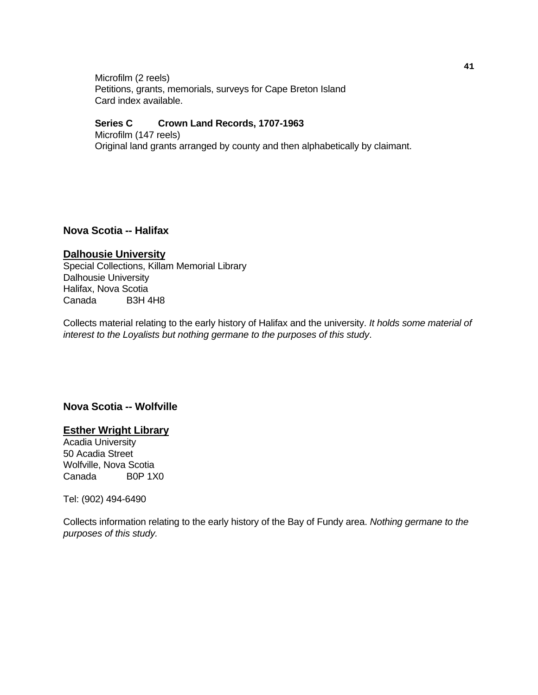Microfilm (2 reels) Petitions, grants, memorials, surveys for Cape Breton Island Card index available.

#### **Series C Crown Land Records, 1707-1963**

 Microfilm (147 reels) Original land grants arranged by county and then alphabetically by claimant.

#### **Nova Scotia -- Halifax**

#### **Dalhousie University**

Special Collections, Killam Memorial Library Dalhousie University Halifax, Nova Scotia Canada B3H 4H8

Collects material relating to the early history of Halifax and the university. *It holds some material of interest to the Loyalists but nothing germane to the purposes of this study*.

# **Nova Scotia -- Wolfville**

#### **Esther Wright Library**

Acadia University 50 Acadia Street Wolfville, Nova Scotia Canada B0P 1X0

Tel: (902) 494-6490

Collects information relating to the early history of the Bay of Fundy area. *Nothing germane to the purposes of this study.*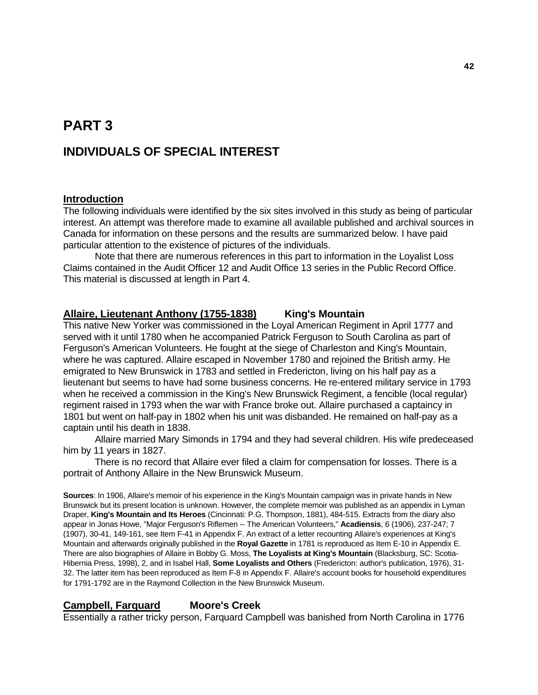# **PART 3 INDIVIDUALS OF SPECIAL INTEREST**

## **Introduction**

The following individuals were identified by the six sites involved in this study as being of particular interest. An attempt was therefore made to examine all available published and archival sources in Canada for information on these persons and the results are summarized below. I have paid particular attention to the existence of pictures of the individuals.

 Note that there are numerous references in this part to information in the Loyalist Loss Claims contained in the Audit Officer 12 and Audit Office 13 series in the Public Record Office. This material is discussed at length in Part 4.

#### **Allaire, Lieutenant Anthony (1755-1838) King's Mountain**

This native New Yorker was commissioned in the Loyal American Regiment in April 1777 and served with it until 1780 when he accompanied Patrick Ferguson to South Carolina as part of Ferguson's American Volunteers. He fought at the siege of Charleston and King's Mountain, where he was captured. Allaire escaped in November 1780 and rejoined the British army. He emigrated to New Brunswick in 1783 and settled in Fredericton, living on his half pay as a lieutenant but seems to have had some business concerns. He re-entered military service in 1793 when he received a commission in the King's New Brunswick Regiment, a fencible (local regular) regiment raised in 1793 when the war with France broke out. Allaire purchased a captaincy in 1801 but went on half-pay in 1802 when his unit was disbanded. He remained on half-pay as a captain until his death in 1838.

 Allaire married Mary Simonds in 1794 and they had several children. His wife predeceased him by 11 years in 1827.

 There is no record that Allaire ever filed a claim for compensation for losses. There is a portrait of Anthony Allaire in the New Brunswick Museum.

**Sources**: In 1906, Allaire's memoir of his experience in the King's Mountain campaign was in private hands in New Brunswick but its present location is unknown. However, the complete memoir was published as an appendix in Lyman Draper, **King's Mountain and Its Heroes** (Cincinnati: P.G. Thompson, 1881), 484-515. Extracts from the diary also appear in Jonas Howe, "Major Ferguson's Riflemen -- The American Volunteers," **Acadiensis**, 6 (1906), 237-247; 7 (1907), 30-41, 149-161, see Item F-41 in Appendix F. An extract of a letter recounting Allaire's experiences at King's Mountain and afterwards originally published in the **Royal Gazette** in 1781 is reproduced as Item E-10 in Appendix E. There are also biographies of Allaire in Bobby G. Moss, **The Loyalists at King's Mountain** (Blacksburg, SC: Scotia-Hibernia Press, 1998), 2, and in Isabel Hall, **Some Loyalists and Others** (Fredericton: author's publication, 1976), 31- 32. The latter item has been reproduced as Item F-8 in Appendix F. Allaire's account books for household expenditures for 1791-1792 are in the Raymond Collection in the New Brunswick Museum.

# **Campbell, Farquard Moore's Creek**

Essentially a rather tricky person, Farquard Campbell was banished from North Carolina in 1776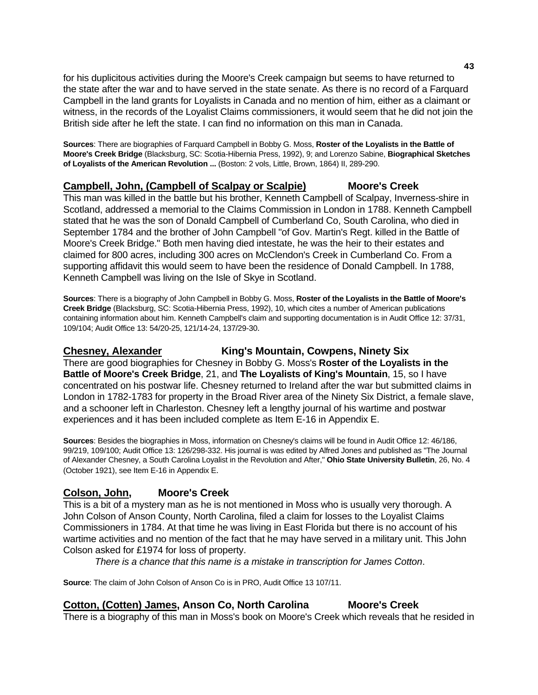for his duplicitous activities during the Moore's Creek campaign but seems to have returned to the state after the war and to have served in the state senate. As there is no record of a Farquard Campbell in the land grants for Loyalists in Canada and no mention of him, either as a claimant or witness, in the records of the Loyalist Claims commissioners, it would seem that he did not join the British side after he left the state. I can find no information on this man in Canada.

**Sources**: There are biographies of Farquard Campbell in Bobby G. Moss, **Roster of the Loyalists in the Battle of Moore's Creek Bridge** (Blacksburg, SC: Scotia-Hibernia Press, 1992), 9; and Lorenzo Sabine, **Biographical Sketches of Loyalists of the American Revolution ...** (Boston: 2 vols, Little, Brown, 1864) II, 289-290.

# **Campbell, John, (Campbell of Scalpay or Scalpie) Moore's Creek**

This man was killed in the battle but his brother, Kenneth Campbell of Scalpay, Inverness-shire in Scotland, addressed a memorial to the Claims Commission in London in 1788. Kenneth Campbell stated that he was the son of Donald Campbell of Cumberland Co, South Carolina, who died in September 1784 and the brother of John Campbell "of Gov. Martin's Regt. killed in the Battle of Moore's Creek Bridge." Both men having died intestate, he was the heir to their estates and claimed for 800 acres, including 300 acres on McClendon's Creek in Cumberland Co. From a supporting affidavit this would seem to have been the residence of Donald Campbell. In 1788, Kenneth Campbell was living on the Isle of Skye in Scotland.

**Sources**: There is a biography of John Campbell in Bobby G. Moss, **Roster of the Loyalists in the Battle of Moore's Creek Bridge** (Blacksburg, SC: Scotia-Hibernia Press, 1992), 10, which cites a number of American publications containing information about him. Kenneth Campbell's claim and supporting documentation is in Audit Office 12: 37/31, 109/104; Audit Office 13: 54/20-25, 121/14-24, 137/29-30.

# **Chesney, Alexander King's Mountain, Cowpens, Ninety Six**

There are good biographies for Chesney in Bobby G. Moss's **Roster of the Loyalists in the Battle of Moore's Creek Bridge**, 21, and **The Loyalists of King's Mountain**, 15, so I have concentrated on his postwar life. Chesney returned to Ireland after the war but submitted claims in London in 1782-1783 for property in the Broad River area of the Ninety Six District, a female slave, and a schooner left in Charleston. Chesney left a lengthy journal of his wartime and postwar experiences and it has been included complete as Item E-16 in Appendix E.

**Sources**: Besides the biographies in Moss, information on Chesney's claims will be found in Audit Office 12: 46/186, 99/219, 109/100; Audit Office 13: 126/298-332. His journal is was edited by Alfred Jones and published as "The Journal of Alexander Chesney, a South Carolina Loyalist in the Revolution and After," **Ohio State University Bulletin**, 26, No. 4 (October 1921), see Item E-16 in Appendix E.

# **Colson, John, Moore's Creek**

This is a bit of a mystery man as he is not mentioned in Moss who is usually very thorough. A John Colson of Anson County, North Carolina, filed a claim for losses to the Loyalist Claims Commissioners in 1784. At that time he was living in East Florida but there is no account of his wartime activities and no mention of the fact that he may have served in a military unit. This John Colson asked for £1974 for loss of property.

 *There is a chance that this name is a mistake in transcription for James Cotton*.

**Source**: The claim of John Colson of Anson Co is in PRO, Audit Office 13 107/11.

# **Cotton, (Cotten) James, Anson Co, North Carolina Moore's Creek**

There is a biography of this man in Moss's book on Moore's Creek which reveals that he resided in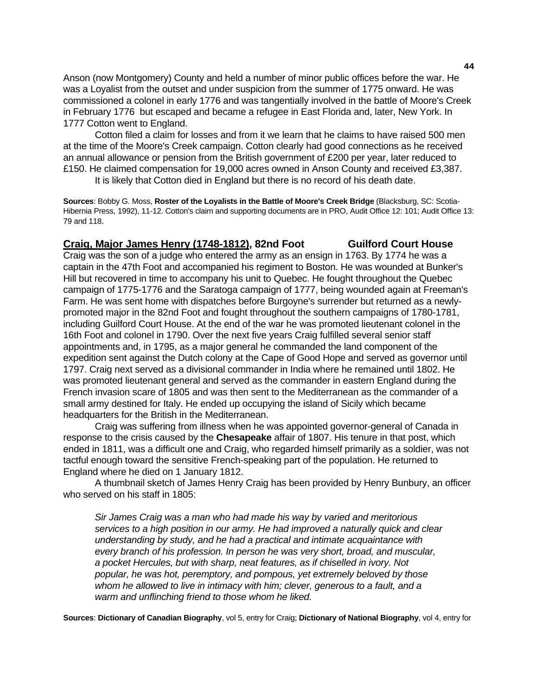Anson (now Montgomery) County and held a number of minor public offices before the war. He was a Loyalist from the outset and under suspicion from the summer of 1775 onward. He was commissioned a colonel in early 1776 and was tangentially involved in the battle of Moore's Creek in February 1776 but escaped and became a refugee in East Florida and, later, New York. In 1777 Cotton went to England.

 Cotton filed a claim for losses and from it we learn that he claims to have raised 500 men at the time of the Moore's Creek campaign. Cotton clearly had good connections as he received an annual allowance or pension from the British government of £200 per year, later reduced to £150. He claimed compensation for 19,000 acres owned in Anson County and received £3,387.

It is likely that Cotton died in England but there is no record of his death date.

**Sources**: Bobby G. Moss, **Roster of the Loyalists in the Battle of Moore's Creek Bridge** (Blacksburg, SC: Scotia-Hibernia Press, 1992), 11-12. Cotton's claim and supporting documents are in PRO, Audit Office 12: 101; Audit Office 13: 79 and 118.

# **Craig, Major James Henry (1748-1812), 82nd Foot Guilford Court House**

Craig was the son of a judge who entered the army as an ensign in 1763. By 1774 he was a captain in the 47th Foot and accompanied his regiment to Boston. He was wounded at Bunker's Hill but recovered in time to accompany his unit to Quebec. He fought throughout the Quebec campaign of 1775-1776 and the Saratoga campaign of 1777, being wounded again at Freeman's Farm. He was sent home with dispatches before Burgoyne's surrender but returned as a newlypromoted major in the 82nd Foot and fought throughout the southern campaigns of 1780-1781, including Guilford Court House. At the end of the war he was promoted lieutenant colonel in the 16th Foot and colonel in 1790. Over the next five years Craig fulfilled several senior staff appointments and, in 1795, as a major general he commanded the land component of the expedition sent against the Dutch colony at the Cape of Good Hope and served as governor until 1797. Craig next served as a divisional commander in India where he remained until 1802. He was promoted lieutenant general and served as the commander in eastern England during the French invasion scare of 1805 and was then sent to the Mediterranean as the commander of a small army destined for Italy. He ended up occupying the island of Sicily which became headquarters for the British in the Mediterranean.

 Craig was suffering from illness when he was appointed governor-general of Canada in response to the crisis caused by the **Chesapeake** affair of 1807. His tenure in that post, which ended in 1811, was a difficult one and Craig, who regarded himself primarily as a soldier, was not tactful enough toward the sensitive French-speaking part of the population. He returned to England where he died on 1 January 1812.

 A thumbnail sketch of James Henry Craig has been provided by Henry Bunbury, an officer who served on his staff in 1805:

 *Sir James Craig was a man who had made his way by varied and meritorious services to a high position in our army. He had improved a naturally quick and clear understanding by study, and he had a practical and intimate acquaintance with every branch of his profession. In person he was very short, broad, and muscular, a pocket Hercules, but with sharp, neat features, as if chiselled in ivory. Not popular, he was hot, peremptory, and pompous, yet extremely beloved by those*  whom he allowed to live in intimacy with him; clever, generous to a fault, and a *warm and unflinching friend to those whom he liked.* 

**Sources**: **Dictionary of Canadian Biography**, vol 5, entry for Craig; **Dictionary of National Biography**, vol 4, entry for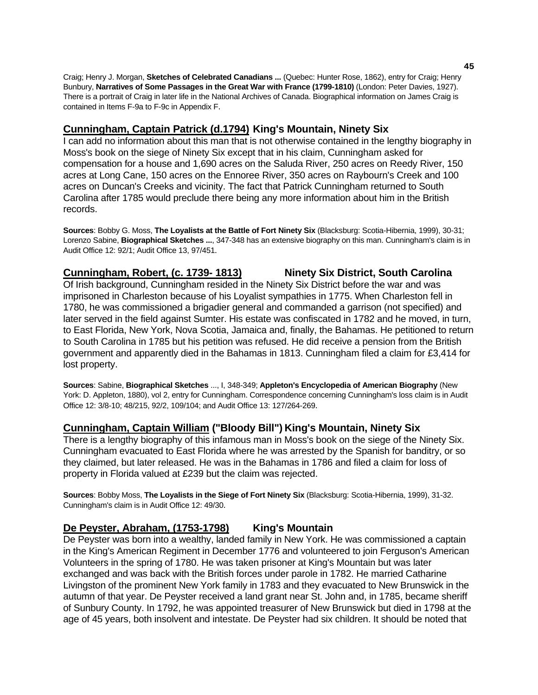Craig; Henry J. Morgan, **Sketches of Celebrated Canadians ...** (Quebec: Hunter Rose, 1862), entry for Craig; Henry Bunbury, **Narratives of Some Passages in the Great War with France (1799-1810)** (London: Peter Davies, 1927). There is a portrait of Craig in later life in the National Archives of Canada. Biographical information on James Craig is contained in Items F-9a to F-9c in Appendix F.

# **Cunningham, Captain Patrick (d.1794) King's Mountain, Ninety Six**

I can add no information about this man that is not otherwise contained in the lengthy biography in Moss's book on the siege of Ninety Six except that in his claim, Cunningham asked for compensation for a house and 1,690 acres on the Saluda River, 250 acres on Reedy River, 150 acres at Long Cane, 150 acres on the Ennoree River, 350 acres on Raybourn's Creek and 100 acres on Duncan's Creeks and vicinity. The fact that Patrick Cunningham returned to South Carolina after 1785 would preclude there being any more information about him in the British records.

**Sources**: Bobby G. Moss, **The Loyalists at the Battle of Fort Ninety Six** (Blacksburg: Scotia-Hibernia, 1999), 30-31; Lorenzo Sabine, **Biographical Sketches ...**, 347-348 has an extensive biography on this man. Cunningham's claim is in Audit Office 12: 92/1; Audit Office 13, 97/451.

## **Cunningham, Robert, (c. 1739- 1813) Ninety Six District, South Carolina**

Of Irish background, Cunningham resided in the Ninety Six District before the war and was imprisoned in Charleston because of his Loyalist sympathies in 1775. When Charleston fell in 1780, he was commissioned a brigadier general and commanded a garrison (not specified) and later served in the field against Sumter. His estate was confiscated in 1782 and he moved, in turn, to East Florida, New York, Nova Scotia, Jamaica and, finally, the Bahamas. He petitioned to return to South Carolina in 1785 but his petition was refused. He did receive a pension from the British government and apparently died in the Bahamas in 1813. Cunningham filed a claim for £3,414 for lost property.

**Sources**: Sabine, **Biographical Sketches** ..., I, 348-349; **Appleton's Encyclopedia of American Biography** (New York: D. Appleton, 1880), vol 2, entry for Cunningham. Correspondence concerning Cunningham's loss claim is in Audit Office 12: 3/8-10; 48/215, 92/2, 109/104; and Audit Office 13: 127/264-269.

## **Cunningham, Captain William ("Bloody Bill") King's Mountain, Ninety Six**

There is a lengthy biography of this infamous man in Moss's book on the siege of the Ninety Six. Cunningham evacuated to East Florida where he was arrested by the Spanish for banditry, or so they claimed, but later released. He was in the Bahamas in 1786 and filed a claim for loss of property in Florida valued at £239 but the claim was rejected.

**Sources**: Bobby Moss, **The Loyalists in the Siege of Fort Ninety Six** (Blacksburg: Scotia-Hibernia, 1999), 31-32. Cunningham's claim is in Audit Office 12: 49/30.

# **De Peyster, Abraham, (1753-1798) King's Mountain**

De Peyster was born into a wealthy, landed family in New York. He was commissioned a captain in the King's American Regiment in December 1776 and volunteered to join Ferguson's American Volunteers in the spring of 1780. He was taken prisoner at King's Mountain but was later exchanged and was back with the British forces under parole in 1782. He married Catharine Livingston of the prominent New York family in 1783 and they evacuated to New Brunswick in the autumn of that year. De Peyster received a land grant near St. John and, in 1785, became sheriff of Sunbury County. In 1792, he was appointed treasurer of New Brunswick but died in 1798 at the age of 45 years, both insolvent and intestate. De Peyster had six children. It should be noted that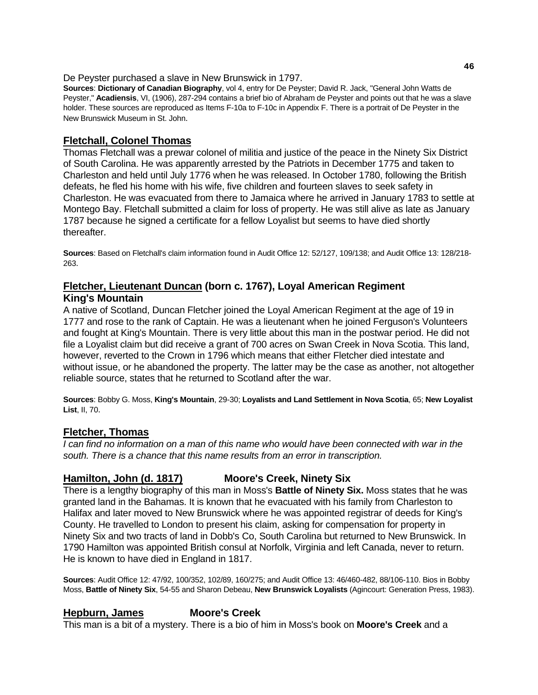De Peyster purchased a slave in New Brunswick in 1797.

**Sources**: **Dictionary of Canadian Biography**, vol 4, entry for De Peyster; David R. Jack, "General John Watts de Peyster," **Acadiensis**, VI, (1906), 287-294 contains a brief bio of Abraham de Peyster and points out that he was a slave holder. These sources are reproduced as Items F-10a to F-10c in Appendix F. There is a portrait of De Peyster in the New Brunswick Museum in St. John.

# **Fletchall, Colonel Thomas**

Thomas Fletchall was a prewar colonel of militia and justice of the peace in the Ninety Six District of South Carolina. He was apparently arrested by the Patriots in December 1775 and taken to Charleston and held until July 1776 when he was released. In October 1780, following the British defeats, he fled his home with his wife, five children and fourteen slaves to seek safety in Charleston. He was evacuated from there to Jamaica where he arrived in January 1783 to settle at Montego Bay. Fletchall submitted a claim for loss of property. He was still alive as late as January 1787 because he signed a certificate for a fellow Loyalist but seems to have died shortly thereafter.

**Sources**: Based on Fletchall's claim information found in Audit Office 12: 52/127, 109/138; and Audit Office 13: 128/218- 263.

# **Fletcher, Lieutenant Duncan (born c. 1767), Loyal American Regiment**

# **King's Mountain**

A native of Scotland, Duncan Fletcher joined the Loyal American Regiment at the age of 19 in 1777 and rose to the rank of Captain. He was a lieutenant when he joined Ferguson's Volunteers and fought at King's Mountain. There is very little about this man in the postwar period. He did not file a Loyalist claim but did receive a grant of 700 acres on Swan Creek in Nova Scotia. This land, however, reverted to the Crown in 1796 which means that either Fletcher died intestate and without issue, or he abandoned the property. The latter may be the case as another, not altogether reliable source, states that he returned to Scotland after the war.

**Sources**: Bobby G. Moss, **King's Mountain**, 29-30; **Loyalists and Land Settlement in Nova Scotia**, 65; **New Loyalist List**, II, 70.

# **Fletcher, Thomas**

*I can find no information on a man of this name who would have been connected with war in the south. There is a chance that this name results from an error in transcription.*

# **Hamilton, John (d. 1817) Moore's Creek, Ninety Six**

There is a lengthy biography of this man in Moss's **Battle of Ninety Six.** Moss states that he was granted land in the Bahamas. It is known that he evacuated with his family from Charleston to Halifax and later moved to New Brunswick where he was appointed registrar of deeds for King's County. He travelled to London to present his claim, asking for compensation for property in Ninety Six and two tracts of land in Dobb's Co, South Carolina but returned to New Brunswick. In 1790 Hamilton was appointed British consul at Norfolk, Virginia and left Canada, never to return. He is known to have died in England in 1817.

**Sources**: Audit Office 12: 47/92, 100/352, 102/89, 160/275; and Audit Office 13: 46/460-482, 88/106-110. Bios in Bobby Moss, **Battle of Ninety Six**, 54-55 and Sharon Debeau, **New Brunswick Loyalists** (Agincourt: Generation Press, 1983).

# **Hepburn, James Moore's Creek**

This man is a bit of a mystery. There is a bio of him in Moss's book on **Moore's Creek** and a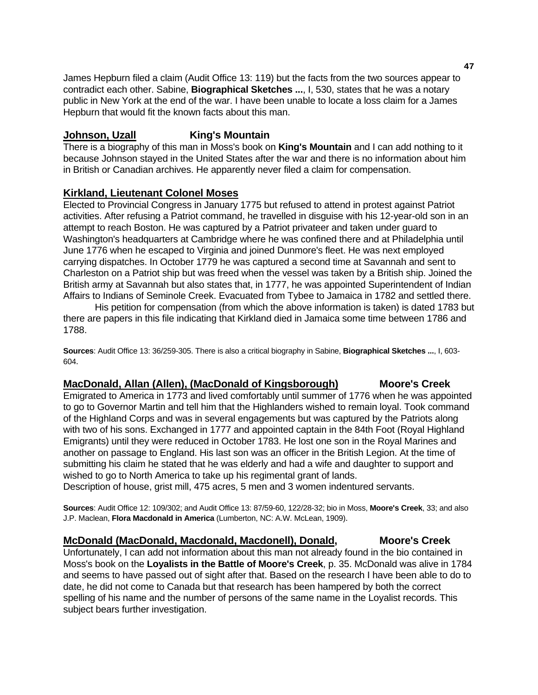James Hepburn filed a claim (Audit Office 13: 119) but the facts from the two sources appear to contradict each other. Sabine, **Biographical Sketches ...**, I, 530, states that he was a notary public in New York at the end of the war. I have been unable to locate a loss claim for a James Hepburn that would fit the known facts about this man.

# **Johnson, Uzall King's Mountain**

There is a biography of this man in Moss's book on **King's Mountain** and I can add nothing to it because Johnson stayed in the United States after the war and there is no information about him in British or Canadian archives. He apparently never filed a claim for compensation.

## **Kirkland, Lieutenant Colonel Moses**

Elected to Provincial Congress in January 1775 but refused to attend in protest against Patriot activities. After refusing a Patriot command, he travelled in disguise with his 12-year-old son in an attempt to reach Boston. He was captured by a Patriot privateer and taken under guard to Washington's headquarters at Cambridge where he was confined there and at Philadelphia until June 1776 when he escaped to Virginia and joined Dunmore's fleet. He was next employed carrying dispatches. In October 1779 he was captured a second time at Savannah and sent to Charleston on a Patriot ship but was freed when the vessel was taken by a British ship. Joined the British army at Savannah but also states that, in 1777, he was appointed Superintendent of Indian Affairs to Indians of Seminole Creek. Evacuated from Tybee to Jamaica in 1782 and settled there.

 His petition for compensation (from which the above information is taken) is dated 1783 but there are papers in this file indicating that Kirkland died in Jamaica some time between 1786 and 1788.

**Sources**: Audit Office 13: 36/259-305. There is also a critical biography in Sabine, **Biographical Sketches ...**, I, 603- 604.

# **MacDonald, Allan (Allen), (MacDonald of Kingsborough) Moore's Creek**

Emigrated to America in 1773 and lived comfortably until summer of 1776 when he was appointed to go to Governor Martin and tell him that the Highlanders wished to remain loyal. Took command of the Highland Corps and was in several engagements but was captured by the Patriots along with two of his sons. Exchanged in 1777 and appointed captain in the 84th Foot (Royal Highland Emigrants) until they were reduced in October 1783. He lost one son in the Royal Marines and another on passage to England. His last son was an officer in the British Legion. At the time of submitting his claim he stated that he was elderly and had a wife and daughter to support and wished to go to North America to take up his regimental grant of lands.

Description of house, grist mill, 475 acres, 5 men and 3 women indentured servants.

**Sources**: Audit Office 12: 109/302; and Audit Office 13: 87/59-60, 122/28-32; bio in Moss, **Moore's Creek**, 33; and also J.P. Maclean, **Flora Macdonald in America** (Lumberton, NC: A.W. McLean, 1909).

## **McDonald (MacDonald, Macdonald, Macdonell), Donald, Moore's Creek**

Unfortunately, I can add not information about this man not already found in the bio contained in Moss's book on the **Loyalists in the Battle of Moore's Creek**, p. 35. McDonald was alive in 1784 and seems to have passed out of sight after that. Based on the research I have been able to do to date, he did not come to Canada but that research has been hampered by both the correct spelling of his name and the number of persons of the same name in the Loyalist records. This subject bears further investigation.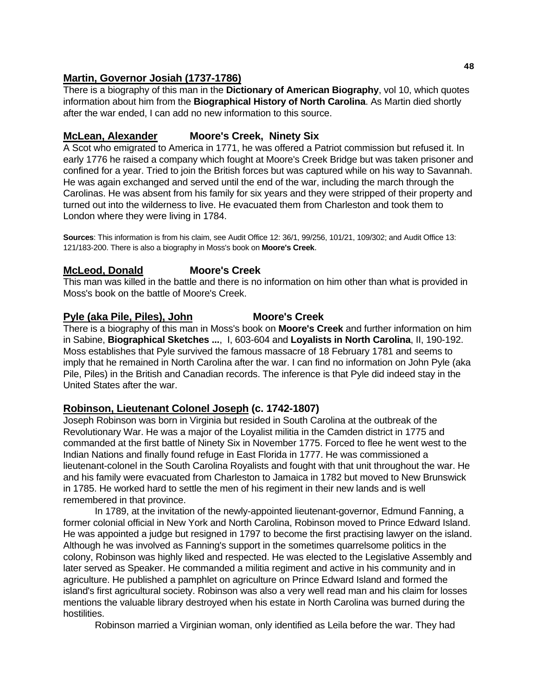# **Martin, Governor Josiah (1737-1786)**

There is a biography of this man in the **Dictionary of American Biography**, vol 10, which quotes information about him from the **Biographical History of North Carolina**. As Martin died shortly after the war ended, I can add no new information to this source.

# **McLean, Alexander Moore's Creek, Ninety Six**

A Scot who emigrated to America in 1771, he was offered a Patriot commission but refused it. In early 1776 he raised a company which fought at Moore's Creek Bridge but was taken prisoner and confined for a year. Tried to join the British forces but was captured while on his way to Savannah. He was again exchanged and served until the end of the war, including the march through the Carolinas. He was absent from his family for six years and they were stripped of their property and turned out into the wilderness to live. He evacuated them from Charleston and took them to London where they were living in 1784.

**Sources**: This information is from his claim, see Audit Office 12: 36/1, 99/256, 101/21, 109/302; and Audit Office 13: 121/183-200. There is also a biography in Moss's book on **Moore's Creek**.

# **McLeod, Donald Moore's Creek**

This man was killed in the battle and there is no information on him other than what is provided in Moss's book on the battle of Moore's Creek.

# Pyle (aka Pile, Piles), John Moore's Creek

There is a biography of this man in Moss's book on **Moore's Creek** and further information on him in Sabine, **Biographical Sketches ...**, I, 603-604 and **Loyalists in North Carolina**, II, 190-192. Moss establishes that Pyle survived the famous massacre of 18 February 1781 and seems to imply that he remained in North Carolina after the war. I can find no information on John Pyle (aka Pile, Piles) in the British and Canadian records. The inference is that Pyle did indeed stay in the United States after the war.

# **Robinson, Lieutenant Colonel Joseph (c. 1742-1807)**

Joseph Robinson was born in Virginia but resided in South Carolina at the outbreak of the Revolutionary War. He was a major of the Loyalist militia in the Camden district in 1775 and commanded at the first battle of Ninety Six in November 1775. Forced to flee he went west to the Indian Nations and finally found refuge in East Florida in 1777. He was commissioned a lieutenant-colonel in the South Carolina Royalists and fought with that unit throughout the war. He and his family were evacuated from Charleston to Jamaica in 1782 but moved to New Brunswick in 1785. He worked hard to settle the men of his regiment in their new lands and is well remembered in that province.

 In 1789, at the invitation of the newly-appointed lieutenant-governor, Edmund Fanning, a former colonial official in New York and North Carolina, Robinson moved to Prince Edward Island. He was appointed a judge but resigned in 1797 to become the first practising lawyer on the island. Although he was involved as Fanning's support in the sometimes quarrelsome politics in the colony, Robinson was highly liked and respected. He was elected to the Legislative Assembly and later served as Speaker. He commanded a militia regiment and active in his community and in agriculture. He published a pamphlet on agriculture on Prince Edward Island and formed the island's first agricultural society. Robinson was also a very well read man and his claim for losses mentions the valuable library destroyed when his estate in North Carolina was burned during the hostilities.

Robinson married a Virginian woman, only identified as Leila before the war. They had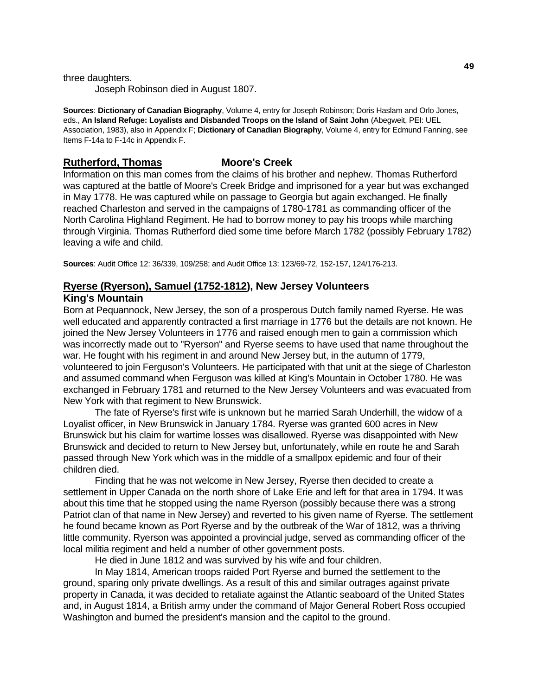three daughters.

Joseph Robinson died in August 1807.

**Sources**: **Dictionary of Canadian Biography**, Volume 4, entry for Joseph Robinson; Doris Haslam and Orlo Jones, eds., **An Island Refuge: Loyalists and Disbanded Troops on the Island of Saint John** (Abegweit, PEI: UEL Association, 1983), also in Appendix F; **Dictionary of Canadian Biography**, Volume 4, entry for Edmund Fanning, see Items F-14a to F-14c in Appendix F.

# **Rutherford, Thomas Moore's Creek**

Information on this man comes from the claims of his brother and nephew. Thomas Rutherford was captured at the battle of Moore's Creek Bridge and imprisoned for a year but was exchanged in May 1778. He was captured while on passage to Georgia but again exchanged. He finally reached Charleston and served in the campaigns of 1780-1781 as commanding officer of the North Carolina Highland Regiment. He had to borrow money to pay his troops while marching through Virginia. Thomas Rutherford died some time before March 1782 (possibly February 1782) leaving a wife and child.

**Sources**: Audit Office 12: 36/339, 109/258; and Audit Office 13: 123/69-72, 152-157, 124/176-213.

# **Ryerse (Ryerson), Samuel (1752-1812), New Jersey Volunteers**

#### **King's Mountain**

Born at Pequannock, New Jersey, the son of a prosperous Dutch family named Ryerse. He was well educated and apparently contracted a first marriage in 1776 but the details are not known. He joined the New Jersey Volunteers in 1776 and raised enough men to gain a commission which was incorrectly made out to "Ryerson" and Ryerse seems to have used that name throughout the war. He fought with his regiment in and around New Jersey but, in the autumn of 1779, volunteered to join Ferguson's Volunteers. He participated with that unit at the siege of Charleston and assumed command when Ferguson was killed at King's Mountain in October 1780. He was exchanged in February 1781 and returned to the New Jersey Volunteers and was evacuated from New York with that regiment to New Brunswick.

 The fate of Ryerse's first wife is unknown but he married Sarah Underhill, the widow of a Loyalist officer, in New Brunswick in January 1784. Ryerse was granted 600 acres in New Brunswick but his claim for wartime losses was disallowed. Ryerse was disappointed with New Brunswick and decided to return to New Jersey but, unfortunately, while en route he and Sarah passed through New York which was in the middle of a smallpox epidemic and four of their children died.

 Finding that he was not welcome in New Jersey, Ryerse then decided to create a settlement in Upper Canada on the north shore of Lake Erie and left for that area in 1794. It was about this time that he stopped using the name Ryerson (possibly because there was a strong Patriot clan of that name in New Jersey) and reverted to his given name of Ryerse. The settlement he found became known as Port Ryerse and by the outbreak of the War of 1812, was a thriving little community. Ryerson was appointed a provincial judge, served as commanding officer of the local militia regiment and held a number of other government posts.

He died in June 1812 and was survived by his wife and four children.

 In May 1814, American troops raided Port Ryerse and burned the settlement to the ground, sparing only private dwellings. As a result of this and similar outrages against private property in Canada, it was decided to retaliate against the Atlantic seaboard of the United States and, in August 1814, a British army under the command of Major General Robert Ross occupied Washington and burned the president's mansion and the capitol to the ground.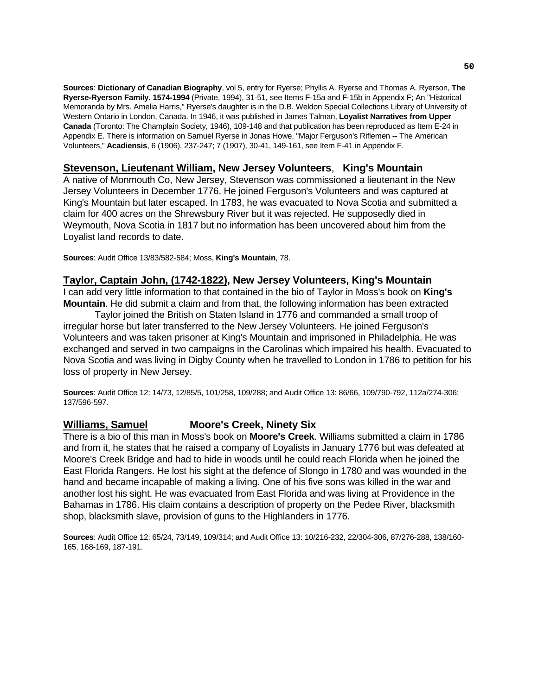**Sources**: **Dictionary of Canadian Biography**, vol 5, entry for Ryerse; Phyllis A. Ryerse and Thomas A. Ryerson, **The Ryerse-Ryerson Family. 1574-1994** (Private, 1994), 31-51, see Items F-15a and F-15b in Appendix F; An "Historical Memoranda by Mrs. Amelia Harris," Ryerse's daughter is in the D.B. Weldon Special Collections Library of University of Western Ontario in London, Canada. In 1946, it was published in James Talman, **Loyalist Narratives from Upper Canada** (Toronto: The Champlain Society, 1946), 109-148 and that publication has been reproduced as Item E-24 in Appendix E. There is information on Samuel Ryerse in Jonas Howe, "Major Ferguson's Riflemen -- The American Volunteers," **Acadiensis**, 6 (1906), 237-247; 7 (1907), 30-41, 149-161, see Item F-41 in Appendix F.

# **Stevenson, Lieutenant William, New Jersey Volunteers**, **King's Mountain**

A native of Monmouth Co, New Jersey, Stevenson was commissioned a lieutenant in the New Jersey Volunteers in December 1776. He joined Ferguson's Volunteers and was captured at King's Mountain but later escaped. In 1783, he was evacuated to Nova Scotia and submitted a claim for 400 acres on the Shrewsbury River but it was rejected. He supposedly died in Weymouth, Nova Scotia in 1817 but no information has been uncovered about him from the Loyalist land records to date.

**Sources**: Audit Office 13/83/582-584; Moss, **King's Mountain**, 78.

## **Taylor, Captain John, (1742-1822), New Jersey Volunteers, King's Mountain**

I can add very little information to that contained in the bio of Taylor in Moss's book on **King's Mountain**. He did submit a claim and from that, the following information has been extracted

 Taylor joined the British on Staten Island in 1776 and commanded a small troop of irregular horse but later transferred to the New Jersey Volunteers. He joined Ferguson's Volunteers and was taken prisoner at King's Mountain and imprisoned in Philadelphia. He was exchanged and served in two campaigns in the Carolinas which impaired his health. Evacuated to Nova Scotia and was living in Digby County when he travelled to London in 1786 to petition for his loss of property in New Jersey.

**Sources**: Audit Office 12: 14/73, 12/85/5, 101/258, 109/288; and Audit Office 13: 86/66, 109/790-792, 112a/274-306; 137/596-597.

## **Williams, Samuel Moore's Creek, Ninety Six**

There is a bio of this man in Moss's book on **Moore's Creek**. Williams submitted a claim in 1786 and from it, he states that he raised a company of Loyalists in January 1776 but was defeated at Moore's Creek Bridge and had to hide in woods until he could reach Florida when he joined the East Florida Rangers. He lost his sight at the defence of Slongo in 1780 and was wounded in the hand and became incapable of making a living. One of his five sons was killed in the war and another lost his sight. He was evacuated from East Florida and was living at Providence in the Bahamas in 1786. His claim contains a description of property on the Pedee River, blacksmith shop, blacksmith slave, provision of guns to the Highlanders in 1776.

**Sources**: Audit Office 12: 65/24, 73/149, 109/314; and Audit Office 13: 10/216-232, 22/304-306, 87/276-288, 138/160- 165, 168-169, 187-191.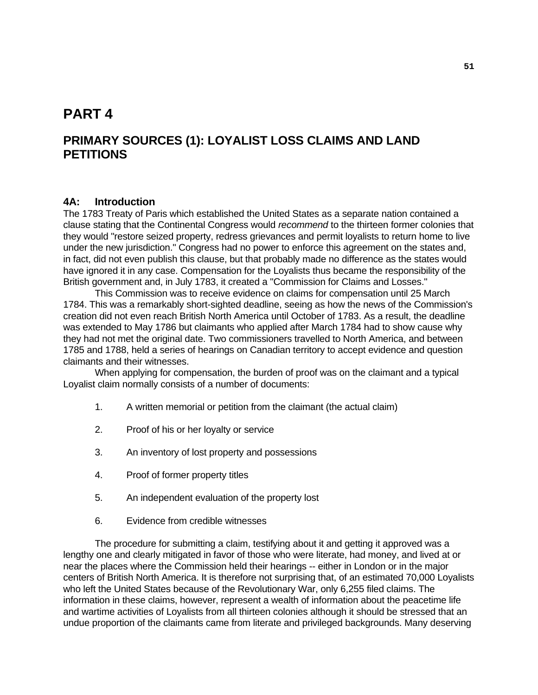# **PART 4**

# **PRIMARY SOURCES (1): LOYALIST LOSS CLAIMS AND LAND PETITIONS**

## **4A: Introduction**

The 1783 Treaty of Paris which established the United States as a separate nation contained a clause stating that the Continental Congress would *recommend* to the thirteen former colonies that they would "restore seized property, redress grievances and permit loyalists to return home to live under the new jurisdiction." Congress had no power to enforce this agreement on the states and, in fact, did not even publish this clause, but that probably made no difference as the states would have ignored it in any case. Compensation for the Loyalists thus became the responsibility of the British government and, in July 1783, it created a "Commission for Claims and Losses."

 This Commission was to receive evidence on claims for compensation until 25 March 1784. This was a remarkably short-sighted deadline, seeing as how the news of the Commission's creation did not even reach British North America until October of 1783. As a result, the deadline was extended to May 1786 but claimants who applied after March 1784 had to show cause why they had not met the original date. Two commissioners travelled to North America, and between 1785 and 1788, held a series of hearings on Canadian territory to accept evidence and question claimants and their witnesses.

 When applying for compensation, the burden of proof was on the claimant and a typical Loyalist claim normally consists of a number of documents:

- 1. A written memorial or petition from the claimant (the actual claim)
- 2. Proof of his or her loyalty or service
- 3. An inventory of lost property and possessions
- 4. Proof of former property titles
- 5. An independent evaluation of the property lost
- 6. Evidence from credible witnesses

 The procedure for submitting a claim, testifying about it and getting it approved was a lengthy one and clearly mitigated in favor of those who were literate, had money, and lived at or near the places where the Commission held their hearings -- either in London or in the major centers of British North America. It is therefore not surprising that, of an estimated 70,000 Loyalists who left the United States because of the Revolutionary War, only 6,255 filed claims. The information in these claims, however, represent a wealth of information about the peacetime life and wartime activities of Loyalists from all thirteen colonies although it should be stressed that an undue proportion of the claimants came from literate and privileged backgrounds. Many deserving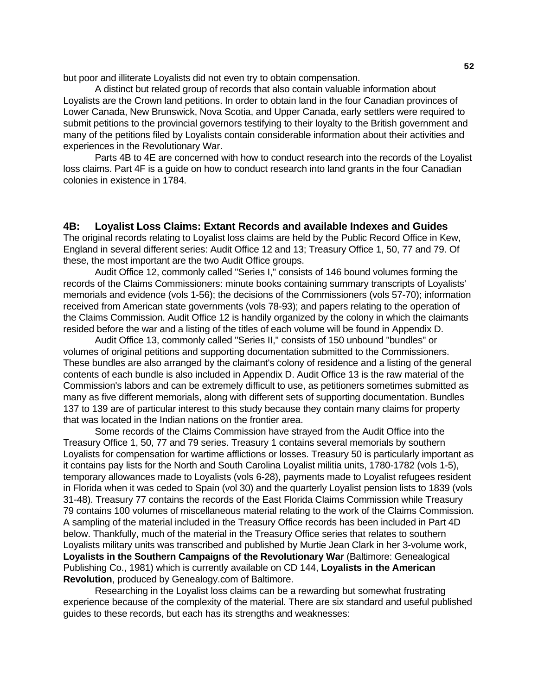but poor and illiterate Loyalists did not even try to obtain compensation.

 A distinct but related group of records that also contain valuable information about Loyalists are the Crown land petitions. In order to obtain land in the four Canadian provinces of Lower Canada, New Brunswick, Nova Scotia, and Upper Canada, early settlers were required to submit petitions to the provincial governors testifying to their loyalty to the British government and many of the petitions filed by Loyalists contain considerable information about their activities and experiences in the Revolutionary War.

 Parts 4B to 4E are concerned with how to conduct research into the records of the Loyalist loss claims. Part 4F is a guide on how to conduct research into land grants in the four Canadian colonies in existence in 1784.

#### **4B: Loyalist Loss Claims: Extant Records and available Indexes and Guides**

The original records relating to Loyalist loss claims are held by the Public Record Office in Kew, England in several different series: Audit Office 12 and 13; Treasury Office 1, 50, 77 and 79. Of these, the most important are the two Audit Office groups.

 Audit Office 12, commonly called "Series I," consists of 146 bound volumes forming the records of the Claims Commissioners: minute books containing summary transcripts of Loyalists' memorials and evidence (vols 1-56); the decisions of the Commissioners (vols 57-70); information received from American state governments (vols 78-93); and papers relating to the operation of the Claims Commission. Audit Office 12 is handily organized by the colony in which the claimants resided before the war and a listing of the titles of each volume will be found in Appendix D.

 Audit Office 13, commonly called "Series II," consists of 150 unbound "bundles" or volumes of original petitions and supporting documentation submitted to the Commissioners. These bundles are also arranged by the claimant's colony of residence and a listing of the general contents of each bundle is also included in Appendix D. Audit Office 13 is the raw material of the Commission's labors and can be extremely difficult to use, as petitioners sometimes submitted as many as five different memorials, along with different sets of supporting documentation. Bundles 137 to 139 are of particular interest to this study because they contain many claims for property that was located in the Indian nations on the frontier area.

 Some records of the Claims Commission have strayed from the Audit Office into the Treasury Office 1, 50, 77 and 79 series. Treasury 1 contains several memorials by southern Loyalists for compensation for wartime afflictions or losses. Treasury 50 is particularly important as it contains pay lists for the North and South Carolina Loyalist militia units, 1780-1782 (vols 1-5), temporary allowances made to Loyalists (vols 6-28), payments made to Loyalist refugees resident in Florida when it was ceded to Spain (vol 30) and the quarterly Loyalist pension lists to 1839 (vols 31-48). Treasury 77 contains the records of the East Florida Claims Commission while Treasury 79 contains 100 volumes of miscellaneous material relating to the work of the Claims Commission. A sampling of the material included in the Treasury Office records has been included in Part 4D below. Thankfully, much of the material in the Treasury Office series that relates to southern Loyalists military units was transcribed and published by Murtie Jean Clark in her 3-volume work, **Loyalists in the Southern Campaigns of the Revolutionary War** (Baltimore: Genealogical Publishing Co., 1981) which is currently available on CD 144, **Loyalists in the American Revolution**, produced by Genealogy.com of Baltimore.

 Researching in the Loyalist loss claims can be a rewarding but somewhat frustrating experience because of the complexity of the material. There are six standard and useful published guides to these records, but each has its strengths and weaknesses: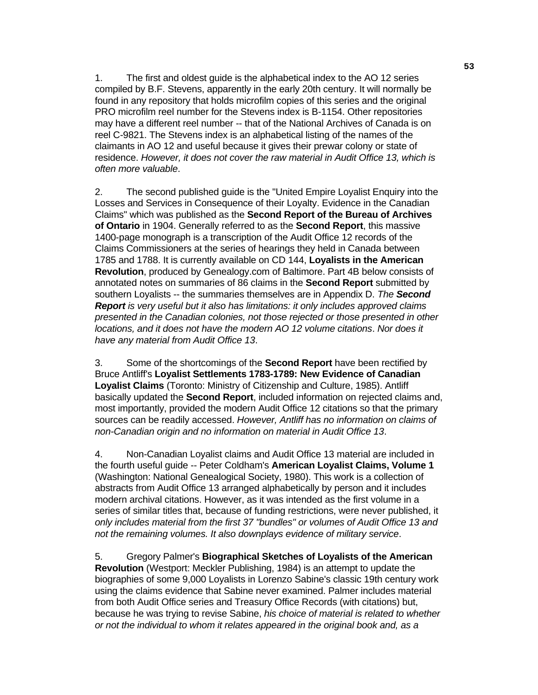1. The first and oldest guide is the alphabetical index to the AO 12 series compiled by B.F. Stevens, apparently in the early 20th century. It will normally be found in any repository that holds microfilm copies of this series and the original PRO microfilm reel number for the Stevens index is B-1154. Other repositories may have a different reel number -- that of the National Archives of Canada is on reel C-9821. The Stevens index is an alphabetical listing of the names of the claimants in AO 12 and useful because it gives their prewar colony or state of residence. *However, it does not cover the raw material in Audit Office 13, which is often more valuable*.

 2. The second published guide is the "United Empire Loyalist Enquiry into the Losses and Services in Consequence of their Loyalty. Evidence in the Canadian Claims" which was published as the **Second Report of the Bureau of Archives of Ontario** in 1904. Generally referred to as the **Second Report**, this massive 1400-page monograph is a transcription of the Audit Office 12 records of the Claims Commissioners at the series of hearings they held in Canada between 1785 and 1788. It is currently available on CD 144, **Loyalists in the American Revolution**, produced by Genealogy.com of Baltimore. Part 4B below consists of annotated notes on summaries of 86 claims in the **Second Report** submitted by southern Loyalists -- the summaries themselves are in Appendix D. *The Second Report is very useful but it also has limitations: it only includes approved claims presented in the Canadian colonies, not those rejected or those presented in other locations, and it does not have the modern AO 12 volume citations*. *Nor does it have any material from Audit Office 13*.

 3. Some of the shortcomings of the **Second Report** have been rectified by Bruce Antliff's **Loyalist Settlements 1783-1789: New Evidence of Canadian Loyalist Claims** (Toronto: Ministry of Citizenship and Culture, 1985). Antliff basically updated the **Second Report**, included information on rejected claims and, most importantly, provided the modern Audit Office 12 citations so that the primary sources can be readily accessed. *However, Antliff has no information on claims of non-Canadian origin and no information on material in Audit Office 13*.

 4. Non-Canadian Loyalist claims and Audit Office 13 material are included in the fourth useful guide -- Peter Coldham's **American Loyalist Claims, Volume 1** (Washington: National Genealogical Society, 1980). This work is a collection of abstracts from Audit Office 13 arranged alphabetically by person and it includes modern archival citations. However, as it was intended as the first volume in a series of similar titles that, because of funding restrictions, were never published, it *only includes material from the first 37 "bundles" or volumes of Audit Office 13 and not the remaining volumes. It also downplays evidence of military service*.

 5. Gregory Palmer's **Biographical Sketches of Loyalists of the American Revolution** (Westport: Meckler Publishing, 1984) is an attempt to update the biographies of some 9,000 Loyalists in Lorenzo Sabine's classic 19th century work using the claims evidence that Sabine never examined. Palmer includes material from both Audit Office series and Treasury Office Records (with citations) but, because he was trying to revise Sabine, *his choice of material is related to whether or not the individual to whom it relates appeared in the original book and, as a*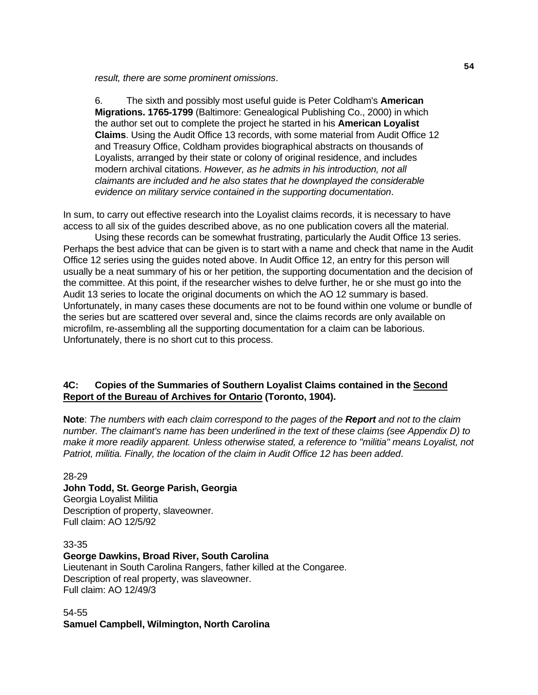*result, there are some prominent omissions*.

 6. The sixth and possibly most useful guide is Peter Coldham's **American Migrations. 1765-1799** (Baltimore: Genealogical Publishing Co., 2000) in which the author set out to complete the project he started in his **American Loyalist Claims**. Using the Audit Office 13 records, with some material from Audit Office 12 and Treasury Office, Coldham provides biographical abstracts on thousands of Loyalists, arranged by their state or colony of original residence, and includes modern archival citations. *However, as he admits in his introduction, not all claimants are included and he also states that he downplayed the considerable evidence on military service contained in the supporting documentation*.

In sum, to carry out effective research into the Loyalist claims records, it is necessary to have access to all six of the guides described above, as no one publication covers all the material.

 Using these records can be somewhat frustrating, particularly the Audit Office 13 series. Perhaps the best advice that can be given is to start with a name and check that name in the Audit Office 12 series using the guides noted above. In Audit Office 12, an entry for this person will usually be a neat summary of his or her petition, the supporting documentation and the decision of the committee. At this point, if the researcher wishes to delve further, he or she must go into the Audit 13 series to locate the original documents on which the AO 12 summary is based. Unfortunately, in many cases these documents are not to be found within one volume or bundle of the series but are scattered over several and, since the claims records are only available on microfilm, re-assembling all the supporting documentation for a claim can be laborious. Unfortunately, there is no short cut to this process.

## **4C: Copies of the Summaries of Southern Loyalist Claims contained in the Second Report of the Bureau of Archives for Ontario (Toronto, 1904).**

**Note**: *The numbers with each claim correspond to the pages of the Report and not to the claim number. The claimant's name has been underlined in the text of these claims (see Appendix D) to make it more readily apparent. Unless otherwise stated, a reference to "militia" means Loyalist, not Patriot, militia. Finally, the location of the claim in Audit Office 12 has been added*.

28-29 **John Todd, St. George Parish, Georgia**  Georgia Loyalist Militia Description of property, slaveowner. Full claim: AO 12/5/92

33-35 **George Dawkins, Broad River, South Carolina**  Lieutenant in South Carolina Rangers, father killed at the Congaree. Description of real property, was slaveowner. Full claim: AO 12/49/3

54-55 **Samuel Campbell, Wilmington, North Carolina**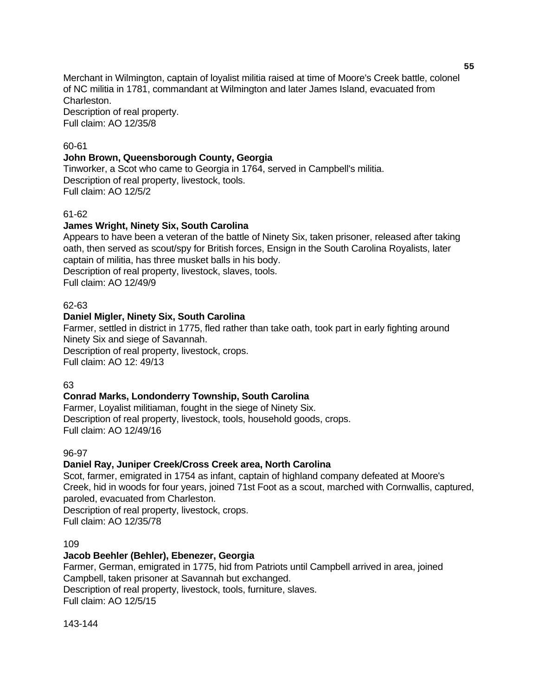Merchant in Wilmington, captain of loyalist militia raised at time of Moore's Creek battle, colonel of NC militia in 1781, commandant at Wilmington and later James Island, evacuated from Charleston.

Description of real property. Full claim: AO 12/35/8

## 60-61

#### **John Brown, Queensborough County, Georgia**

Tinworker, a Scot who came to Georgia in 1764, served in Campbell's militia. Description of real property, livestock, tools. Full claim: AO 12/5/2

#### 61-62

#### **James Wright, Ninety Six, South Carolina**

Appears to have been a veteran of the battle of Ninety Six, taken prisoner, released after taking oath, then served as scout/spy for British forces, Ensign in the South Carolina Royalists, later captain of militia, has three musket balls in his body. Description of real property, livestock, slaves, tools. Full claim: AO 12/49/9

#### 62-63

#### **Daniel Migler, Ninety Six, South Carolina**

Farmer, settled in district in 1775, fled rather than take oath, took part in early fighting around Ninety Six and siege of Savannah.

Description of real property, livestock, crops. Full claim: AO 12: 49/13

#### 63

#### **Conrad Marks, Londonderry Township, South Carolina**

Farmer, Loyalist militiaman, fought in the siege of Ninety Six. Description of real property, livestock, tools, household goods, crops. Full claim: AO 12/49/16

#### 96-97

#### **Daniel Ray, Juniper Creek/Cross Creek area, North Carolina**

Scot, farmer, emigrated in 1754 as infant, captain of highland company defeated at Moore's Creek, hid in woods for four years, joined 71st Foot as a scout, marched with Cornwallis, captured, paroled, evacuated from Charleston.

Description of real property, livestock, crops. Full claim: AO 12/35/78

#### 109

#### **Jacob Beehler (Behler), Ebenezer, Georgia**

Farmer, German, emigrated in 1775, hid from Patriots until Campbell arrived in area, joined Campbell, taken prisoner at Savannah but exchanged. Description of real property, livestock, tools, furniture, slaves. Full claim: AO 12/5/15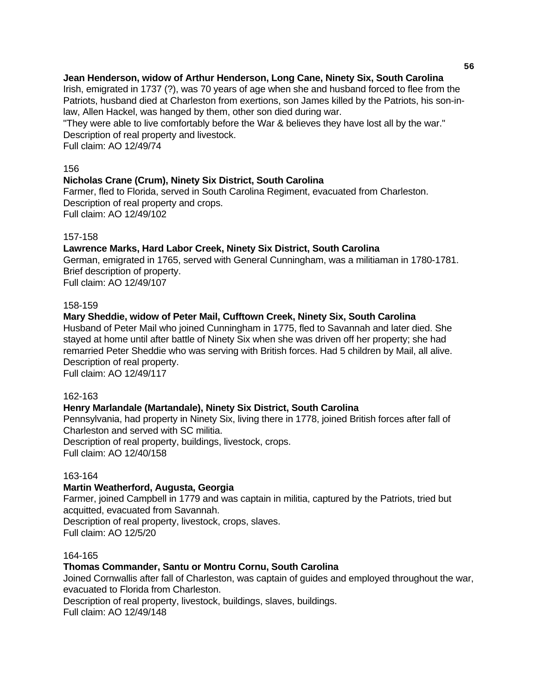# **Jean Henderson, widow of Arthur Henderson, Long Cane, Ninety Six, South Carolina**

Irish, emigrated in 1737 (?), was 70 years of age when she and husband forced to flee from the Patriots, husband died at Charleston from exertions, son James killed by the Patriots, his son-inlaw, Allen Hackel, was hanged by them, other son died during war.

"They were able to live comfortably before the War & believes they have lost all by the war." Description of real property and livestock.

Full claim: AO 12/49/74

# 156

# **Nicholas Crane (Crum), Ninety Six District, South Carolina**

Farmer, fled to Florida, served in South Carolina Regiment, evacuated from Charleston. Description of real property and crops. Full claim: AO 12/49/102

## 157-158

## **Lawrence Marks, Hard Labor Creek, Ninety Six District, South Carolina**

German, emigrated in 1765, served with General Cunningham, was a militiaman in 1780-1781. Brief description of property. Full claim: AO 12/49/107

#### 158-159

# **Mary Sheddie, widow of Peter Mail, Cufftown Creek, Ninety Six, South Carolina**

Husband of Peter Mail who joined Cunningham in 1775, fled to Savannah and later died. She stayed at home until after battle of Ninety Six when she was driven off her property; she had remarried Peter Sheddie who was serving with British forces. Had 5 children by Mail, all alive. Description of real property.

Full claim: AO 12/49/117

## 162-163

## **Henry Marlandale (Martandale), Ninety Six District, South Carolina**

Pennsylvania, had property in Ninety Six, living there in 1778, joined British forces after fall of Charleston and served with SC militia.

Description of real property, buildings, livestock, crops.

Full claim: AO 12/40/158

## 163-164

## **Martin Weatherford, Augusta, Georgia**

Farmer, joined Campbell in 1779 and was captain in militia, captured by the Patriots, tried but acquitted, evacuated from Savannah.

Description of real property, livestock, crops, slaves. Full claim: AO 12/5/20

#### 164-165

## **Thomas Commander, Santu or Montru Cornu, South Carolina**

Joined Cornwallis after fall of Charleston, was captain of guides and employed throughout the war, evacuated to Florida from Charleston.

Description of real property, livestock, buildings, slaves, buildings.

Full claim: AO 12/49/148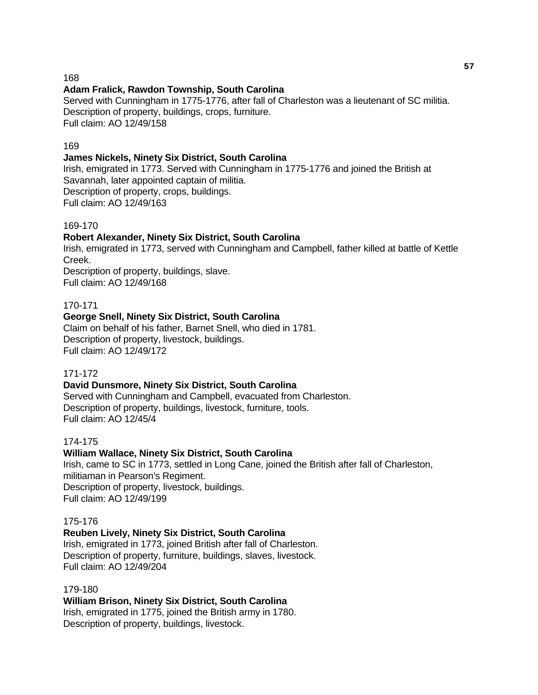#### 168

#### **Adam Fralick, Rawdon Township, South Carolina**

Served with Cunningham in 1775-1776, after fall of Charleston was a lieutenant of SC militia. Description of property, buildings, crops, furniture. Full claim: AO 12/49/158

#### 169

#### **James Nickels, Ninety Six District, South Carolina**

Irish, emigrated in 1773. Served with Cunningham in 1775-1776 and joined the British at Savannah, later appointed captain of militia. Description of property, crops, buildings. Full claim: AO 12/49/163

#### 169-170

#### **Robert Alexander, Ninety Six District, South Carolina**

Irish, emigrated in 1773, served with Cunningham and Campbell, father killed at battle of Kettle Creek.

Description of property, buildings, slave. Full claim: AO 12/49/168

#### 170-171

#### **George Snell, Ninety Six District, South Carolina**

Claim on behalf of his father, Barnet Snell, who died in 1781. Description of property, livestock, buildings. Full claim: AO 12/49/172

#### 171-172

#### **David Dunsmore, Ninety Six District, South Carolina**

Served with Cunningham and Campbell, evacuated from Charleston. Description of property, buildings, livestock, furniture, tools. Full claim: AO 12/45/4

#### 174-175

#### **William Wallace, Ninety Six District, South Carolina**

Irish, came to SC in 1773, settled in Long Cane, joined the British after fall of Charleston, militiaman in Pearson's Regiment. Description of property, livestock, buildings. Full claim: AO 12/49/199

#### 175-176

#### **Reuben Lively, Ninety Six District, South Carolina**

Irish, emigrated in 1773, joined British after fall of Charleston. Description of property, furniture, buildings, slaves, livestock. Full claim: AO 12/49/204

#### 179-180

#### **William Brison, Ninety Six District, South Carolina** Irish, emigrated in 1775, joined the British army in 1780. Description of property, buildings, livestock.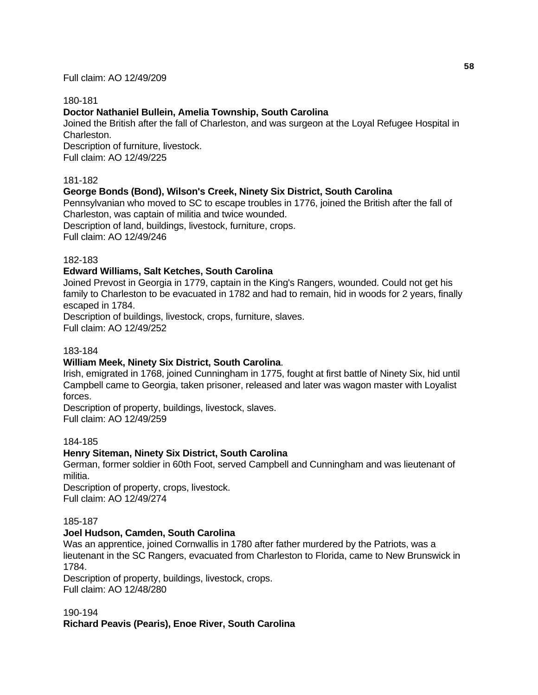Full claim: AO 12/49/209

#### 180-181

# **Doctor Nathaniel Bullein, Amelia Township, South Carolina**

Joined the British after the fall of Charleston, and was surgeon at the Loyal Refugee Hospital in Charleston.

Description of furniture, livestock. Full claim: AO 12/49/225

#### 181-182

## **George Bonds (Bond), Wilson's Creek, Ninety Six District, South Carolina**

Pennsylvanian who moved to SC to escape troubles in 1776, joined the British after the fall of Charleston, was captain of militia and twice wounded.

Description of land, buildings, livestock, furniture, crops.

Full claim: AO 12/49/246

#### 182-183

## **Edward Williams, Salt Ketches, South Carolina**

Joined Prevost in Georgia in 1779, captain in the King's Rangers, wounded. Could not get his family to Charleston to be evacuated in 1782 and had to remain, hid in woods for 2 years, finally escaped in 1784.

Description of buildings, livestock, crops, furniture, slaves. Full claim: AO 12/49/252

#### 183-184

## **William Meek, Ninety Six District, South Carolina**.

Irish, emigrated in 1768, joined Cunningham in 1775, fought at first battle of Ninety Six, hid until Campbell came to Georgia, taken prisoner, released and later was wagon master with Loyalist forces.

Description of property, buildings, livestock, slaves. Full claim: AO 12/49/259

#### 184-185

## **Henry Siteman, Ninety Six District, South Carolina**

German, former soldier in 60th Foot, served Campbell and Cunningham and was lieutenant of militia.

Description of property, crops, livestock. Full claim: AO 12/49/274

#### 185-187

#### **Joel Hudson, Camden, South Carolina**

Was an apprentice, joined Cornwallis in 1780 after father murdered by the Patriots, was a lieutenant in the SC Rangers, evacuated from Charleston to Florida, came to New Brunswick in 1784.

Description of property, buildings, livestock, crops. Full claim: AO 12/48/280

#### 190-194

**Richard Peavis (Pearis), Enoe River, South Carolina**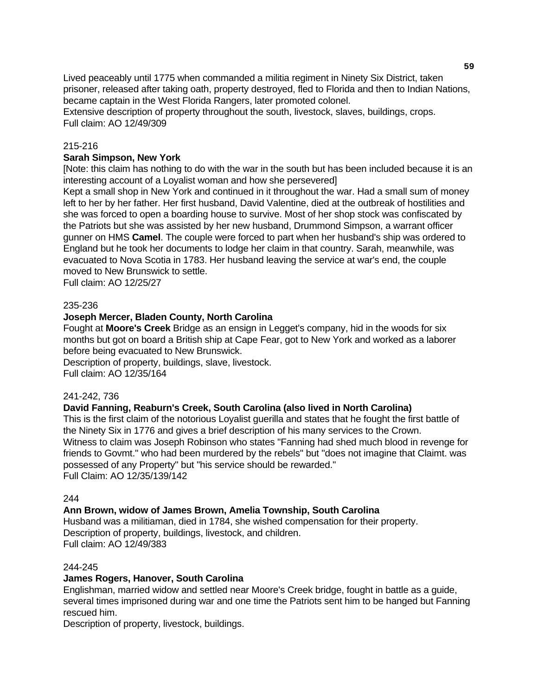Lived peaceably until 1775 when commanded a militia regiment in Ninety Six District, taken prisoner, released after taking oath, property destroyed, fled to Florida and then to Indian Nations, became captain in the West Florida Rangers, later promoted colonel.

Extensive description of property throughout the south, livestock, slaves, buildings, crops. Full claim: AO 12/49/309

#### 215-216

#### **Sarah Simpson, New York**

[Note: this claim has nothing to do with the war in the south but has been included because it is an interesting account of a Loyalist woman and how she persevered]

Kept a small shop in New York and continued in it throughout the war. Had a small sum of money left to her by her father. Her first husband, David Valentine, died at the outbreak of hostilities and she was forced to open a boarding house to survive. Most of her shop stock was confiscated by the Patriots but she was assisted by her new husband, Drummond Simpson, a warrant officer gunner on HMS **Camel**. The couple were forced to part when her husband's ship was ordered to England but he took her documents to lodge her claim in that country. Sarah, meanwhile, was evacuated to Nova Scotia in 1783. Her husband leaving the service at war's end, the couple moved to New Brunswick to settle.

Full claim: AO 12/25/27

#### 235-236

#### **Joseph Mercer, Bladen County, North Carolina**

Fought at **Moore's Creek** Bridge as an ensign in Legget's company, hid in the woods for six months but got on board a British ship at Cape Fear, got to New York and worked as a laborer before being evacuated to New Brunswick.

Description of property, buildings, slave, livestock. Full claim: AO 12/35/164

#### 241-242, 736

#### **David Fanning, Reaburn's Creek, South Carolina (also lived in North Carolina)**

This is the first claim of the notorious Loyalist guerilla and states that he fought the first battle of the Ninety Six in 1776 and gives a brief description of his many services to the Crown. Witness to claim was Joseph Robinson who states "Fanning had shed much blood in revenge for friends to Govmt." who had been murdered by the rebels" but "does not imagine that Claimt. was possessed of any Property" but "his service should be rewarded." Full Claim: AO 12/35/139/142

#### 244

#### **Ann Brown, widow of James Brown, Amelia Township, South Carolina**

Husband was a militiaman, died in 1784, she wished compensation for their property. Description of property, buildings, livestock, and children. Full claim: AO 12/49/383

#### 244-245

#### **James Rogers, Hanover, South Carolina**

Englishman, married widow and settled near Moore's Creek bridge, fought in battle as a guide, several times imprisoned during war and one time the Patriots sent him to be hanged but Fanning rescued him.

Description of property, livestock, buildings.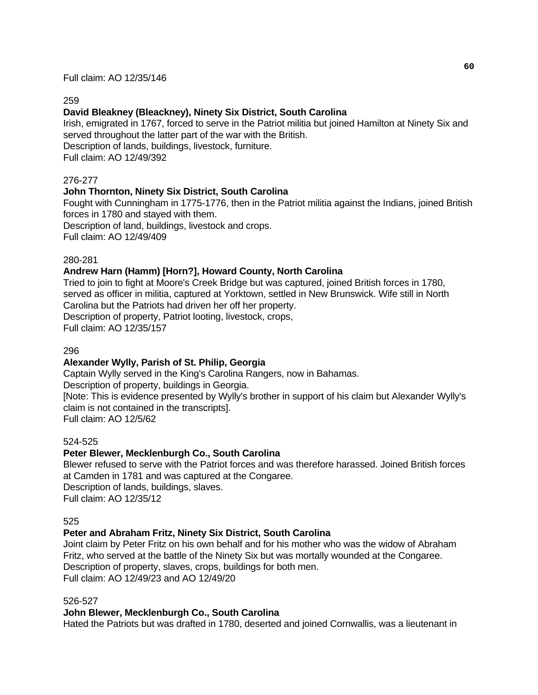Full claim: AO 12/35/146

#### 259

# **David Bleakney (Bleackney), Ninety Six District, South Carolina**

Irish, emigrated in 1767, forced to serve in the Patriot militia but joined Hamilton at Ninety Six and served throughout the latter part of the war with the British. Description of lands, buildings, livestock, furniture. Full claim: AO 12/49/392

#### 276-277

#### **John Thornton, Ninety Six District, South Carolina**

Fought with Cunningham in 1775-1776, then in the Patriot militia against the Indians, joined British forces in 1780 and stayed with them.

Description of land, buildings, livestock and crops.

Full claim: AO 12/49/409

#### 280-281

## **Andrew Harn (Hamm) [Horn?], Howard County, North Carolina**

Tried to join to fight at Moore's Creek Bridge but was captured, joined British forces in 1780, served as officer in militia, captured at Yorktown, settled in New Brunswick. Wife still in North Carolina but the Patriots had driven her off her property. Description of property, Patriot looting, livestock, crops,

Full claim: AO 12/35/157

#### 296

#### **Alexander Wylly, Parish of St. Philip, Georgia**

Captain Wylly served in the King's Carolina Rangers, now in Bahamas. Description of property, buildings in Georgia. [Note: This is evidence presented by Wylly's brother in support of his claim but Alexander Wylly's claim is not contained in the transcripts]. Full claim: AO 12/5/62

#### 524-525

#### **Peter Blewer, Mecklenburgh Co., South Carolina**

Blewer refused to serve with the Patriot forces and was therefore harassed. Joined British forces at Camden in 1781 and was captured at the Congaree. Description of lands, buildings, slaves. Full claim: AO 12/35/12

#### 525

#### **Peter and Abraham Fritz, Ninety Six District, South Carolina**

Joint claim by Peter Fritz on his own behalf and for his mother who was the widow of Abraham Fritz, who served at the battle of the Ninety Six but was mortally wounded at the Congaree. Description of property, slaves, crops, buildings for both men. Full claim: AO 12/49/23 and AO 12/49/20

#### 526-527

#### **John Blewer, Mecklenburgh Co., South Carolina**

Hated the Patriots but was drafted in 1780, deserted and joined Cornwallis, was a lieutenant in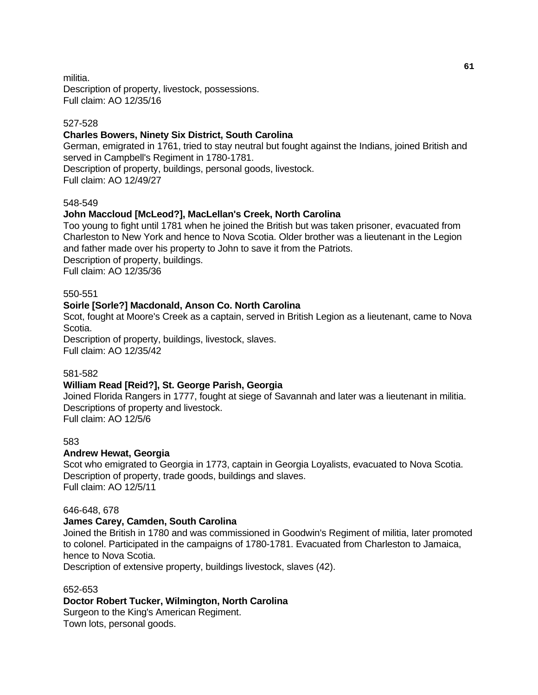militia. Description of property, livestock, possessions. Full claim: AO 12/35/16

#### 527-528

#### **Charles Bowers, Ninety Six District, South Carolina**

German, emigrated in 1761, tried to stay neutral but fought against the Indians, joined British and served in Campbell's Regiment in 1780-1781. Description of property, buildings, personal goods, livestock.

Full claim: AO 12/49/27

#### 548-549

## **John Maccloud [McLeod?], MacLellan's Creek, North Carolina**

Too young to fight until 1781 when he joined the British but was taken prisoner, evacuated from Charleston to New York and hence to Nova Scotia. Older brother was a lieutenant in the Legion and father made over his property to John to save it from the Patriots. Description of property, buildings. Full claim: AO 12/35/36

#### 550-551

#### **Soirle [Sorle?] Macdonald, Anson Co. North Carolina**

Scot, fought at Moore's Creek as a captain, served in British Legion as a lieutenant, came to Nova Scotia.

Description of property, buildings, livestock, slaves. Full claim: AO 12/35/42

#### 581-582

#### **William Read [Reid?], St. George Parish, Georgia**

Joined Florida Rangers in 1777, fought at siege of Savannah and later was a lieutenant in militia. Descriptions of property and livestock. Full claim: AO 12/5/6

#### 583

#### **Andrew Hewat, Georgia**

Scot who emigrated to Georgia in 1773, captain in Georgia Loyalists, evacuated to Nova Scotia. Description of property, trade goods, buildings and slaves. Full claim: AO 12/5/11

#### 646-648, 678

#### **James Carey, Camden, South Carolina**

Joined the British in 1780 and was commissioned in Goodwin's Regiment of militia, later promoted to colonel. Participated in the campaigns of 1780-1781. Evacuated from Charleston to Jamaica, hence to Nova Scotia.

Description of extensive property, buildings livestock, slaves (42).

#### 652-653

## **Doctor Robert Tucker, Wilmington, North Carolina**

Surgeon to the King's American Regiment. Town lots, personal goods.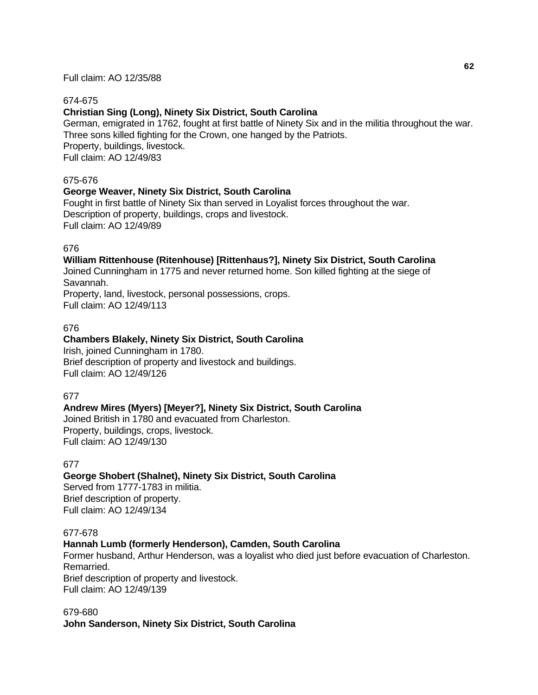#### 674-675

#### **Christian Sing (Long), Ninety Six District, South Carolina**

German, emigrated in 1762, fought at first battle of Ninety Six and in the militia throughout the war. Three sons killed fighting for the Crown, one hanged by the Patriots. Property, buildings, livestock. Full claim: AO 12/49/83

#### 675-676

#### **George Weaver, Ninety Six District, South Carolina**

Fought in first battle of Ninety Six than served in Loyalist forces throughout the war. Description of property, buildings, crops and livestock. Full claim: AO 12/49/89

#### 676

#### **William Rittenhouse (Ritenhouse) [Rittenhaus?], Ninety Six District, South Carolina**

Joined Cunningham in 1775 and never returned home. Son killed fighting at the siege of Savannah.

Property, land, livestock, personal possessions, crops. Full claim: AO 12/49/113

#### 676

#### **Chambers Blakely, Ninety Six District, South Carolina**

Irish, joined Cunningham in 1780. Brief description of property and livestock and buildings. Full claim: AO 12/49/126

#### 677

#### **Andrew Mires (Myers) [Meyer?], Ninety Six District, South Carolina**

Joined British in 1780 and evacuated from Charleston. Property, buildings, crops, livestock. Full claim: AO 12/49/130

#### 677

## **George Shobert (Shalnet), Ninety Six District, South Carolina**

Served from 1777-1783 in militia. Brief description of property. Full claim: AO 12/49/134

#### 677-678

#### **Hannah Lumb (formerly Henderson), Camden, South Carolina**

Former husband, Arthur Henderson, was a loyalist who died just before evacuation of Charleston. Remarried.

Brief description of property and livestock. Full claim: AO 12/49/139

679-680 **John Sanderson, Ninety Six District, South Carolina**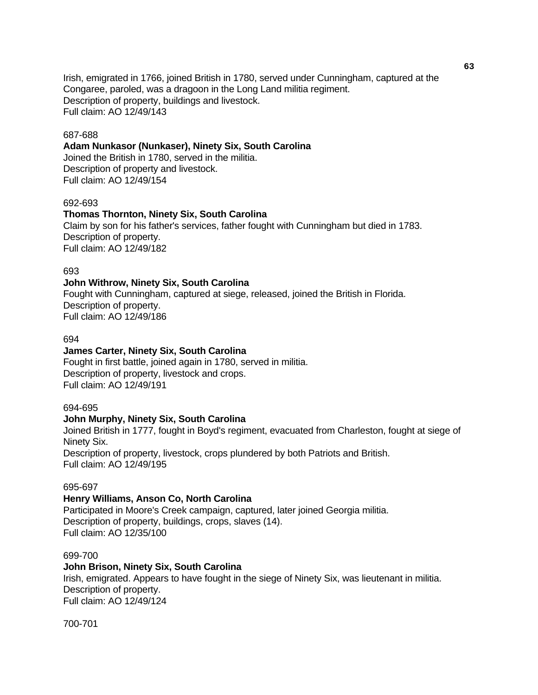Irish, emigrated in 1766, joined British in 1780, served under Cunningham, captured at the Congaree, paroled, was a dragoon in the Long Land militia regiment. Description of property, buildings and livestock. Full claim: AO 12/49/143

#### 687-688

#### **Adam Nunkasor (Nunkaser), Ninety Six, South Carolina**

Joined the British in 1780, served in the militia. Description of property and livestock. Full claim: AO 12/49/154

#### 692-693

#### **Thomas Thornton, Ninety Six, South Carolina**

Claim by son for his father's services, father fought with Cunningham but died in 1783. Description of property. Full claim: AO 12/49/182

#### 693

#### **John Withrow, Ninety Six, South Carolina**

Fought with Cunningham, captured at siege, released, joined the British in Florida. Description of property. Full claim: AO 12/49/186

#### 694

#### **James Carter, Ninety Six, South Carolina**

Fought in first battle, joined again in 1780, served in militia. Description of property, livestock and crops. Full claim: AO 12/49/191

#### 694-695

#### **John Murphy, Ninety Six, South Carolina**

Joined British in 1777, fought in Boyd's regiment, evacuated from Charleston, fought at siege of Ninety Six. Description of property, livestock, crops plundered by both Patriots and British.

Full claim: AO 12/49/195

#### 695-697

#### **Henry Williams, Anson Co, North Carolina**

Participated in Moore's Creek campaign, captured, later joined Georgia militia. Description of property, buildings, crops, slaves (14). Full claim: AO 12/35/100

#### 699-700

#### **John Brison, Ninety Six, South Carolina**

Irish, emigrated. Appears to have fought in the siege of Ninety Six, was lieutenant in militia. Description of property. Full claim: AO 12/49/124

700-701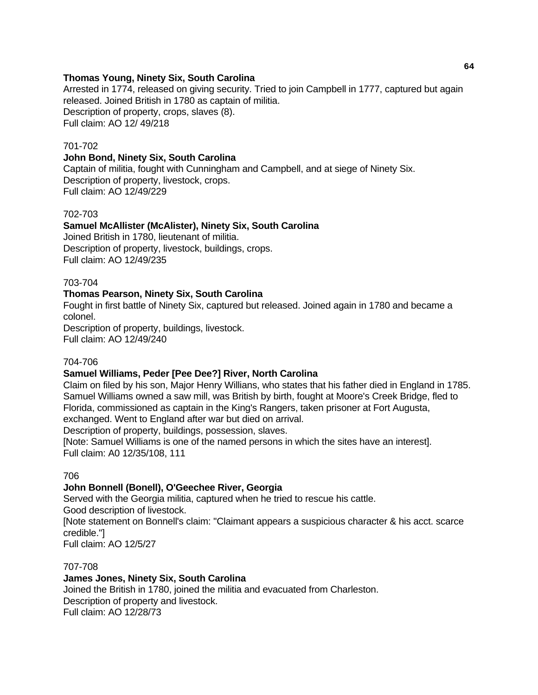#### **Thomas Young, Ninety Six, South Carolina**

Arrested in 1774, released on giving security. Tried to join Campbell in 1777, captured but again released. Joined British in 1780 as captain of militia. Description of property, crops, slaves (8). Full claim: AO 12/ 49/218

#### 701-702

#### **John Bond, Ninety Six, South Carolina**

Captain of militia, fought with Cunningham and Campbell, and at siege of Ninety Six. Description of property, livestock, crops. Full claim: AO 12/49/229

#### 702-703

#### **Samuel McAllister (McAlister), Ninety Six, South Carolina**

Joined British in 1780, lieutenant of militia. Description of property, livestock, buildings, crops. Full claim: AO 12/49/235

#### 703-704

#### **Thomas Pearson, Ninety Six, South Carolina**

Fought in first battle of Ninety Six, captured but released. Joined again in 1780 and became a colonel.

Description of property, buildings, livestock. Full claim: AO 12/49/240

#### 704-706

#### **Samuel Williams, Peder [Pee Dee?] River, North Carolina**

Claim on filed by his son, Major Henry Willians, who states that his father died in England in 1785. Samuel Williams owned a saw mill, was British by birth, fought at Moore's Creek Bridge, fled to Florida, commissioned as captain in the King's Rangers, taken prisoner at Fort Augusta, exchanged. Went to England after war but died on arrival.

Description of property, buildings, possession, slaves.

[Note: Samuel Williams is one of the named persons in which the sites have an interest]. Full claim: A0 12/35/108, 111

#### 706

## **John Bonnell (Bonell), O'Geechee River, Georgia**

Served with the Georgia militia, captured when he tried to rescue his cattle. Good description of livestock.

[Note statement on Bonnell's claim: "Claimant appears a suspicious character & his acct. scarce credible."]

Full claim: AO 12/5/27

#### 707-708

## **James Jones, Ninety Six, South Carolina**

Joined the British in 1780, joined the militia and evacuated from Charleston. Description of property and livestock. Full claim: AO 12/28/73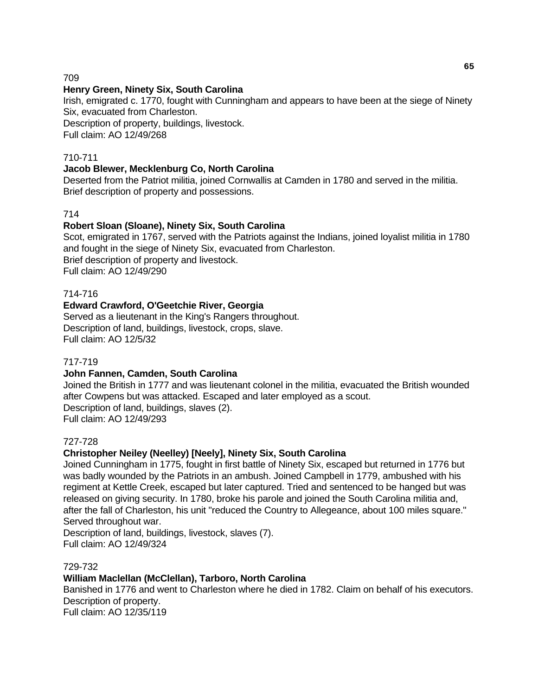709

#### **Henry Green, Ninety Six, South Carolina**

Irish, emigrated c. 1770, fought with Cunningham and appears to have been at the siege of Ninety Six, evacuated from Charleston.

Description of property, buildings, livestock. Full claim: AO 12/49/268

## 710-711

#### **Jacob Blewer, Mecklenburg Co, North Carolina**

Deserted from the Patriot militia, joined Cornwallis at Camden in 1780 and served in the militia. Brief description of property and possessions.

## 714

#### **Robert Sloan (Sloane), Ninety Six, South Carolina**

Scot, emigrated in 1767, served with the Patriots against the Indians, joined loyalist militia in 1780 and fought in the siege of Ninety Six, evacuated from Charleston. Brief description of property and livestock. Full claim: AO 12/49/290

#### 714-716

#### **Edward Crawford, O'Geetchie River, Georgia**

Served as a lieutenant in the King's Rangers throughout. Description of land, buildings, livestock, crops, slave. Full claim: AO 12/5/32

#### 717-719

## **John Fannen, Camden, South Carolina**

Joined the British in 1777 and was lieutenant colonel in the militia, evacuated the British wounded after Cowpens but was attacked. Escaped and later employed as a scout. Description of land, buildings, slaves (2). Full claim: AO 12/49/293

#### 727-728

## **Christopher Neiley (Neelley) [Neely], Ninety Six, South Carolina**

Joined Cunningham in 1775, fought in first battle of Ninety Six, escaped but returned in 1776 but was badly wounded by the Patriots in an ambush. Joined Campbell in 1779, ambushed with his regiment at Kettle Creek, escaped but later captured. Tried and sentenced to be hanged but was released on giving security. In 1780, broke his parole and joined the South Carolina militia and, after the fall of Charleston, his unit "reduced the Country to Allegeance, about 100 miles square." Served throughout war.

Description of land, buildings, livestock, slaves (7). Full claim: AO 12/49/324

#### 729-732

#### **William Maclellan (McClellan), Tarboro, North Carolina**

Banished in 1776 and went to Charleston where he died in 1782. Claim on behalf of his executors. Description of property. Full claim: AO 12/35/119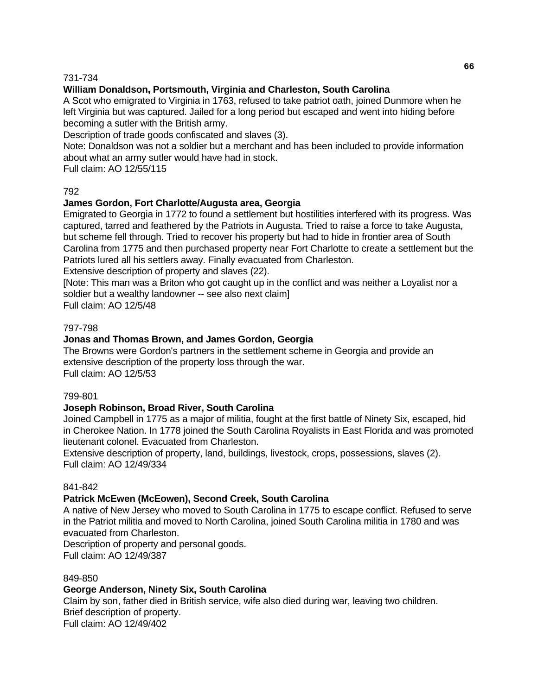#### 731-734

# **William Donaldson, Portsmouth, Virginia and Charleston, South Carolina**

A Scot who emigrated to Virginia in 1763, refused to take patriot oath, joined Dunmore when he left Virginia but was captured. Jailed for a long period but escaped and went into hiding before becoming a sutler with the British army.

Description of trade goods confiscated and slaves (3).

Note: Donaldson was not a soldier but a merchant and has been included to provide information about what an army sutler would have had in stock.

Full claim: AO 12/55/115

## 792

## **James Gordon, Fort Charlotte/Augusta area, Georgia**

Emigrated to Georgia in 1772 to found a settlement but hostilities interfered with its progress. Was captured, tarred and feathered by the Patriots in Augusta. Tried to raise a force to take Augusta, but scheme fell through. Tried to recover his property but had to hide in frontier area of South Carolina from 1775 and then purchased property near Fort Charlotte to create a settlement but the Patriots lured all his settlers away. Finally evacuated from Charleston.

Extensive description of property and slaves (22).

[Note: This man was a Briton who got caught up in the conflict and was neither a Loyalist nor a soldier but a wealthy landowner -- see also next claim]

Full claim: AO 12/5/48

#### 797-798

## **Jonas and Thomas Brown, and James Gordon, Georgia**

The Browns were Gordon's partners in the settlement scheme in Georgia and provide an extensive description of the property loss through the war. Full claim: AO 12/5/53

#### 799-801

## **Joseph Robinson, Broad River, South Carolina**

Joined Campbell in 1775 as a major of militia, fought at the first battle of Ninety Six, escaped, hid in Cherokee Nation. In 1778 joined the South Carolina Royalists in East Florida and was promoted lieutenant colonel. Evacuated from Charleston.

Extensive description of property, land, buildings, livestock, crops, possessions, slaves (2). Full claim: AO 12/49/334

#### 841-842

## **Patrick McEwen (McEowen), Second Creek, South Carolina**

A native of New Jersey who moved to South Carolina in 1775 to escape conflict. Refused to serve in the Patriot militia and moved to North Carolina, joined South Carolina militia in 1780 and was evacuated from Charleston.

Description of property and personal goods.

Full claim: AO 12/49/387

#### 849-850

## **George Anderson, Ninety Six, South Carolina**

Claim by son, father died in British service, wife also died during war, leaving two children. Brief description of property. Full claim: AO 12/49/402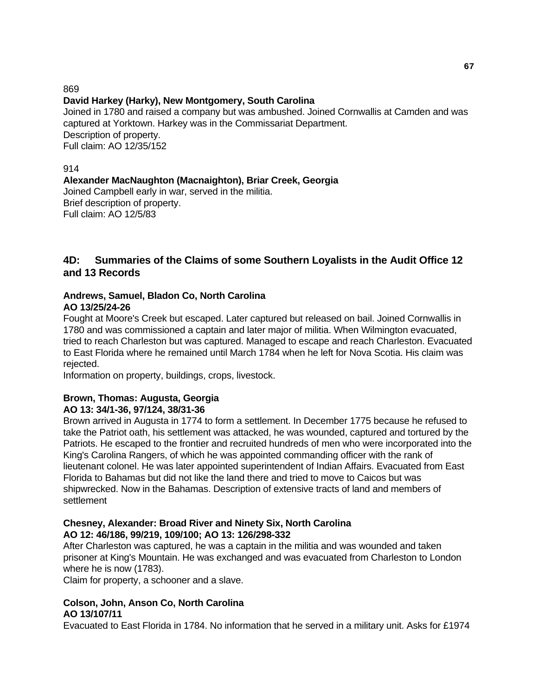869

# **David Harkey (Harky), New Montgomery, South Carolina**

Joined in 1780 and raised a company but was ambushed. Joined Cornwallis at Camden and was captured at Yorktown. Harkey was in the Commissariat Department. Description of property. Full claim: AO 12/35/152

#### 914

# **Alexander MacNaughton (Macnaighton), Briar Creek, Georgia**

Joined Campbell early in war, served in the militia. Brief description of property. Full claim: AO 12/5/83

# **4D: Summaries of the Claims of some Southern Loyalists in the Audit Office 12 and 13 Records**

#### **Andrews, Samuel, Bladon Co, North Carolina AO 13/25/24-26**

Fought at Moore's Creek but escaped. Later captured but released on bail. Joined Cornwallis in 1780 and was commissioned a captain and later major of militia. When Wilmington evacuated, tried to reach Charleston but was captured. Managed to escape and reach Charleston. Evacuated to East Florida where he remained until March 1784 when he left for Nova Scotia. His claim was rejected.

Information on property, buildings, crops, livestock.

## **Brown, Thomas: Augusta, Georgia AO 13: 34/1-36, 97/124, 38/31-36**

Brown arrived in Augusta in 1774 to form a settlement. In December 1775 because he refused to take the Patriot oath, his settlement was attacked, he was wounded, captured and tortured by the Patriots. He escaped to the frontier and recruited hundreds of men who were incorporated into the King's Carolina Rangers, of which he was appointed commanding officer with the rank of lieutenant colonel. He was later appointed superintendent of Indian Affairs. Evacuated from East Florida to Bahamas but did not like the land there and tried to move to Caicos but was shipwrecked. Now in the Bahamas. Description of extensive tracts of land and members of settlement

#### **Chesney, Alexander: Broad River and Ninety Six, North Carolina AO 12: 46/186, 99/219, 109/100; AO 13: 126/298-332**

After Charleston was captured, he was a captain in the militia and was wounded and taken prisoner at King's Mountain. He was exchanged and was evacuated from Charleston to London where he is now (1783).

Claim for property, a schooner and a slave.

## **Colson, John, Anson Co, North Carolina AO 13/107/11**

Evacuated to East Florida in 1784. No information that he served in a military unit. Asks for £1974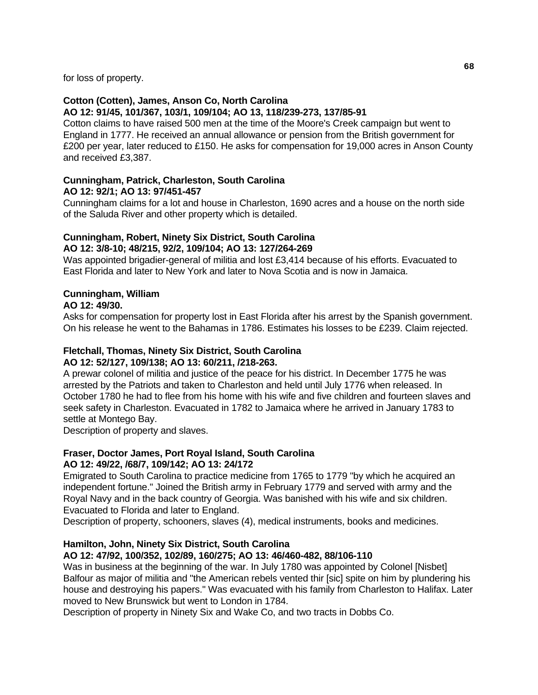for loss of property.

#### **Cotton (Cotten), James, Anson Co, North Carolina AO 12: 91/45, 101/367, 103/1, 109/104; AO 13, 118/239-273, 137/85-91**

Cotton claims to have raised 500 men at the time of the Moore's Creek campaign but went to England in 1777. He received an annual allowance or pension from the British government for £200 per year, later reduced to £150. He asks for compensation for 19,000 acres in Anson County and received £3,387.

# **Cunningham, Patrick, Charleston, South Carolina AO 12: 92/1; AO 13: 97/451-457**

Cunningham claims for a lot and house in Charleston, 1690 acres and a house on the north side of the Saluda River and other property which is detailed.

# **Cunningham, Robert, Ninety Six District, South Carolina**

# **AO 12: 3/8-10; 48/215, 92/2, 109/104; AO 13: 127/264-269**

Was appointed brigadier-general of militia and lost £3,414 because of his efforts. Evacuated to East Florida and later to New York and later to Nova Scotia and is now in Jamaica.

# **Cunningham, William**

#### **AO 12: 49/30.**

Asks for compensation for property lost in East Florida after his arrest by the Spanish government. On his release he went to the Bahamas in 1786. Estimates his losses to be £239. Claim rejected.

# **Fletchall, Thomas, Ninety Six District, South Carolina**

# **AO 12: 52/127, 109/138; AO 13: 60/211, /218-263.**

A prewar colonel of militia and justice of the peace for his district. In December 1775 he was arrested by the Patriots and taken to Charleston and held until July 1776 when released. In October 1780 he had to flee from his home with his wife and five children and fourteen slaves and seek safety in Charleston. Evacuated in 1782 to Jamaica where he arrived in January 1783 to settle at Montego Bay.

Description of property and slaves.

#### **Fraser, Doctor James, Port Royal Island, South Carolina AO 12: 49/22, /68/7, 109/142; AO 13: 24/172**

Emigrated to South Carolina to practice medicine from 1765 to 1779 "by which he acquired an independent fortune." Joined the British army in February 1779 and served with army and the Royal Navy and in the back country of Georgia. Was banished with his wife and six children. Evacuated to Florida and later to England.

Description of property, schooners, slaves (4), medical instruments, books and medicines.

## **Hamilton, John, Ninety Six District, South Carolina**

## **AO 12: 47/92, 100/352, 102/89, 160/275; AO 13: 46/460-482, 88/106-110**

Was in business at the beginning of the war. In July 1780 was appointed by Colonel [Nisbet] Balfour as major of militia and "the American rebels vented thir [sic] spite on him by plundering his house and destroying his papers." Was evacuated with his family from Charleston to Halifax. Later moved to New Brunswick but went to London in 1784.

Description of property in Ninety Six and Wake Co, and two tracts in Dobbs Co.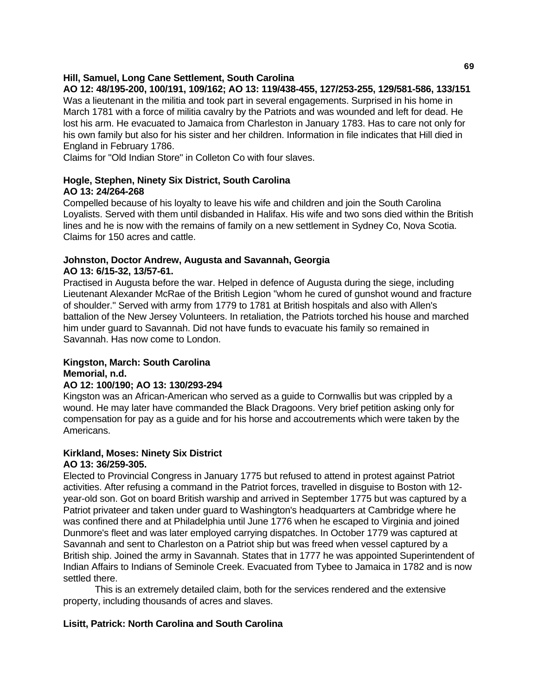### **Hill, Samuel, Long Cane Settlement, South Carolina**

**AO 12: 48/195-200, 100/191, 109/162; AO 13: 119/438-455, 127/253-255, 129/581-586, 133/151**

Was a lieutenant in the militia and took part in several engagements. Surprised in his home in March 1781 with a force of militia cavalry by the Patriots and was wounded and left for dead. He lost his arm. He evacuated to Jamaica from Charleston in January 1783. Has to care not only for his own family but also for his sister and her children. Information in file indicates that Hill died in England in February 1786.

Claims for "Old Indian Store" in Colleton Co with four slaves.

## **Hogle, Stephen, Ninety Six District, South Carolina AO 13: 24/264-268**

Compelled because of his loyalty to leave his wife and children and join the South Carolina Loyalists. Served with them until disbanded in Halifax. His wife and two sons died within the British lines and he is now with the remains of family on a new settlement in Sydney Co, Nova Scotia. Claims for 150 acres and cattle.

### **Johnston, Doctor Andrew, Augusta and Savannah, Georgia AO 13: 6/15-32, 13/57-61.**

Practised in Augusta before the war. Helped in defence of Augusta during the siege, including Lieutenant Alexander McRae of the British Legion "whom he cured of gunshot wound and fracture of shoulder." Served with army from 1779 to 1781 at British hospitals and also with Allen's battalion of the New Jersey Volunteers. In retaliation, the Patriots torched his house and marched him under guard to Savannah. Did not have funds to evacuate his family so remained in Savannah. Has now come to London.

# **Kingston, March: South Carolina Memorial, n.d.**

### **AO 12: 100/190; AO 13: 130/293-294**

Kingston was an African-American who served as a guide to Cornwallis but was crippled by a wound. He may later have commanded the Black Dragoons. Very brief petition asking only for compensation for pay as a guide and for his horse and accoutrements which were taken by the Americans.

# **Kirkland, Moses: Ninety Six District**

## **AO 13: 36/259-305.**

Elected to Provincial Congress in January 1775 but refused to attend in protest against Patriot activities. After refusing a command in the Patriot forces, travelled in disguise to Boston with 12 year-old son. Got on board British warship and arrived in September 1775 but was captured by a Patriot privateer and taken under guard to Washington's headquarters at Cambridge where he was confined there and at Philadelphia until June 1776 when he escaped to Virginia and joined Dunmore's fleet and was later employed carrying dispatches. In October 1779 was captured at Savannah and sent to Charleston on a Patriot ship but was freed when vessel captured by a British ship. Joined the army in Savannah. States that in 1777 he was appointed Superintendent of Indian Affairs to Indians of Seminole Creek. Evacuated from Tybee to Jamaica in 1782 and is now settled there.

 This is an extremely detailed claim, both for the services rendered and the extensive property, including thousands of acres and slaves.

## **Lisitt, Patrick: North Carolina and South Carolina**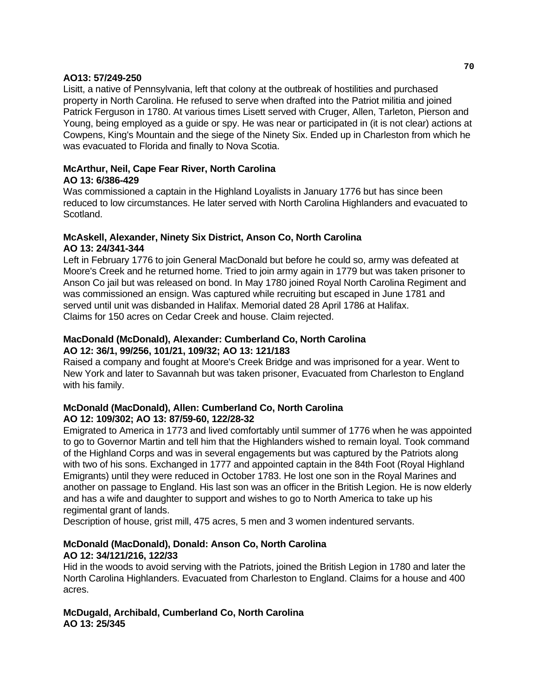### **AO13: 57/249-250**

Lisitt, a native of Pennsylvania, left that colony at the outbreak of hostilities and purchased property in North Carolina. He refused to serve when drafted into the Patriot militia and joined Patrick Ferguson in 1780. At various times Lisett served with Cruger, Allen, Tarleton, Pierson and Young, being employed as a guide or spy. He was near or participated in (it is not clear) actions at Cowpens, King's Mountain and the siege of the Ninety Six. Ended up in Charleston from which he was evacuated to Florida and finally to Nova Scotia.

#### **McArthur, Neil, Cape Fear River, North Carolina AO 13: 6/386-429**

Was commissioned a captain in the Highland Loyalists in January 1776 but has since been reduced to low circumstances. He later served with North Carolina Highlanders and evacuated to Scotland.

## **McAskell, Alexander, Ninety Six District, Anson Co, North Carolina AO 13: 24/341-344**

Left in February 1776 to join General MacDonald but before he could so, army was defeated at Moore's Creek and he returned home. Tried to join army again in 1779 but was taken prisoner to Anson Co jail but was released on bond. In May 1780 joined Royal North Carolina Regiment and was commissioned an ensign. Was captured while recruiting but escaped in June 1781 and served until unit was disbanded in Halifax. Memorial dated 28 April 1786 at Halifax. Claims for 150 acres on Cedar Creek and house. Claim rejected.

## **MacDonald (McDonald), Alexander: Cumberland Co, North Carolina AO 12: 36/1, 99/256, 101/21, 109/32; AO 13: 121/183**

Raised a company and fought at Moore's Creek Bridge and was imprisoned for a year. Went to New York and later to Savannah but was taken prisoner, Evacuated from Charleston to England with his family.

## **McDonald (MacDonald), Allen: Cumberland Co, North Carolina AO 12: 109/302; AO 13: 87/59-60, 122/28-32**

Emigrated to America in 1773 and lived comfortably until summer of 1776 when he was appointed to go to Governor Martin and tell him that the Highlanders wished to remain loyal. Took command of the Highland Corps and was in several engagements but was captured by the Patriots along with two of his sons. Exchanged in 1777 and appointed captain in the 84th Foot (Royal Highland Emigrants) until they were reduced in October 1783. He lost one son in the Royal Marines and another on passage to England. His last son was an officer in the British Legion. He is now elderly and has a wife and daughter to support and wishes to go to North America to take up his regimental grant of lands.

Description of house, grist mill, 475 acres, 5 men and 3 women indentured servants.

## **McDonald (MacDonald), Donald: Anson Co, North Carolina AO 12: 34/121/216, 122/33**

Hid in the woods to avoid serving with the Patriots, joined the British Legion in 1780 and later the North Carolina Highlanders. Evacuated from Charleston to England. Claims for a house and 400 acres.

## **McDugald, Archibald, Cumberland Co, North Carolina AO 13: 25/345**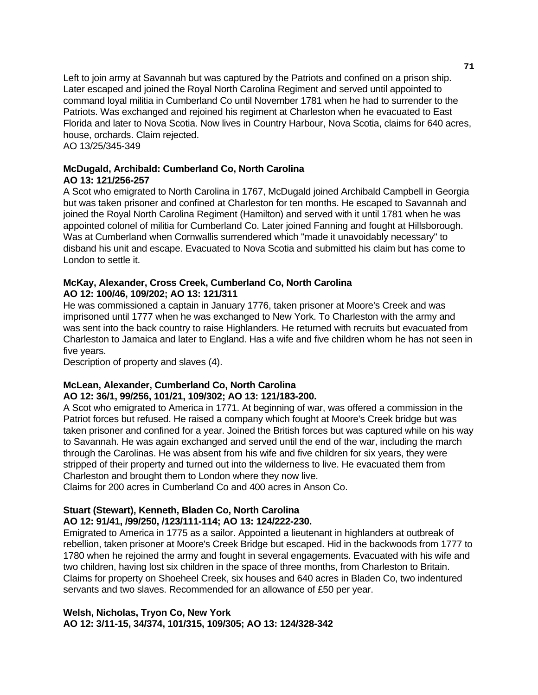Left to join army at Savannah but was captured by the Patriots and confined on a prison ship. Later escaped and joined the Royal North Carolina Regiment and served until appointed to command loyal militia in Cumberland Co until November 1781 when he had to surrender to the Patriots. Was exchanged and rejoined his regiment at Charleston when he evacuated to East Florida and later to Nova Scotia. Now lives in Country Harbour, Nova Scotia, claims for 640 acres, house, orchards. Claim rejected.

AO 13/25/345-349

### **McDugald, Archibald: Cumberland Co, North Carolina AO 13: 121/256-257**

A Scot who emigrated to North Carolina in 1767, McDugald joined Archibald Campbell in Georgia but was taken prisoner and confined at Charleston for ten months. He escaped to Savannah and joined the Royal North Carolina Regiment (Hamilton) and served with it until 1781 when he was appointed colonel of militia for Cumberland Co. Later joined Fanning and fought at Hillsborough. Was at Cumberland when Cornwallis surrendered which "made it unavoidably necessary" to disband his unit and escape. Evacuated to Nova Scotia and submitted his claim but has come to London to settle it.

## **McKay, Alexander, Cross Creek, Cumberland Co, North Carolina AO 12: 100/46, 109/202; AO 13: 121/311**

He was commissioned a captain in January 1776, taken prisoner at Moore's Creek and was imprisoned until 1777 when he was exchanged to New York. To Charleston with the army and was sent into the back country to raise Highlanders. He returned with recruits but evacuated from Charleston to Jamaica and later to England. Has a wife and five children whom he has not seen in five years.

Description of property and slaves (4).

## **McLean, Alexander, Cumberland Co, North Carolina AO 12: 36/1, 99/256, 101/21, 109/302; AO 13: 121/183-200.**

A Scot who emigrated to America in 1771. At beginning of war, was offered a commission in the Patriot forces but refused. He raised a company which fought at Moore's Creek bridge but was taken prisoner and confined for a year. Joined the British forces but was captured while on his way to Savannah. He was again exchanged and served until the end of the war, including the march through the Carolinas. He was absent from his wife and five children for six years, they were stripped of their property and turned out into the wilderness to live. He evacuated them from Charleston and brought them to London where they now live.

Claims for 200 acres in Cumberland Co and 400 acres in Anson Co.

### **Stuart (Stewart), Kenneth, Bladen Co, North Carolina AO 12: 91/41, /99/250, /123/111-114; AO 13: 124/222-230.**

Emigrated to America in 1775 as a sailor. Appointed a lieutenant in highlanders at outbreak of rebellion, taken prisoner at Moore's Creek Bridge but escaped. Hid in the backwoods from 1777 to 1780 when he rejoined the army and fought in several engagements. Evacuated with his wife and two children, having lost six children in the space of three months, from Charleston to Britain. Claims for property on Shoeheel Creek, six houses and 640 acres in Bladen Co, two indentured servants and two slaves. Recommended for an allowance of £50 per year.

## **Welsh, Nicholas, Tryon Co, New York AO 12: 3/11-15, 34/374, 101/315, 109/305; AO 13: 124/328-342**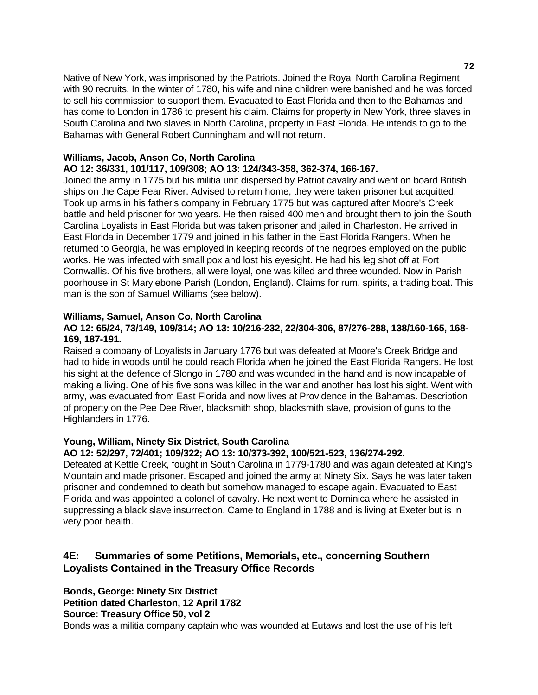Native of New York, was imprisoned by the Patriots. Joined the Royal North Carolina Regiment with 90 recruits. In the winter of 1780, his wife and nine children were banished and he was forced to sell his commission to support them. Evacuated to East Florida and then to the Bahamas and has come to London in 1786 to present his claim. Claims for property in New York, three slaves in South Carolina and two slaves in North Carolina, property in East Florida. He intends to go to the Bahamas with General Robert Cunningham and will not return.

### **Williams, Jacob, Anson Co, North Carolina**

### **AO 12: 36/331, 101/117, 109/308; AO 13: 124/343-358, 362-374, 166-167.**

Joined the army in 1775 but his militia unit dispersed by Patriot cavalry and went on board British ships on the Cape Fear River. Advised to return home, they were taken prisoner but acquitted. Took up arms in his father's company in February 1775 but was captured after Moore's Creek battle and held prisoner for two years. He then raised 400 men and brought them to join the South Carolina Loyalists in East Florida but was taken prisoner and jailed in Charleston. He arrived in East Florida in December 1779 and joined in his father in the East Florida Rangers. When he returned to Georgia, he was employed in keeping records of the negroes employed on the public works. He was infected with small pox and lost his eyesight. He had his leg shot off at Fort Cornwallis. Of his five brothers, all were loyal, one was killed and three wounded. Now in Parish poorhouse in St Marylebone Parish (London, England). Claims for rum, spirits, a trading boat. This man is the son of Samuel Williams (see below).

### **Williams, Samuel, Anson Co, North Carolina**

### **AO 12: 65/24, 73/149, 109/314; AO 13: 10/216-232, 22/304-306, 87/276-288, 138/160-165, 168- 169, 187-191.**

Raised a company of Loyalists in January 1776 but was defeated at Moore's Creek Bridge and had to hide in woods until he could reach Florida when he joined the East Florida Rangers. He lost his sight at the defence of Slongo in 1780 and was wounded in the hand and is now incapable of making a living. One of his five sons was killed in the war and another has lost his sight. Went with army, was evacuated from East Florida and now lives at Providence in the Bahamas. Description of property on the Pee Dee River, blacksmith shop, blacksmith slave, provision of guns to the Highlanders in 1776.

### **Young, William, Ninety Six District, South Carolina**

### **AO 12: 52/297, 72/401; 109/322; AO 13: 10/373-392, 100/521-523, 136/274-292.**

Defeated at Kettle Creek, fought in South Carolina in 1779-1780 and was again defeated at King's Mountain and made prisoner. Escaped and joined the army at Ninety Six. Says he was later taken prisoner and condemned to death but somehow managed to escape again. Evacuated to East Florida and was appointed a colonel of cavalry. He next went to Dominica where he assisted in suppressing a black slave insurrection. Came to England in 1788 and is living at Exeter but is in very poor health.

# **4E: Summaries of some Petitions, Memorials, etc., concerning Southern Loyalists Contained in the Treasury Office Records**

**Bonds, George: Ninety Six District Petition dated Charleston, 12 April 1782 Source: Treasury Office 50, vol 2** 

Bonds was a militia company captain who was wounded at Eutaws and lost the use of his left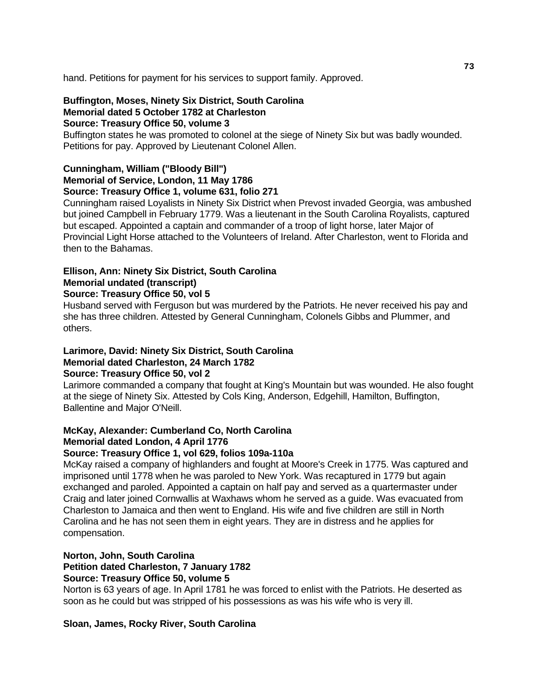hand. Petitions for payment for his services to support family. Approved.

# **Buffington, Moses, Ninety Six District, South Carolina Memorial dated 5 October 1782 at Charleston**

## **Source: Treasury Office 50, volume 3**

Buffington states he was promoted to colonel at the siege of Ninety Six but was badly wounded. Petitions for pay. Approved by Lieutenant Colonel Allen.

## **Cunningham, William ("Bloody Bill") Memorial of Service, London, 11 May 1786 Source: Treasury Office 1, volume 631, folio 271**

Cunningham raised Loyalists in Ninety Six District when Prevost invaded Georgia, was ambushed but joined Campbell in February 1779. Was a lieutenant in the South Carolina Royalists, captured but escaped. Appointed a captain and commander of a troop of light horse, later Major of Provincial Light Horse attached to the Volunteers of Ireland. After Charleston, went to Florida and then to the Bahamas.

## **Ellison, Ann: Ninety Six District, South Carolina Memorial undated (transcript)**

## **Source: Treasury Office 50, vol 5**

Husband served with Ferguson but was murdered by the Patriots. He never received his pay and she has three children. Attested by General Cunningham, Colonels Gibbs and Plummer, and others.

### **Larimore, David: Ninety Six District, South Carolina Memorial dated Charleston, 24 March 1782 Source: Treasury Office 50, vol 2**

Larimore commanded a company that fought at King's Mountain but was wounded. He also fought at the siege of Ninety Six. Attested by Cols King, Anderson, Edgehill, Hamilton, Buffington, Ballentine and Major O'Neill.

# **McKay, Alexander: Cumberland Co, North Carolina Memorial dated London, 4 April 1776**

## **Source: Treasury Office 1, vol 629, folios 109a-110a**

McKay raised a company of highlanders and fought at Moore's Creek in 1775. Was captured and imprisoned until 1778 when he was paroled to New York. Was recaptured in 1779 but again exchanged and paroled. Appointed a captain on half pay and served as a quartermaster under Craig and later joined Cornwallis at Waxhaws whom he served as a guide. Was evacuated from Charleston to Jamaica and then went to England. His wife and five children are still in North Carolina and he has not seen them in eight years. They are in distress and he applies for compensation.

# **Norton, John, South Carolina**

## **Petition dated Charleston, 7 January 1782**

### **Source: Treasury Office 50, volume 5**

Norton is 63 years of age. In April 1781 he was forced to enlist with the Patriots. He deserted as soon as he could but was stripped of his possessions as was his wife who is very ill.

## **Sloan, James, Rocky River, South Carolina**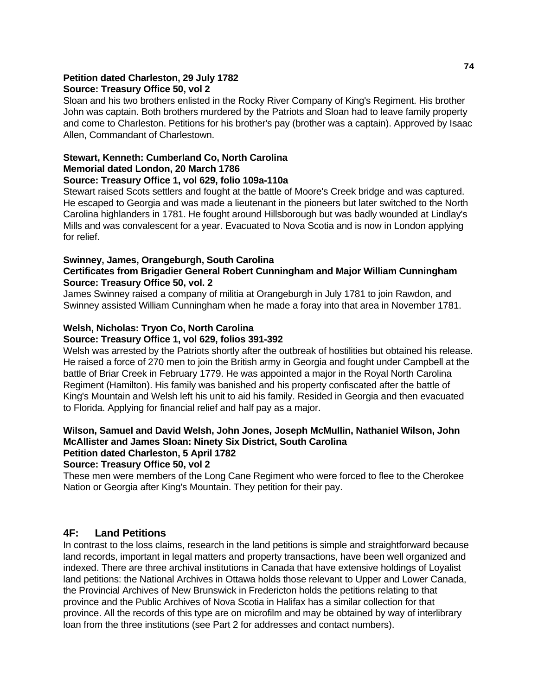#### **Petition dated Charleston, 29 July 1782 Source: Treasury Office 50, vol 2**

Sloan and his two brothers enlisted in the Rocky River Company of King's Regiment. His brother John was captain. Both brothers murdered by the Patriots and Sloan had to leave family property and come to Charleston. Petitions for his brother's pay (brother was a captain). Approved by Isaac Allen, Commandant of Charlestown.

# **Stewart, Kenneth: Cumberland Co, North Carolina Memorial dated London, 20 March 1786**

## **Source: Treasury Office 1, vol 629, folio 109a-110a**

Stewart raised Scots settlers and fought at the battle of Moore's Creek bridge and was captured. He escaped to Georgia and was made a lieutenant in the pioneers but later switched to the North Carolina highlanders in 1781. He fought around Hillsborough but was badly wounded at Lindlay's Mills and was convalescent for a year. Evacuated to Nova Scotia and is now in London applying for relief.

## **Swinney, James, Orangeburgh, South Carolina**

## **Certificates from Brigadier General Robert Cunningham and Major William Cunningham Source: Treasury Office 50, vol. 2**

James Swinney raised a company of militia at Orangeburgh in July 1781 to join Rawdon, and Swinney assisted William Cunningham when he made a foray into that area in November 1781.

# **Welsh, Nicholas: Tryon Co, North Carolina**

## **Source: Treasury Office 1, vol 629, folios 391-392**

Welsh was arrested by the Patriots shortly after the outbreak of hostilities but obtained his release. He raised a force of 270 men to join the British army in Georgia and fought under Campbell at the battle of Briar Creek in February 1779. He was appointed a major in the Royal North Carolina Regiment (Hamilton). His family was banished and his property confiscated after the battle of King's Mountain and Welsh left his unit to aid his family. Resided in Georgia and then evacuated to Florida. Applying for financial relief and half pay as a major.

# **Wilson, Samuel and David Welsh, John Jones, Joseph McMullin, Nathaniel Wilson, John McAllister and James Sloan: Ninety Six District, South Carolina**

# **Petition dated Charleston, 5 April 1782**

### **Source: Treasury Office 50, vol 2**

These men were members of the Long Cane Regiment who were forced to flee to the Cherokee Nation or Georgia after King's Mountain. They petition for their pay.

# **4F: Land Petitions**

In contrast to the loss claims, research in the land petitions is simple and straightforward because land records, important in legal matters and property transactions, have been well organized and indexed. There are three archival institutions in Canada that have extensive holdings of Loyalist land petitions: the National Archives in Ottawa holds those relevant to Upper and Lower Canada, the Provincial Archives of New Brunswick in Fredericton holds the petitions relating to that province and the Public Archives of Nova Scotia in Halifax has a similar collection for that province. All the records of this type are on microfilm and may be obtained by way of interlibrary loan from the three institutions (see Part 2 for addresses and contact numbers).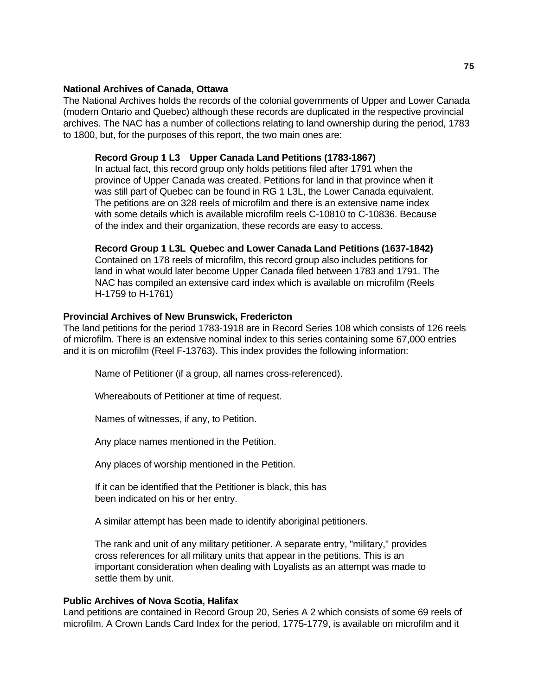### **National Archives of Canada, Ottawa**

The National Archives holds the records of the colonial governments of Upper and Lower Canada (modern Ontario and Quebec) although these records are duplicated in the respective provincial archives. The NAC has a number of collections relating to land ownership during the period, 1783 to 1800, but, for the purposes of this report, the two main ones are:

### **Record Group 1 L3 Upper Canada Land Petitions (1783-1867)**

 In actual fact, this record group only holds petitions filed after 1791 when the province of Upper Canada was created. Petitions for land in that province when it was still part of Quebec can be found in RG 1 L3L, the Lower Canada equivalent. The petitions are on 328 reels of microfilm and there is an extensive name index with some details which is available microfilm reels C-10810 to C-10836. Because of the index and their organization, these records are easy to access.

### **Record Group 1 L3L Quebec and Lower Canada Land Petitions (1637-1842)**

 Contained on 178 reels of microfilm, this record group also includes petitions for land in what would later become Upper Canada filed between 1783 and 1791. The NAC has compiled an extensive card index which is available on microfilm (Reels H-1759 to H-1761)

### **Provincial Archives of New Brunswick, Fredericton**

The land petitions for the period 1783-1918 are in Record Series 108 which consists of 126 reels of microfilm. There is an extensive nominal index to this series containing some 67,000 entries and it is on microfilm (Reel F-13763). This index provides the following information:

Name of Petitioner (if a group, all names cross-referenced).

Whereabouts of Petitioner at time of request.

Names of witnesses, if any, to Petition.

Any place names mentioned in the Petition.

Any places of worship mentioned in the Petition.

 If it can be identified that the Petitioner is black, this has been indicated on his or her entry.

A similar attempt has been made to identify aboriginal petitioners.

 The rank and unit of any military petitioner. A separate entry, "military," provides cross references for all military units that appear in the petitions. This is an important consideration when dealing with Loyalists as an attempt was made to settle them by unit.

### **Public Archives of Nova Scotia, Halifax**

Land petitions are contained in Record Group 20, Series A 2 which consists of some 69 reels of microfilm. A Crown Lands Card Index for the period, 1775-1779, is available on microfilm and it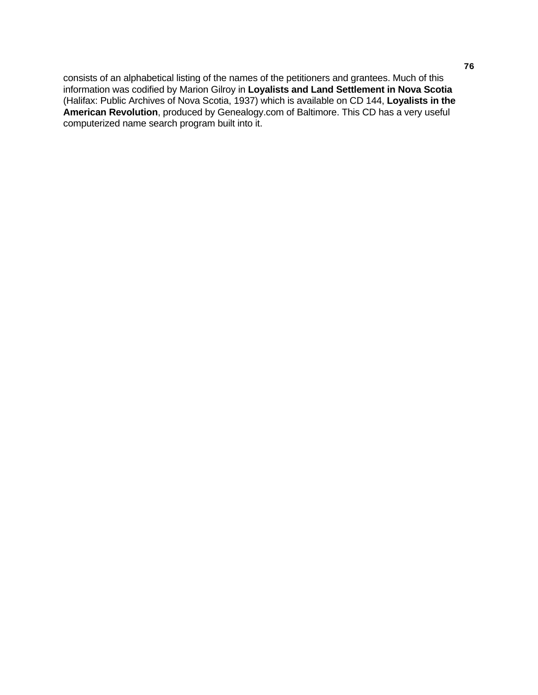consists of an alphabetical listing of the names of the petitioners and grantees. Much of this information was codified by Marion Gilroy in **Loyalists and Land Settlement in Nova Scotia** (Halifax: Public Archives of Nova Scotia, 1937) which is available on CD 144, **Loyalists in the American Revolution**, produced by Genealogy.com of Baltimore. This CD has a very useful computerized name search program built into it.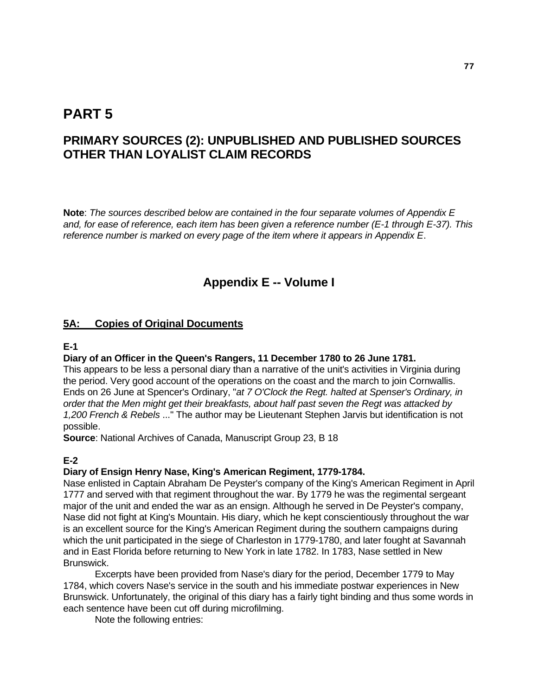# **PART 5**

# **PRIMARY SOURCES (2): UNPUBLISHED AND PUBLISHED SOURCES OTHER THAN LOYALIST CLAIM RECORDS**

**Note**: *The sources described below are contained in the four separate volumes of Appendix E and, for ease of reference, each item has been given a reference number (E-1 through E-37). This reference number is marked on every page of the item where it appears in Appendix E*.

# **Appendix E -- Volume I**

## **5A: Copies of Original Documents**

### **E-1**

### **Diary of an Officer in the Queen's Rangers, 11 December 1780 to 26 June 1781.**

This appears to be less a personal diary than a narrative of the unit's activities in Virginia during the period. Very good account of the operations on the coast and the march to join Cornwallis. Ends on 26 June at Spencer's Ordinary, "*at 7 O'Clock the Regt. halted at Spenser's Ordinary, in order that the Men might get their breakfasts, about half past seven the Regt was attacked by 1,200 French & Rebels* ..." The author may be Lieutenant Stephen Jarvis but identification is not possible.

**Source**: National Archives of Canada, Manuscript Group 23, B 18

## **E-2**

#### **Diary of Ensign Henry Nase, King's American Regiment, 1779-1784.**

Nase enlisted in Captain Abraham De Peyster's company of the King's American Regiment in April 1777 and served with that regiment throughout the war. By 1779 he was the regimental sergeant major of the unit and ended the war as an ensign. Although he served in De Peyster's company, Nase did not fight at King's Mountain. His diary, which he kept conscientiously throughout the war is an excellent source for the King's American Regiment during the southern campaigns during which the unit participated in the siege of Charleston in 1779-1780, and later fought at Savannah and in East Florida before returning to New York in late 1782. In 1783, Nase settled in New Brunswick.

 Excerpts have been provided from Nase's diary for the period, December 1779 to May 1784, which covers Nase's service in the south and his immediate postwar experiences in New Brunswick. Unfortunately, the original of this diary has a fairly tight binding and thus some words in each sentence have been cut off during microfilming.

Note the following entries: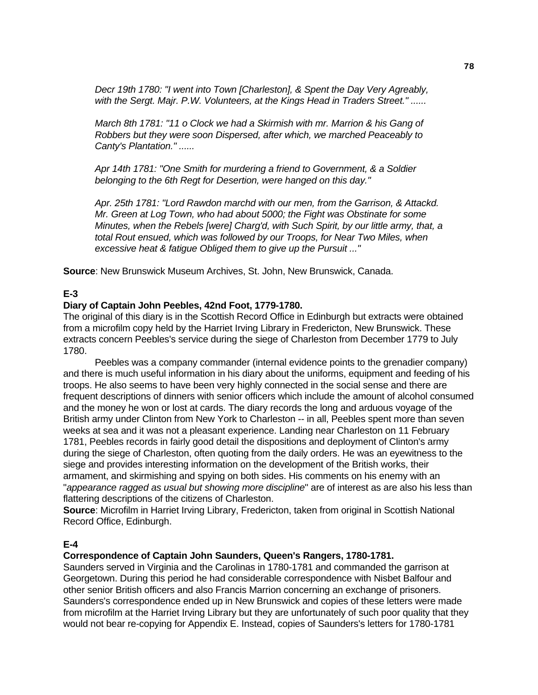*Decr 19th 1780: "I went into Town [Charleston], & Spent the Day Very Agreably, with the Sergt. Majr. P.W. Volunteers, at the Kings Head in Traders Street." ......* 

 *March 8th 1781: "11 o Clock we had a Skirmish with mr. Marrion & his Gang of Robbers but they were soon Dispersed, after which, we marched Peaceably to Canty's Plantation." ......* 

 *Apr 14th 1781: "One Smith for murdering a friend to Government, & a Soldier belonging to the 6th Regt for Desertion, were hanged on this day."* 

 *Apr. 25th 1781: "Lord Rawdon marchd with our men, from the Garrison, & Attackd. Mr. Green at Log Town, who had about 5000; the Fight was Obstinate for some Minutes, when the Rebels [were] Charg'd, with Such Spirit, by our little army, that, a total Rout ensued, which was followed by our Troops, for Near Two Miles, when excessive heat & fatigue Obliged them to give up the Pursuit ..."* 

**Source**: New Brunswick Museum Archives, St. John, New Brunswick, Canada.

### **E-3**

### **Diary of Captain John Peebles, 42nd Foot, 1779-1780.**

The original of this diary is in the Scottish Record Office in Edinburgh but extracts were obtained from a microfilm copy held by the Harriet Irving Library in Fredericton, New Brunswick. These extracts concern Peebles's service during the siege of Charleston from December 1779 to July 1780.

 Peebles was a company commander (internal evidence points to the grenadier company) and there is much useful information in his diary about the uniforms, equipment and feeding of his troops. He also seems to have been very highly connected in the social sense and there are frequent descriptions of dinners with senior officers which include the amount of alcohol consumed and the money he won or lost at cards. The diary records the long and arduous voyage of the British army under Clinton from New York to Charleston -- in all, Peebles spent more than seven weeks at sea and it was not a pleasant experience. Landing near Charleston on 11 February 1781, Peebles records in fairly good detail the dispositions and deployment of Clinton's army during the siege of Charleston, often quoting from the daily orders. He was an eyewitness to the siege and provides interesting information on the development of the British works, their armament, and skirmishing and spying on both sides. His comments on his enemy with an "*appearance ragged as usual but showing more discipline*" are of interest as are also his less than flattering descriptions of the citizens of Charleston.

**Source**: Microfilm in Harriet Irving Library, Fredericton, taken from original in Scottish National Record Office, Edinburgh.

### **E-4**

### **Correspondence of Captain John Saunders, Queen's Rangers, 1780-1781.**

Saunders served in Virginia and the Carolinas in 1780-1781 and commanded the garrison at Georgetown. During this period he had considerable correspondence with Nisbet Balfour and other senior British officers and also Francis Marrion concerning an exchange of prisoners. Saunders's correspondence ended up in New Brunswick and copies of these letters were made from microfilm at the Harriet Irving Library but they are unfortunately of such poor quality that they would not bear re-copying for Appendix E. Instead, copies of Saunders's letters for 1780-1781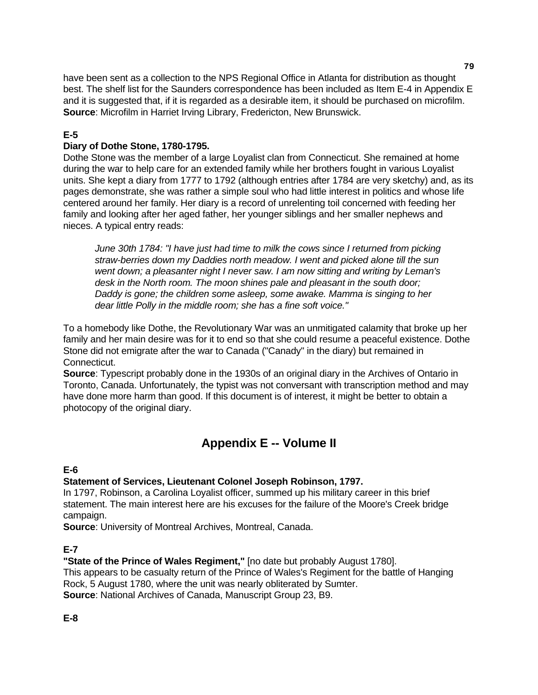have been sent as a collection to the NPS Regional Office in Atlanta for distribution as thought best. The shelf list for the Saunders correspondence has been included as Item E-4 in Appendix E and it is suggested that, if it is regarded as a desirable item, it should be purchased on microfilm. **Source**: Microfilm in Harriet Irving Library, Fredericton, New Brunswick.

# **E-5**

## **Diary of Dothe Stone, 1780-1795.**

Dothe Stone was the member of a large Loyalist clan from Connecticut. She remained at home during the war to help care for an extended family while her brothers fought in various Loyalist units. She kept a diary from 1777 to 1792 (although entries after 1784 are very sketchy) and, as its pages demonstrate, she was rather a simple soul who had little interest in politics and whose life centered around her family. Her diary is a record of unrelenting toil concerned with feeding her family and looking after her aged father, her younger siblings and her smaller nephews and nieces. A typical entry reads:

 *June 30th 1784: "I have just had time to milk the cows since I returned from picking straw-berries down my Daddies north meadow. I went and picked alone till the sun went down; a pleasanter night I never saw. I am now sitting and writing by Leman's desk in the North room. The moon shines pale and pleasant in the south door; Daddy is gone; the children some asleep, some awake. Mamma is singing to her dear little Polly in the middle room; she has a fine soft voice."* 

To a homebody like Dothe, the Revolutionary War was an unmitigated calamity that broke up her family and her main desire was for it to end so that she could resume a peaceful existence. Dothe Stone did not emigrate after the war to Canada ("Canady" in the diary) but remained in Connecticut.

**Source**: Typescript probably done in the 1930s of an original diary in the Archives of Ontario in Toronto, Canada. Unfortunately, the typist was not conversant with transcription method and may have done more harm than good. If this document is of interest, it might be better to obtain a photocopy of the original diary.

# **Appendix E -- Volume II**

## **E-6**

## **Statement of Services, Lieutenant Colonel Joseph Robinson, 1797.**

In 1797, Robinson, a Carolina Loyalist officer, summed up his military career in this brief statement. The main interest here are his excuses for the failure of the Moore's Creek bridge campaign.

**Source**: University of Montreal Archives, Montreal, Canada.

# **E-7**

**"State of the Prince of Wales Regiment,"** [no date but probably August 1780].

This appears to be casualty return of the Prince of Wales's Regiment for the battle of Hanging Rock, 5 August 1780, where the unit was nearly obliterated by Sumter.

**Source**: National Archives of Canada, Manuscript Group 23, B9.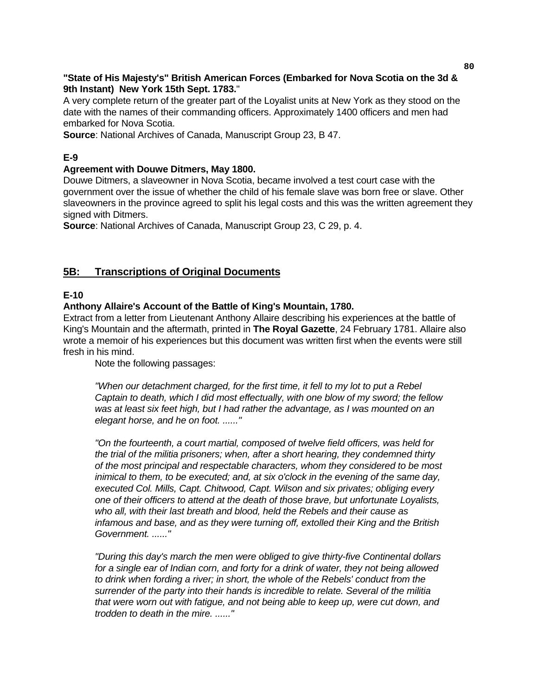## **"State of His Majesty's" British American Forces (Embarked for Nova Scotia on the 3d & 9th Instant) New York 15th Sept. 1783.**"

A very complete return of the greater part of the Loyalist units at New York as they stood on the date with the names of their commanding officers. Approximately 1400 officers and men had embarked for Nova Scotia.

**Source**: National Archives of Canada, Manuscript Group 23, B 47.

# **E-9**

## **Agreement with Douwe Ditmers, May 1800.**

Douwe Ditmers, a slaveowner in Nova Scotia, became involved a test court case with the government over the issue of whether the child of his female slave was born free or slave. Other slaveowners in the province agreed to split his legal costs and this was the written agreement they signed with Ditmers.

**Source**: National Archives of Canada, Manuscript Group 23, C 29, p. 4.

# **5B: Transcriptions of Original Documents**

## **E-10**

## **Anthony Allaire's Account of the Battle of King's Mountain, 1780.**

Extract from a letter from Lieutenant Anthony Allaire describing his experiences at the battle of King's Mountain and the aftermath, printed in **The Royal Gazette**, 24 February 1781. Allaire also wrote a memoir of his experiences but this document was written first when the events were still fresh in his mind.

Note the following passages:

 *"When our detachment charged, for the first time, it fell to my lot to put a Rebel Captain to death, which I did most effectually, with one blow of my sword; the fellow was at least six feet high, but I had rather the advantage, as I was mounted on an elegant horse, and he on foot. ......"* 

 *"On the fourteenth, a court martial, composed of twelve field officers, was held for the trial of the militia prisoners; when, after a short hearing, they condemned thirty of the most principal and respectable characters, whom they considered to be most inimical to them, to be executed; and, at six o'clock in the evening of the same day, executed Col. Mills, Capt. Chitwood, Capt. Wilson and six privates; obliging every one of their officers to attend at the death of those brave, but unfortunate Loyalists, who all, with their last breath and blood, held the Rebels and their cause as infamous and base, and as they were turning off, extolled their King and the British Government. ......"* 

 *"During this day's march the men were obliged to give thirty-five Continental dollars for a single ear of Indian corn, and forty for a drink of water, they not being allowed to drink when fording a river; in short, the whole of the Rebels' conduct from the surrender of the party into their hands is incredible to relate. Several of the militia that were worn out with fatigue, and not being able to keep up, were cut down, and trodden to death in the mire. ......"*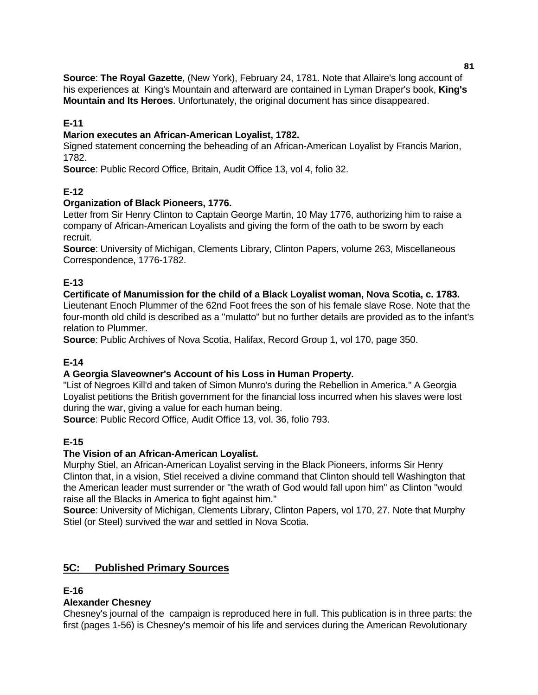**Source**: **The Royal Gazette**, (New York), February 24, 1781. Note that Allaire's long account of his experiences at King's Mountain and afterward are contained in Lyman Draper's book, **King's Mountain and Its Heroes**. Unfortunately, the original document has since disappeared.

## **E-11**

### **Marion executes an African-American Loyalist, 1782.**

Signed statement concerning the beheading of an African-American Loyalist by Francis Marion, 1782.

**Source**: Public Record Office, Britain, Audit Office 13, vol 4, folio 32.

## **E-12**

### **Organization of Black Pioneers, 1776.**

Letter from Sir Henry Clinton to Captain George Martin, 10 May 1776, authorizing him to raise a company of African-American Loyalists and giving the form of the oath to be sworn by each recruit.

**Source**: University of Michigan, Clements Library, Clinton Papers, volume 263, Miscellaneous Correspondence, 1776-1782.

## **E-13**

### **Certificate of Manumission for the child of a Black Loyalist woman, Nova Scotia, c. 1783.**

Lieutenant Enoch Plummer of the 62nd Foot frees the son of his female slave Rose. Note that the four-month old child is described as a "mulatto" but no further details are provided as to the infant's relation to Plummer.

**Source**: Public Archives of Nova Scotia, Halifax, Record Group 1, vol 170, page 350.

# **E-14**

## **A Georgia Slaveowner's Account of his Loss in Human Property.**

"List of Negroes Kill'd and taken of Simon Munro's during the Rebellion in America." A Georgia Loyalist petitions the British government for the financial loss incurred when his slaves were lost during the war, giving a value for each human being.

**Source**: Public Record Office, Audit Office 13, vol. 36, folio 793.

## **E-15**

## **The Vision of an African-American Loyalist.**

Murphy Stiel, an African-American Loyalist serving in the Black Pioneers, informs Sir Henry Clinton that, in a vision, Stiel received a divine command that Clinton should tell Washington that the American leader must surrender or "the wrath of God would fall upon him" as Clinton "would raise all the Blacks in America to fight against him."

**Source**: University of Michigan, Clements Library, Clinton Papers, vol 170, 27. Note that Murphy Stiel (or Steel) survived the war and settled in Nova Scotia.

## **5C: Published Primary Sources**

### **E-16**

## **Alexander Chesney**

Chesney's journal of the campaign is reproduced here in full. This publication is in three parts: the first (pages 1-56) is Chesney's memoir of his life and services during the American Revolutionary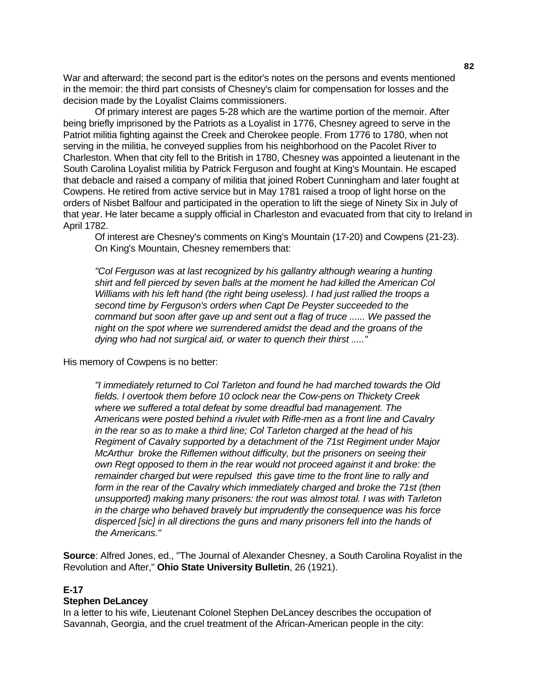War and afterward; the second part is the editor's notes on the persons and events mentioned in the memoir: the third part consists of Chesney's claim for compensation for losses and the decision made by the Loyalist Claims commissioners.

 Of primary interest are pages 5-28 which are the wartime portion of the memoir. After being briefly imprisoned by the Patriots as a Loyalist in 1776, Chesney agreed to serve in the Patriot militia fighting against the Creek and Cherokee people. From 1776 to 1780, when not serving in the militia, he conveyed supplies from his neighborhood on the Pacolet River to Charleston. When that city fell to the British in 1780, Chesney was appointed a lieutenant in the South Carolina Loyalist militia by Patrick Ferguson and fought at King's Mountain. He escaped that debacle and raised a company of militia that joined Robert Cunningham and later fought at Cowpens. He retired from active service but in May 1781 raised a troop of light horse on the orders of Nisbet Balfour and participated in the operation to lift the siege of Ninety Six in July of that year. He later became a supply official in Charleston and evacuated from that city to Ireland in April 1782.

 Of interest are Chesney's comments on King's Mountain (17-20) and Cowpens (21-23). On King's Mountain, Chesney remembers that:

 *"Col Ferguson was at last recognized by his gallantry although wearing a hunting shirt and fell pierced by seven balls at the moment he had killed the American Col Williams with his left hand (the right being useless). I had just rallied the troops a second time by Ferguson's orders when Capt De Peyster succeeded to the command but soon after gave up and sent out a flag of truce ...... We passed the night on the spot where we surrendered amidst the dead and the groans of the dying who had not surgical aid, or water to quench their thirst ....."* 

His memory of Cowpens is no better:

 *"I immediately returned to Col Tarleton and found he had marched towards the Old fields. I overtook them before 10 oclock near the Cow-pens on Thickety Creek where we suffered a total defeat by some dreadful bad management. The Americans were posted behind a rivulet with Rifle-men as a front line and Cavalry in the rear so as to make a third line; Col Tarleton charged at the head of his Regiment of Cavalry supported by a detachment of the 71st Regiment under Major McArthur broke the Riflemen without difficulty, but the prisoners on seeing their own Regt opposed to them in the rear would not proceed against it and broke: the remainder charged but were repulsed this gave time to the front line to rally and form in the rear of the Cavalry which immediately charged and broke the 71st (then unsupported) making many prisoners: the rout was almost total. I was with Tarleton in the charge who behaved bravely but imprudently the consequence was his force disperced [sic] in all directions the guns and many prisoners fell into the hands of the Americans."* 

**Source**: Alfred Jones, ed., "The Journal of Alexander Chesney, a South Carolina Royalist in the Revolution and After," **Ohio State University Bulletin**, 26 (1921).

#### **E-17**

#### **Stephen DeLancey**

In a letter to his wife, Lieutenant Colonel Stephen DeLancey describes the occupation of Savannah, Georgia, and the cruel treatment of the African-American people in the city: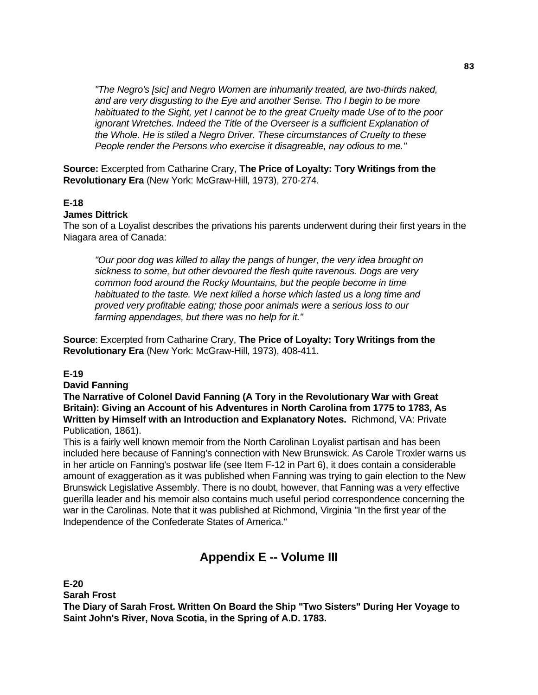*"The Negro's [sic] and Negro Women are inhumanly treated, are two-thirds naked, and are very disgusting to the Eye and another Sense. Tho I begin to be more habituated to the Sight, yet I cannot be to the great Cruelty made Use of to the poor ignorant Wretches. Indeed the Title of the Overseer is a sufficient Explanation of the Whole. He is stiled a Negro Driver. These circumstances of Cruelty to these People render the Persons who exercise it disagreable, nay odious to me."* 

**Source:** Excerpted from Catharine Crary, **The Price of Loyalty: Tory Writings from the Revolutionary Era** (New York: McGraw-Hill, 1973), 270-274.

## **E-18**

#### **James Dittrick**

The son of a Loyalist describes the privations his parents underwent during their first years in the Niagara area of Canada:

 *"Our poor dog was killed to allay the pangs of hunger, the very idea brought on sickness to some, but other devoured the flesh quite ravenous. Dogs are very common food around the Rocky Mountains, but the people become in time habituated to the taste. We next killed a horse which lasted us a long time and proved very profitable eating; those poor animals were a serious loss to our farming appendages, but there was no help for it."* 

**Source**: Excerpted from Catharine Crary, **The Price of Loyalty: Tory Writings from the Revolutionary Era** (New York: McGraw-Hill, 1973), 408-411.

### **E-19**

#### **David Fanning**

**The Narrative of Colonel David Fanning (A Tory in the Revolutionary War with Great Britain): Giving an Account of his Adventures in North Carolina from 1775 to 1783, As Written by Himself with an Introduction and Explanatory Notes.** Richmond, VA: Private Publication, 1861).

This is a fairly well known memoir from the North Carolinan Loyalist partisan and has been included here because of Fanning's connection with New Brunswick. As Carole Troxler warns us in her article on Fanning's postwar life (see Item F-12 in Part 6), it does contain a considerable amount of exaggeration as it was published when Fanning was trying to gain election to the New Brunswick Legislative Assembly. There is no doubt, however, that Fanning was a very effective guerilla leader and his memoir also contains much useful period correspondence concerning the war in the Carolinas. Note that it was published at Richmond, Virginia "In the first year of the Independence of the Confederate States of America."

# **Appendix E -- Volume III**

**E-20**

**Sarah Frost** 

**The Diary of Sarah Frost. Written On Board the Ship "Two Sisters" During Her Voyage to Saint John's River, Nova Scotia, in the Spring of A.D. 1783.**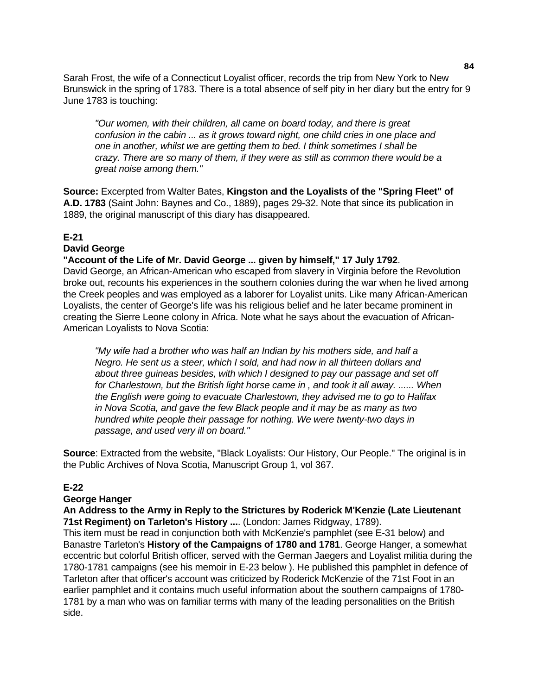Sarah Frost, the wife of a Connecticut Loyalist officer, records the trip from New York to New Brunswick in the spring of 1783. There is a total absence of self pity in her diary but the entry for 9 June 1783 is touching:

 *"Our women, with their children, all came on board today, and there is great confusion in the cabin ... as it grows toward night, one child cries in one place and one in another, whilst we are getting them to bed. I think sometimes I shall be crazy. There are so many of them, if they were as still as common there would be a great noise among them."* 

**Source:** Excerpted from Walter Bates, **Kingston and the Loyalists of the "Spring Fleet" of A.D. 1783** (Saint John: Baynes and Co., 1889), pages 29-32. Note that since its publication in 1889, the original manuscript of this diary has disappeared.

### **E-21**

### **David George**

### **"Account of the Life of Mr. David George ... given by himself," 17 July 1792**.

David George, an African-American who escaped from slavery in Virginia before the Revolution broke out, recounts his experiences in the southern colonies during the war when he lived among the Creek peoples and was employed as a laborer for Loyalist units. Like many African-American Loyalists, the center of George's life was his religious belief and he later became prominent in creating the Sierre Leone colony in Africa. Note what he says about the evacuation of African-American Loyalists to Nova Scotia:

 *"My wife had a brother who was half an Indian by his mothers side, and half a Negro. He sent us a steer, which I sold, and had now in all thirteen dollars and about three guineas besides, with which I designed to pay our passage and set off for Charlestown, but the British light horse came in , and took it all away. ...... When the English were going to evacuate Charlestown, they advised me to go to Halifax in Nova Scotia, and gave the few Black people and it may be as many as two hundred white people their passage for nothing. We were twenty-two days in passage, and used very ill on board."* 

**Source**: Extracted from the website, "Black Loyalists: Our History, Our People." The original is in the Public Archives of Nova Scotia, Manuscript Group 1, vol 367.

#### **E-22**

#### **George Hanger**

#### **An Address to the Army in Reply to the Strictures by Roderick M'Kenzie (Late Lieutenant 71st Regiment) on Tarleton's History ...**. (London: James Ridgway, 1789).

This item must be read in conjunction both with McKenzie's pamphlet (see E-31 below) and Banastre Tarleton's **History of the Campaigns of 1780 and 1781**. George Hanger, a somewhat eccentric but colorful British officer, served with the German Jaegers and Loyalist militia during the 1780-1781 campaigns (see his memoir in E-23 below ). He published this pamphlet in defence of Tarleton after that officer's account was criticized by Roderick McKenzie of the 71st Foot in an earlier pamphlet and it contains much useful information about the southern campaigns of 1780- 1781 by a man who was on familiar terms with many of the leading personalities on the British side.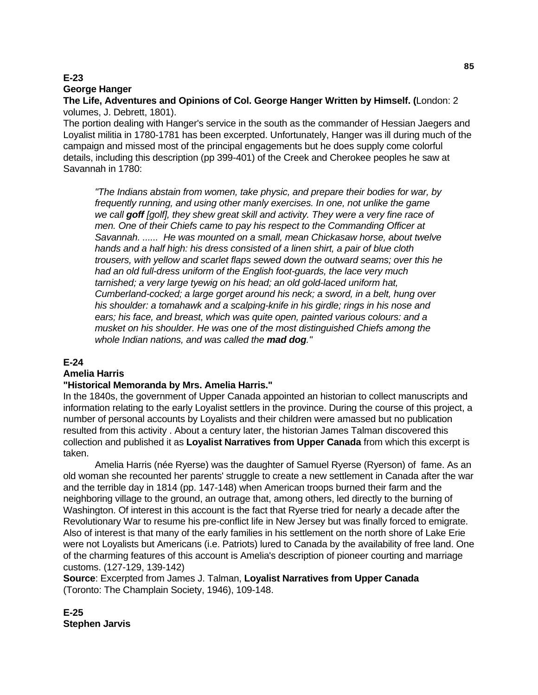# **E-23 George Hanger**

**The Life, Adventures and Opinions of Col. George Hanger Written by Himself. (**London: 2 volumes, J. Debrett, 1801).

The portion dealing with Hanger's service in the south as the commander of Hessian Jaegers and Loyalist militia in 1780-1781 has been excerpted. Unfortunately, Hanger was ill during much of the campaign and missed most of the principal engagements but he does supply come colorful details, including this description (pp 399-401) of the Creek and Cherokee peoples he saw at Savannah in 1780:

 *"The Indians abstain from women, take physic, and prepare their bodies for war, by frequently running, and using other manly exercises. In one, not unlike the game we call goff [golf], they shew great skill and activity. They were a very fine race of men. One of their Chiefs came to pay his respect to the Commanding Officer at Savannah. ...... He was mounted on a small, mean Chickasaw horse, about twelve hands and a half high: his dress consisted of a linen shirt, a pair of blue cloth trousers, with yellow and scarlet flaps sewed down the outward seams; over this he had an old full-dress uniform of the English foot-guards, the lace very much tarnished; a very large tyewig on his head; an old gold-laced uniform hat, Cumberland-cocked; a large gorget around his neck; a sword, in a belt, hung over his shoulder: a tomahawk and a scalping-knife in his girdle; rings in his nose and ears; his face, and breast, which was quite open, painted various colours: and a musket on his shoulder. He was one of the most distinguished Chiefs among the whole Indian nations, and was called the mad dog."* 

## **E-24**

## **Amelia Harris**

## **"Historical Memoranda by Mrs. Amelia Harris."**

In the 1840s, the government of Upper Canada appointed an historian to collect manuscripts and information relating to the early Loyalist settlers in the province. During the course of this project, a number of personal accounts by Loyalists and their children were amassed but no publication resulted from this activity . About a century later, the historian James Talman discovered this collection and published it as **Loyalist Narratives from Upper Canada** from which this excerpt is taken.

 Amelia Harris (née Ryerse) was the daughter of Samuel Ryerse (Ryerson) of fame. As an old woman she recounted her parents' struggle to create a new settlement in Canada after the war and the terrible day in 1814 (pp. 147-148) when American troops burned their farm and the neighboring village to the ground, an outrage that, among others, led directly to the burning of Washington. Of interest in this account is the fact that Ryerse tried for nearly a decade after the Revolutionary War to resume his pre-conflict life in New Jersey but was finally forced to emigrate. Also of interest is that many of the early families in his settlement on the north shore of Lake Erie were not Loyalists but Americans (i.e. Patriots) lured to Canada by the availability of free land. One of the charming features of this account is Amelia's description of pioneer courting and marriage customs. (127-129, 139-142)

**Source**: Excerpted from James J. Talman, **Loyalist Narratives from Upper Canada**  (Toronto: The Champlain Society, 1946), 109-148.

**E-25 Stephen Jarvis**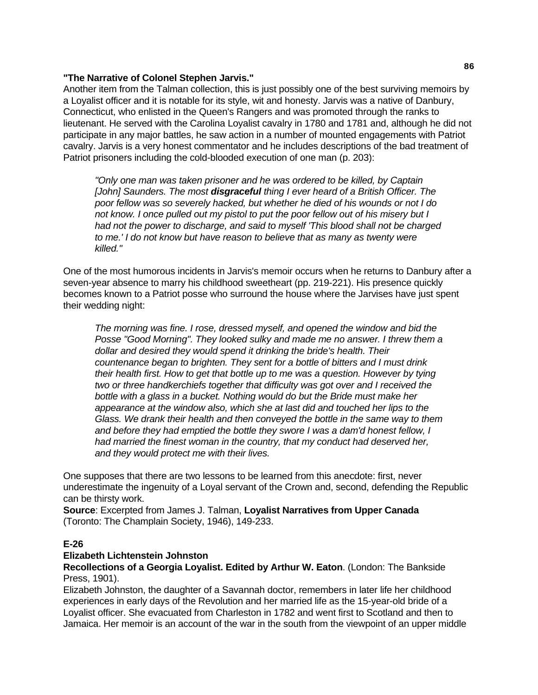### **"The Narrative of Colonel Stephen Jarvis."**

Another item from the Talman collection, this is just possibly one of the best surviving memoirs by a Loyalist officer and it is notable for its style, wit and honesty. Jarvis was a native of Danbury, Connecticut, who enlisted in the Queen's Rangers and was promoted through the ranks to lieutenant. He served with the Carolina Loyalist cavalry in 1780 and 1781 and, although he did not participate in any major battles, he saw action in a number of mounted engagements with Patriot cavalry. Jarvis is a very honest commentator and he includes descriptions of the bad treatment of Patriot prisoners including the cold-blooded execution of one man (p. 203):

 *"Only one man was taken prisoner and he was ordered to be killed, by Captain [John] Saunders. The most disgraceful thing I ever heard of a British Officer. The poor fellow was so severely hacked, but whether he died of his wounds or not I do not know. I once pulled out my pistol to put the poor fellow out of his misery but I had not the power to discharge, and said to myself 'This blood shall not be charged to me.' I do not know but have reason to believe that as many as twenty were killed."* 

One of the most humorous incidents in Jarvis's memoir occurs when he returns to Danbury after a seven-year absence to marry his childhood sweetheart (pp. 219-221). His presence quickly becomes known to a Patriot posse who surround the house where the Jarvises have just spent their wedding night:

 *The morning was fine. I rose, dressed myself, and opened the window and bid the Posse "Good Morning". They looked sulky and made me no answer. I threw them a dollar and desired they would spend it drinking the bride's health. Their countenance began to brighten. They sent for a bottle of bitters and I must drink their health first. How to get that bottle up to me was a question. However by tying two or three handkerchiefs together that difficulty was got over and I received the bottle with a glass in a bucket. Nothing would do but the Bride must make her appearance at the window also, which she at last did and touched her lips to the Glass. We drank their health and then conveyed the bottle in the same way to them and before they had emptied the bottle they swore I was a dam'd honest fellow, I had married the finest woman in the country, that my conduct had deserved her, and they would protect me with their lives.* 

One supposes that there are two lessons to be learned from this anecdote: first, never underestimate the ingenuity of a Loyal servant of the Crown and, second, defending the Republic can be thirsty work.

**Source**: Excerpted from James J. Talman, **Loyalist Narratives from Upper Canada**  (Toronto: The Champlain Society, 1946), 149-233.

## **E-26**

### **Elizabeth Lichtenstein Johnston**

**Recollections of a Georgia Loyalist. Edited by Arthur W. Eaton**. (London: The Bankside Press, 1901).

Elizabeth Johnston, the daughter of a Savannah doctor, remembers in later life her childhood experiences in early days of the Revolution and her married life as the 15-year-old bride of a Loyalist officer. She evacuated from Charleston in 1782 and went first to Scotland and then to Jamaica. Her memoir is an account of the war in the south from the viewpoint of an upper middle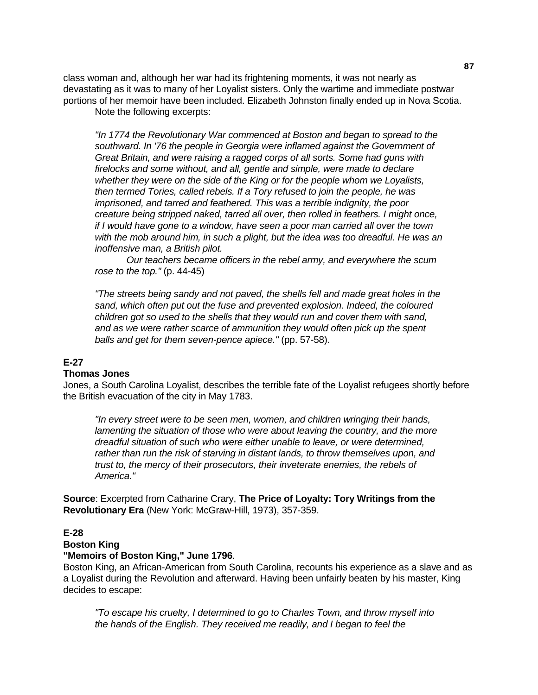class woman and, although her war had its frightening moments, it was not nearly as devastating as it was to many of her Loyalist sisters. Only the wartime and immediate postwar portions of her memoir have been included. Elizabeth Johnston finally ended up in Nova Scotia. Note the following excerpts:

 *"In 1774 the Revolutionary War commenced at Boston and began to spread to the southward. In '76 the people in Georgia were inflamed against the Government of Great Britain, and were raising a ragged corps of all sorts. Some had guns with firelocks and some without, and all, gentle and simple, were made to declare whether they were on the side of the King or for the people whom we Loyalists, then termed Tories, called rebels. If a Tory refused to join the people, he was imprisoned, and tarred and feathered. This was a terrible indignity, the poor creature being stripped naked, tarred all over, then rolled in feathers. I might once, if I would have gone to a window, have seen a poor man carried all over the town with the mob around him, in such a plight, but the idea was too dreadful. He was an inoffensive man, a British pilot.* 

 *Our teachers became officers in the rebel army, and everywhere the scum rose to the top."* (p. 44-45)

 *"The streets being sandy and not paved, the shells fell and made great holes in the sand, which often put out the fuse and prevented explosion. Indeed, the coloured children got so used to the shells that they would run and cover them with sand, and as we were rather scarce of ammunition they would often pick up the spent balls and get for them seven-pence apiece."* (pp. 57-58).

#### **E-27**

#### **Thomas Jones**

Jones, a South Carolina Loyalist, describes the terrible fate of the Loyalist refugees shortly before the British evacuation of the city in May 1783.

 *"In every street were to be seen men, women, and children wringing their hands, lamenting the situation of those who were about leaving the country, and the more dreadful situation of such who were either unable to leave, or were determined, rather than run the risk of starving in distant lands, to throw themselves upon, and trust to, the mercy of their prosecutors, their inveterate enemies, the rebels of America."* 

**Source**: Excerpted from Catharine Crary, **The Price of Loyalty: Tory Writings from the Revolutionary Era** (New York: McGraw-Hill, 1973), 357-359.

### **E-28**

### **Boston King**

#### **"Memoirs of Boston King," June 1796**.

Boston King, an African-American from South Carolina, recounts his experience as a slave and as a Loyalist during the Revolution and afterward. Having been unfairly beaten by his master, King decides to escape:

 *"To escape his cruelty, I determined to go to Charles Town, and throw myself into the hands of the English. They received me readily, and I began to feel the*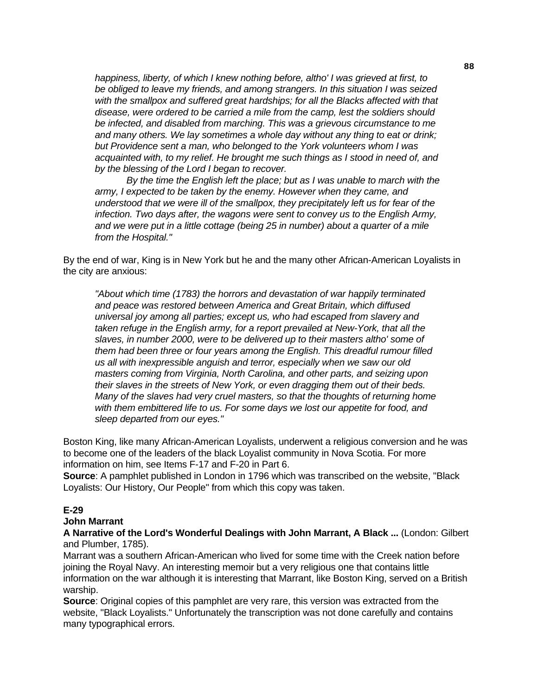*happiness, liberty, of which I knew nothing before, altho' I was grieved at first, to be obliged to leave my friends, and among strangers. In this situation I was seized with the smallpox and suffered great hardships; for all the Blacks affected with that disease, were ordered to be carried a mile from the camp, lest the soldiers should be infected, and disabled from marching. This was a grievous circumstance to me and many others. We lay sometimes a whole day without any thing to eat or drink; but Providence sent a man, who belonged to the York volunteers whom I was acquainted with, to my relief. He brought me such things as I stood in need of, and by the blessing of the Lord I began to recover.* 

 *By the time the English left the place; but as I was unable to march with the army, I expected to be taken by the enemy. However when they came, and understood that we were ill of the smallpox, they precipitately left us for fear of the infection. Two days after, the wagons were sent to convey us to the English Army, and we were put in a little cottage (being 25 in number) about a quarter of a mile from the Hospital."* 

By the end of war, King is in New York but he and the many other African-American Loyalists in the city are anxious:

 *"About which time (1783) the horrors and devastation of war happily terminated and peace was restored between America and Great Britain, which diffused universal joy among all parties; except us, who had escaped from slavery and taken refuge in the English army, for a report prevailed at New-York, that all the slaves, in number 2000, were to be delivered up to their masters altho' some of them had been three or four years among the English. This dreadful rumour filled us all with inexpressible anguish and terror, especially when we saw our old masters coming from Virginia, North Carolina, and other parts, and seizing upon their slaves in the streets of New York, or even dragging them out of their beds. Many of the slaves had very cruel masters, so that the thoughts of returning home with them embittered life to us. For some days we lost our appetite for food, and sleep departed from our eyes."* 

Boston King, like many African-American Loyalists, underwent a religious conversion and he was to become one of the leaders of the black Loyalist community in Nova Scotia. For more information on him, see Items F-17 and F-20 in Part 6.

**Source**: A pamphlet published in London in 1796 which was transcribed on the website, "Black Loyalists: Our History, Our People" from which this copy was taken.

### **E-29**

#### **John Marrant**

**A Narrative of the Lord's Wonderful Dealings with John Marrant, A Black ...** (London: Gilbert and Plumber, 1785).

Marrant was a southern African-American who lived for some time with the Creek nation before joining the Royal Navy. An interesting memoir but a very religious one that contains little information on the war although it is interesting that Marrant, like Boston King, served on a British warship.

**Source**: Original copies of this pamphlet are very rare, this version was extracted from the website, "Black Loyalists." Unfortunately the transcription was not done carefully and contains many typographical errors.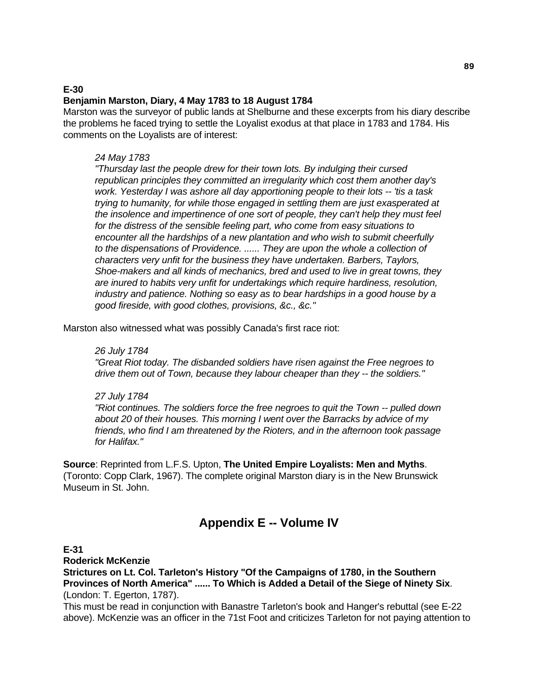## **E-30 Benjamin Marston, Diary, 4 May 1783 to 18 August 1784**

Marston was the surveyor of public lands at Shelburne and these excerpts from his diary describe the problems he faced trying to settle the Loyalist exodus at that place in 1783 and 1784. His comments on the Loyalists are of interest:

## *24 May 1783*

 *"Thursday last the people drew for their town lots. By indulging their cursed republican principles they committed an irregularity which cost them another day's work. Yesterday I was ashore all day apportioning people to their lots -- 'tis a task trying to humanity, for while those engaged in settling them are just exasperated at the insolence and impertinence of one sort of people, they can't help they must feel for the distress of the sensible feeling part, who come from easy situations to encounter all the hardships of a new plantation and who wish to submit cheerfully to the dispensations of Providence. ...... They are upon the whole a collection of characters very unfit for the business they have undertaken. Barbers, Taylors, Shoe-makers and all kinds of mechanics, bred and used to live in great towns, they are inured to habits very unfit for undertakings which require hardiness, resolution, industry and patience. Nothing so easy as to bear hardships in a good house by a good fireside, with good clothes, provisions, &c., &c."* 

Marston also witnessed what was possibly Canada's first race riot:

## *26 July 1784*

 *"Great Riot today. The disbanded soldiers have risen against the Free negroes to drive them out of Town, because they labour cheaper than they -- the soldiers."* 

## *27 July 1784*

 *"Riot continues. The soldiers force the free negroes to quit the Town -- pulled down about 20 of their houses. This morning I went over the Barracks by advice of my friends, who find I am threatened by the Rioters, and in the afternoon took passage for Halifax."* 

**Source**: Reprinted from L.F.S. Upton, **The United Empire Loyalists: Men and Myths**. (Toronto: Copp Clark, 1967). The complete original Marston diary is in the New Brunswick Museum in St. John.

# **Appendix E -- Volume IV**

### **E-31**

**Roderick McKenzie** 

**Strictures on Lt. Col. Tarleton's History "Of the Campaigns of 1780, in the Southern Provinces of North America" ...... To Which is Added a Detail of the Siege of Ninety Six**. (London: T. Egerton, 1787).

This must be read in conjunction with Banastre Tarleton's book and Hanger's rebuttal (see E-22 above). McKenzie was an officer in the 71st Foot and criticizes Tarleton for not paying attention to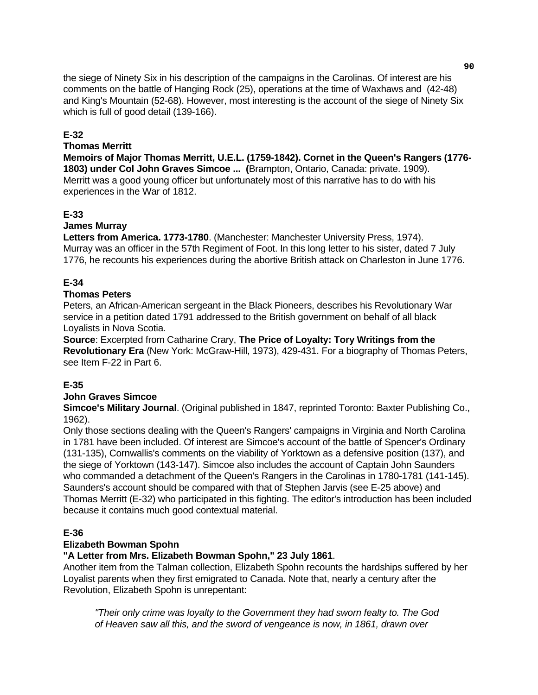the siege of Ninety Six in his description of the campaigns in the Carolinas. Of interest are his comments on the battle of Hanging Rock (25), operations at the time of Waxhaws and (42-48) and King's Mountain (52-68). However, most interesting is the account of the siege of Ninety Six which is full of good detail (139-166).

## **E-32**

### **Thomas Merritt**

**Memoirs of Major Thomas Merritt, U.E.L. (1759-1842). Cornet in the Queen's Rangers (1776- 1803) under Col John Graves Simcoe ... (**Brampton, Ontario, Canada: private. 1909). Merritt was a good young officer but unfortunately most of this narrative has to do with his experiences in the War of 1812.

## **E-33**

## **James Murray**

**Letters from America. 1773-1780**. (Manchester: Manchester University Press, 1974). Murray was an officer in the 57th Regiment of Foot. In this long letter to his sister, dated 7 July 1776, he recounts his experiences during the abortive British attack on Charleston in June 1776.

## **E-34**

### **Thomas Peters**

Peters, an African-American sergeant in the Black Pioneers, describes his Revolutionary War service in a petition dated 1791 addressed to the British government on behalf of all black Loyalists in Nova Scotia.

**Source**: Excerpted from Catharine Crary, **The Price of Loyalty: Tory Writings from the Revolutionary Era** (New York: McGraw-Hill, 1973), 429-431. For a biography of Thomas Peters, see Item F-22 in Part 6.

## **E-35**

### **John Graves Simcoe**

**Simcoe's Military Journal**. (Original published in 1847, reprinted Toronto: Baxter Publishing Co., 1962).

Only those sections dealing with the Queen's Rangers' campaigns in Virginia and North Carolina in 1781 have been included. Of interest are Simcoe's account of the battle of Spencer's Ordinary (131-135), Cornwallis's comments on the viability of Yorktown as a defensive position (137), and the siege of Yorktown (143-147). Simcoe also includes the account of Captain John Saunders who commanded a detachment of the Queen's Rangers in the Carolinas in 1780-1781 (141-145). Saunders's account should be compared with that of Stephen Jarvis (see E-25 above) and Thomas Merritt (E-32) who participated in this fighting. The editor's introduction has been included because it contains much good contextual material.

### **E-36**

### **Elizabeth Bowman Spohn**

## **"A Letter from Mrs. Elizabeth Bowman Spohn," 23 July 1861**.

Another item from the Talman collection, Elizabeth Spohn recounts the hardships suffered by her Loyalist parents when they first emigrated to Canada. Note that, nearly a century after the Revolution, Elizabeth Spohn is unrepentant:

 *"Their only crime was loyalty to the Government they had sworn fealty to. The God of Heaven saw all this, and the sword of vengeance is now, in 1861, drawn over*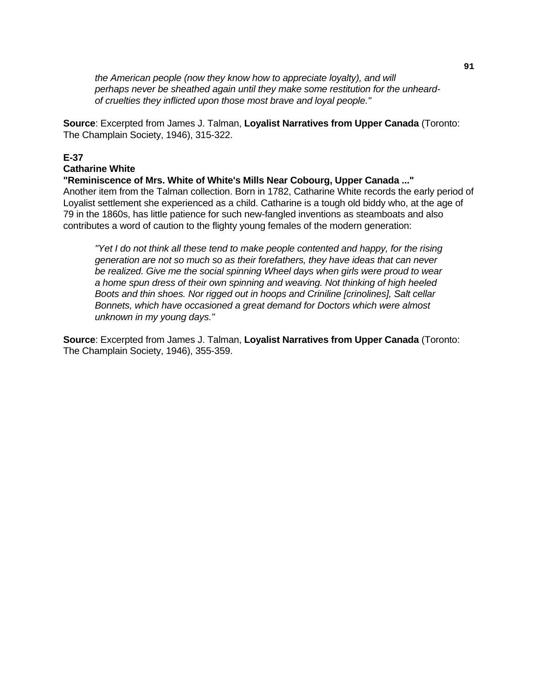*the American people (now they know how to appreciate loyalty), and will perhaps never be sheathed again until they make some restitution for the unheardof cruelties they inflicted upon those most brave and loyal people."* 

**Source**: Excerpted from James J. Talman, **Loyalist Narratives from Upper Canada** (Toronto: The Champlain Society, 1946), 315-322.

## **E-37**

### **Catharine White**

**"Reminiscence of Mrs. White of White's Mills Near Cobourg, Upper Canada ..."**  Another item from the Talman collection. Born in 1782, Catharine White records the early period of Loyalist settlement she experienced as a child. Catharine is a tough old biddy who, at the age of 79 in the 1860s, has little patience for such new-fangled inventions as steamboats and also contributes a word of caution to the flighty young females of the modern generation:

 *"Yet I do not think all these tend to make people contented and happy, for the rising generation are not so much so as their forefathers, they have ideas that can never*  be realized. Give me the social spinning Wheel days when girls were proud to wear *a home spun dress of their own spinning and weaving. Not thinking of high heeled Boots and thin shoes. Nor rigged out in hoops and Criniline [crinolines], Salt cellar Bonnets, which have occasioned a great demand for Doctors which were almost unknown in my young days."* 

**Source**: Excerpted from James J. Talman, **Loyalist Narratives from Upper Canada** (Toronto: The Champlain Society, 1946), 355-359.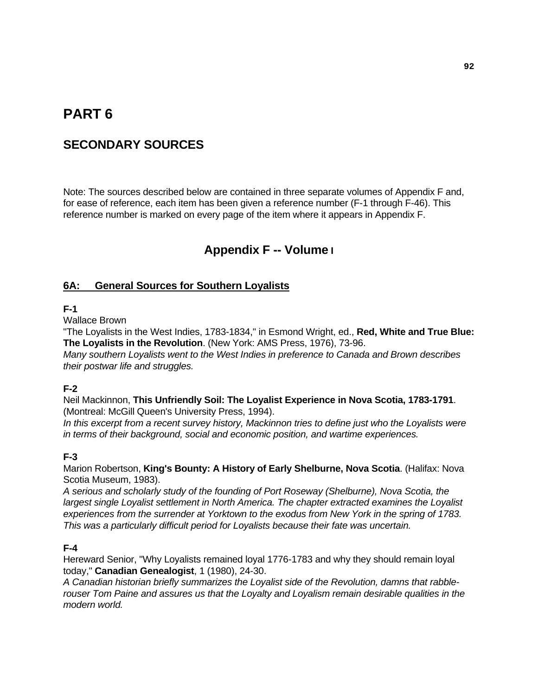# **PART 6**

# **SECONDARY SOURCES**

Note: The sources described below are contained in three separate volumes of Appendix F and, for ease of reference, each item has been given a reference number (F-1 through F-46). This reference number is marked on every page of the item where it appears in Appendix F.

# **Appendix F -- Volume I**

## **6A: General Sources for Southern Loyalists**

### **F-1**

Wallace Brown

"The Loyalists in the West Indies, 1783-1834," in Esmond Wright, ed., **Red, White and True Blue: The Loyalists in the Revolution**. (New York: AMS Press, 1976), 73-96.

*Many southern Loyalists went to the West Indies in preference to Canada and Brown describes their postwar life and struggles.* 

## **F-2**

Neil Mackinnon, **This Unfriendly Soil: The Loyalist Experience in Nova Scotia, 1783-1791**. (Montreal: McGill Queen's University Press, 1994).

*In this excerpt from a recent survey history, Mackinnon tries to define just who the Loyalists were in terms of their background, social and economic position, and wartime experiences.* 

## **F-3**

Marion Robertson, **King's Bounty: A History of Early Shelburne, Nova Scotia**. (Halifax: Nova Scotia Museum, 1983).

*A serious and scholarly study of the founding of Port Roseway (Shelburne), Nova Scotia, the largest single Loyalist settlement in North America. The chapter extracted examines the Loyalist experiences from the surrender at Yorktown to the exodus from New York in the spring of 1783. This was a particularly difficult period for Loyalists because their fate was uncertain.* 

## **F-4**

Hereward Senior, "Why Loyalists remained loyal 1776-1783 and why they should remain loyal today," **Canadian Genealogist**, 1 (1980), 24-30.

*A Canadian historian briefly summarizes the Loyalist side of the Revolution, damns that rabblerouser Tom Paine and assures us that the Loyalty and Loyalism remain desirable qualities in the modern world.*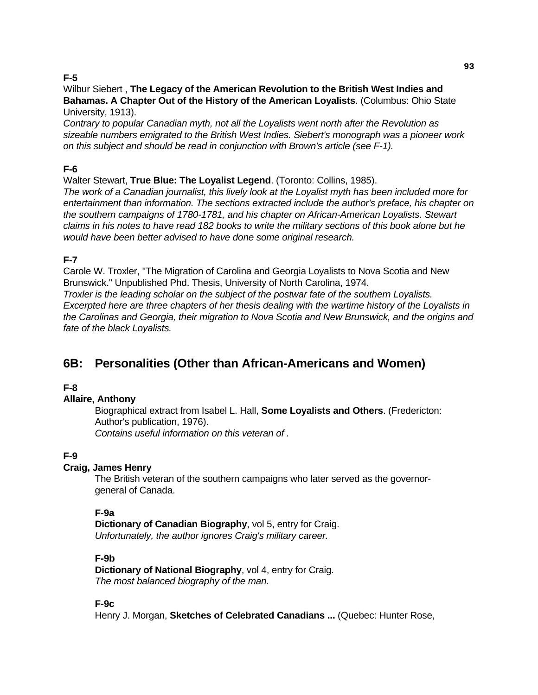# **F-5**

### Wilbur Siebert , **The Legacy of the American Revolution to the British West Indies and Bahamas. A Chapter Out of the History of the American Loyalists**. (Columbus: Ohio State University, 1913).

*Contrary to popular Canadian myth, not all the Loyalists went north after the Revolution as sizeable numbers emigrated to the British West Indies. Siebert's monograph was a pioneer work on this subject and should be read in conjunction with Brown's article (see F-1).* 

# **F-6**

# Walter Stewart, **True Blue: The Loyalist Legend**. (Toronto: Collins, 1985).

*The work of a Canadian journalist, this lively look at the Loyalist myth has been included more for entertainment than information. The sections extracted include the author's preface, his chapter on the southern campaigns of 1780-1781, and his chapter on African-American Loyalists. Stewart claims in his notes to have read 182 books to write the military sections of this book alone but he would have been better advised to have done some original research.* 

# **F-7**

Carole W. Troxler, "The Migration of Carolina and Georgia Loyalists to Nova Scotia and New Brunswick." Unpublished Phd. Thesis, University of North Carolina, 1974. *Troxler is the leading scholar on the subject of the postwar fate of the southern Loyalists.* 

*Excerpted here are three chapters of her thesis dealing with the wartime history of the Loyalists in the Carolinas and Georgia, their migration to Nova Scotia and New Brunswick, and the origins and fate of the black Loyalists.* 

# **6B: Personalities (Other than African-Americans and Women)**

# **F-8**

# **Allaire, Anthony**

 Biographical extract from Isabel L. Hall, **Some Loyalists and Others**. (Fredericton: Author's publication, 1976). *Contains useful information on this veteran of .* 

# **F-9**

# **Craig, James Henry**

 The British veteran of the southern campaigns who later served as the governorgeneral of Canada.

## **F-9a**

 **Dictionary of Canadian Biography**, vol 5, entry for Craig. *Unfortunately, the author ignores Craig's military career.*

## **F-9b**

 **Dictionary of National Biography**, vol 4, entry for Craig.  *The most balanced biography of the man.* 

## **F-9c**

Henry J. Morgan, **Sketches of Celebrated Canadians ...** (Quebec: Hunter Rose,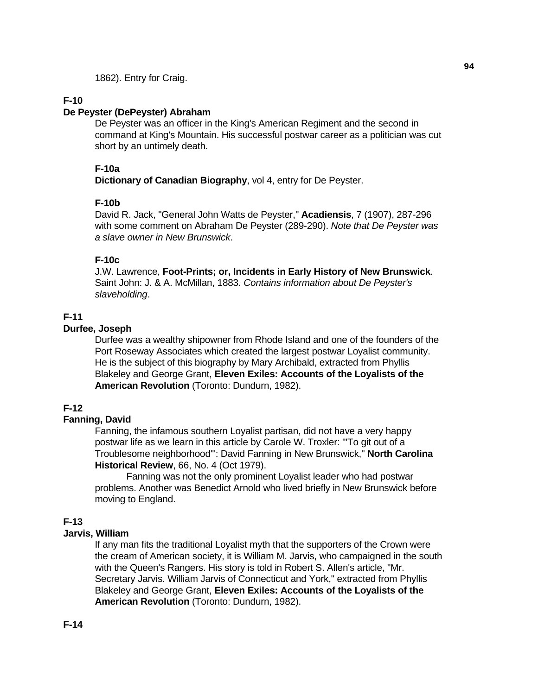1862). Entry for Craig.

## **F-10**

### **De Peyster (DePeyster) Abraham**

 De Peyster was an officer in the King's American Regiment and the second in command at King's Mountain. His successful postwar career as a politician was cut short by an untimely death.

### **F-10a**

 **Dictionary of Canadian Biography**, vol 4, entry for De Peyster.

## **F-10b**

 David R. Jack, "General John Watts de Peyster," **Acadiensis**, 7 (1907), 287-296 with some comment on Abraham De Peyster (289-290). *Note that De Peyster was a slave owner in New Brunswick*.

## **F-10c**

 J.W. Lawrence, **Foot-Prints; or, Incidents in Early History of New Brunswick**. Saint John: J. & A. McMillan, 1883. *Contains information about De Peyster's slaveholding*.

# **F-11**

# **Durfee, Joseph**

 Durfee was a wealthy shipowner from Rhode Island and one of the founders of the Port Roseway Associates which created the largest postwar Loyalist community. He is the subject of this biography by Mary Archibald, extracted from Phyllis Blakeley and George Grant, **Eleven Exiles: Accounts of the Loyalists of the American Revolution** (Toronto: Dundurn, 1982).

## **F-12**

## **Fanning, David**

 Fanning, the infamous southern Loyalist partisan, did not have a very happy postwar life as we learn in this article by Carole W. Troxler: "'To git out of a Troublesome neighborhood'": David Fanning in New Brunswick," **North Carolina Historical Review**, 66, No. 4 (Oct 1979).

 Fanning was not the only prominent Loyalist leader who had postwar problems. Another was Benedict Arnold who lived briefly in New Brunswick before moving to England.

## **F-13**

## **Jarvis, William**

 If any man fits the traditional Loyalist myth that the supporters of the Crown were the cream of American society, it is William M. Jarvis, who campaigned in the south with the Queen's Rangers. His story is told in Robert S. Allen's article, "Mr. Secretary Jarvis. William Jarvis of Connecticut and York," extracted from Phyllis Blakeley and George Grant, **Eleven Exiles: Accounts of the Loyalists of the American Revolution** (Toronto: Dundurn, 1982).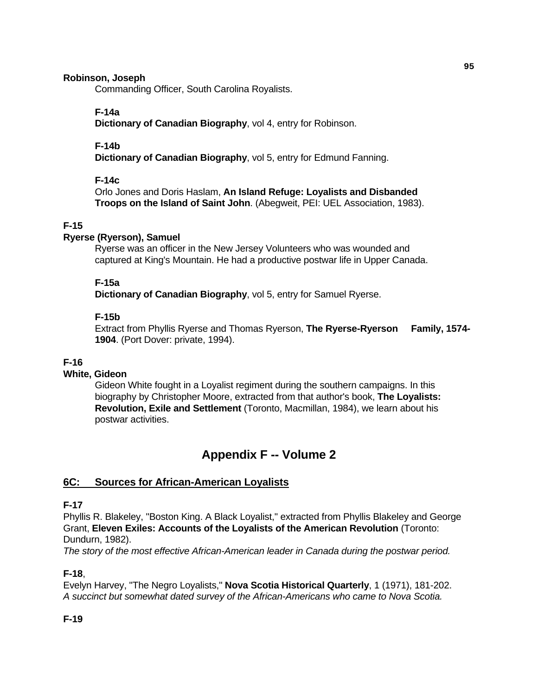### **Robinson, Joseph**

Commanding Officer, South Carolina Royalists.

## **F-14a**

 **Dictionary of Canadian Biography**, vol 4, entry for Robinson.

## **F-14b**

 **Dictionary of Canadian Biography**, vol 5, entry for Edmund Fanning.

## **F-14c**

 Orlo Jones and Doris Haslam, **An Island Refuge: Loyalists and Disbanded Troops on the Island of Saint John**. (Abegweit, PEI: UEL Association, 1983).

## **F-15**

## **Ryerse (Ryerson), Samuel**

 Ryerse was an officer in the New Jersey Volunteers who was wounded and captured at King's Mountain. He had a productive postwar life in Upper Canada.

### **F-15a**

 **Dictionary of Canadian Biography**, vol 5, entry for Samuel Ryerse.

### **F-15b**

 Extract from Phyllis Ryerse and Thomas Ryerson, **The Ryerse-Ryerson Family, 1574- 1904**. (Port Dover: private, 1994).

## **F-16**

## **White, Gideon**

 Gideon White fought in a Loyalist regiment during the southern campaigns. In this biography by Christopher Moore, extracted from that author's book, **The Loyalists: Revolution, Exile and Settlement** (Toronto, Macmillan, 1984), we learn about his postwar activities.

# **Appendix F -- Volume 2**

# **6C: Sources for African-American Loyalists**

### **F-17**

Phyllis R. Blakeley, "Boston King. A Black Loyalist," extracted from Phyllis Blakeley and George Grant, **Eleven Exiles: Accounts of the Loyalists of the American Revolution** (Toronto: Dundurn, 1982).

*The story of the most effective African-American leader in Canada during the postwar period.* 

## **F-18**,

Evelyn Harvey, "The Negro Loyalists," **Nova Scotia Historical Quarterly**, 1 (1971), 181-202. *A succinct but somewhat dated survey of the African-Americans who came to Nova Scotia.* 

## **F-19**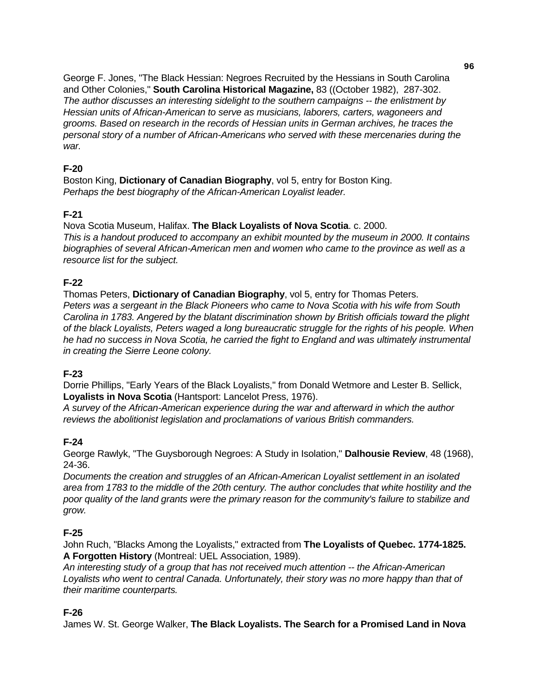George F. Jones, "The Black Hessian: Negroes Recruited by the Hessians in South Carolina and Other Colonies," **South Carolina Historical Magazine,** 83 ((October 1982), 287-302. *The author discusses an interesting sidelight to the southern campaigns -- the enlistment by Hessian units of African-American to serve as musicians, laborers, carters, wagoneers and grooms. Based on research in the records of Hessian units in German archives, he traces the personal story of a number of African-Americans who served with these mercenaries during the war.* 

# **F-20**

Boston King, **Dictionary of Canadian Biography**, vol 5, entry for Boston King. *Perhaps the best biography of the African-American Loyalist leader.* 

# **F-21**

Nova Scotia Museum, Halifax. **The Black Loyalists of Nova Scotia**. c. 2000.

*This is a handout produced to accompany an exhibit mounted by the museum in 2000. It contains biographies of several African-American men and women who came to the province as well as a resource list for the subject.* 

# **F-22**

Thomas Peters, **Dictionary of Canadian Biography**, vol 5, entry for Thomas Peters.

*Peters was a sergeant in the Black Pioneers who came to Nova Scotia with his wife from South Carolina in 1783. Angered by the blatant discrimination shown by British officials toward the plight of the black Loyalists, Peters waged a long bureaucratic struggle for the rights of his people. When he had no success in Nova Scotia, he carried the fight to England and was ultimately instrumental in creating the Sierre Leone colony.* 

# **F-23**

Dorrie Phillips, "Early Years of the Black Loyalists," from Donald Wetmore and Lester B. Sellick, **Loyalists in Nova Scotia** (Hantsport: Lancelot Press, 1976).

*A survey of the African-American experience during the war and afterward in which the author reviews the abolitionist legislation and proclamations of various British commanders.* 

# **F-24**

George Rawlyk, "The Guysborough Negroes: A Study in Isolation," **Dalhousie Review**, 48 (1968), 24-36.

*Documents the creation and struggles of an African-American Loyalist settlement in an isolated area from 1783 to the middle of the 20th century. The author concludes that white hostility and the poor quality of the land grants were the primary reason for the community's failure to stabilize and grow.* 

# **F-25**

John Ruch, "Blacks Among the Loyalists," extracted from **The Loyalists of Quebec. 1774-1825. A Forgotten History** (Montreal: UEL Association, 1989).

*An interesting study of a group that has not received much attention -- the African-American Loyalists who went to central Canada. Unfortunately, their story was no more happy than that of their maritime counterparts.* 

# **F-26**

James W. St. George Walker, **The Black Loyalists. The Search for a Promised Land in Nova**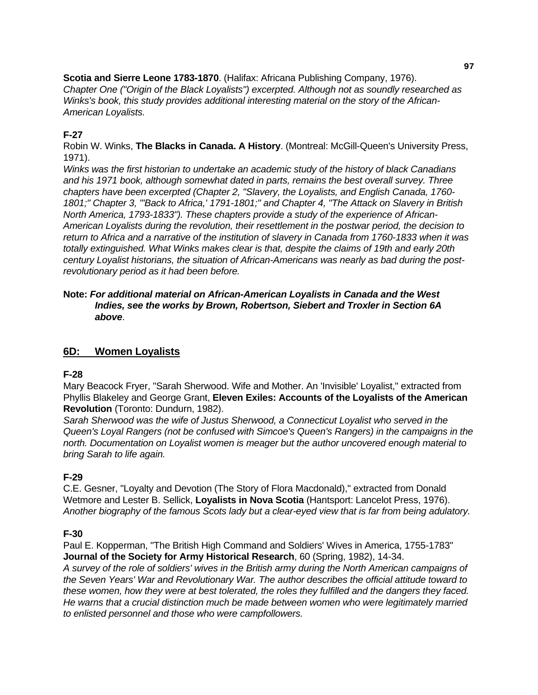**Scotia and Sierre Leone 1783-1870**. (Halifax: Africana Publishing Company, 1976). *Chapter One ("Origin of the Black Loyalists") excerpted. Although not as soundly researched as Winks's book, this study provides additional interesting material on the story of the African-American Loyalists.* 

# **F-27**

Robin W. Winks, **The Blacks in Canada. A History**. (Montreal: McGill-Queen's University Press, 1971).

*Winks was the first historian to undertake an academic study of the history of black Canadians and his 1971 book, although somewhat dated in parts, remains the best overall survey. Three chapters have been excerpted (Chapter 2, "Slavery, the Loyalists, and English Canada, 1760- 1801;" Chapter 3, "'Back to Africa,' 1791-1801;" and Chapter 4, "The Attack on Slavery in British North America, 1793-1833"). These chapters provide a study of the experience of African-American Loyalists during the revolution, their resettlement in the postwar period, the decision to return to Africa and a narrative of the institution of slavery in Canada from 1760-1833 when it was totally extinguished. What Winks makes clear is that, despite the claims of 19th and early 20th century Loyalist historians, the situation of African-Americans was nearly as bad during the postrevolutionary period as it had been before.* 

### **Note:** *For additional material on African-American Loyalists in Canada and the West Indies, see the works by Brown, Robertson, Siebert and Troxler in Section 6A above*.

# **6D: Women Loyalists**

# **F-28**

Mary Beacock Fryer, "Sarah Sherwood. Wife and Mother. An 'Invisible' Loyalist," extracted from Phyllis Blakeley and George Grant, **Eleven Exiles: Accounts of the Loyalists of the American Revolution** (Toronto: Dundurn, 1982).

*Sarah Sherwood was the wife of Justus Sherwood, a Connecticut Loyalist who served in the Queen's Loyal Rangers (not be confused with Simcoe's Queen's Rangers) in the campaigns in the north. Documentation on Loyalist women is meager but the author uncovered enough material to bring Sarah to life again.* 

# **F-29**

C.E. Gesner, "Loyalty and Devotion (The Story of Flora Macdonald)," extracted from Donald Wetmore and Lester B. Sellick, **Loyalists in Nova Scotia** (Hantsport: Lancelot Press, 1976). *Another biography of the famous Scots lady but a clear-eyed view that is far from being adulatory.* 

# **F-30**

Paul E. Kopperman, "The British High Command and Soldiers' Wives in America, 1755-1783" **Journal of the Society for Army Historical Research**, 60 (Spring, 1982), 14-34.

*A survey of the role of soldiers' wives in the British army during the North American campaigns of the Seven Years' War and Revolutionary War. The author describes the official attitude toward to these women, how they were at best tolerated, the roles they fulfilled and the dangers they faced. He warns that a crucial distinction much be made between women who were legitimately married to enlisted personnel and those who were campfollowers.*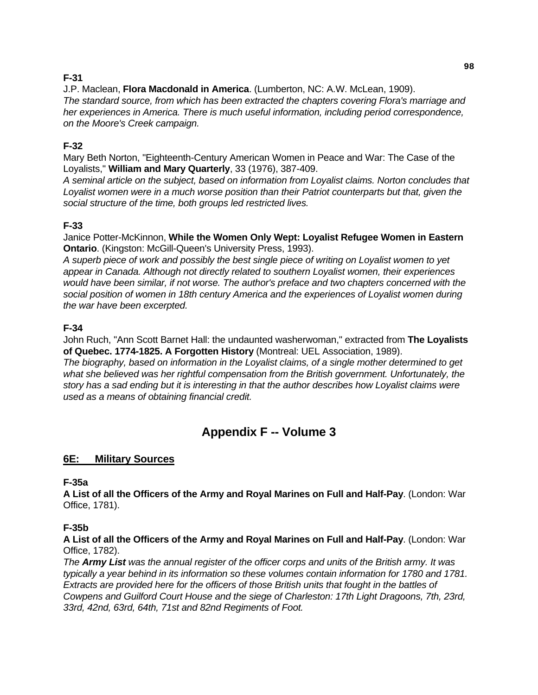# **F-31**

J.P. Maclean, **Flora Macdonald in America**. (Lumberton, NC: A.W. McLean, 1909). *The standard source, from which has been extracted the chapters covering Flora's marriage and her experiences in America. There is much useful information, including period correspondence, on the Moore's Creek campaign.* 

# **F-32**

Mary Beth Norton, "Eighteenth-Century American Women in Peace and War: The Case of the Loyalists," **William and Mary Quarterly**, 33 (1976), 387-409.

*A seminal article on the subject, based on information from Loyalist claims. Norton concludes that Loyalist women were in a much worse position than their Patriot counterparts but that, given the social structure of the time, both groups led restricted lives.* 

# **F-33**

Janice Potter-McKinnon, **While the Women Only Wept: Loyalist Refugee Women in Eastern Ontario**. (Kingston: McGill-Queen's University Press, 1993).

*A superb piece of work and possibly the best single piece of writing on Loyalist women to yet appear in Canada. Although not directly related to southern Loyalist women, their experiences would have been similar, if not worse. The author's preface and two chapters concerned with the social position of women in 18th century America and the experiences of Loyalist women during the war have been excerpted.* 

# **F-34**

John Ruch, "Ann Scott Barnet Hall: the undaunted washerwoman," extracted from **The Loyalists of Quebec. 1774-1825. A Forgotten History** (Montreal: UEL Association, 1989).

*The biography, based on information in the Loyalist claims, of a single mother determined to get what she believed was her rightful compensation from the British government. Unfortunately, the story has a sad ending but it is interesting in that the author describes how Loyalist claims were used as a means of obtaining financial credit.* 

# **Appendix F -- Volume 3**

# **6E: Military Sources**

# **F-35a**

**A List of all the Officers of the Army and Royal Marines on Full and Half-Pay**. (London: War Office, 1781).

# **F-35b**

**A List of all the Officers of the Army and Royal Marines on Full and Half-Pay**. (London: War Office, 1782).

*The Army List was the annual register of the officer corps and units of the British army. It was typically a year behind in its information so these volumes contain information for 1780 and 1781. Extracts are provided here for the officers of those British units that fought in the battles of Cowpens and Guilford Court House and the siege of Charleston: 17th Light Dragoons, 7th, 23rd, 33rd, 42nd, 63rd, 64th, 71st and 82nd Regiments of Foot.*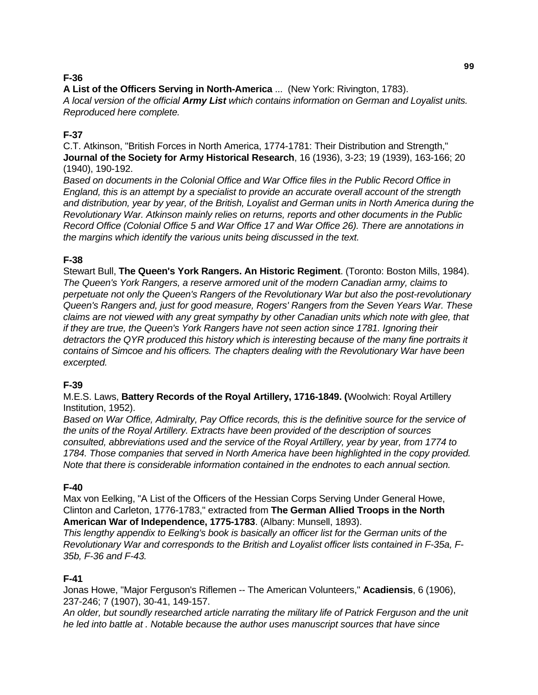# **F-36**

**A List of the Officers Serving in North-America** ... (New York: Rivington, 1783).

*A local version of the official Army List which contains information on German and Loyalist units. Reproduced here complete.* 

# **F-37**

C.T. Atkinson, "British Forces in North America, 1774-1781: Their Distribution and Strength," **Journal of the Society for Army Historical Research**, 16 (1936), 3-23; 19 (1939), 163-166; 20 (1940), 190-192.

*Based on documents in the Colonial Office and War Office files in the Public Record Office in England, this is an attempt by a specialist to provide an accurate overall account of the strength and distribution, year by year, of the British, Loyalist and German units in North America during the Revolutionary War. Atkinson mainly relies on returns, reports and other documents in the Public Record Office (Colonial Office 5 and War Office 17 and War Office 26). There are annotations in the margins which identify the various units being discussed in the text.* 

# **F-38**

Stewart Bull, **The Queen's York Rangers. An Historic Regiment**. (Toronto: Boston Mills, 1984). *The Queen's York Rangers, a reserve armored unit of the modern Canadian army, claims to perpetuate not only the Queen's Rangers of the Revolutionary War but also the post-revolutionary Queen's Rangers and, just for good measure, Rogers' Rangers from the Seven Years War. These claims are not viewed with any great sympathy by other Canadian units which note with glee, that if they are true, the Queen's York Rangers have not seen action since 1781. Ignoring their detractors the QYR produced this history which is interesting because of the many fine portraits it contains of Simcoe and his officers. The chapters dealing with the Revolutionary War have been excerpted.* 

# **F-39**

M.E.S. Laws, **Battery Records of the Royal Artillery, 1716-1849. (**Woolwich: Royal Artillery Institution, 1952).

*Based on War Office, Admiralty, Pay Office records, this is the definitive source for the service of the units of the Royal Artillery. Extracts have been provided of the description of sources consulted, abbreviations used and the service of the Royal Artillery, year by year, from 1774 to*  1784. Those companies that served in North America have been highlighted in the copy provided. *Note that there is considerable information contained in the endnotes to each annual section.* 

# **F-40**

Max von Eelking, "A List of the Officers of the Hessian Corps Serving Under General Howe, Clinton and Carleton, 1776-1783," extracted from **The German Allied Troops in the North American War of Independence, 1775-1783**. (Albany: Munsell, 1893).

*This lengthy appendix to Eelking's book is basically an officer list for the German units of the Revolutionary War and corresponds to the British and Loyalist officer lists contained in F-35a, F-35b, F-36 and F-43.* 

# **F-41**

Jonas Howe, "Major Ferguson's Riflemen -- The American Volunteers," **Acadiensis**, 6 (1906), 237-246; 7 (1907), 30-41, 149-157.

*An older, but soundly researched article narrating the military life of Patrick Ferguson and the unit he led into battle at . Notable because the author uses manuscript sources that have since*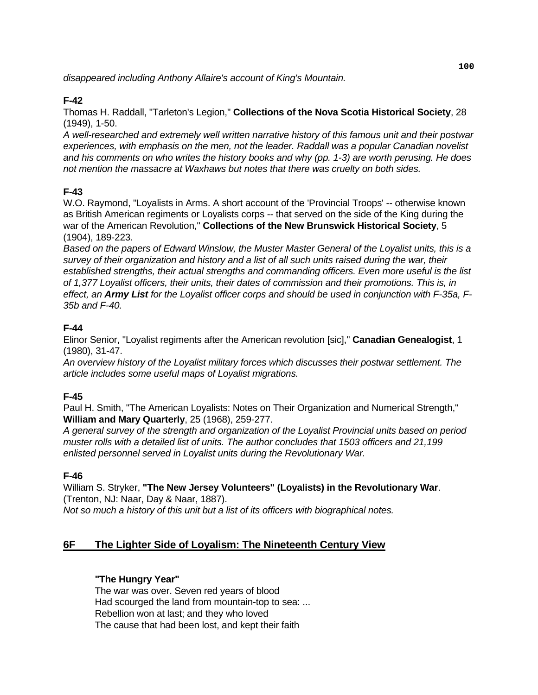*disappeared including Anthony Allaire's account of King's Mountain.* 

# **F-42**

Thomas H. Raddall, "Tarleton's Legion," **Collections of the Nova Scotia Historical Society**, 28 (1949), 1-50.

*A well-researched and extremely well written narrative history of this famous unit and their postwar experiences, with emphasis on the men, not the leader. Raddall was a popular Canadian novelist and his comments on who writes the history books and why (pp. 1-3) are worth perusing. He does not mention the massacre at Waxhaws but notes that there was cruelty on both sides.* 

# **F-43**

W.O. Raymond, "Loyalists in Arms. A short account of the 'Provincial Troops' -- otherwise known as British American regiments or Loyalists corps -- that served on the side of the King during the war of the American Revolution," **Collections of the New Brunswick Historical Society**, 5 (1904), 189-223.

*Based on the papers of Edward Winslow, the Muster Master General of the Loyalist units, this is a survey of their organization and history and a list of all such units raised during the war, their established strengths, their actual strengths and commanding officers. Even more useful is the list of 1,377 Loyalist officers, their units, their dates of commission and their promotions. This is, in effect, an Army List for the Loyalist officer corps and should be used in conjunction with F-35a, F-35b and F-40.* 

# **F-44**

Elinor Senior, "Loyalist regiments after the American revolution [sic]," **Canadian Genealogist**, 1 (1980), 31-47.

*An overview history of the Loyalist military forces which discusses their postwar settlement. The article includes some useful maps of Loyalist migrations.* 

# **F-45**

Paul H. Smith, "The American Loyalists: Notes on Their Organization and Numerical Strength," **William and Mary Quarterly**, 25 (1968), 259-277.

*A general survey of the strength and organization of the Loyalist Provincial units based on period muster rolls with a detailed list of units. The author concludes that 1503 officers and 21,199 enlisted personnel served in Loyalist units during the Revolutionary War.* 

# **F-46**

William S. Stryker, **"The New Jersey Volunteers" (Loyalists) in the Revolutionary War**. (Trenton, NJ: Naar, Day & Naar, 1887).

*Not so much a history of this unit but a list of its officers with biographical notes.* 

# **6F The Lighter Side of Loyalism: The Nineteenth Century View**

## **"The Hungry Year"**

 The war was over. Seven red years of blood Had scourged the land from mountain-top to sea: ... Rebellion won at last; and they who loved The cause that had been lost, and kept their faith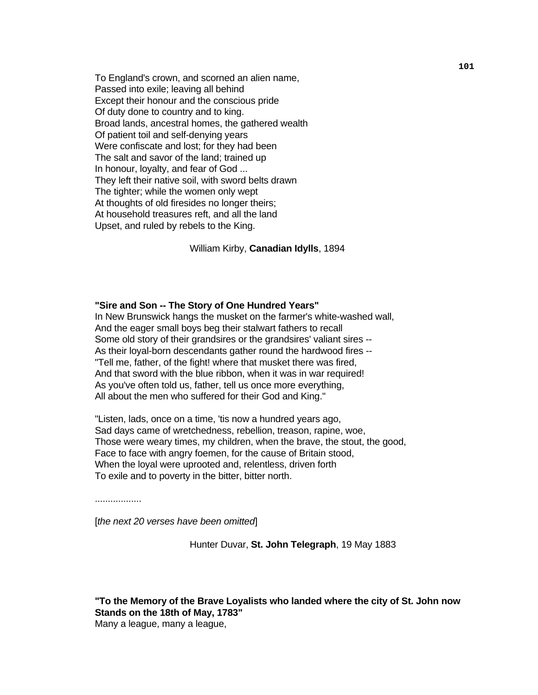To England's crown, and scorned an alien name, Passed into exile; leaving all behind Except their honour and the conscious pride Of duty done to country and to king. Broad lands, ancestral homes, the gathered wealth Of patient toil and self-denying years Were confiscate and lost; for they had been The salt and savor of the land; trained up In honour, loyalty, and fear of God ... They left their native soil, with sword belts drawn The tighter; while the women only wept At thoughts of old firesides no longer theirs; At household treasures reft, and all the land Upset, and ruled by rebels to the King.

William Kirby, **Canadian Idylls**, 1894

#### **"Sire and Son -- The Story of One Hundred Years"**

 In New Brunswick hangs the musket on the farmer's white-washed wall, And the eager small boys beg their stalwart fathers to recall Some old story of their grandsires or the grandsires' valiant sires -- As their loyal-born descendants gather round the hardwood fires -- "Tell me, father, of the fight! where that musket there was fired, And that sword with the blue ribbon, when it was in war required! As you've often told us, father, tell us once more everything, All about the men who suffered for their God and King."

"Listen, lads, once on a time, 'tis now a hundred years ago, Sad days came of wretchedness, rebellion, treason, rapine, woe, Those were weary times, my children, when the brave, the stout, the good, Face to face with angry foemen, for the cause of Britain stood, When the loyal were uprooted and, relentless, driven forth To exile and to poverty in the bitter, bitter north.

..................

[*the next 20 verses have been omitted*]

Hunter Duvar, **St. John Telegraph**, 19 May 1883

**"To the Memory of the Brave Loyalists who landed where the city of St. John now Stands on the 18th of May, 1783"**  Many a league, many a league,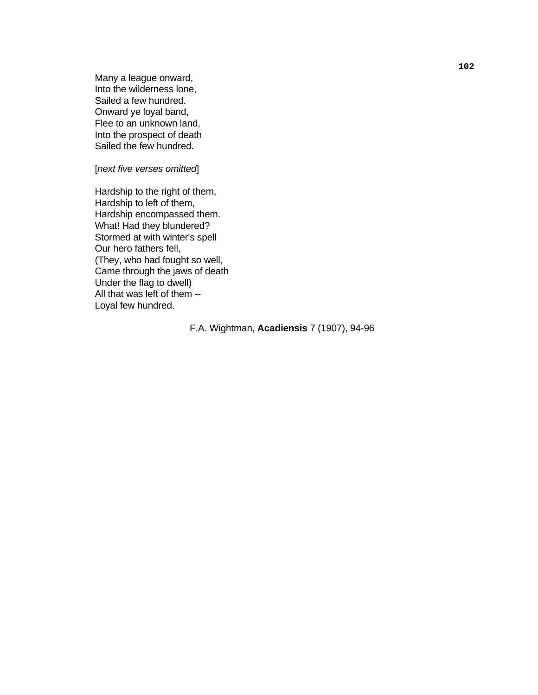Many a league onward, Into the wilderness lone, Sailed a few hundred. Onward ye loyal band, Flee to an unknown land, Into the prospect of death Sailed the few hundred.

[*next five verses omitted*]

 Hardship to the right of them, Hardship to left of them, Hardship encompassed them. What! Had they blundered? Stormed at with winter's spell Our hero fathers fell, (They, who had fought so well, Came through the jaws of death Under the flag to dwell) All that was left of them -- Loyal few hundred.

F.A. Wightman, **Acadiensis** 7 (1907), 94-96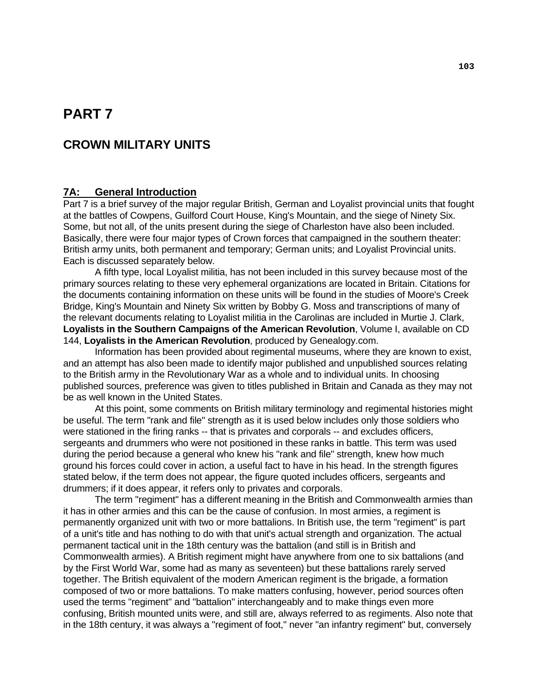# **PART 7**

# **CROWN MILITARY UNITS**

### **7A: General Introduction**

Part 7 is a brief survey of the major regular British, German and Loyalist provincial units that fought at the battles of Cowpens, Guilford Court House, King's Mountain, and the siege of Ninety Six. Some, but not all, of the units present during the siege of Charleston have also been included. Basically, there were four major types of Crown forces that campaigned in the southern theater: British army units, both permanent and temporary; German units; and Loyalist Provincial units. Each is discussed separately below.

A fifth type, local Loyalist militia, has not been included in this survey because most of the primary sources relating to these very ephemeral organizations are located in Britain. Citations for the documents containing information on these units will be found in the studies of Moore's Creek Bridge, King's Mountain and Ninety Six written by Bobby G. Moss and transcriptions of many of the relevant documents relating to Loyalist militia in the Carolinas are included in Murtie J. Clark, **Loyalists in the Southern Campaigns of the American Revolution**, Volume I, available on CD 144, **Loyalists in the American Revolution**, produced by Genealogy.com.

Information has been provided about regimental museums, where they are known to exist, and an attempt has also been made to identify major published and unpublished sources relating to the British army in the Revolutionary War as a whole and to individual units. In choosing published sources, preference was given to titles published in Britain and Canada as they may not be as well known in the United States.

At this point, some comments on British military terminology and regimental histories might be useful. The term "rank and file" strength as it is used below includes only those soldiers who were stationed in the firing ranks -- that is privates and corporals -- and excludes officers, sergeants and drummers who were not positioned in these ranks in battle. This term was used during the period because a general who knew his "rank and file" strength, knew how much ground his forces could cover in action, a useful fact to have in his head. In the strength figures stated below, if the term does not appear, the figure quoted includes officers, sergeants and drummers; if it does appear, it refers only to privates and corporals.

The term "regiment" has a different meaning in the British and Commonwealth armies than it has in other armies and this can be the cause of confusion. In most armies, a regiment is permanently organized unit with two or more battalions. In British use, the term "regiment" is part of a unit's title and has nothing to do with that unit's actual strength and organization. The actual permanent tactical unit in the 18th century was the battalion (and still is in British and Commonwealth armies). A British regiment might have anywhere from one to six battalions (and by the First World War, some had as many as seventeen) but these battalions rarely served together. The British equivalent of the modern American regiment is the brigade, a formation composed of two or more battalions. To make matters confusing, however, period sources often used the terms "regiment" and "battalion" interchangeably and to make things even more confusing, British mounted units were, and still are, always referred to as regiments. Also note that in the 18th century, it was always a "regiment of foot," never "an infantry regiment" but, conversely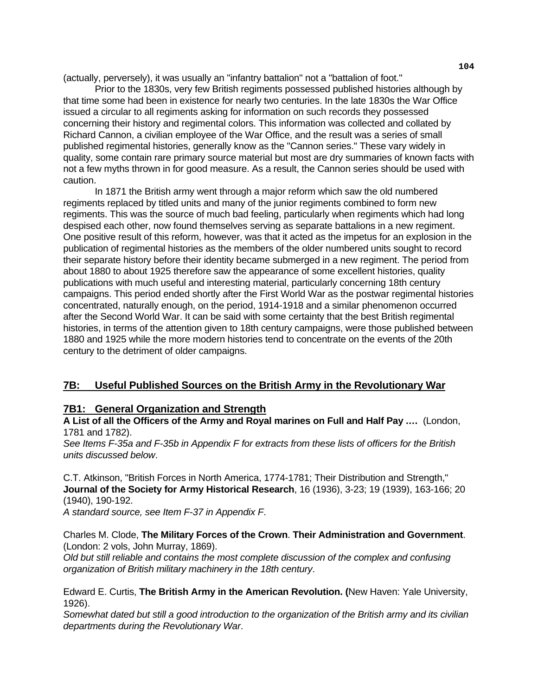(actually, perversely), it was usually an "infantry battalion" not a "battalion of foot."

Prior to the 1830s, very few British regiments possessed published histories although by that time some had been in existence for nearly two centuries. In the late 1830s the War Office issued a circular to all regiments asking for information on such records they possessed concerning their history and regimental colors. This information was collected and collated by Richard Cannon, a civilian employee of the War Office, and the result was a series of small published regimental histories, generally know as the "Cannon series." These vary widely in quality, some contain rare primary source material but most are dry summaries of known facts with not a few myths thrown in for good measure. As a result, the Cannon series should be used with caution.

In 1871 the British army went through a major reform which saw the old numbered regiments replaced by titled units and many of the junior regiments combined to form new regiments. This was the source of much bad feeling, particularly when regiments which had long despised each other, now found themselves serving as separate battalions in a new regiment. One positive result of this reform, however, was that it acted as the impetus for an explosion in the publication of regimental histories as the members of the older numbered units sought to record their separate history before their identity became submerged in a new regiment. The period from about 1880 to about 1925 therefore saw the appearance of some excellent histories, quality publications with much useful and interesting material, particularly concerning 18th century campaigns. This period ended shortly after the First World War as the postwar regimental histories concentrated, naturally enough, on the period, 1914-1918 and a similar phenomenon occurred after the Second World War. It can be said with some certainty that the best British regimental histories, in terms of the attention given to 18th century campaigns, were those published between 1880 and 1925 while the more modern histories tend to concentrate on the events of the 20th century to the detriment of older campaigns.

# **7B: Useful Published Sources on the British Army in the Revolutionary War**

# **7B1: General Organization and Strength**

**A List of all the Officers of the Army and Royal marines on Full and Half Pay .…** (London, 1781 and 1782).

*See Items F-35a and F-35b in Appendix F for extracts from these lists of officers for the British units discussed below*.

C.T. Atkinson, "British Forces in North America, 1774-1781; Their Distribution and Strength," **Journal of the Society for Army Historical Research**, 16 (1936), 3-23; 19 (1939), 163-166; 20 (1940), 190-192.

*A standard source, see Item F-37 in Appendix F*.

Charles M. Clode, **The Military Forces of the Crown**. **Their Administration and Government**. (London: 2 vols, John Murray, 1869).

*Old but still reliable and contains the most complete discussion of the complex and confusing organization of British military machinery in the 18th century*.

Edward E. Curtis, **The British Army in the American Revolution. (**New Haven: Yale University, 1926).

*Somewhat dated but still a good introduction to the organization of the British army and its civilian departments during the Revolutionary War*.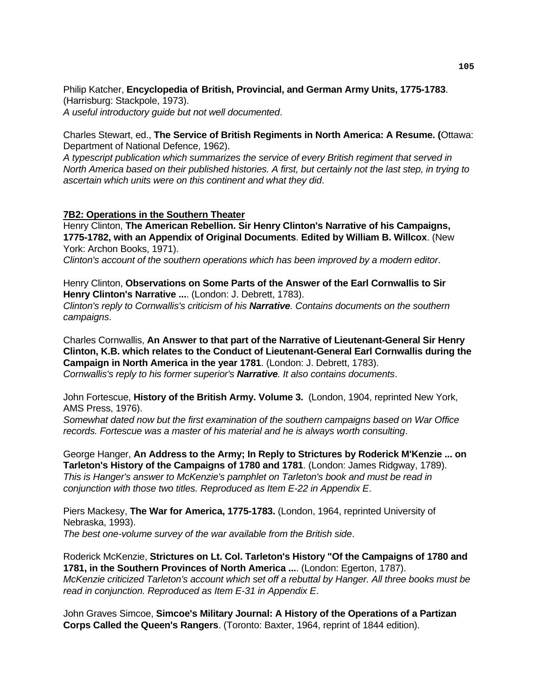Philip Katcher, **Encyclopedia of British, Provincial, and German Army Units, 1775-1783**. (Harrisburg: Stackpole, 1973).

*A useful introductory guide but not well documented*.

Charles Stewart, ed., **The Service of British Regiments in North America: A Resume. (**Ottawa: Department of National Defence, 1962).

*A typescript publication which summarizes the service of every British regiment that served in North America based on their published histories. A first, but certainly not the last step, in trying to ascertain which units were on this continent and what they did*.

#### **7B2: Operations in the Southern Theater**

Henry Clinton, **The American Rebellion. Sir Henry Clinton's Narrative of his Campaigns, 1775-1782, with an Appendix of Original Documents**. **Edited by William B. Willcox**. (New York: Archon Books, 1971).

*Clinton's account of the southern operations which has been improved by a modern editor*.

Henry Clinton, **Observations on Some Parts of the Answer of the Earl Cornwallis to Sir Henry Clinton's Narrative ...**. (London: J. Debrett, 1783).

*Clinton's reply to Cornwallis's criticism of his Narrative. Contains documents on the southern campaigns*.

Charles Cornwallis, **An Answer to that part of the Narrative of Lieutenant-General Sir Henry Clinton, K.B. which relates to the Conduct of Lieutenant-General Earl Cornwallis during the Campaign in North America in the year 1781**. (London: J. Debrett, 1783). *Cornwallis's reply to his former superior's Narrative. It also contains documents*.

John Fortescue, **History of the British Army. Volume 3.** (London, 1904, reprinted New York, AMS Press, 1976).

*Somewhat dated now but the first examination of the southern campaigns based on War Office records. Fortescue was a master of his material and he is always worth consulting*.

George Hanger, **An Address to the Army; In Reply to Strictures by Roderick M'Kenzie ... on Tarleton's History of the Campaigns of 1780 and 1781**. (London: James Ridgway, 1789). *This is Hanger's answer to McKenzie's pamphlet on Tarleton's book and must be read in conjunction with those two titles. Reproduced as Item E-22 in Appendix E*.

Piers Mackesy, **The War for America, 1775-1783.** (London, 1964, reprinted University of Nebraska, 1993).

*The best one-volume survey of the war available from the British side*.

Roderick McKenzie, **Strictures on Lt. Col. Tarleton's History "Of the Campaigns of 1780 and 1781, in the Southern Provinces of North America ...**. (London: Egerton, 1787). *McKenzie criticized Tarleton's account which set off a rebuttal by Hanger. All three books must be read in conjunction. Reproduced as Item E-31 in Appendix E*.

John Graves Simcoe, **Simcoe's Military Journal: A History of the Operations of a Partizan Corps Called the Queen's Rangers**. (Toronto: Baxter, 1964, reprint of 1844 edition).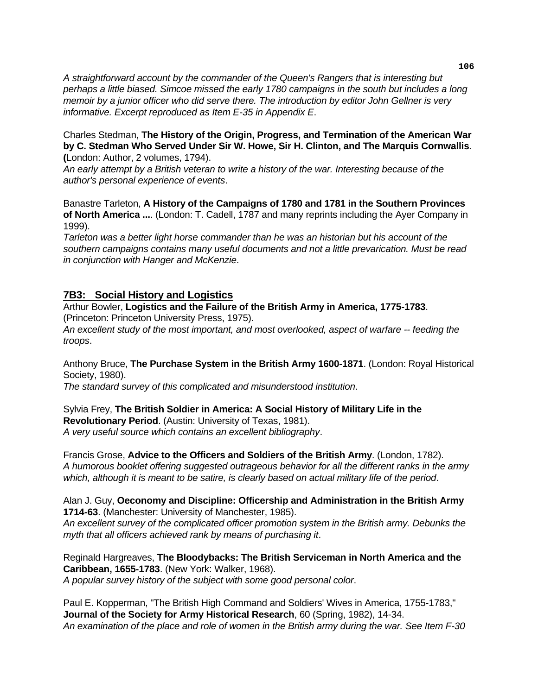*A straightforward account by the commander of the Queen's Rangers that is interesting but perhaps a little biased. Simcoe missed the early 1780 campaigns in the south but includes a long memoir by a junior officer who did serve there. The introduction by editor John Gellner is very informative. Excerpt reproduced as Item E-35 in Appendix E*.

#### Charles Stedman, **The History of the Origin, Progress, and Termination of the American War by C. Stedman Who Served Under Sir W. Howe, Sir H. Clinton, and The Marquis Cornwallis**. **(**London: Author, 2 volumes, 1794).

*An early attempt by a British veteran to write a history of the war. Interesting because of the author's personal experience of events*.

Banastre Tarleton, **A History of the Campaigns of 1780 and 1781 in the Southern Provinces of North America ...**. (London: T. Cadell, 1787 and many reprints including the Ayer Company in 1999).

*Tarleton was a better light horse commander than he was an historian but his account of the southern campaigns contains many useful documents and not a little prevarication. Must be read in conjunction with Hanger and McKenzie*.

## **7B3: Social History and Logistics**

Arthur Bowler, **Logistics and the Failure of the British Army in America, 1775-1783**. (Princeton: Princeton University Press, 1975).

*An excellent study of the most important, and most overlooked, aspect of warfare -- feeding the troops*.

Anthony Bruce, **The Purchase System in the British Army 1600-1871**. (London: Royal Historical Society, 1980).

*The standard survey of this complicated and misunderstood institution*.

Sylvia Frey, **The British Soldier in America: A Social History of Military Life in the Revolutionary Period**. (Austin: University of Texas, 1981). *A very useful source which contains an excellent bibliography*.

Francis Grose, **Advice to the Officers and Soldiers of the British Army**. (London, 1782). *A humorous booklet offering suggested outrageous behavior for all the different ranks in the army which, although it is meant to be satire, is clearly based on actual military life of the period*.

#### Alan J. Guy, **Oeconomy and Discipline: Officership and Administration in the British Army 1714-63**. (Manchester: University of Manchester, 1985).

*An excellent survey of the complicated officer promotion system in the British army. Debunks the myth that all officers achieved rank by means of purchasing it*.

Reginald Hargreaves, **The Bloodybacks: The British Serviceman in North America and the Caribbean, 1655-1783**. (New York: Walker, 1968). *A popular survey history of the subject with some good personal color*.

Paul E. Kopperman, "The British High Command and Soldiers' Wives in America, 1755-1783," **Journal of the Society for Army Historical Research**, 60 (Spring, 1982), 14-34. *An examination of the place and role of women in the British army during the war. See Item F-30*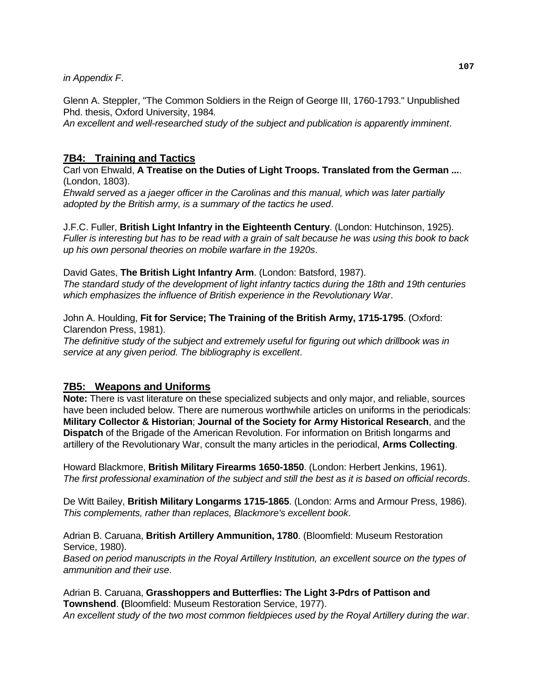#### *in Appendix F*.

Glenn A. Steppler, "The Common Soldiers in the Reign of George III, 1760-1793." Unpublished Phd. thesis, Oxford University, 1984*.* 

*An excellent and well-researched study of the subject and publication is apparently imminent*.

## **7B4: Training and Tactics**

Carl von Ehwald, **A Treatise on the Duties of Light Troops. Translated from the German ...**. (London, 1803).

*Ehwald served as a jaeger officer in the Carolinas and this manual, which was later partially adopted by the British army, is a summary of the tactics he used*.

J.F.C. Fuller, **British Light Infantry in the Eighteenth Century**. (London: Hutchinson, 1925). *Fuller is interesting but has to be read with a grain of salt because he was using this book to back up his own personal theories on mobile warfare in the 1920s*.

David Gates, **The British Light Infantry Arm**. (London: Batsford, 1987).

*The standard study of the development of light infantry tactics during the 18th and 19th centuries which emphasizes the influence of British experience in the Revolutionary War*.

John A. Houlding, **Fit for Service; The Training of the British Army, 1715-1795**. (Oxford: Clarendon Press, 1981).

*The definitive study of the subject and extremely useful for figuring out which drillbook was in service at any given period. The bibliography is excellent*.

## **7B5: Weapons and Uniforms**

**Note:** There is vast literature on these specialized subjects and only major, and reliable, sources have been included below. There are numerous worthwhile articles on uniforms in the periodicals: **Military Collector & Historian**; **Journal of the Society for Army Historical Research**, and the **Dispatch** of the Brigade of the American Revolution. For information on British longarms and artillery of the Revolutionary War, consult the many articles in the periodical, **Arms Collecting**.

Howard Blackmore, **British Military Firearms 1650-1850**. (London: Herbert Jenkins, 1961). *The first professional examination of the subject and still the best as it is based on official records*.

De Witt Bailey, **British Military Longarms 1715-1865**. (London: Arms and Armour Press, 1986). *This complements, rather than replaces, Blackmore's excellent book*.

Adrian B. Caruana, **British Artillery Ammunition, 1780**. (Bloomfield: Museum Restoration Service, 1980).

*Based on period manuscripts in the Royal Artillery Institution, an excellent source on the types of ammunition and their use*.

Adrian B. Caruana, **Grasshoppers and Butterflies: The Light 3-Pdrs of Pattison and Townshend**. **(**Bloomfield: Museum Restoration Service, 1977). *An excellent study of the two most common fieldpieces used by the Royal Artillery during the war*.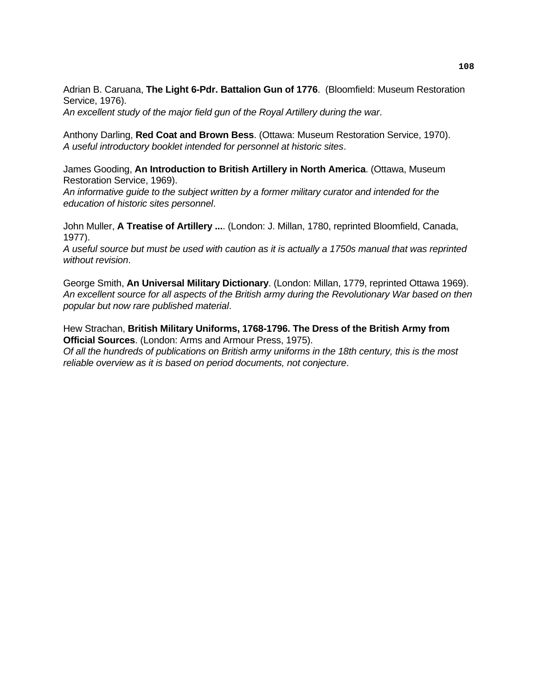Adrian B. Caruana, **The Light 6-Pdr. Battalion Gun of 1776**. (Bloomfield: Museum Restoration Service, 1976).

*An excellent study of the major field gun of the Royal Artillery during the war*.

Anthony Darling, **Red Coat and Brown Bess**. (Ottawa: Museum Restoration Service, 1970). *A useful introductory booklet intended for personnel at historic sites*.

James Gooding, **An Introduction to British Artillery in North America**. (Ottawa, Museum Restoration Service, 1969).

*An informative guide to the subject written by a former military curator and intended for the education of historic sites personnel*.

John Muller, **A Treatise of Artillery ...**. (London: J. Millan, 1780, reprinted Bloomfield, Canada, 1977).

*A useful source but must be used with caution as it is actually a 1750s manual that was reprinted without revision*.

George Smith, **An Universal Military Dictionary**. (London: Millan, 1779, reprinted Ottawa 1969). *An excellent source for all aspects of the British army during the Revolutionary War based on then popular but now rare published material*.

Hew Strachan, **British Military Uniforms, 1768-1796. The Dress of the British Army from Official Sources**. (London: Arms and Armour Press, 1975). *Of all the hundreds of publications on British army uniforms in the 18th century, this is the most reliable overview as it is based on period documents, not conjecture*.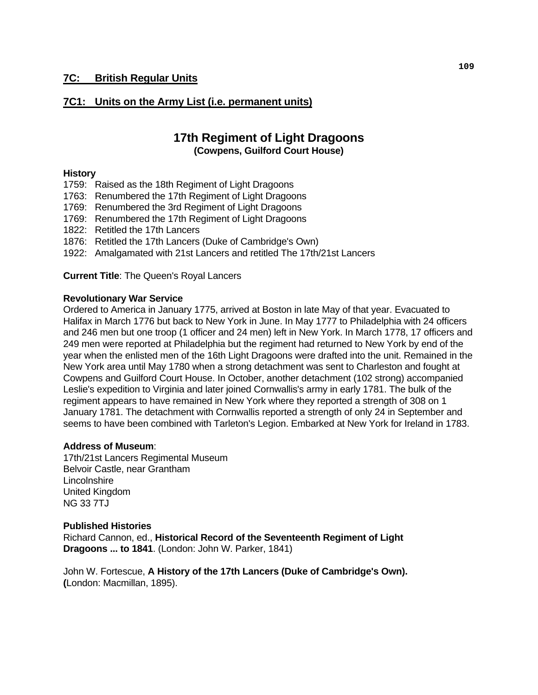## **7C1: Units on the Army List (i.e. permanent units)**

## **17th Regiment of Light Dragoons (Cowpens, Guilford Court House)**

#### **History**

- 1759: Raised as the 18th Regiment of Light Dragoons
- 1763: Renumbered the 17th Regiment of Light Dragoons
- 1769: Renumbered the 3rd Regiment of Light Dragoons
- 1769: Renumbered the 17th Regiment of Light Dragoons
- 1822: Retitled the 17th Lancers
- 1876: Retitled the 17th Lancers (Duke of Cambridge's Own)
- 1922: Amalgamated with 21st Lancers and retitled The 17th/21st Lancers

**Current Title**: The Queen's Royal Lancers

#### **Revolutionary War Service**

Ordered to America in January 1775, arrived at Boston in late May of that year. Evacuated to Halifax in March 1776 but back to New York in June. In May 1777 to Philadelphia with 24 officers and 246 men but one troop (1 officer and 24 men) left in New York. In March 1778, 17 officers and 249 men were reported at Philadelphia but the regiment had returned to New York by end of the year when the enlisted men of the 16th Light Dragoons were drafted into the unit. Remained in the New York area until May 1780 when a strong detachment was sent to Charleston and fought at Cowpens and Guilford Court House. In October, another detachment (102 strong) accompanied Leslie's expedition to Virginia and later joined Cornwallis's army in early 1781. The bulk of the regiment appears to have remained in New York where they reported a strength of 308 on 1 January 1781. The detachment with Cornwallis reported a strength of only 24 in September and seems to have been combined with Tarleton's Legion. Embarked at New York for Ireland in 1783.

## **Address of Museum**:

17th/21st Lancers Regimental Museum Belvoir Castle, near Grantham **Lincolnshire** United Kingdom NG 33 7TJ

#### **Published Histories**

Richard Cannon, ed., **Historical Record of the Seventeenth Regiment of Light Dragoons ... to 1841**. (London: John W. Parker, 1841)

 John W. Fortescue, **A History of the 17th Lancers (Duke of Cambridge's Own). (**London: Macmillan, 1895).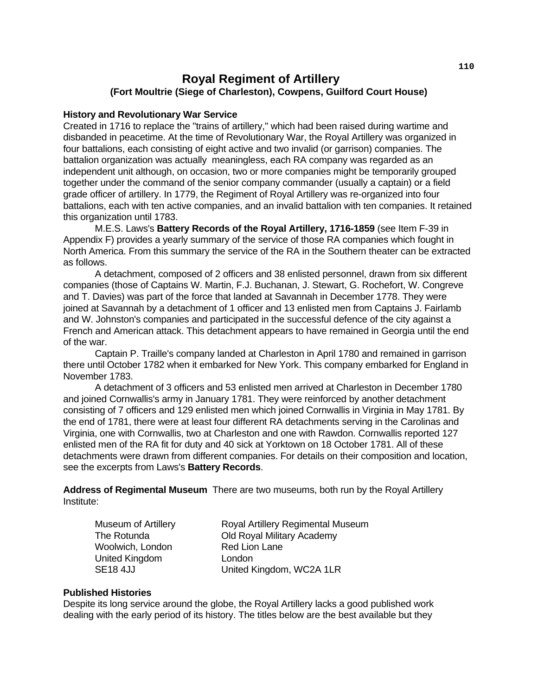## **Royal Regiment of Artillery (Fort Moultrie (Siege of Charleston), Cowpens, Guilford Court House)**

#### **History and Revolutionary War Service**

Created in 1716 to replace the "trains of artillery," which had been raised during wartime and disbanded in peacetime. At the time of Revolutionary War, the Royal Artillery was organized in four battalions, each consisting of eight active and two invalid (or garrison) companies. The battalion organization was actually meaningless, each RA company was regarded as an independent unit although, on occasion, two or more companies might be temporarily grouped together under the command of the senior company commander (usually a captain) or a field grade officer of artillery. In 1779, the Regiment of Royal Artillery was re-organized into four battalions, each with ten active companies, and an invalid battalion with ten companies. It retained this organization until 1783.

 M.E.S. Laws's **Battery Records of the Royal Artillery, 1716-1859** (see Item F-39 in Appendix F) provides a yearly summary of the service of those RA companies which fought in North America. From this summary the service of the RA in the Southern theater can be extracted as follows.

 A detachment, composed of 2 officers and 38 enlisted personnel, drawn from six different companies (those of Captains W. Martin, F.J. Buchanan, J. Stewart, G. Rochefort, W. Congreve and T. Davies) was part of the force that landed at Savannah in December 1778. They were joined at Savannah by a detachment of 1 officer and 13 enlisted men from Captains J. Fairlamb and W. Johnston's companies and participated in the successful defence of the city against a French and American attack. This detachment appears to have remained in Georgia until the end of the war.

 Captain P. Traille's company landed at Charleston in April 1780 and remained in garrison there until October 1782 when it embarked for New York. This company embarked for England in November 1783.

 A detachment of 3 officers and 53 enlisted men arrived at Charleston in December 1780 and joined Cornwallis's army in January 1781. They were reinforced by another detachment consisting of 7 officers and 129 enlisted men which joined Cornwallis in Virginia in May 1781. By the end of 1781, there were at least four different RA detachments serving in the Carolinas and Virginia, one with Cornwallis, two at Charleston and one with Rawdon. Cornwallis reported 127 enlisted men of the RA fit for duty and 40 sick at Yorktown on 18 October 1781. All of these detachments were drawn from different companies. For details on their composition and location, see the excerpts from Laws's **Battery Records**.

**Address of Regimental Museum** There are two museums, both run by the Royal Artillery Institute:

Woolwich, London Red Lion Lane United Kingdom London

Museum of Artillery Royal Artillery Regimental Museum The Rotunda Old Royal Military Academy SE18 4JJ United Kingdom, WC2A 1LR

#### **Published Histories**

 Despite its long service around the globe, the Royal Artillery lacks a good published work dealing with the early period of its history. The titles below are the best available but they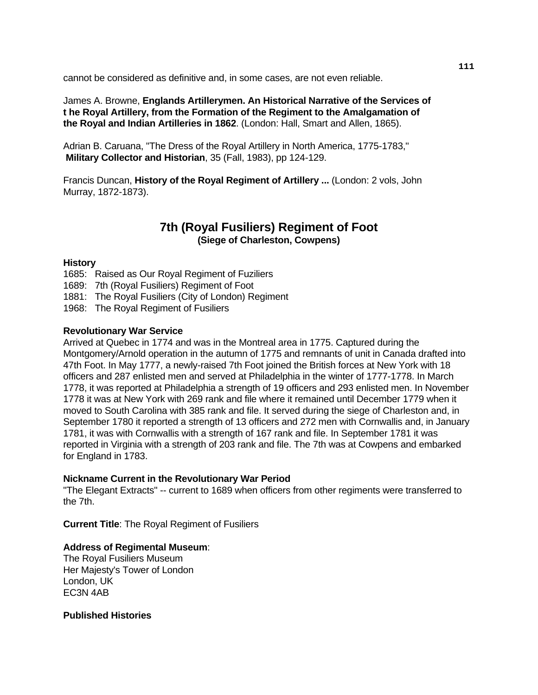cannot be considered as definitive and, in some cases, are not even reliable.

James A. Browne, **Englands Artillerymen. An Historical Narrative of the Services of t he Royal Artillery, from the Formation of the Regiment to the Amalgamation of the Royal and Indian Artilleries in 1862**. (London: Hall, Smart and Allen, 1865).

Adrian B. Caruana, "The Dress of the Royal Artillery in North America, 1775-1783," **Military Collector and Historian**, 35 (Fall, 1983), pp 124-129.

Francis Duncan, **History of the Royal Regiment of Artillery ...** (London: 2 vols, John Murray, 1872-1873).

## **7th (Royal Fusiliers) Regiment of Foot (Siege of Charleston, Cowpens)**

#### **History**

1685: Raised as Our Royal Regiment of Fuziliers

- 1689: 7th (Royal Fusiliers) Regiment of Foot
- 1881: The Royal Fusiliers (City of London) Regiment
- 1968: The Royal Regiment of Fusiliers

#### **Revolutionary War Service**

Arrived at Quebec in 1774 and was in the Montreal area in 1775. Captured during the Montgomery/Arnold operation in the autumn of 1775 and remnants of unit in Canada drafted into 47th Foot. In May 1777, a newly-raised 7th Foot joined the British forces at New York with 18 officers and 287 enlisted men and served at Philadelphia in the winter of 1777-1778. In March 1778, it was reported at Philadelphia a strength of 19 officers and 293 enlisted men. In November 1778 it was at New York with 269 rank and file where it remained until December 1779 when it moved to South Carolina with 385 rank and file. It served during the siege of Charleston and, in September 1780 it reported a strength of 13 officers and 272 men with Cornwallis and, in January 1781, it was with Cornwallis with a strength of 167 rank and file. In September 1781 it was reported in Virginia with a strength of 203 rank and file. The 7th was at Cowpens and embarked for England in 1783.

#### **Nickname Current in the Revolutionary War Period**

"The Elegant Extracts" -- current to 1689 when officers from other regiments were transferred to the 7th.

**Current Title**: The Royal Regiment of Fusiliers

#### **Address of Regimental Museum**:

The Royal Fusiliers Museum Her Majesty's Tower of London London, UK EC3N 4AB

**Published Histories**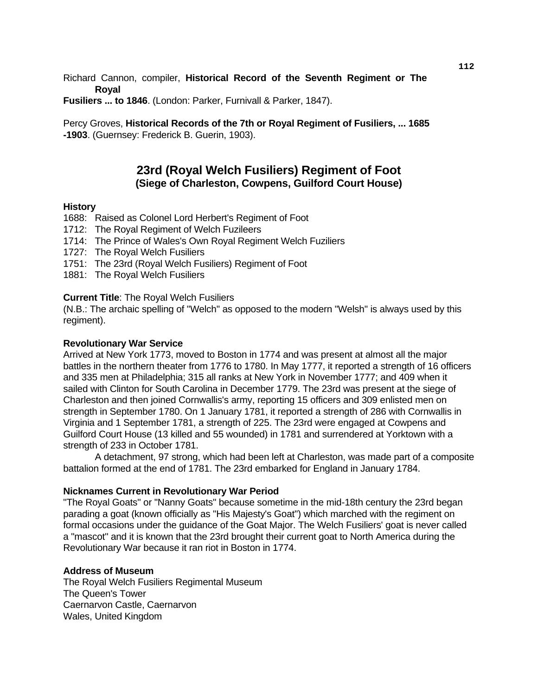Richard Cannon, compiler, **Historical Record of the Seventh Regiment or The Royal** 

**Fusiliers ... to 1846**. (London: Parker, Furnivall & Parker, 1847).

Percy Groves, **Historical Records of the 7th or Royal Regiment of Fusiliers, ... 1685 -1903**. (Guernsey: Frederick B. Guerin, 1903).

## **23rd (Royal Welch Fusiliers) Regiment of Foot (Siege of Charleston, Cowpens, Guilford Court House)**

#### **History**

- 1688: Raised as Colonel Lord Herbert's Regiment of Foot
- 1712: The Royal Regiment of Welch Fuzileers
- 1714: The Prince of Wales's Own Royal Regiment Welch Fuziliers
- 1727: The Royal Welch Fusiliers
- 1751: The 23rd (Royal Welch Fusiliers) Regiment of Foot
- 1881: The Royal Welch Fusiliers

#### **Current Title**: The Royal Welch Fusiliers

(N.B.: The archaic spelling of "Welch" as opposed to the modern "Welsh" is always used by this regiment).

#### **Revolutionary War Service**

Arrived at New York 1773, moved to Boston in 1774 and was present at almost all the major battles in the northern theater from 1776 to 1780. In May 1777, it reported a strength of 16 officers and 335 men at Philadelphia; 315 all ranks at New York in November 1777; and 409 when it sailed with Clinton for South Carolina in December 1779. The 23rd was present at the siege of Charleston and then joined Cornwallis's army, reporting 15 officers and 309 enlisted men on strength in September 1780. On 1 January 1781, it reported a strength of 286 with Cornwallis in Virginia and 1 September 1781, a strength of 225. The 23rd were engaged at Cowpens and Guilford Court House (13 killed and 55 wounded) in 1781 and surrendered at Yorktown with a strength of 233 in October 1781.

 A detachment, 97 strong, which had been left at Charleston, was made part of a composite battalion formed at the end of 1781. The 23rd embarked for England in January 1784.

#### **Nicknames Current in Revolutionary War Period**

"The Royal Goats" or "Nanny Goats" because sometime in the mid-18th century the 23rd began parading a goat (known officially as "His Majesty's Goat") which marched with the regiment on formal occasions under the guidance of the Goat Major. The Welch Fusiliers' goat is never called a "mascot" and it is known that the 23rd brought their current goat to North America during the Revolutionary War because it ran riot in Boston in 1774.

#### **Address of Museum**

The Royal Welch Fusiliers Regimental Museum The Queen's Tower Caernarvon Castle, Caernarvon Wales, United Kingdom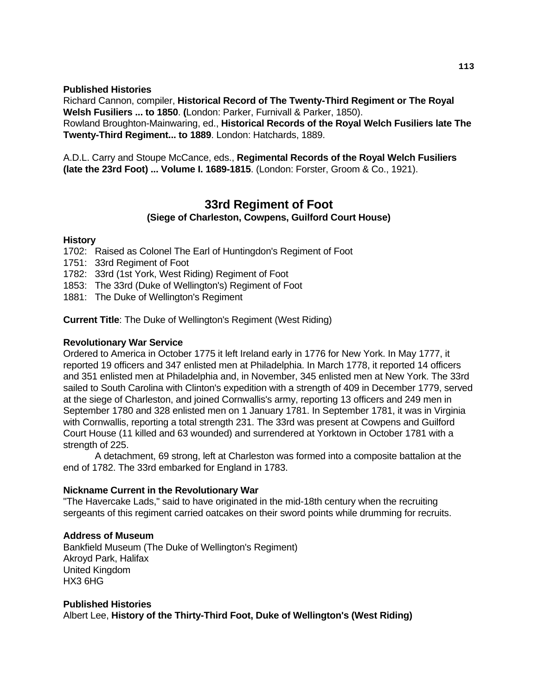**Published Histories** 

Richard Cannon, compiler, **Historical Record of The Twenty-Third Regiment or The Royal Welsh Fusiliers ... to 1850**. **(**London: Parker, Furnivall & Parker, 1850). Rowland Broughton-Mainwaring, ed., **Historical Records of the Royal Welch Fusiliers late The Twenty-Third Regiment... to 1889**. London: Hatchards, 1889.

A.D.L. Carry and Stoupe McCance, eds., **Regimental Records of the Royal Welch Fusiliers (late the 23rd Foot) ... Volume I. 1689-1815**. (London: Forster, Groom & Co., 1921).

## **33rd Regiment of Foot (Siege of Charleston, Cowpens, Guilford Court House)**

#### **History**

- 1702: Raised as Colonel The Earl of Huntingdon's Regiment of Foot
- 1751: 33rd Regiment of Foot
- 1782: 33rd (1st York, West Riding) Regiment of Foot
- 1853: The 33rd (Duke of Wellington's) Regiment of Foot
- 1881: The Duke of Wellington's Regiment

**Current Title**: The Duke of Wellington's Regiment (West Riding)

#### **Revolutionary War Service**

Ordered to America in October 1775 it left Ireland early in 1776 for New York. In May 1777, it reported 19 officers and 347 enlisted men at Philadelphia. In March 1778, it reported 14 officers and 351 enlisted men at Philadelphia and, in November, 345 enlisted men at New York. The 33rd sailed to South Carolina with Clinton's expedition with a strength of 409 in December 1779, served at the siege of Charleston, and joined Cornwallis's army, reporting 13 officers and 249 men in September 1780 and 328 enlisted men on 1 January 1781. In September 1781, it was in Virginia with Cornwallis, reporting a total strength 231. The 33rd was present at Cowpens and Guilford Court House (11 killed and 63 wounded) and surrendered at Yorktown in October 1781 with a strength of 225.

 A detachment, 69 strong, left at Charleston was formed into a composite battalion at the end of 1782. The 33rd embarked for England in 1783.

#### **Nickname Current in the Revolutionary War**

"The Havercake Lads," said to have originated in the mid-18th century when the recruiting sergeants of this regiment carried oatcakes on their sword points while drumming for recruits.

#### **Address of Museum**

Bankfield Museum (The Duke of Wellington's Regiment) Akroyd Park, Halifax United Kingdom HX3 6HG

#### **Published Histories**

Albert Lee, **History of the Thirty-Third Foot, Duke of Wellington's (West Riding)**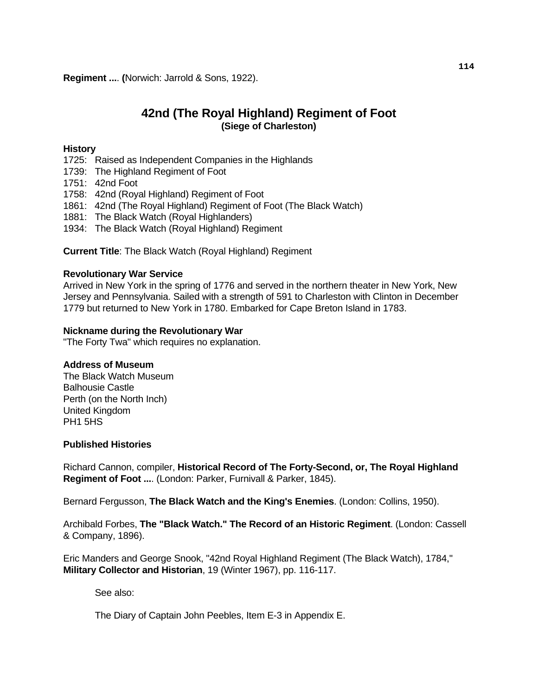## **42nd (The Royal Highland) Regiment of Foot (Siege of Charleston)**

#### **History**

- 1725: Raised as Independent Companies in the Highlands
- 1739: The Highland Regiment of Foot
- 1751: 42nd Foot
- 1758: 42nd (Royal Highland) Regiment of Foot
- 1861: 42nd (The Royal Highland) Regiment of Foot (The Black Watch)
- 1881: The Black Watch (Royal Highlanders)
- 1934: The Black Watch (Royal Highland) Regiment

**Current Title**: The Black Watch (Royal Highland) Regiment

#### **Revolutionary War Service**

Arrived in New York in the spring of 1776 and served in the northern theater in New York, New Jersey and Pennsylvania. Sailed with a strength of 591 to Charleston with Clinton in December 1779 but returned to New York in 1780. Embarked for Cape Breton Island in 1783.

#### **Nickname during the Revolutionary War**

"The Forty Twa" which requires no explanation.

#### **Address of Museum**

The Black Watch Museum Balhousie Castle Perth (on the North Inch) United Kingdom PH1 5HS

#### **Published Histories**

Richard Cannon, compiler, **Historical Record of The Forty-Second, or, The Royal Highland Regiment of Foot ...**. (London: Parker, Furnivall & Parker, 1845).

Bernard Fergusson, **The Black Watch and the King's Enemies**. (London: Collins, 1950).

Archibald Forbes, **The "Black Watch." The Record of an Historic Regiment**. (London: Cassell & Company, 1896).

Eric Manders and George Snook, "42nd Royal Highland Regiment (The Black Watch), 1784," **Military Collector and Historian**, 19 (Winter 1967), pp. 116-117.

See also:

The Diary of Captain John Peebles, Item E-3 in Appendix E.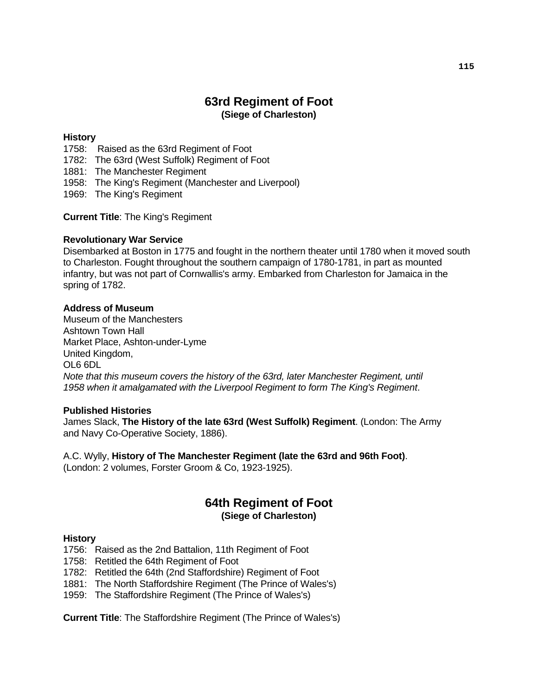# **63rd Regiment of Foot (Siege of Charleston)**

#### **History**

- 1758: Raised as the 63rd Regiment of Foot
- 1782: The 63rd (West Suffolk) Regiment of Foot
- 1881: The Manchester Regiment
- 1958: The King's Regiment (Manchester and Liverpool)
- 1969: The King's Regiment

**Current Title**: The King's Regiment

#### **Revolutionary War Service**

Disembarked at Boston in 1775 and fought in the northern theater until 1780 when it moved south to Charleston. Fought throughout the southern campaign of 1780-1781, in part as mounted infantry, but was not part of Cornwallis's army. Embarked from Charleston for Jamaica in the spring of 1782.

#### **Address of Museum**

Museum of the Manchesters Ashtown Town Hall Market Place, Ashton-under-Lyme United Kingdom, OL6 6DL  *Note that this museum covers the history of the 63rd, later Manchester Regiment, until 1958 when it amalgamated with the Liverpool Regiment to form The King's Regiment*.

#### **Published Histories**

James Slack, **The History of the late 63rd (West Suffolk) Regiment**. (London: The Army and Navy Co-Operative Society, 1886).

 A.C. Wylly, **History of The Manchester Regiment (late the 63rd and 96th Foot)**. (London: 2 volumes, Forster Groom & Co, 1923-1925).

## **64th Regiment of Foot (Siege of Charleston)**

#### **History**

1756: Raised as the 2nd Battalion, 11th Regiment of Foot

- 1758: Retitled the 64th Regiment of Foot
- 1782: Retitled the 64th (2nd Staffordshire) Regiment of Foot
- 1881: The North Staffordshire Regiment (The Prince of Wales's)
- 1959: The Staffordshire Regiment (The Prince of Wales's)

**Current Title**: The Staffordshire Regiment (The Prince of Wales's)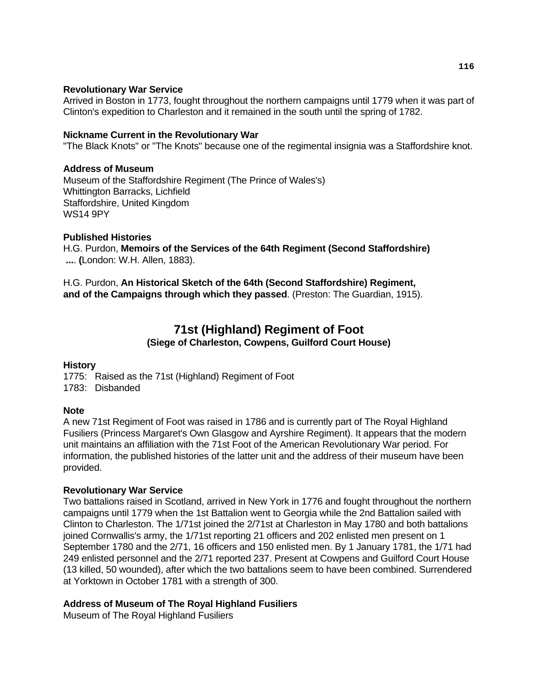#### **Revolutionary War Service**

Arrived in Boston in 1773, fought throughout the northern campaigns until 1779 when it was part of Clinton's expedition to Charleston and it remained in the south until the spring of 1782.

#### **Nickname Current in the Revolutionary War**

"The Black Knots" or "The Knots" because one of the regimental insignia was a Staffordshire knot.

#### **Address of Museum**

Museum of the Staffordshire Regiment (The Prince of Wales's) Whittington Barracks, Lichfield Staffordshire, United Kingdom WS14 9PY

#### **Published Histories**

H.G. Purdon, **Memoirs of the Services of the 64th Regiment (Second Staffordshire) ...**. **(**London: W.H. Allen, 1883).

H.G. Purdon, **An Historical Sketch of the 64th (Second Staffordshire) Regiment, and of the Campaigns through which they passed**. (Preston: The Guardian, 1915).

# **71st (Highland) Regiment of Foot**

#### **(Siege of Charleston, Cowpens, Guilford Court House)**

#### **History**

1775: Raised as the 71st (Highland) Regiment of Foot 1783: Disbanded

## **Note**

A new 71st Regiment of Foot was raised in 1786 and is currently part of The Royal Highland Fusiliers (Princess Margaret's Own Glasgow and Ayrshire Regiment). It appears that the modern unit maintains an affiliation with the 71st Foot of the American Revolutionary War period. For information, the published histories of the latter unit and the address of their museum have been provided.

## **Revolutionary War Service**

Two battalions raised in Scotland, arrived in New York in 1776 and fought throughout the northern campaigns until 1779 when the 1st Battalion went to Georgia while the 2nd Battalion sailed with Clinton to Charleston. The 1/71st joined the 2/71st at Charleston in May 1780 and both battalions joined Cornwallis's army, the 1/71st reporting 21 officers and 202 enlisted men present on 1 September 1780 and the 2/71, 16 officers and 150 enlisted men. By 1 January 1781, the 1/71 had 249 enlisted personnel and the 2/71 reported 237. Present at Cowpens and Guilford Court House (13 killed, 50 wounded), after which the two battalions seem to have been combined. Surrendered at Yorktown in October 1781 with a strength of 300.

## **Address of Museum of The Royal Highland Fusiliers**

Museum of The Royal Highland Fusiliers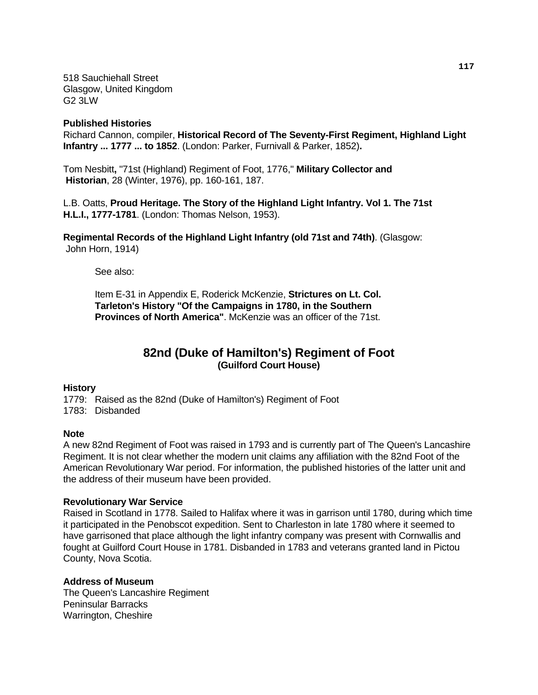518 Sauchiehall Street Glasgow, United Kingdom G2 3LW

#### **Published Histories**

Richard Cannon, compiler, **Historical Record of The Seventy-First Regiment, Highland Light Infantry ... 1777 ... to 1852**. (London: Parker, Furnivall & Parker, 1852)**.** 

Tom Nesbitt**,** "71st (Highland) Regiment of Foot, 1776," **Military Collector and Historian**, 28 (Winter, 1976), pp. 160-161, 187.

L.B. Oatts, **Proud Heritage. The Story of the Highland Light Infantry. Vol 1. The 71st H.L.I., 1777-1781**. (London: Thomas Nelson, 1953).

**Regimental Records of the Highland Light Infantry (old 71st and 74th)**. (Glasgow: John Horn, 1914)

See also:

Item E-31 in Appendix E, Roderick McKenzie, **Strictures on Lt. Col. Tarleton's History "Of the Campaigns in 1780, in the Southern Provinces of North America"**. McKenzie was an officer of the 71st.

## **82nd (Duke of Hamilton's) Regiment of Foot (Guilford Court House)**

#### **History**

1779: Raised as the 82nd (Duke of Hamilton's) Regiment of Foot 1783: Disbanded

#### **Note**

A new 82nd Regiment of Foot was raised in 1793 and is currently part of The Queen's Lancashire Regiment. It is not clear whether the modern unit claims any affiliation with the 82nd Foot of the American Revolutionary War period. For information, the published histories of the latter unit and the address of their museum have been provided.

#### **Revolutionary War Service**

Raised in Scotland in 1778. Sailed to Halifax where it was in garrison until 1780, during which time it participated in the Penobscot expedition. Sent to Charleston in late 1780 where it seemed to have garrisoned that place although the light infantry company was present with Cornwallis and fought at Guilford Court House in 1781. Disbanded in 1783 and veterans granted land in Pictou County, Nova Scotia.

#### **Address of Museum**

The Queen's Lancashire Regiment Peninsular Barracks Warrington, Cheshire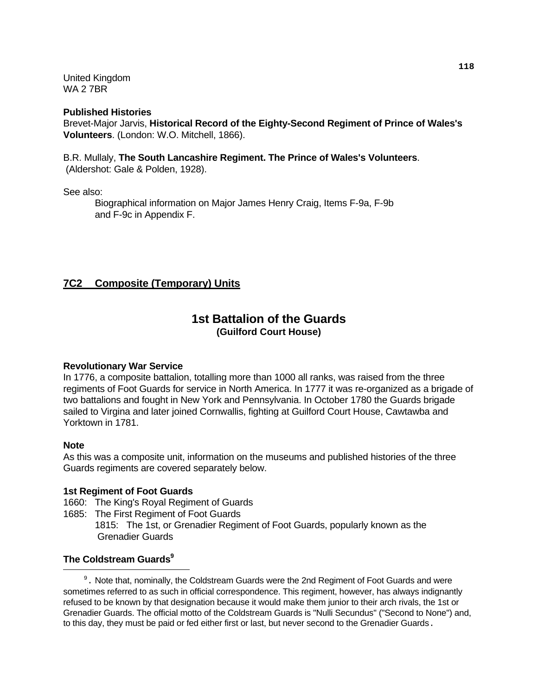United Kingdom WA 2 7BR

#### **Published Histories**

Brevet-Major Jarvis, **Historical Record of the Eighty-Second Regiment of Prince of Wales's Volunteers**. (London: W.O. Mitchell, 1866).

B.R. Mullaly, **The South Lancashire Regiment. The Prince of Wales's Volunteers**. (Aldershot: Gale & Polden, 1928).

See also:

Biographical information on Major James Henry Craig, Items F-9a, F-9b and F-9c in Appendix F.

## **7C2 Composite (Temporary) Units**

## **1st Battalion of the Guards (Guilford Court House)**

#### **Revolutionary War Service**

In 1776, a composite battalion, totalling more than 1000 all ranks, was raised from the three regiments of Foot Guards for service in North America. In 1777 it was re-organized as a brigade of two battalions and fought in New York and Pennsylvania. In October 1780 the Guards brigade sailed to Virgina and later joined Cornwallis, fighting at Guilford Court House, Cawtawba and Yorktown in 1781.

#### **Note**

As this was a composite unit, information on the museums and published histories of the three Guards regiments are covered separately below.

#### **1st Regiment of Foot Guards**

- 1660: The King's Royal Regiment of Guards
- 1685: The First Regiment of Foot Guards 1815: The 1st, or Grenadier Regiment of Foot Guards, popularly known as the Grenadier Guards

#### **The Coldstream Guards**<sup>9</sup> i

<span id="page-121-0"></span><sup>9</sup>. Note that, nominally, the Coldstream Guards were the 2nd Regiment of Foot Guards and were sometimes referred to as such in official correspondence. This regiment, however, has always indignantly refused to be known by that designation because it would make them junior to their arch rivals, the 1st or Grenadier Guards. The official motto of the Coldstream Guards is "Nulli Secundus" ("Second to None") and, to this day, they must be paid or fed either first or last, but never second to the Grenadier Guards.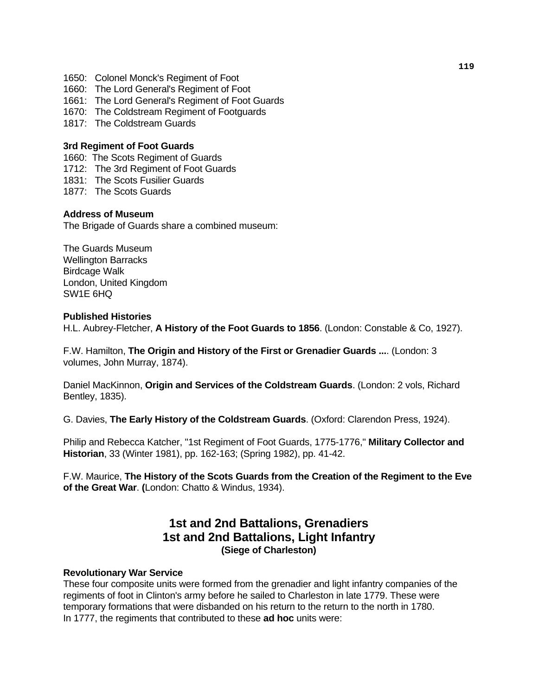- 1650: Colonel Monck's Regiment of Foot
- 1660: The Lord General's Regiment of Foot
- 1661: The Lord General's Regiment of Foot Guards
- 1670: The Coldstream Regiment of Footguards
- 1817: The Coldstream Guards

#### **3rd Regiment of Foot Guards**

- 1660: The Scots Regiment of Guards
- 1712: The 3rd Regiment of Foot Guards
- 1831: The Scots Fusilier Guards
- 1877: The Scots Guards

#### **Address of Museum**

The Brigade of Guards share a combined museum:

The Guards Museum Wellington Barracks Birdcage Walk London, United Kingdom SW1E 6HQ

#### **Published Histories**

H.L. Aubrey-Fletcher, **A History of the Foot Guards to 1856**. (London: Constable & Co, 1927).

F.W. Hamilton, **The Origin and History of the First or Grenadier Guards ...**. (London: 3 volumes, John Murray, 1874).

Daniel MacKinnon, **Origin and Services of the Coldstream Guards**. (London: 2 vols, Richard Bentley, 1835).

G. Davies, **The Early History of the Coldstream Guards**. (Oxford: Clarendon Press, 1924).

Philip and Rebecca Katcher, "1st Regiment of Foot Guards, 1775-1776," **Military Collector and Historian**, 33 (Winter 1981), pp. 162-163; (Spring 1982), pp. 41-42.

F.W. Maurice, **The History of the Scots Guards from the Creation of the Regiment to the Eve of the Great War**. **(**London: Chatto & Windus, 1934).

# **1st and 2nd Battalions, Grenadiers 1st and 2nd Battalions, Light Infantry (Siege of Charleston)**

#### **Revolutionary War Service**

These four composite units were formed from the grenadier and light infantry companies of the regiments of foot in Clinton's army before he sailed to Charleston in late 1779. These were temporary formations that were disbanded on his return to the return to the north in 1780. In 1777, the regiments that contributed to these **ad hoc** units were: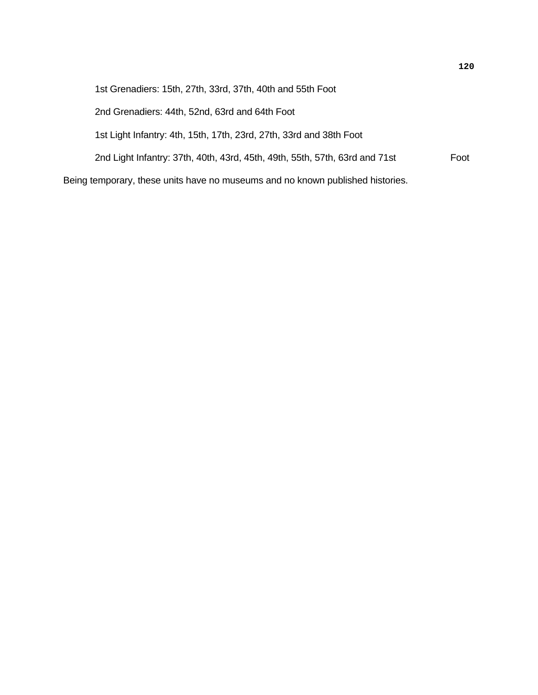| 1st Grenadiers: 15th, 27th, 33rd, 37th, 40th and 55th Foot                     |      |
|--------------------------------------------------------------------------------|------|
| 2nd Grenadiers: 44th, 52nd, 63rd and 64th Foot                                 |      |
| 1st Light Infantry: 4th, 15th, 17th, 23rd, 27th, 33rd and 38th Foot            |      |
| 2nd Light Infantry: 37th, 40th, 43rd, 45th, 49th, 55th, 57th, 63rd and 71st    | Foot |
| Being temporary, these units have no museums and no known published histories. |      |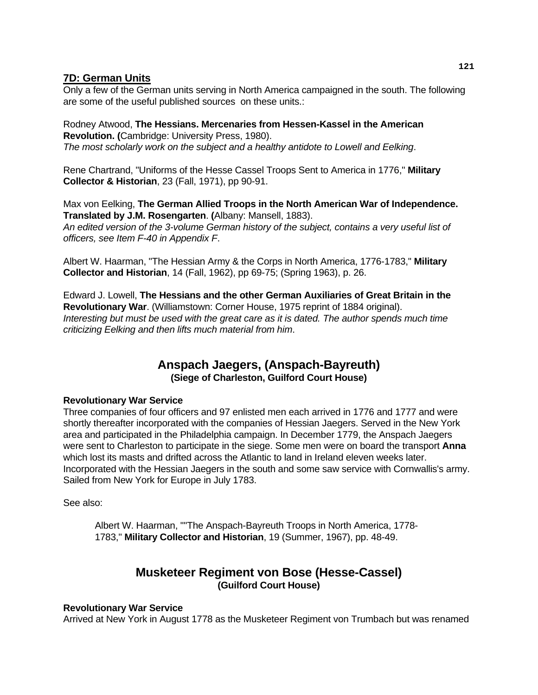## **7D: German Units**

Only a few of the German units serving in North America campaigned in the south. The following are some of the useful published sources on these units.:

Rodney Atwood, **The Hessians. Mercenaries from Hessen-Kassel in the American Revolution. (**Cambridge: University Press, 1980). *The most scholarly work on the subject and a healthy antidote to Lowell and Eelking*.

Rene Chartrand, "Uniforms of the Hesse Cassel Troops Sent to America in 1776," **Military Collector & Historian**, 23 (Fall, 1971), pp 90-91.

Max von Eelking, **The German Allied Troops in the North American War of Independence. Translated by J.M. Rosengarten**. **(**Albany: Mansell, 1883). *An edited version of the 3-volume German history of the subject, contains a very useful list of* 

*officers, see Item F-40 in Appendix F*.

Albert W. Haarman, "The Hessian Army & the Corps in North America, 1776-1783," **Military Collector and Historian**, 14 (Fall, 1962), pp 69-75; (Spring 1963), p. 26.

Edward J. Lowell, **The Hessians and the other German Auxiliaries of Great Britain in the Revolutionary War**. (Williamstown: Corner House, 1975 reprint of 1884 original). *Interesting but must be used with the great care as it is dated. The author spends much time criticizing Eelking and then lifts much material from him*.

## **Anspach Jaegers, (Anspach-Bayreuth) (Siege of Charleston, Guilford Court House)**

## **Revolutionary War Service**

Three companies of four officers and 97 enlisted men each arrived in 1776 and 1777 and were shortly thereafter incorporated with the companies of Hessian Jaegers. Served in the New York area and participated in the Philadelphia campaign. In December 1779, the Anspach Jaegers were sent to Charleston to participate in the siege. Some men were on board the transport **Anna** which lost its masts and drifted across the Atlantic to land in Ireland eleven weeks later. Incorporated with the Hessian Jaegers in the south and some saw service with Cornwallis's army. Sailed from New York for Europe in July 1783.

See also:

 Albert W. Haarman, ""The Anspach-Bayreuth Troops in North America, 1778- 1783," **Military Collector and Historian**, 19 (Summer, 1967), pp. 48-49.

## **Musketeer Regiment von Bose (Hesse-Cassel) (Guilford Court House)**

#### **Revolutionary War Service**

Arrived at New York in August 1778 as the Musketeer Regiment von Trumbach but was renamed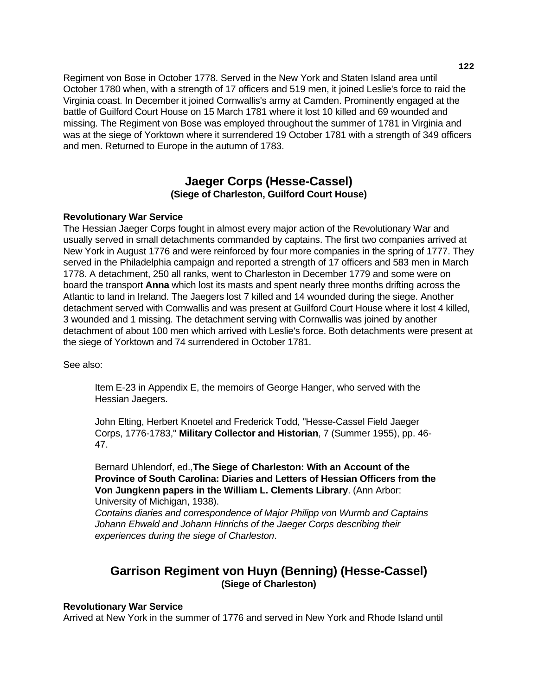Regiment von Bose in October 1778. Served in the New York and Staten Island area until October 1780 when, with a strength of 17 officers and 519 men, it joined Leslie's force to raid the Virginia coast. In December it joined Cornwallis's army at Camden. Prominently engaged at the battle of Guilford Court House on 15 March 1781 where it lost 10 killed and 69 wounded and missing. The Regiment von Bose was employed throughout the summer of 1781 in Virginia and was at the siege of Yorktown where it surrendered 19 October 1781 with a strength of 349 officers and men. Returned to Europe in the autumn of 1783.

## **Jaeger Corps (Hesse-Cassel) (Siege of Charleston, Guilford Court House)**

#### **Revolutionary War Service**

The Hessian Jaeger Corps fought in almost every major action of the Revolutionary War and usually served in small detachments commanded by captains. The first two companies arrived at New York in August 1776 and were reinforced by four more companies in the spring of 1777. They served in the Philadelphia campaign and reported a strength of 17 officers and 583 men in March 1778. A detachment, 250 all ranks, went to Charleston in December 1779 and some were on board the transport **Anna** which lost its masts and spent nearly three months drifting across the Atlantic to land in Ireland. The Jaegers lost 7 killed and 14 wounded during the siege. Another detachment served with Cornwallis and was present at Guilford Court House where it lost 4 killed, 3 wounded and 1 missing. The detachment serving with Cornwallis was joined by another detachment of about 100 men which arrived with Leslie's force. Both detachments were present at the siege of Yorktown and 74 surrendered in October 1781.

See also:

 Item E-23 in Appendix E, the memoirs of George Hanger, who served with the Hessian Jaegers.

 John Elting, Herbert Knoetel and Frederick Todd, "Hesse-Cassel Field Jaeger Corps, 1776-1783," **Military Collector and Historian**, 7 (Summer 1955), pp. 46- 47.

 Bernard Uhlendorf, ed.,**The Siege of Charleston: With an Account of the Province of South Carolina: Diaries and Letters of Hessian Officers from the Von Jungkenn papers in the William L. Clements Library**. (Ann Arbor: University of Michigan, 1938).

 *Contains diaries and correspondence of Major Philipp von Wurmb and Captains Johann Ehwald and Johann Hinrichs of the Jaeger Corps describing their experiences during the siege of Charleston*.

## **Garrison Regiment von Huyn (Benning) (Hesse-Cassel) (Siege of Charleston)**

#### **Revolutionary War Service**

Arrived at New York in the summer of 1776 and served in New York and Rhode Island until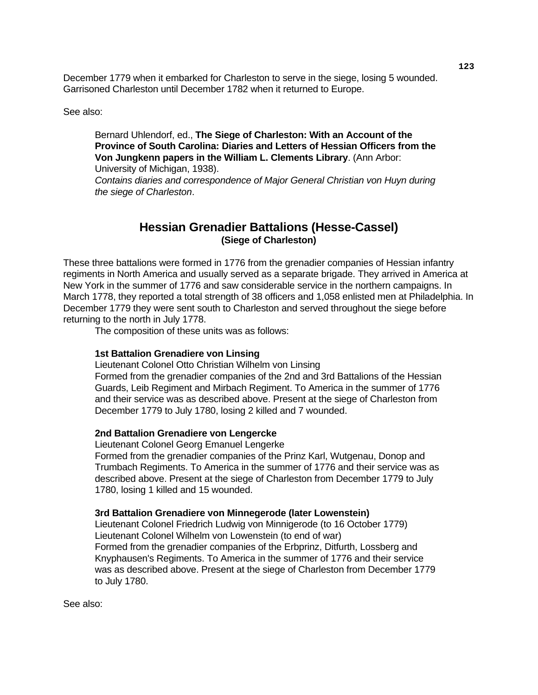December 1779 when it embarked for Charleston to serve in the siege, losing 5 wounded. Garrisoned Charleston until December 1782 when it returned to Europe.

See also:

 Bernard Uhlendorf, ed., **The Siege of Charleston: With an Account of the Province of South Carolina: Diaries and Letters of Hessian Officers from the Von Jungkenn papers in the William L. Clements Library**. (Ann Arbor: University of Michigan, 1938).

 *Contains diaries and correspondence of Major General Christian von Huyn during the siege of Charleston*.

## **Hessian Grenadier Battalions (Hesse-Cassel) (Siege of Charleston)**

These three battalions were formed in 1776 from the grenadier companies of Hessian infantry regiments in North America and usually served as a separate brigade. They arrived in America at New York in the summer of 1776 and saw considerable service in the northern campaigns. In March 1778, they reported a total strength of 38 officers and 1,058 enlisted men at Philadelphia. In December 1779 they were sent south to Charleston and served throughout the siege before returning to the north in July 1778.

The composition of these units was as follows:

#### **1st Battalion Grenadiere von Linsing**

Lieutenant Colonel Otto Christian Wilhelm von Linsing Formed from the grenadier companies of the 2nd and 3rd Battalions of the Hessian Guards, Leib Regiment and Mirbach Regiment. To America in the summer of 1776 and their service was as described above. Present at the siege of Charleston from December 1779 to July 1780, losing 2 killed and 7 wounded.

#### **2nd Battalion Grenadiere von Lengercke**

Lieutenant Colonel Georg Emanuel Lengerke

 Formed from the grenadier companies of the Prinz Karl, Wutgenau, Donop and Trumbach Regiments. To America in the summer of 1776 and their service was as described above. Present at the siege of Charleston from December 1779 to July 1780, losing 1 killed and 15 wounded.

#### **3rd Battalion Grenadiere von Minnegerode (later Lowenstein)**

Lieutenant Colonel Friedrich Ludwig von Minnigerode (to 16 October 1779) Lieutenant Colonel Wilhelm von Lowenstein (to end of war) Formed from the grenadier companies of the Erbprinz, Ditfurth, Lossberg and Knyphausen's Regiments. To America in the summer of 1776 and their service was as described above. Present at the siege of Charleston from December 1779 to July 1780.

See also: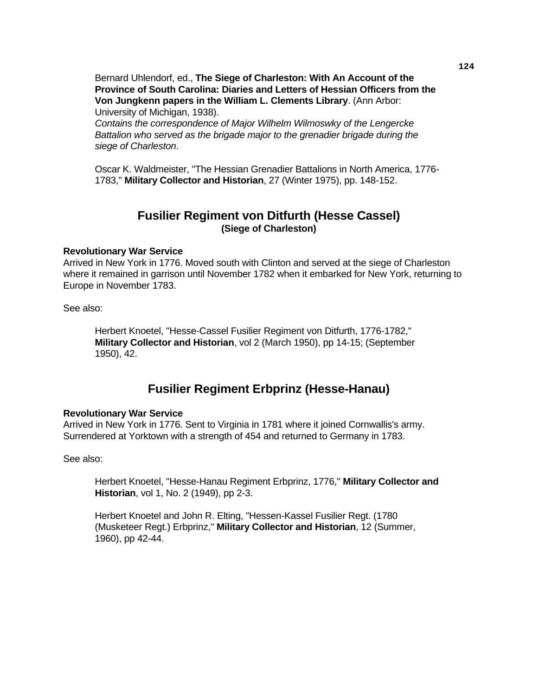Bernard Uhlendorf, ed., **The Siege of Charleston: With An Account of the Province of South Carolina: Diaries and Letters of Hessian Officers from the Von Jungkenn papers in the William L. Clements Library**. (Ann Arbor: University of Michigan, 1938).

 *Contains the correspondence of Major Wilhelm Wilmoswky of the Lengercke Battalion who served as the brigade major to the grenadier brigade during the siege of Charleston*.

 Oscar K. Waldmeister, "The Hessian Grenadier Battalions in North America, 1776- 1783," **Military Collector and Historian**, 27 (Winter 1975), pp. 148-152.

## **Fusilier Regiment von Ditfurth (Hesse Cassel) (Siege of Charleston)**

#### **Revolutionary War Service**

Arrived in New York in 1776. Moved south with Clinton and served at the siege of Charleston where it remained in garrison until November 1782 when it embarked for New York, returning to Europe in November 1783.

See also:

 Herbert Knoetel, "Hesse-Cassel Fusilier Regiment von Ditfurth, 1776-1782," **Military Collector and Historian**, vol 2 (March 1950), pp 14-15; (September 1950), 42.

# **Fusilier Regiment Erbprinz (Hesse-Hanau)**

#### **Revolutionary War Service**

Arrived in New York in 1776. Sent to Virginia in 1781 where it joined Cornwallis's army. Surrendered at Yorktown with a strength of 454 and returned to Germany in 1783.

See also:

 Herbert Knoetel, "Hesse-Hanau Regiment Erbprinz, 1776," **Military Collector and Historian**, vol 1, No. 2 (1949), pp 2-3.

 Herbert Knoetel and John R. Elting, "Hessen-Kassel Fusilier Regt. (1780 (Musketeer Regt.) Erbprinz," **Military Collector and Historian**, 12 (Summer, 1960), pp 42-44.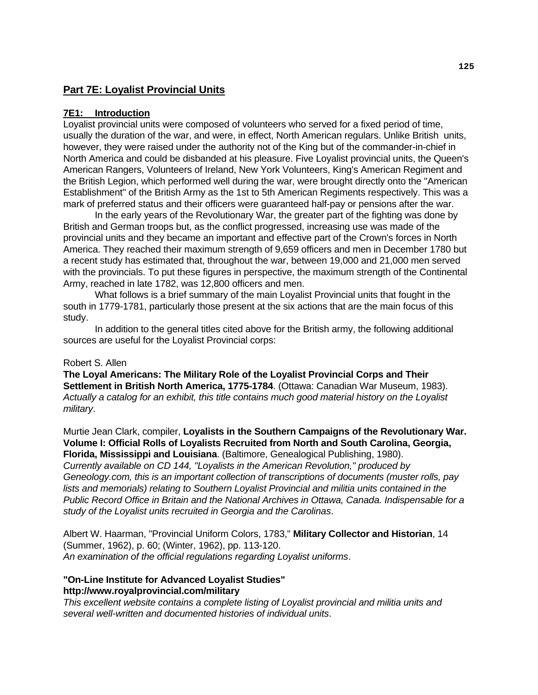## **Part 7E: Loyalist Provincial Units**

#### **7E1: Introduction**

Loyalist provincial units were composed of volunteers who served for a fixed period of time, usually the duration of the war, and were, in effect, North American regulars. Unlike British units, however, they were raised under the authority not of the King but of the commander-in-chief in North America and could be disbanded at his pleasure. Five Loyalist provincial units, the Queen's American Rangers, Volunteers of Ireland, New York Volunteers, King's American Regiment and the British Legion, which performed well during the war, were brought directly onto the "American Establishment" of the British Army as the 1st to 5th American Regiments respectively. This was a mark of preferred status and their officers were guaranteed half-pay or pensions after the war.

 In the early years of the Revolutionary War, the greater part of the fighting was done by British and German troops but, as the conflict progressed, increasing use was made of the provincial units and they became an important and effective part of the Crown's forces in North America. They reached their maximum strength of 9,659 officers and men in December 1780 but a recent study has estimated that, throughout the war, between 19,000 and 21,000 men served with the provincials. To put these figures in perspective, the maximum strength of the Continental Army, reached in late 1782, was 12,800 officers and men.

 What follows is a brief summary of the main Loyalist Provincial units that fought in the south in 1779-1781, particularly those present at the six actions that are the main focus of this study.

 In addition to the general titles cited above for the British army, the following additional sources are useful for the Loyalist Provincial corps:

#### Robert S. Allen

**The Loyal Americans: The Military Role of the Loyalist Provincial Corps and Their Settlement in British North America, 1775-1784**. (Ottawa: Canadian War Museum, 1983). *Actually a catalog for an exhibit, this title contains much good material history on the Loyalist military*.

Murtie Jean Clark, compiler, **Loyalists in the Southern Campaigns of the Revolutionary War. Volume I: Official Rolls of Loyalists Recruited from North and South Carolina, Georgia, Florida, Mississippi and Louisiana**. (Baltimore, Genealogical Publishing, 1980). *Currently available on CD 144, "Loyalists in the American Revolution," produced by Geneology.com, this is an important collection of transcriptions of documents (muster rolls, pay lists and memorials) relating to Southern Loyalist Provincial and militia units contained in the Public Record Office in Britain and the National Archives in Ottawa, Canada. Indispensable for a study of the Loyalist units recruited in Georgia and the Carolinas*.

Albert W. Haarman, "Provincial Uniform Colors, 1783," **Military Collector and Historian**, 14 (Summer, 1962), p. 60; (Winter, 1962), pp. 113-120. *An examination of the official regulations regarding Loyalist uniforms*.

#### **"On-Line Institute for Advanced Loyalist Studies" http://www.royalprovincial.com/military**

*This excellent website contains a complete listing of Loyalist provincial and militia units and several well-written and documented histories of individual units*.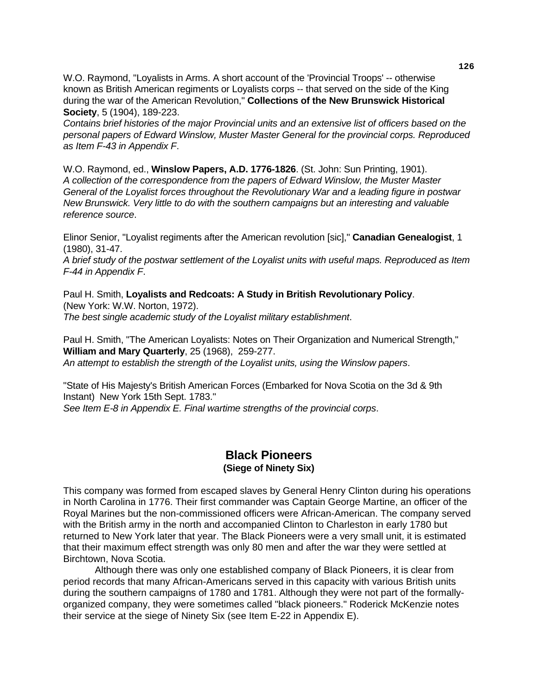W.O. Raymond, "Loyalists in Arms. A short account of the 'Provincial Troops' -- otherwise known as British American regiments or Loyalists corps -- that served on the side of the King during the war of the American Revolution," **Collections of the New Brunswick Historical Society**, 5 (1904), 189-223.

*Contains brief histories of the major Provincial units and an extensive list of officers based on the personal papers of Edward Winslow, Muster Master General for the provincial corps. Reproduced as Item F-43 in Appendix F*.

W.O. Raymond, ed., **Winslow Papers, A.D. 1776-1826**. (St. John: Sun Printing, 1901). *A collection of the correspondence from the papers of Edward Winslow, the Muster Master General of the Loyalist forces throughout the Revolutionary War and a leading figure in postwar New Brunswick. Very little to do with the southern campaigns but an interesting and valuable reference source*.

Elinor Senior, "Loyalist regiments after the American revolution [sic]," **Canadian Genealogist**, 1 (1980), 31-47.

*A brief study of the postwar settlement of the Loyalist units with useful maps. Reproduced as Item F-44 in Appendix F*.

Paul H. Smith, **Loyalists and Redcoats: A Study in British Revolutionary Policy**. (New York: W.W. Norton, 1972). *The best single academic study of the Loyalist military establishment*.

Paul H. Smith, "The American Loyalists: Notes on Their Organization and Numerical Strength," **William and Mary Quarterly**, 25 (1968), 259-277. *An attempt to establish the strength of the Loyalist units, using the Winslow papers*.

"State of His Majesty's British American Forces (Embarked for Nova Scotia on the 3d & 9th Instant) New York 15th Sept. 1783." *See Item E-8 in Appendix E. Final wartime strengths of the provincial corps*.

## **Black Pioneers (Siege of Ninety Six)**

This company was formed from escaped slaves by General Henry Clinton during his operations in North Carolina in 1776. Their first commander was Captain George Martine, an officer of the Royal Marines but the non-commissioned officers were African-American. The company served with the British army in the north and accompanied Clinton to Charleston in early 1780 but returned to New York later that year. The Black Pioneers were a very small unit, it is estimated that their maximum effect strength was only 80 men and after the war they were settled at Birchtown, Nova Scotia.

 Although there was only one established company of Black Pioneers, it is clear from period records that many African-Americans served in this capacity with various British units during the southern campaigns of 1780 and 1781. Although they were not part of the formallyorganized company, they were sometimes called "black pioneers." Roderick McKenzie notes their service at the siege of Ninety Six (see Item E-22 in Appendix E).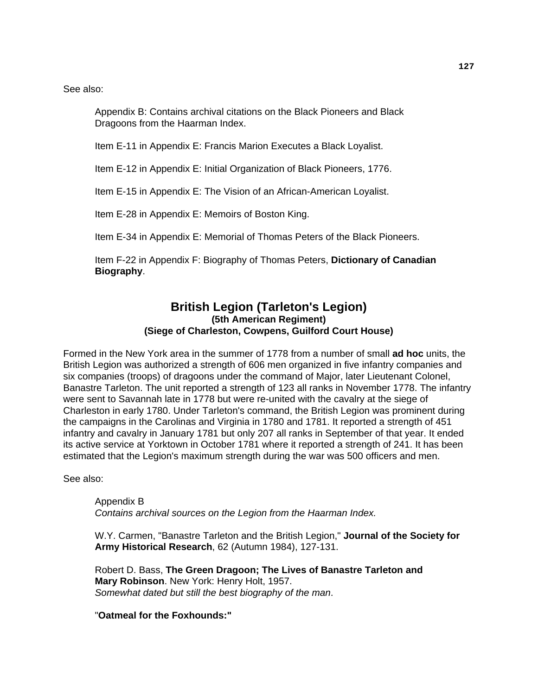See also:

 Appendix B: Contains archival citations on the Black Pioneers and Black Dragoons from the Haarman Index.

Item E-11 in Appendix E: Francis Marion Executes a Black Loyalist.

Item E-12 in Appendix E: Initial Organization of Black Pioneers, 1776.

Item E-15 in Appendix E: The Vision of an African-American Loyalist.

Item E-28 in Appendix E: Memoirs of Boston King.

Item E-34 in Appendix E: Memorial of Thomas Peters of the Black Pioneers.

 Item F-22 in Appendix F: Biography of Thomas Peters, **Dictionary of Canadian Biography**.

## **British Legion (Tarleton's Legion) (5th American Regiment) (Siege of Charleston, Cowpens, Guilford Court House)**

Formed in the New York area in the summer of 1778 from a number of small **ad hoc** units, the British Legion was authorized a strength of 606 men organized in five infantry companies and six companies (troops) of dragoons under the command of Major, later Lieutenant Colonel, Banastre Tarleton. The unit reported a strength of 123 all ranks in November 1778. The infantry were sent to Savannah late in 1778 but were re-united with the cavalry at the siege of Charleston in early 1780. Under Tarleton's command, the British Legion was prominent during the campaigns in the Carolinas and Virginia in 1780 and 1781. It reported a strength of 451 infantry and cavalry in January 1781 but only 207 all ranks in September of that year. It ended its active service at Yorktown in October 1781 where it reported a strength of 241. It has been estimated that the Legion's maximum strength during the war was 500 officers and men.

See also:

 Appendix B  *Contains archival sources on the Legion from the Haarman Index.*

W.Y. Carmen, "Banastre Tarleton and the British Legion," **Journal of the Society for Army Historical Research**, 62 (Autumn 1984), 127-131.

 Robert D. Bass, **The Green Dragoon; The Lives of Banastre Tarleton and Mary Robinson**. New York: Henry Holt, 1957.  *Somewhat dated but still the best biography of the man*.

"**Oatmeal for the Foxhounds:"**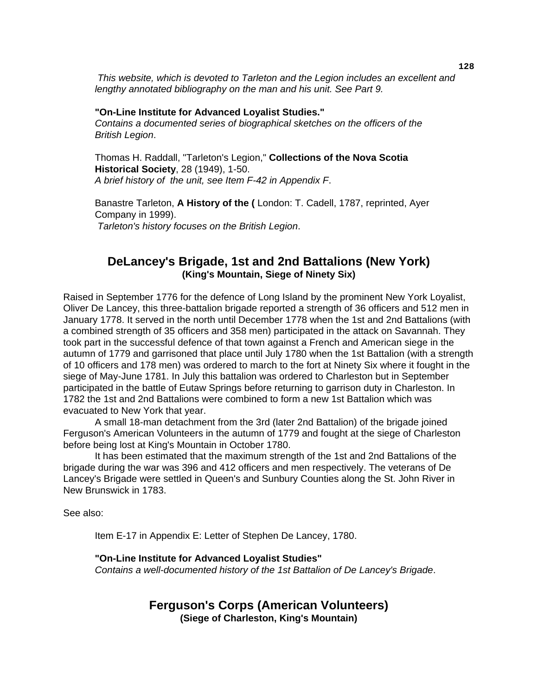*This website, which is devoted to Tarleton and the Legion includes an excellent and lengthy annotated bibliography on the man and his unit. See Part 9.* 

#### **"On-Line Institute for Advanced Loyalist Studies."**

 *Contains a documented series of biographical sketches on the officers of the British Legion*.

 Thomas H. Raddall, "Tarleton's Legion," **Collections of the Nova Scotia Historical Society**, 28 (1949), 1-50.  *A brief history of the unit, see Item F-42 in Appendix F*.

 Banastre Tarleton, **A History of the (** London: T. Cadell, 1787, reprinted, Ayer Company in 1999). *Tarleton's history focuses on the British Legion*.

## **DeLancey's Brigade, 1st and 2nd Battalions (New York) (King's Mountain, Siege of Ninety Six)**

Raised in September 1776 for the defence of Long Island by the prominent New York Loyalist, Oliver De Lancey, this three-battalion brigade reported a strength of 36 officers and 512 men in January 1778. It served in the north until December 1778 when the 1st and 2nd Battalions (with a combined strength of 35 officers and 358 men) participated in the attack on Savannah. They took part in the successful defence of that town against a French and American siege in the autumn of 1779 and garrisoned that place until July 1780 when the 1st Battalion (with a strength of 10 officers and 178 men) was ordered to march to the fort at Ninety Six where it fought in the siege of May-June 1781. In July this battalion was ordered to Charleston but in September participated in the battle of Eutaw Springs before returning to garrison duty in Charleston. In 1782 the 1st and 2nd Battalions were combined to form a new 1st Battalion which was evacuated to New York that year.

 A small 18-man detachment from the 3rd (later 2nd Battalion) of the brigade joined Ferguson's American Volunteers in the autumn of 1779 and fought at the siege of Charleston before being lost at King's Mountain in October 1780.

 It has been estimated that the maximum strength of the 1st and 2nd Battalions of the brigade during the war was 396 and 412 officers and men respectively. The veterans of De Lancey's Brigade were settled in Queen's and Sunbury Counties along the St. John River in New Brunswick in 1783.

See also:

Item E-17 in Appendix E: Letter of Stephen De Lancey, 1780.

#### **"On-Line Institute for Advanced Loyalist Studies"**

 *Contains a well-documented history of the 1st Battalion of De Lancey's Brigade*.

## **Ferguson's Corps (American Volunteers) (Siege of Charleston, King's Mountain)**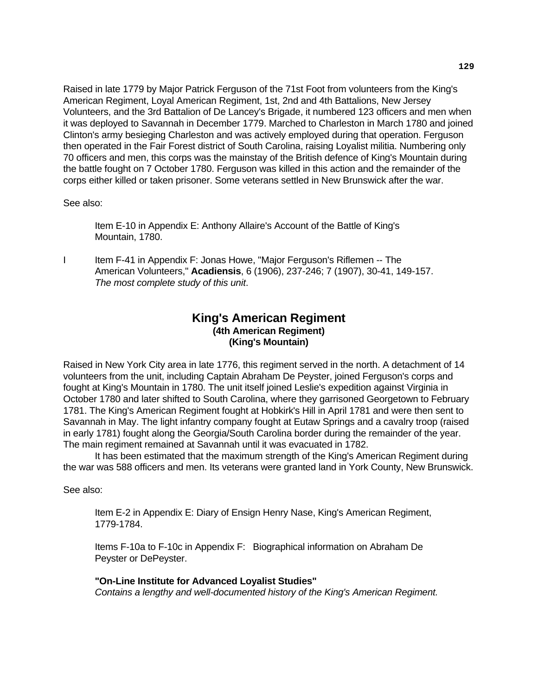Raised in late 1779 by Major Patrick Ferguson of the 71st Foot from volunteers from the King's American Regiment, Loyal American Regiment, 1st, 2nd and 4th Battalions, New Jersey Volunteers, and the 3rd Battalion of De Lancey's Brigade, it numbered 123 officers and men when it was deployed to Savannah in December 1779. Marched to Charleston in March 1780 and joined Clinton's army besieging Charleston and was actively employed during that operation. Ferguson then operated in the Fair Forest district of South Carolina, raising Loyalist militia. Numbering only 70 officers and men, this corps was the mainstay of the British defence of King's Mountain during the battle fought on 7 October 1780. Ferguson was killed in this action and the remainder of the corps either killed or taken prisoner. Some veterans settled in New Brunswick after the war.

See also:

 Item E-10 in Appendix E: Anthony Allaire's Account of the Battle of King's Mountain, 1780.

I Item F-41 in Appendix F: Jonas Howe, "Major Ferguson's Riflemen -- The American Volunteers," **Acadiensis**, 6 (1906), 237-246; 7 (1907), 30-41, 149-157. *The most complete study of this unit*.

## **King's American Regiment (4th American Regiment) (King's Mountain)**

Raised in New York City area in late 1776, this regiment served in the north. A detachment of 14 volunteers from the unit, including Captain Abraham De Peyster, joined Ferguson's corps and fought at King's Mountain in 1780. The unit itself joined Leslie's expedition against Virginia in October 1780 and later shifted to South Carolina, where they garrisoned Georgetown to February 1781. The King's American Regiment fought at Hobkirk's Hill in April 1781 and were then sent to Savannah in May. The light infantry company fought at Eutaw Springs and a cavalry troop (raised in early 1781) fought along the Georgia/South Carolina border during the remainder of the year. The main regiment remained at Savannah until it was evacuated in 1782.

 It has been estimated that the maximum strength of the King's American Regiment during the war was 588 officers and men. Its veterans were granted land in York County, New Brunswick.

See also:

 Item E-2 in Appendix E: Diary of Ensign Henry Nase, King's American Regiment, 1779-1784.

 Items F-10a to F-10c in Appendix F: Biographical information on Abraham De Peyster or DePeyster.

 **"On-Line Institute for Advanced Loyalist Studies"**   *Contains a lengthy and well-documented history of the King's American Regiment.*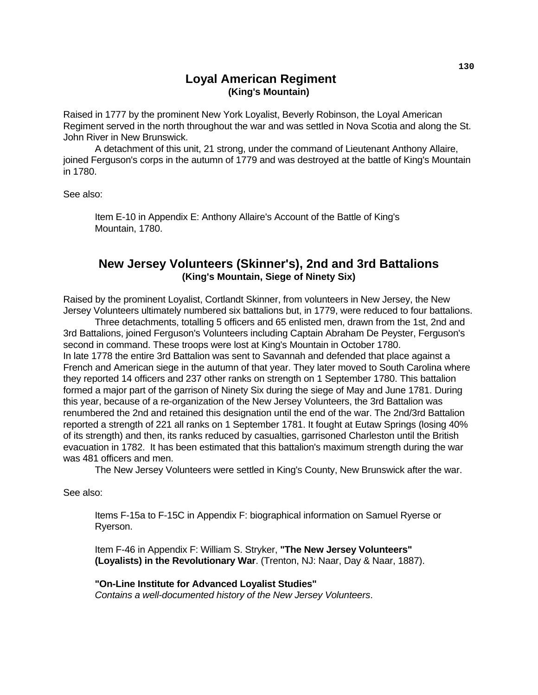## **Loyal American Regiment (King's Mountain)**

Raised in 1777 by the prominent New York Loyalist, Beverly Robinson, the Loyal American Regiment served in the north throughout the war and was settled in Nova Scotia and along the St. John River in New Brunswick.

 A detachment of this unit, 21 strong, under the command of Lieutenant Anthony Allaire, joined Ferguson's corps in the autumn of 1779 and was destroyed at the battle of King's Mountain in 1780.

See also:

 Item E-10 in Appendix E: Anthony Allaire's Account of the Battle of King's Mountain, 1780.

## **New Jersey Volunteers (Skinner's), 2nd and 3rd Battalions (King's Mountain, Siege of Ninety Six)**

Raised by the prominent Loyalist, Cortlandt Skinner, from volunteers in New Jersey, the New Jersey Volunteers ultimately numbered six battalions but, in 1779, were reduced to four battalions.

 Three detachments, totalling 5 officers and 65 enlisted men, drawn from the 1st, 2nd and 3rd Battalions, joined Ferguson's Volunteers including Captain Abraham De Peyster, Ferguson's second in command. These troops were lost at King's Mountain in October 1780. In late 1778 the entire 3rd Battalion was sent to Savannah and defended that place against a French and American siege in the autumn of that year. They later moved to South Carolina where they reported 14 officers and 237 other ranks on strength on 1 September 1780. This battalion formed a major part of the garrison of Ninety Six during the siege of May and June 1781. During this year, because of a re-organization of the New Jersey Volunteers, the 3rd Battalion was renumbered the 2nd and retained this designation until the end of the war. The 2nd/3rd Battalion reported a strength of 221 all ranks on 1 September 1781. It fought at Eutaw Springs (losing 40% of its strength) and then, its ranks reduced by casualties, garrisoned Charleston until the British evacuation in 1782. It has been estimated that this battalion's maximum strength during the war was 481 officers and men.

The New Jersey Volunteers were settled in King's County, New Brunswick after the war.

See also:

 Items F-15a to F-15C in Appendix F: biographical information on Samuel Ryerse or Ryerson.

 Item F-46 in Appendix F: William S. Stryker, **"The New Jersey Volunteers" (Loyalists) in the Revolutionary War**. (Trenton, NJ: Naar, Day & Naar, 1887).

 **"On-Line Institute for Advanced Loyalist Studies"**   *Contains a well-documented history of the New Jersey Volunteers*.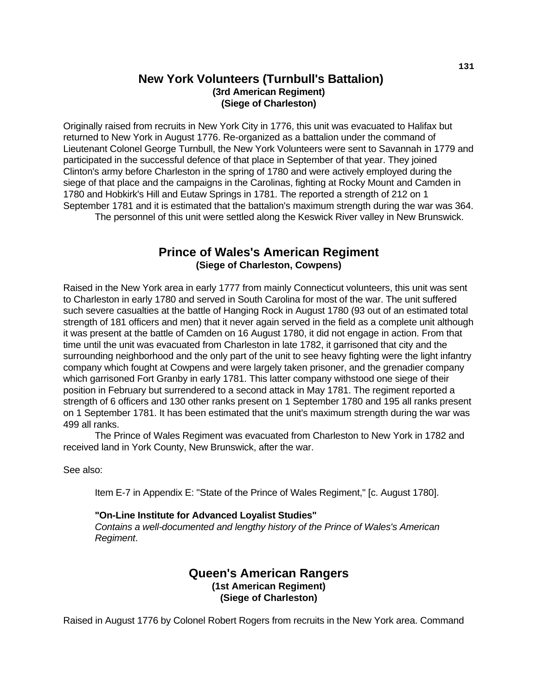## **New York Volunteers (Turnbull's Battalion) (3rd American Regiment) (Siege of Charleston)**

Originally raised from recruits in New York City in 1776, this unit was evacuated to Halifax but returned to New York in August 1776. Re-organized as a battalion under the command of Lieutenant Colonel George Turnbull, the New York Volunteers were sent to Savannah in 1779 and participated in the successful defence of that place in September of that year. They joined Clinton's army before Charleston in the spring of 1780 and were actively employed during the siege of that place and the campaigns in the Carolinas, fighting at Rocky Mount and Camden in 1780 and Hobkirk's Hill and Eutaw Springs in 1781. The reported a strength of 212 on 1 September 1781 and it is estimated that the battalion's maximum strength during the war was 364. The personnel of this unit were settled along the Keswick River valley in New Brunswick.

## **Prince of Wales's American Regiment (Siege of Charleston, Cowpens)**

Raised in the New York area in early 1777 from mainly Connecticut volunteers, this unit was sent to Charleston in early 1780 and served in South Carolina for most of the war. The unit suffered such severe casualties at the battle of Hanging Rock in August 1780 (93 out of an estimated total strength of 181 officers and men) that it never again served in the field as a complete unit although it was present at the battle of Camden on 16 August 1780, it did not engage in action. From that time until the unit was evacuated from Charleston in late 1782, it garrisoned that city and the surrounding neighborhood and the only part of the unit to see heavy fighting were the light infantry company which fought at Cowpens and were largely taken prisoner, and the grenadier company which garrisoned Fort Granby in early 1781. This latter company withstood one siege of their position in February but surrendered to a second attack in May 1781. The regiment reported a strength of 6 officers and 130 other ranks present on 1 September 1780 and 195 all ranks present on 1 September 1781. It has been estimated that the unit's maximum strength during the war was 499 all ranks.

 The Prince of Wales Regiment was evacuated from Charleston to New York in 1782 and received land in York County, New Brunswick, after the war.

See also:

Item E-7 in Appendix E: "State of the Prince of Wales Regiment," [c. August 1780].

## **"On-Line Institute for Advanced Loyalist Studies"**

 *Contains a well-documented and lengthy history of the Prince of Wales's American Regiment*.

## **Queen's American Rangers (1st American Regiment) (Siege of Charleston)**

Raised in August 1776 by Colonel Robert Rogers from recruits in the New York area. Command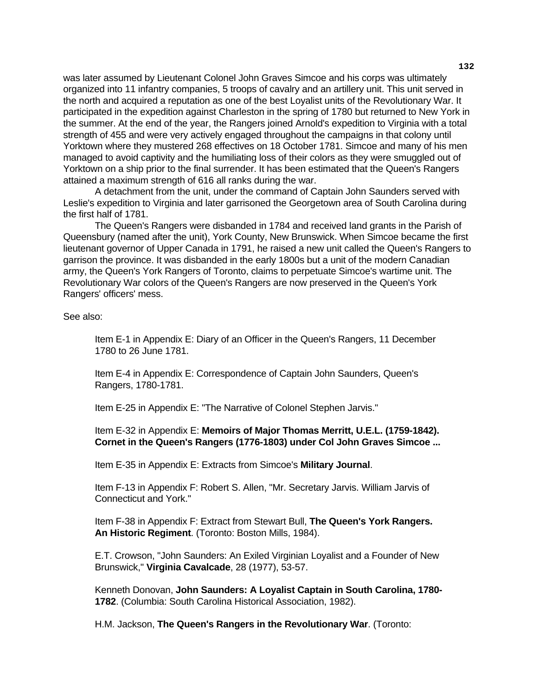was later assumed by Lieutenant Colonel John Graves Simcoe and his corps was ultimately organized into 11 infantry companies, 5 troops of cavalry and an artillery unit. This unit served in the north and acquired a reputation as one of the best Loyalist units of the Revolutionary War. It participated in the expedition against Charleston in the spring of 1780 but returned to New York in the summer. At the end of the year, the Rangers joined Arnold's expedition to Virginia with a total strength of 455 and were very actively engaged throughout the campaigns in that colony until Yorktown where they mustered 268 effectives on 18 October 1781. Simcoe and many of his men managed to avoid captivity and the humiliating loss of their colors as they were smuggled out of Yorktown on a ship prior to the final surrender. It has been estimated that the Queen's Rangers attained a maximum strength of 616 all ranks during the war.

 A detachment from the unit, under the command of Captain John Saunders served with Leslie's expedition to Virginia and later garrisoned the Georgetown area of South Carolina during the first half of 1781.

 The Queen's Rangers were disbanded in 1784 and received land grants in the Parish of Queensbury (named after the unit), York County, New Brunswick. When Simcoe became the first lieutenant governor of Upper Canada in 1791, he raised a new unit called the Queen's Rangers to garrison the province. It was disbanded in the early 1800s but a unit of the modern Canadian army, the Queen's York Rangers of Toronto, claims to perpetuate Simcoe's wartime unit. The Revolutionary War colors of the Queen's Rangers are now preserved in the Queen's York Rangers' officers' mess.

See also:

 Item E-1 in Appendix E: Diary of an Officer in the Queen's Rangers, 11 December 1780 to 26 June 1781.

 Item E-4 in Appendix E: Correspondence of Captain John Saunders, Queen's Rangers, 1780-1781.

Item E-25 in Appendix E: "The Narrative of Colonel Stephen Jarvis."

 Item E-32 in Appendix E: **Memoirs of Major Thomas Merritt, U.E.L. (1759-1842). Cornet in the Queen's Rangers (1776-1803) under Col John Graves Simcoe ...**

Item E-35 in Appendix E: Extracts from Simcoe's **Military Journal**.

 Item F-13 in Appendix F: Robert S. Allen, "Mr. Secretary Jarvis. William Jarvis of Connecticut and York."

 Item F-38 in Appendix F: Extract from Stewart Bull, **The Queen's York Rangers. An Historic Regiment**. (Toronto: Boston Mills, 1984).

 E.T. Crowson, "John Saunders: An Exiled Virginian Loyalist and a Founder of New Brunswick," **Virginia Cavalcade**, 28 (1977), 53-57.

 Kenneth Donovan, **John Saunders: A Loyalist Captain in South Carolina, 1780- 1782**. (Columbia: South Carolina Historical Association, 1982).

H.M. Jackson, **The Queen's Rangers in the Revolutionary War**. (Toronto: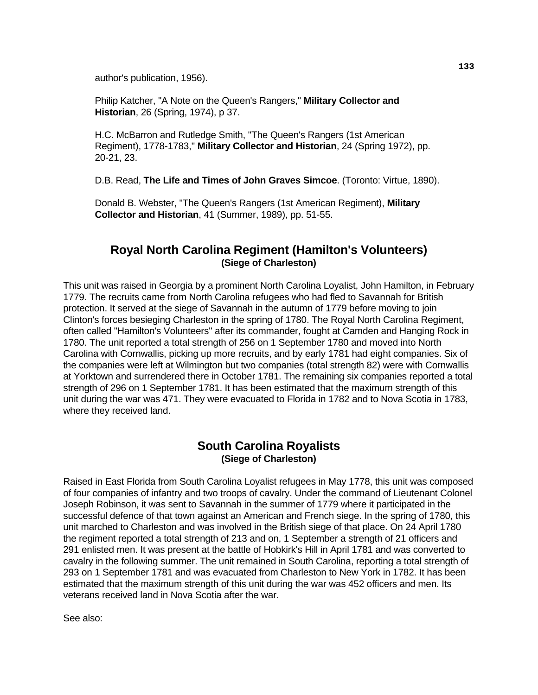author's publication, 1956).

 Philip Katcher, "A Note on the Queen's Rangers," **Military Collector and Historian**, 26 (Spring, 1974), p 37.

 H.C. McBarron and Rutledge Smith, "The Queen's Rangers (1st American Regiment), 1778-1783," **Military Collector and Historian**, 24 (Spring 1972), pp. 20-21, 23.

D.B. Read, **The Life and Times of John Graves Simcoe**. (Toronto: Virtue, 1890).

 Donald B. Webster, "The Queen's Rangers (1st American Regiment), **Military Collector and Historian**, 41 (Summer, 1989), pp. 51-55.

## **Royal North Carolina Regiment (Hamilton's Volunteers) (Siege of Charleston)**

This unit was raised in Georgia by a prominent North Carolina Loyalist, John Hamilton, in February 1779. The recruits came from North Carolina refugees who had fled to Savannah for British protection. It served at the siege of Savannah in the autumn of 1779 before moving to join Clinton's forces besieging Charleston in the spring of 1780. The Royal North Carolina Regiment, often called "Hamilton's Volunteers" after its commander, fought at Camden and Hanging Rock in 1780. The unit reported a total strength of 256 on 1 September 1780 and moved into North Carolina with Cornwallis, picking up more recruits, and by early 1781 had eight companies. Six of the companies were left at Wilmington but two companies (total strength 82) were with Cornwallis at Yorktown and surrendered there in October 1781. The remaining six companies reported a total strength of 296 on 1 September 1781. It has been estimated that the maximum strength of this unit during the war was 471. They were evacuated to Florida in 1782 and to Nova Scotia in 1783, where they received land.

## **South Carolina Royalists (Siege of Charleston)**

Raised in East Florida from South Carolina Loyalist refugees in May 1778, this unit was composed of four companies of infantry and two troops of cavalry. Under the command of Lieutenant Colonel Joseph Robinson, it was sent to Savannah in the summer of 1779 where it participated in the successful defence of that town against an American and French siege. In the spring of 1780, this unit marched to Charleston and was involved in the British siege of that place. On 24 April 1780 the regiment reported a total strength of 213 and on, 1 September a strength of 21 officers and 291 enlisted men. It was present at the battle of Hobkirk's Hill in April 1781 and was converted to cavalry in the following summer. The unit remained in South Carolina, reporting a total strength of 293 on 1 September 1781 and was evacuated from Charleston to New York in 1782. It has been estimated that the maximum strength of this unit during the war was 452 officers and men. Its veterans received land in Nova Scotia after the war.

See also: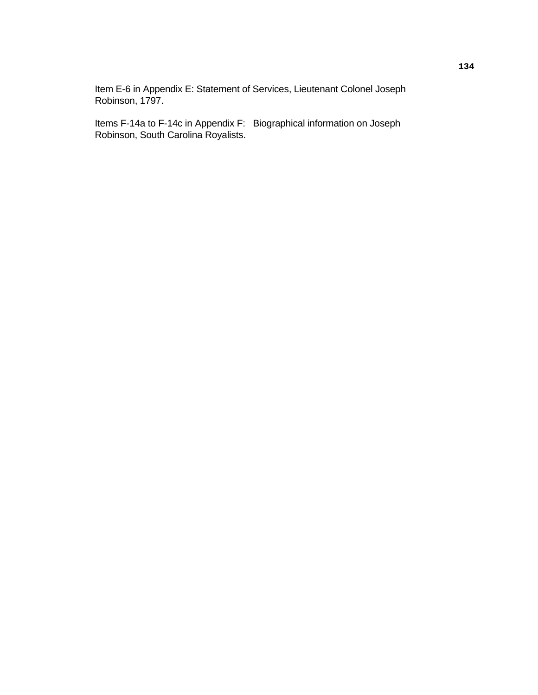Item E-6 in Appendix E: Statement of Services, Lieutenant Colonel Joseph Robinson, 1797.

 Items F-14a to F-14c in Appendix F: Biographical information on Joseph Robinson, South Carolina Royalists.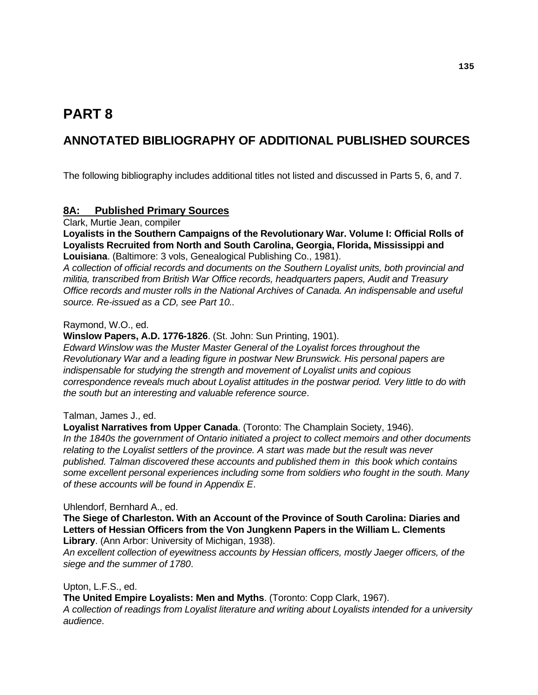# **PART 8**

# **ANNOTATED BIBLIOGRAPHY OF ADDITIONAL PUBLISHED SOURCES**

The following bibliography includes additional titles not listed and discussed in Parts 5, 6, and 7.

## **8A: Published Primary Sources**

Clark, Murtie Jean, compiler

**Loyalists in the Southern Campaigns of the Revolutionary War. Volume I: Official Rolls of Loyalists Recruited from North and South Carolina, Georgia, Florida, Mississippi and Louisiana**. (Baltimore: 3 vols, Genealogical Publishing Co., 1981).

*A collection of official records and documents on the Southern Loyalist units, both provincial and militia, transcribed from British War Office records, headquarters papers, Audit and Treasury Office records and muster rolls in the National Archives of Canada. An indispensable and useful source. Re-issued as a CD, see Part 10..* 

#### Raymond, W.O., ed.

**Winslow Papers, A.D. 1776-1826**. (St. John: Sun Printing, 1901).

*Edward Winslow was the Muster Master General of the Loyalist forces throughout the Revolutionary War and a leading figure in postwar New Brunswick. His personal papers are indispensable for studying the strength and movement of Loyalist units and copious correspondence reveals much about Loyalist attitudes in the postwar period. Very little to do with the south but an interesting and valuable reference source*.

## Talman, James J., ed.

**Loyalist Narratives from Upper Canada**. (Toronto: The Champlain Society, 1946).

*In the 1840s the government of Ontario initiated a project to collect memoirs and other documents relating to the Loyalist settlers of the province. A start was made but the result was never published. Talman discovered these accounts and published them in this book which contains some excellent personal experiences including some from soldiers who fought in the south. Many of these accounts will be found in Appendix E*.

Uhlendorf, Bernhard A., ed.

**The Siege of Charleston. With an Account of the Province of South Carolina: Diaries and Letters of Hessian Officers from the Von Jungkenn Papers in the William L. Clements Library**. (Ann Arbor: University of Michigan, 1938).

*An excellent collection of eyewitness accounts by Hessian officers, mostly Jaeger officers, of the siege and the summer of 1780*.

Upton, L.F.S., ed.

**The United Empire Loyalists: Men and Myths**. (Toronto: Copp Clark, 1967). *A collection of readings from Loyalist literature and writing about Loyalists intended for a university audience*.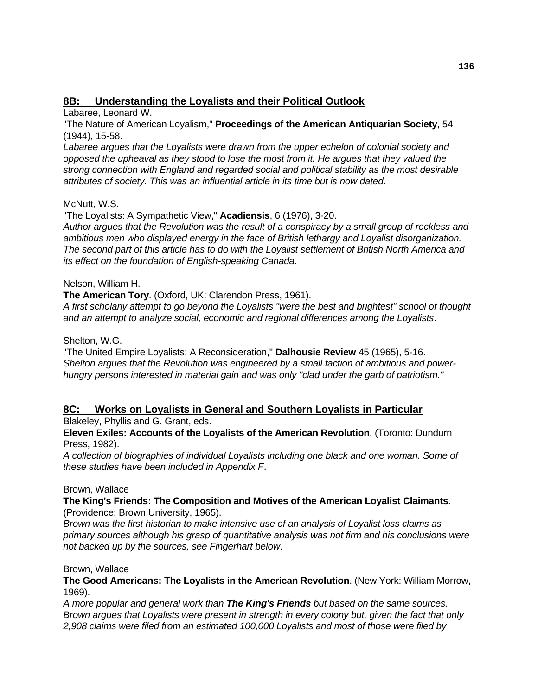## **8B: Understanding the Loyalists and their Political Outlook**

Labaree, Leonard W.

"The Nature of American Loyalism," **Proceedings of the American Antiquarian Society**, 54 (1944), 15-58.

Labaree argues that the Loyalists were drawn from the upper echelon of colonial society and *opposed the upheaval as they stood to lose the most from it. He argues that they valued the strong connection with England and regarded social and political stability as the most desirable attributes of society. This was an influential article in its time but is now dated*.

## McNutt, W.S.

"The Loyalists: A Sympathetic View," **Acadiensis**, 6 (1976), 3-20.

*Author argues that the Revolution was the result of a conspiracy by a small group of reckless and ambitious men who displayed energy in the face of British lethargy and Loyalist disorganization. The second part of this article has to do with the Loyalist settlement of British North America and its effect on the foundation of English-speaking Canada*.

## Nelson, William H.

**The American Tory**. (Oxford, UK: Clarendon Press, 1961).

*A first scholarly attempt to go beyond the Loyalists "were the best and brightest" school of thought and an attempt to analyze social, economic and regional differences among the Loyalists*.

## Shelton, W.G.

"The United Empire Loyalists: A Reconsideration," **Dalhousie Review** 45 (1965), 5-16. *Shelton argues that the Revolution was engineered by a small faction of ambitious and powerhungry persons interested in material gain and was only "clad under the garb of patriotism."*

## **8C: Works on Loyalists in General and Southern Loyalists in Particular**

Blakeley, Phyllis and G. Grant, eds.

**Eleven Exiles: Accounts of the Loyalists of the American Revolution**. (Toronto: Dundurn Press, 1982).

*A collection of biographies of individual Loyalists including one black and one woman. Some of these studies have been included in Appendix F*.

## Brown, Wallace

#### **The King's Friends: The Composition and Motives of the American Loyalist Claimants**. (Providence: Brown University, 1965).

*Brown was the first historian to make intensive use of an analysis of Loyalist loss claims as primary sources although his grasp of quantitative analysis was not firm and his conclusions were not backed up by the sources, see Fingerhart below*.

## Brown, Wallace

**The Good Americans: The Loyalists in the American Revolution**. (New York: William Morrow, 1969).

*A more popular and general work than The King's Friends but based on the same sources. Brown argues that Loyalists were present in strength in every colony but, given the fact that only 2,908 claims were filed from an estimated 100,000 Loyalists and most of those were filed by*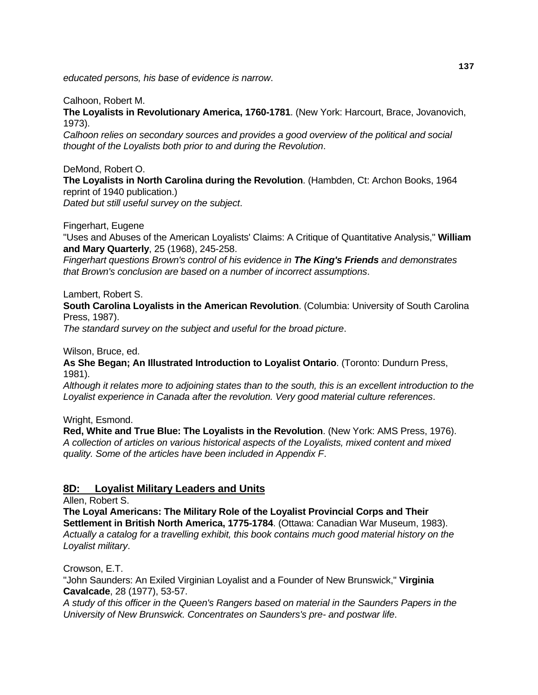*educated persons, his base of evidence is narrow*.

#### Calhoon, Robert M.

**The Loyalists in Revolutionary America, 1760-1781**. (New York: Harcourt, Brace, Jovanovich, 1973).

*Calhoon relies on secondary sources and provides a good overview of the political and social thought of the Loyalists both prior to and during the Revolution*.

DeMond, Robert O.

**The Loyalists in North Carolina during the Revolution**. (Hambden, Ct: Archon Books, 1964 reprint of 1940 publication.)

*Dated but still useful survey on the subject*.

Fingerhart, Eugene

"Uses and Abuses of the American Loyalists' Claims: A Critique of Quantitative Analysis," **William and Mary Quarterly**, 25 (1968), 245-258.

*Fingerhart questions Brown's control of his evidence in The King's Friends and demonstrates that Brown's conclusion are based on a number of incorrect assumptions*.

Lambert, Robert S.

**South Carolina Loyalists in the American Revolution**. (Columbia: University of South Carolina Press, 1987).

*The standard survey on the subject and useful for the broad picture*.

Wilson, Bruce, ed.

**As She Began; An Illustrated Introduction to Loyalist Ontario**. (Toronto: Dundurn Press, 1981).

*Although it relates more to adjoining states than to the south, this is an excellent introduction to the Loyalist experience in Canada after the revolution. Very good material culture references*.

Wright, Esmond.

**Red, White and True Blue: The Loyalists in the Revolution**. (New York: AMS Press, 1976). *A collection of articles on various historical aspects of the Loyalists, mixed content and mixed quality. Some of the articles have been included in Appendix F*.

## **8D: Loyalist Military Leaders and Units**

Allen, Robert S.

**The Loyal Americans: The Military Role of the Loyalist Provincial Corps and Their Settlement in British North America, 1775-1784**. (Ottawa: Canadian War Museum, 1983). *Actually a catalog for a travelling exhibit, this book contains much good material history on the Loyalist military*.

Crowson, E.T.

"John Saunders: An Exiled Virginian Loyalist and a Founder of New Brunswick," **Virginia Cavalcade**, 28 (1977), 53-57.

*A study of this officer in the Queen's Rangers based on material in the Saunders Papers in the University of New Brunswick. Concentrates on Saunders's pre- and postwar life*.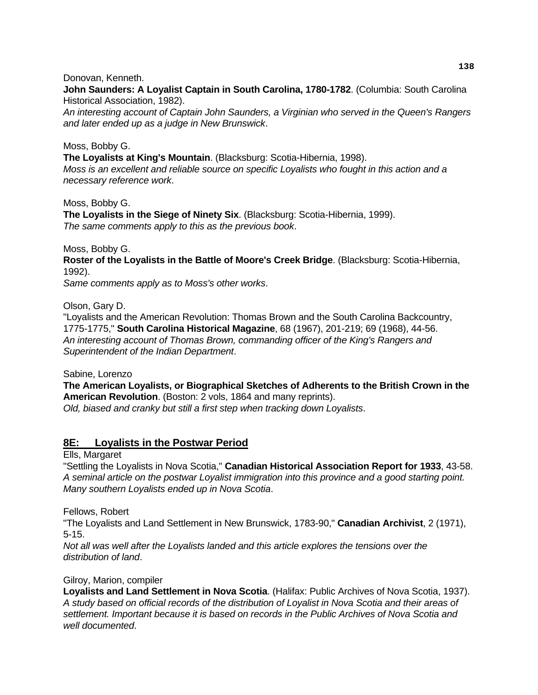#### Donovan, Kenneth.

**John Saunders: A Loyalist Captain in South Carolina, 1780-1782**. (Columbia: South Carolina Historical Association, 1982).

*An interesting account of Captain John Saunders, a Virginian who served in the Queen's Rangers and later ended up as a judge in New Brunswick*.

#### Moss, Bobby G.

**The Loyalists at King's Mountain**. (Blacksburg: Scotia-Hibernia, 1998). *Moss is an excellent and reliable source on specific Loyalists who fought in this action and a necessary reference work*.

Moss, Bobby G. **The Loyalists in the Siege of Ninety Six**. (Blacksburg: Scotia-Hibernia, 1999). *The same comments apply to this as the previous book*.

Moss, Bobby G.

**Roster of the Loyalists in the Battle of Moore's Creek Bridge**. (Blacksburg: Scotia-Hibernia, 1992).

*Same comments apply as to Moss's other works*.

Olson, Gary D.

"Loyalists and the American Revolution: Thomas Brown and the South Carolina Backcountry, 1775-1775," **South Carolina Historical Magazine**, 68 (1967), 201-219; 69 (1968), 44-56. *An interesting account of Thomas Brown, commanding officer of the King's Rangers and Superintendent of the Indian Department*.

Sabine, Lorenzo

**The American Loyalists, or Biographical Sketches of Adherents to the British Crown in the American Revolution**. (Boston: 2 vols, 1864 and many reprints). *Old, biased and cranky but still a first step when tracking down Loyalists*.

## **8E: Loyalists in the Postwar Period**

Ells, Margaret

"Settling the Loyalists in Nova Scotia," **Canadian Historical Association Report for 1933**, 43-58. *A seminal article on the postwar Loyalist immigration into this province and a good starting point. Many southern Loyalists ended up in Nova Scotia*.

Fellows, Robert

"The Loyalists and Land Settlement in New Brunswick, 1783-90," **Canadian Archivist**, 2 (1971), 5-15.

*Not all was well after the Loyalists landed and this article explores the tensions over the distribution of land*.

#### Gilroy, Marion, compiler

**Loyalists and Land Settlement in Nova Scotia**. (Halifax: Public Archives of Nova Scotia, 1937). *A study based on official records of the distribution of Loyalist in Nova Scotia and their areas of settlement. Important because it is based on records in the Public Archives of Nova Scotia and well documented*.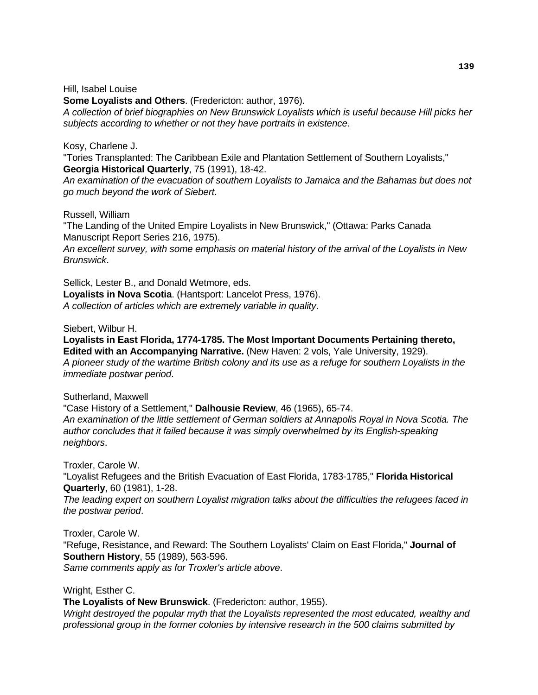#### Hill, Isabel Louise

**Some Loyalists and Others**. (Fredericton: author, 1976). *A collection of brief biographies on New Brunswick Loyalists which is useful because Hill picks her subjects according to whether or not they have portraits in existence*.

#### Kosy, Charlene J.

"Tories Transplanted: The Caribbean Exile and Plantation Settlement of Southern Loyalists," **Georgia Historical Quarterly**, 75 (1991), 18-42.

*An examination of the evacuation of southern Loyalists to Jamaica and the Bahamas but does not go much beyond the work of Siebert*.

Russell, William

"The Landing of the United Empire Loyalists in New Brunswick," (Ottawa: Parks Canada Manuscript Report Series 216, 1975).

*An excellent survey, with some emphasis on material history of the arrival of the Loyalists in New Brunswick*.

Sellick, Lester B., and Donald Wetmore, eds. **Loyalists in Nova Scotia**. (Hantsport: Lancelot Press, 1976). *A collection of articles which are extremely variable in quality*.

Siebert, Wilbur H.

**Loyalists in East Florida, 1774-1785. The Most Important Documents Pertaining thereto, Edited with an Accompanying Narrative.** (New Haven: 2 vols, Yale University, 1929). *A pioneer study of the wartime British colony and its use as a refuge for southern Loyalists in the immediate postwar period*.

Sutherland, Maxwell

"Case History of a Settlement," **Dalhousie Review**, 46 (1965), 65-74. *An examination of the little settlement of German soldiers at Annapolis Royal in Nova Scotia. The author concludes that it failed because it was simply overwhelmed by its English-speaking neighbors*.

Troxler, Carole W.

"Loyalist Refugees and the British Evacuation of East Florida, 1783-1785," **Florida Historical Quarterly**, 60 (1981), 1-28.

*The leading expert on southern Loyalist migration talks about the difficulties the refugees faced in the postwar period*.

Troxler, Carole W.

"Refuge, Resistance, and Reward: The Southern Loyalists' Claim on East Florida," **Journal of Southern History**, 55 (1989), 563-596.

*Same comments apply as for Troxler's article above*.

Wright, Esther C.

**The Loyalists of New Brunswick**. (Fredericton: author, 1955).

*Wright destroyed the popular myth that the Loyalists represented the most educated, wealthy and professional group in the former colonies by intensive research in the 500 claims submitted by*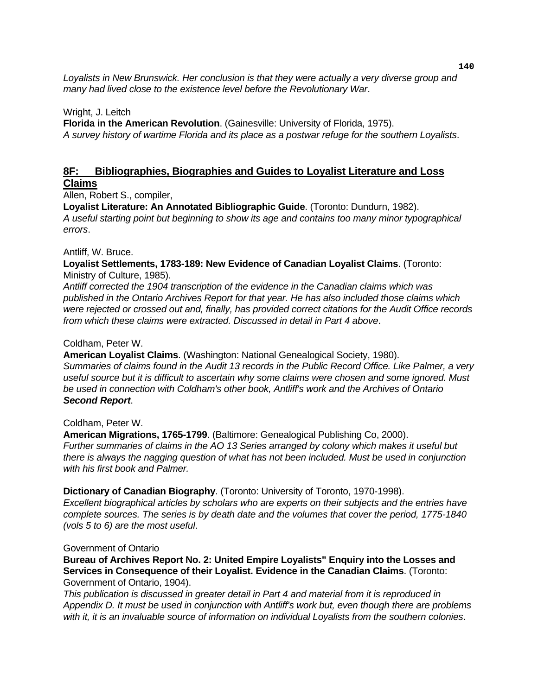*Loyalists in New Brunswick. Her conclusion is that they were actually a very diverse group and many had lived close to the existence level before the Revolutionary War*.

#### Wright, J. Leitch

**Florida in the American Revolution**. (Gainesville: University of Florida, 1975). *A survey history of wartime Florida and its place as a postwar refuge for the southern Loyalists*.

#### **8F: Bibliographies, Biographies and Guides to Loyalist Literature and Loss Claims**

Allen, Robert S., compiler,

**Loyalist Literature: An Annotated Bibliographic Guide**. (Toronto: Dundurn, 1982).

*A useful starting point but beginning to show its age and contains too many minor typographical errors*.

#### Antliff, W. Bruce.

**Loyalist Settlements, 1783-189: New Evidence of Canadian Loyalist Claims**. (Toronto: Ministry of Culture, 1985).

*Antliff corrected the 1904 transcription of the evidence in the Canadian claims which was published in the Ontario Archives Report for that year. He has also included those claims which were rejected or crossed out and, finally, has provided correct citations for the Audit Office records from which these claims were extracted. Discussed in detail in Part 4 above*.

#### Coldham, Peter W.

**American Loyalist Claims**. (Washington: National Genealogical Society, 1980). *Summaries of claims found in the Audit 13 records in the Public Record Office. Like Palmer, a very useful source but it is difficult to ascertain why some claims were chosen and some ignored. Must be used in connection with Coldham's other book, Antliff's work and the Archives of Ontario Second Report*.

## Coldham, Peter W.

**American Migrations, 1765-1799**. (Baltimore: Genealogical Publishing Co, 2000). *Further summaries of claims in the AO 13 Series arranged by colony which makes it useful but there is always the nagging question of what has not been included. Must be used in conjunction with his first book and Palmer.* 

#### **Dictionary of Canadian Biography**. (Toronto: University of Toronto, 1970-1998).

*Excellent biographical articles by scholars who are experts on their subjects and the entries have complete sources. The series is by death date and the volumes that cover the period, 1775-1840 (vols 5 to 6) are the most useful*.

#### Government of Ontario

**Bureau of Archives Report No. 2: United Empire Loyalists" Enquiry into the Losses and Services in Consequence of their Loyalist. Evidence in the Canadian Claims**. (Toronto: Government of Ontario, 1904).

*This publication is discussed in greater detail in Part 4 and material from it is reproduced in Appendix D. It must be used in conjunction with Antliff's work but, even though there are problems with it, it is an invaluable source of information on individual Loyalists from the southern colonies*.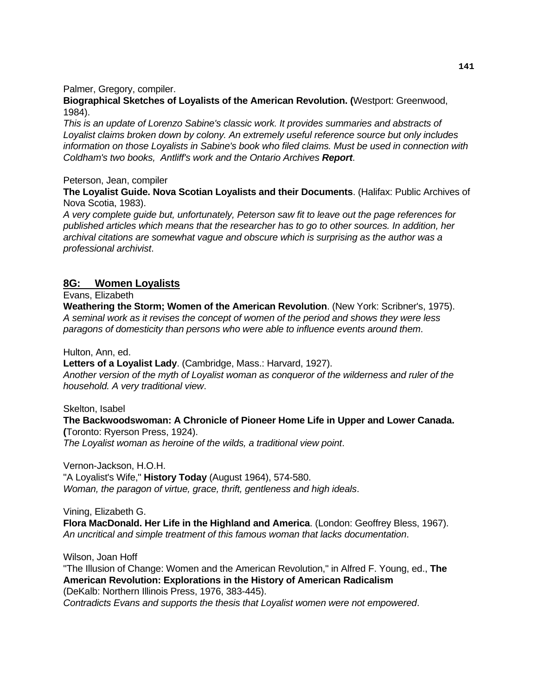Palmer, Gregory, compiler.

**Biographical Sketches of Loyalists of the American Revolution. (**Westport: Greenwood, 1984).

*This is an update of Lorenzo Sabine's classic work. It provides summaries and abstracts of Loyalist claims broken down by colony. An extremely useful reference source but only includes information on those Loyalists in Sabine's book who filed claims. Must be used in connection with Coldham's two books, Antliff's work and the Ontario Archives Report*.

#### Peterson, Jean, compiler

**The Loyalist Guide. Nova Scotian Loyalists and their Documents**. (Halifax: Public Archives of Nova Scotia, 1983).

*A very complete guide but, unfortunately, Peterson saw fit to leave out the page references for published articles which means that the researcher has to go to other sources. In addition, her archival citations are somewhat vague and obscure which is surprising as the author was a professional archivist*.

## **8G: Women Loyalists**

Evans, Elizabeth

**Weathering the Storm; Women of the American Revolution**. (New York: Scribner's, 1975). *A seminal work as it revises the concept of women of the period and shows they were less paragons of domesticity than persons who were able to influence events around them*.

Hulton, Ann, ed.

**Letters of a Loyalist Lady**. (Cambridge, Mass.: Harvard, 1927).

*Another version of the myth of Loyalist woman as conqueror of the wilderness and ruler of the household. A very traditional view*.

Skelton, Isabel

**The Backwoodswoman: A Chronicle of Pioneer Home Life in Upper and Lower Canada. (**Toronto: Ryerson Press, 1924).

*The Loyalist woman as heroine of the wilds, a traditional view point*.

Vernon-Jackson, H.O.H. "A Loyalist's Wife," **History Today** (August 1964), 574-580. *Woman, the paragon of virtue, grace, thrift, gentleness and high ideals*.

Vining, Elizabeth G.

**Flora MacDonald. Her Life in the Highland and America**. (London: Geoffrey Bless, 1967). *An uncritical and simple treatment of this famous woman that lacks documentation*.

Wilson, Joan Hoff

"The Illusion of Change: Women and the American Revolution," in Alfred F. Young, ed., **The American Revolution: Explorations in the History of American Radicalism** (DeKalb: Northern Illinois Press, 1976, 383-445).

*Contradicts Evans and supports the thesis that Loyalist women were not empowered*.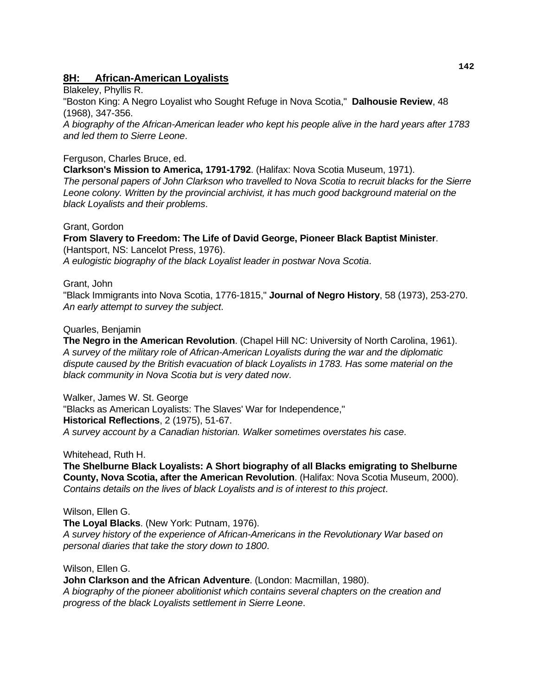## **8H: African-American Loyalists**

Blakeley, Phyllis R. "Boston King: A Negro Loyalist who Sought Refuge in Nova Scotia," **Dalhousie Review**, 48 (1968), 347-356. *A biography of the African-American leader who kept his people alive in the hard years after 1783 and led them to Sierre Leone*.

## Ferguson, Charles Bruce, ed.

**Clarkson's Mission to America, 1791-1792**. (Halifax: Nova Scotia Museum, 1971). *The personal papers of John Clarkson who travelled to Nova Scotia to recruit blacks for the Sierre Leone colony. Written by the provincial archivist, it has much good background material on the black Loyalists and their problems*.

#### Grant, Gordon

**From Slavery to Freedom: The Life of David George, Pioneer Black Baptist Minister**. (Hantsport, NS: Lancelot Press, 1976). *A eulogistic biography of the black Loyalist leader in postwar Nova Scotia*.

#### Grant, John

"Black Immigrants into Nova Scotia, 1776-1815," **Journal of Negro History**, 58 (1973), 253-270. *An early attempt to survey the subject*.

#### Quarles, Benjamin

**The Negro in the American Revolution**. (Chapel Hill NC: University of North Carolina, 1961). *A survey of the military role of African-American Loyalists during the war and the diplomatic dispute caused by the British evacuation of black Loyalists in 1783. Has some material on the black community in Nova Scotia but is very dated now*.

Walker, James W. St. George "Blacks as American Loyalists: The Slaves' War for Independence," **Historical Reflections**, 2 (1975), 51-67. *A survey account by a Canadian historian. Walker sometimes overstates his case*.

Whitehead, Ruth H.

**The Shelburne Black Loyalists: A Short biography of all Blacks emigrating to Shelburne County, Nova Scotia, after the American Revolution**. (Halifax: Nova Scotia Museum, 2000). *Contains details on the lives of black Loyalists and is of interest to this project*.

#### Wilson, Ellen G.

**The Loyal Blacks**. (New York: Putnam, 1976). *A survey history of the experience of African-Americans in the Revolutionary War based on personal diaries that take the story down to 1800*.

Wilson, Ellen G.

**John Clarkson and the African Adventure**. (London: Macmillan, 1980). *A biography of the pioneer abolitionist which contains several chapters on the creation and progress of the black Loyalists settlement in Sierre Leone*.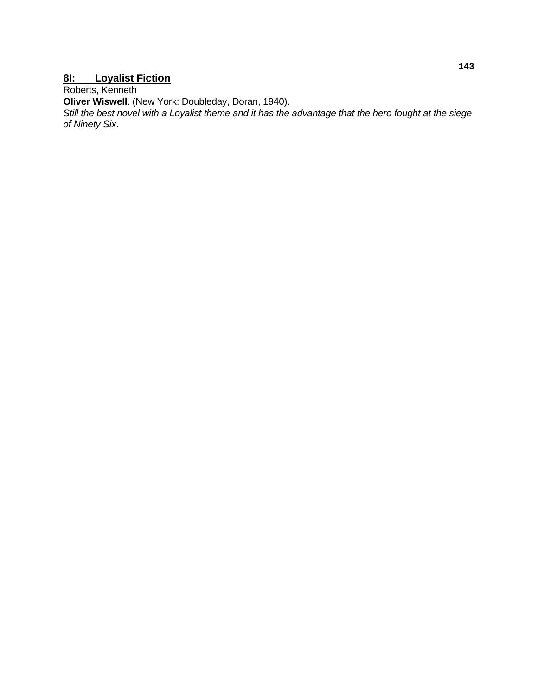## **8I: Loyalist Fiction**

Roberts, Kenneth

**Oliver Wiswell**. (New York: Doubleday, Doran, 1940).

*Still the best novel with a Loyalist theme and it has the advantage that the hero fought at the siege of Ninety Six*.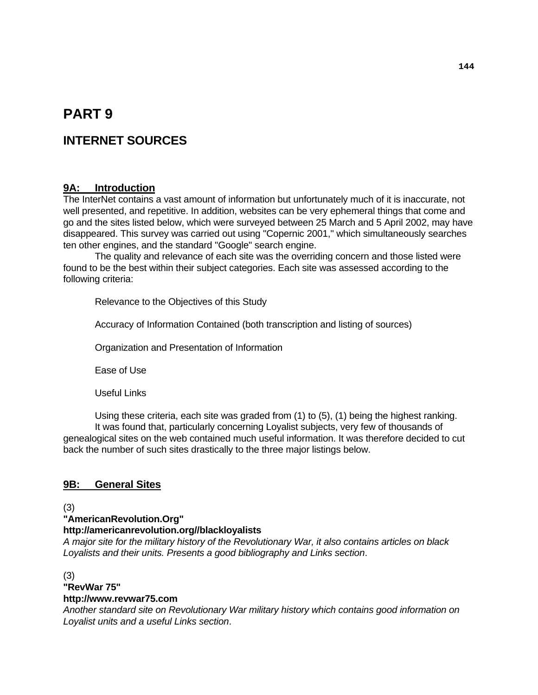# **PART 9**

## **INTERNET SOURCES**

## **9A: Introduction**

The InterNet contains a vast amount of information but unfortunately much of it is inaccurate, not well presented, and repetitive. In addition, websites can be very ephemeral things that come and go and the sites listed below, which were surveyed between 25 March and 5 April 2002, may have disappeared. This survey was carried out using "Copernic 2001," which simultaneously searches ten other engines, and the standard "Google" search engine.

 The quality and relevance of each site was the overriding concern and those listed were found to be the best within their subject categories. Each site was assessed according to the following criteria:

Relevance to the Objectives of this Study

Accuracy of Information Contained (both transcription and listing of sources)

Organization and Presentation of Information

Ease of Use

Useful Links

 Using these criteria, each site was graded from (1) to (5), (1) being the highest ranking. It was found that, particularly concerning Loyalist subjects, very few of thousands of genealogical sites on the web contained much useful information. It was therefore decided to cut back the number of such sites drastically to the three major listings below.

## **9B: General Sites**

(3)

**"AmericanRevolution.Org"** 

#### **http://americanrevolution.org//blackloyalists**

*A major site for the military history of the Revolutionary War, it also contains articles on black Loyalists and their units. Presents a good bibliography and Links section*.

(3)

## **"RevWar 75"**

## **http://www.revwar75.com**

*Another standard site on Revolutionary War military history which contains good information on Loyalist units and a useful Links section*.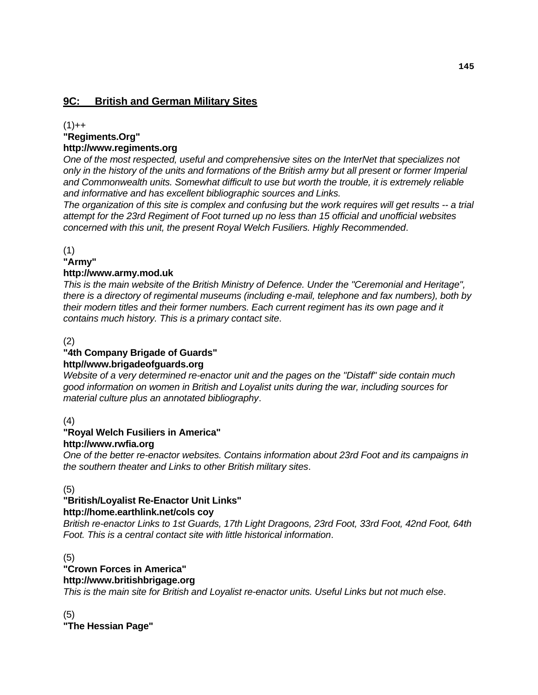## **9C: British and German Military Sites**

 $(1)$ ++

# **"Regiments.Org"**

## **http://www.regiments.org**

*One of the most respected, useful and comprehensive sites on the InterNet that specializes not only in the history of the units and formations of the British army but all present or former Imperial and Commonwealth units. Somewhat difficult to use but worth the trouble, it is extremely reliable and informative and has excellent bibliographic sources and Links.* 

*The organization of this site is complex and confusing but the work requires will get results -- a trial attempt for the 23rd Regiment of Foot turned up no less than 15 official and unofficial websites concerned with this unit, the present Royal Welch Fusiliers. Highly Recommended*.

(1)

## **"Army"**

## **http://www.army.mod.uk**

*This is the main website of the British Ministry of Defence. Under the "Ceremonial and Heritage", there is a directory of regimental museums (including e-mail, telephone and fax numbers), both by their modern titles and their former numbers. Each current regiment has its own page and it contains much history. This is a primary contact site*.

(2)

## **"4th Company Brigade of Guards"**

## **http//www.brigadeofguards.org**

*Website of a very determined re-enactor unit and the pages on the "Distaff" side contain much good information on women in British and Loyalist units during the war, including sources for material culture plus an annotated bibliography*.

## (4)

## **"Royal Welch Fusiliers in America" http://www.rwfia.org**

*One of the better re-enactor websites. Contains information about 23rd Foot and its campaigns in the southern theater and Links to other British military sites*.

#### (5)

#### **"British/Loyalist Re-Enactor Unit Links" http://home.earthlink.net/cols coy**

*British re-enactor Links to 1st Guards, 17th Light Dragoons, 23rd Foot, 33rd Foot, 42nd Foot, 64th Foot. This is a central contact site with little historical information*.

#### (5)

## **"Crown Forces in America"**

## **http://www.britishbrigage.org**

*This is the main site for British and Loyalist re-enactor units. Useful Links but not much else*.

(5) **"The Hessian Page"**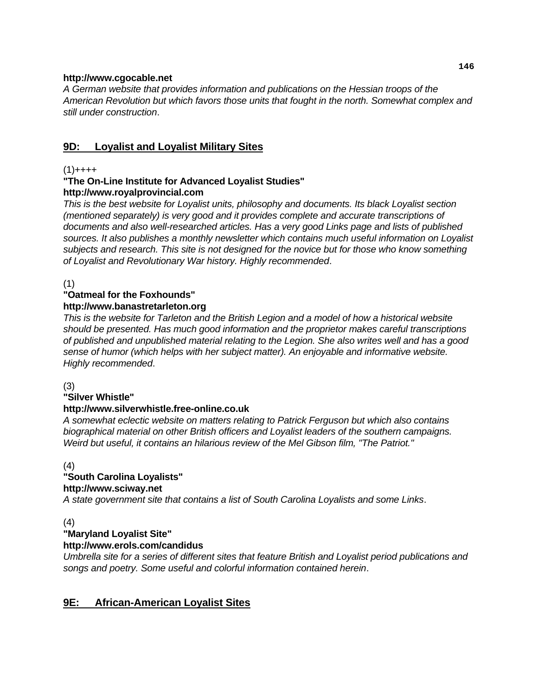#### **http://www.cgocable.net**

*A German website that provides information and publications on the Hessian troops of the American Revolution but which favors those units that fought in the north. Somewhat complex and still under construction*.

## **9D: Loyalist and Loyalist Military Sites**

## $(1)$ ++++

#### **"The On-Line Institute for Advanced Loyalist Studies" http://www.royalprovincial.com**

*This is the best website for Loyalist units, philosophy and documents. Its black Loyalist section (mentioned separately) is very good and it provides complete and accurate transcriptions of documents and also well-researched articles. Has a very good Links page and lists of published sources. It also publishes a monthly newsletter which contains much useful information on Loyalist subjects and research. This site is not designed for the novice but for those who know something of Loyalist and Revolutionary War history. Highly recommended*.

(1)

## **"Oatmeal for the Foxhounds"**

## **http://www.banastretarleton.org**

*This is the website for Tarleton and the British Legion and a model of how a historical website should be presented. Has much good information and the proprietor makes careful transcriptions of published and unpublished material relating to the Legion. She also writes well and has a good sense of humor (which helps with her subject matter). An enjoyable and informative website. Highly recommended*.

(3)

## **"Silver Whistle"**

## **http://www.silverwhistle.free-online.co.uk**

*A somewhat eclectic website on matters relating to Patrick Ferguson but which also contains biographical material on other British officers and Loyalist leaders of the southern campaigns. Weird but useful, it contains an hilarious review of the Mel Gibson film, "The Patriot."*

(4)

## **"South Carolina Loyalists"**

#### **http://www.sciway.net**

*A state government site that contains a list of South Carolina Loyalists and some Links*.

(4)

## **"Maryland Loyalist Site"**

## **http://www.erols.com/candidus**

*Umbrella site for a series of different sites that feature British and Loyalist period publications and songs and poetry. Some useful and colorful information contained herein*.

## **9E: African-American Loyalist Sites**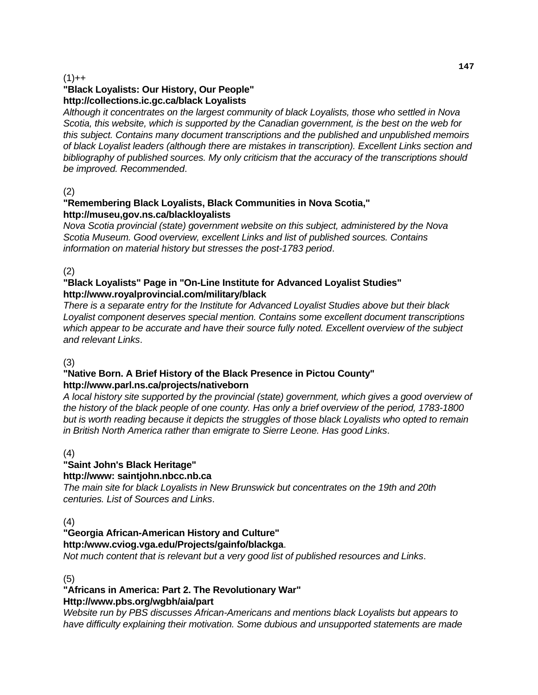#### $(1) + +$

## **"Black Loyalists: Our History, Our People" http://collections.ic.gc.ca/black Loyalists**

*Although it concentrates on the largest community of black Loyalists, those who settled in Nova Scotia, this website, which is supported by the Canadian government, is the best on the web for this subject. Contains many document transcriptions and the published and unpublished memoirs of black Loyalist leaders (although there are mistakes in transcription). Excellent Links section and bibliography of published sources. My only criticism that the accuracy of the transcriptions should be improved. Recommended*.

#### (2)

#### **"Remembering Black Loyalists, Black Communities in Nova Scotia," http://museu,gov.ns.ca/blackloyalists**

*Nova Scotia provincial (state) government website on this subject, administered by the Nova Scotia Museum. Good overview, excellent Links and list of published sources. Contains information on material history but stresses the post-1783 period*.

(2)

#### **"Black Loyalists" Page in "On-Line Institute for Advanced Loyalist Studies" http://www.royalprovincial.com/military/black**

*There is a separate entry for the Institute for Advanced Loyalist Studies above but their black Loyalist component deserves special mention. Contains some excellent document transcriptions which appear to be accurate and have their source fully noted. Excellent overview of the subject and relevant Links*.

#### (3)

#### **"Native Born. A Brief History of the Black Presence in Pictou County" http://www.parl.ns.ca/projects/nativeborn**

*A local history site supported by the provincial (state) government, which gives a good overview of the history of the black people of one county. Has only a brief overview of the period, 1783-1800 but is worth reading because it depicts the struggles of those black Loyalists who opted to remain in British North America rather than emigrate to Sierre Leone. Has good Links*.

#### (4)

## **"Saint John's Black Heritage"**

## **http://www: saintjohn.nbcc.nb.ca**

*The main site for black Loyalists in New Brunswick but concentrates on the 19th and 20th centuries. List of Sources and Links*.

#### (4)

#### **"Georgia African-American History and Culture" http:/www.cviog.vga.edu/Projects/gainfo/blackga**.

*Not much content that is relevant but a very good list of published resources and Links*.

(5)

#### **"Africans in America: Part 2. The Revolutionary War" Http://www.pbs.org/wgbh/aia/part**

*Website run by PBS discusses African-Americans and mentions black Loyalists but appears to have difficulty explaining their motivation. Some dubious and unsupported statements are made*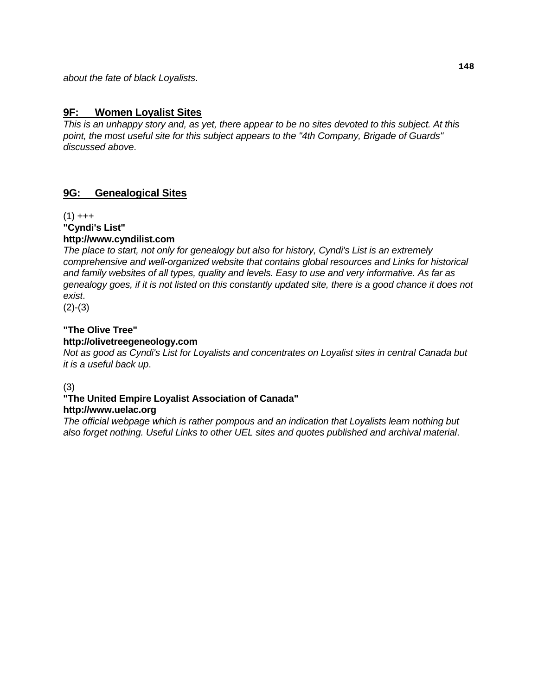*about the fate of black Loyalists*.

## **9F: Women Loyalist Sites**

*This is an unhappy story and, as yet, there appear to be no sites devoted to this subject. At this point, the most useful site for this subject appears to the "4th Company, Brigade of Guards" discussed above*.

## **9G: Genealogical Sites**

 $(1)$  +++ **"Cyndi's List"** 

## **http://www.cyndilist.com**

*The place to start, not only for genealogy but also for history, Cyndi's List is an extremely comprehensive and well-organized website that contains global resources and Links for historical and family websites of all types, quality and levels. Easy to use and very informative. As far as genealogy goes, if it is not listed on this constantly updated site, there is a good chance it does not exist*.

 $(2)-(3)$ 

#### **"The Olive Tree" http://olivetreegeneology.com**

*Not as good as Cyndi's List for Loyalists and concentrates on Loyalist sites in central Canada but it is a useful back up*.

(3)

## **"The United Empire Loyalist Association of Canada"**

#### **http://www.uelac.org**

*The official webpage which is rather pompous and an indication that Loyalists learn nothing but also forget nothing. Useful Links to other UEL sites and quotes published and archival material*.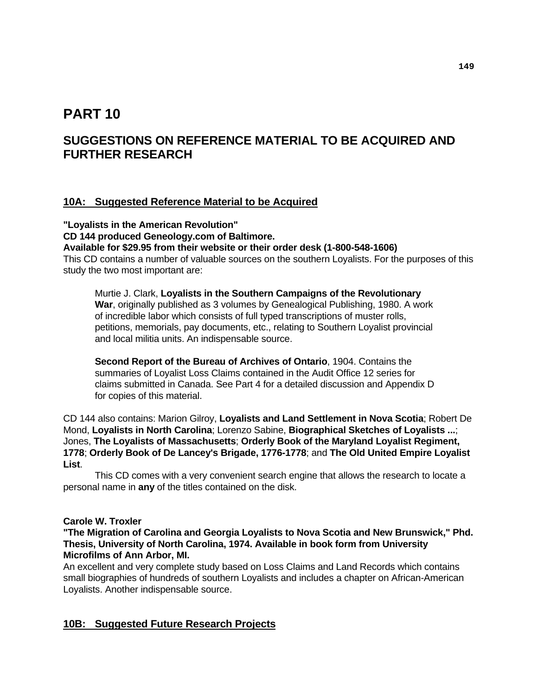## **PART 10**

## **SUGGESTIONS ON REFERENCE MATERIAL TO BE ACQUIRED AND FURTHER RESEARCH**

## **10A: Suggested Reference Material to be Acquired**

**"Loyalists in the American Revolution" CD 144 produced Geneology.com of Baltimore. Available for \$29.95 from their website or their order desk (1-800-548-1606)**  This CD contains a number of valuable sources on the southern Loyalists. For the purposes of this

study the two most important are:

 Murtie J. Clark, **Loyalists in the Southern Campaigns of the Revolutionary War**, originally published as 3 volumes by Genealogical Publishing, 1980. A work of incredible labor which consists of full typed transcriptions of muster rolls, petitions, memorials, pay documents, etc., relating to Southern Loyalist provincial and local militia units. An indispensable source.

 **Second Report of the Bureau of Archives of Ontario**, 1904. Contains the summaries of Loyalist Loss Claims contained in the Audit Office 12 series for claims submitted in Canada. See Part 4 for a detailed discussion and Appendix D for copies of this material.

CD 144 also contains: Marion Gilroy, **Loyalists and Land Settlement in Nova Scotia**; Robert De Mond, **Loyalists in North Carolina**; Lorenzo Sabine, **Biographical Sketches of Loyalists ...**; Jones, **The Loyalists of Massachusetts**; **Orderly Book of the Maryland Loyalist Regiment, 1778**; **Orderly Book of De Lancey's Brigade, 1776-1778**; and **The Old United Empire Loyalist List**.

 This CD comes with a very convenient search engine that allows the research to locate a personal name in **any** of the titles contained on the disk.

#### **Carole W. Troxler**

#### **"The Migration of Carolina and Georgia Loyalists to Nova Scotia and New Brunswick," Phd. Thesis, University of North Carolina, 1974. Available in book form from University Microfilms of Ann Arbor, MI.**

An excellent and very complete study based on Loss Claims and Land Records which contains small biographies of hundreds of southern Loyalists and includes a chapter on African-American Loyalists. Another indispensable source.

## **10B: Suggested Future Research Projects**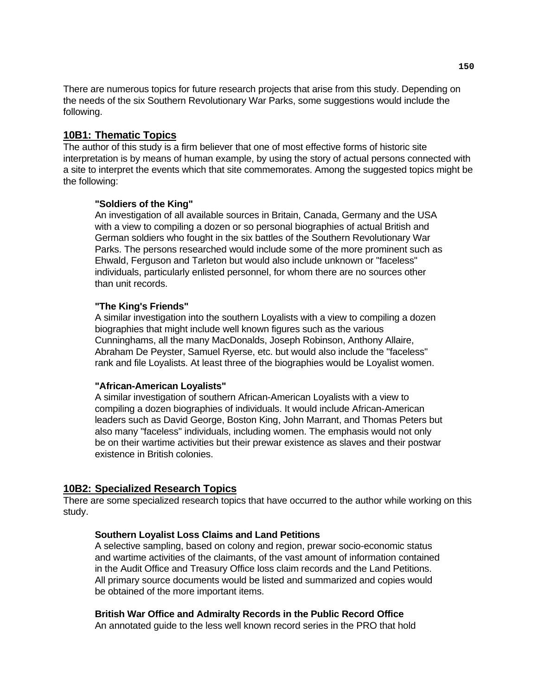There are numerous topics for future research projects that arise from this study. Depending on the needs of the six Southern Revolutionary War Parks, some suggestions would include the following.

#### **10B1: Thematic Topics**

The author of this study is a firm believer that one of most effective forms of historic site interpretation is by means of human example, by using the story of actual persons connected with a site to interpret the events which that site commemorates. Among the suggested topics might be the following:

#### **"Soldiers of the King"**

 An investigation of all available sources in Britain, Canada, Germany and the USA with a view to compiling a dozen or so personal biographies of actual British and German soldiers who fought in the six battles of the Southern Revolutionary War Parks. The persons researched would include some of the more prominent such as Ehwald, Ferguson and Tarleton but would also include unknown or "faceless" individuals, particularly enlisted personnel, for whom there are no sources other than unit records.

#### **"The King's Friends"**

 A similar investigation into the southern Loyalists with a view to compiling a dozen biographies that might include well known figures such as the various Cunninghams, all the many MacDonalds, Joseph Robinson, Anthony Allaire, Abraham De Peyster, Samuel Ryerse, etc. but would also include the "faceless" rank and file Loyalists. At least three of the biographies would be Loyalist women.

#### **"African-American Loyalists"**

 A similar investigation of southern African-American Loyalists with a view to compiling a dozen biographies of individuals. It would include African-American leaders such as David George, Boston King, John Marrant, and Thomas Peters but also many "faceless" individuals, including women. The emphasis would not only be on their wartime activities but their prewar existence as slaves and their postwar existence in British colonies.

#### **10B2: Specialized Research Topics**

There are some specialized research topics that have occurred to the author while working on this study.

#### **Southern Loyalist Loss Claims and Land Petitions**

 A selective sampling, based on colony and region, prewar socio-economic status and wartime activities of the claimants, of the vast amount of information contained in the Audit Office and Treasury Office loss claim records and the Land Petitions. All primary source documents would be listed and summarized and copies would be obtained of the more important items.

#### **British War Office and Admiralty Records in the Public Record Office**

An annotated guide to the less well known record series in the PRO that hold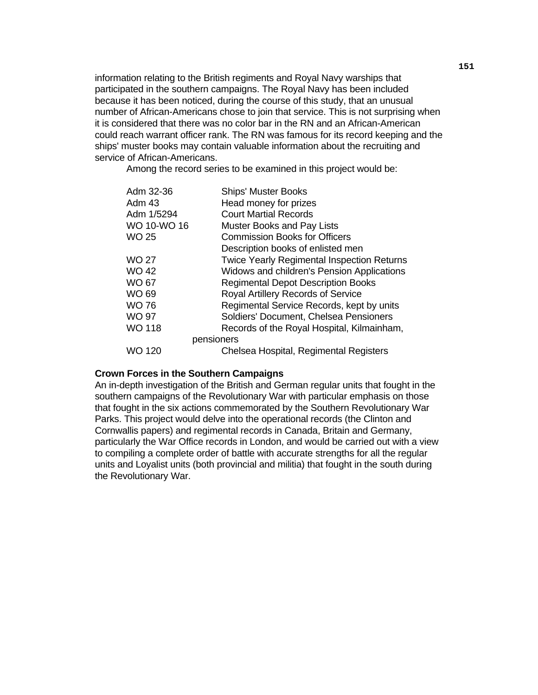information relating to the British regiments and Royal Navy warships that participated in the southern campaigns. The Royal Navy has been included because it has been noticed, during the course of this study, that an unusual number of African-Americans chose to join that service. This is not surprising when it is considered that there was no color bar in the RN and an African-American could reach warrant officer rank. The RN was famous for its record keeping and the ships' muster books may contain valuable information about the recruiting and service of African-Americans.

Among the record series to be examined in this project would be:

| Adm 32-36     | <b>Ships' Muster Books</b>                        |
|---------------|---------------------------------------------------|
| Adm 43        | Head money for prizes                             |
| Adm 1/5294    | <b>Court Martial Records</b>                      |
| WO 10-WO 16   | <b>Muster Books and Pay Lists</b>                 |
| WO 25         | <b>Commission Books for Officers</b>              |
|               | Description books of enlisted men                 |
| WO 27         | <b>Twice Yearly Regimental Inspection Returns</b> |
| WO 42         | Widows and children's Pension Applications        |
| WO 67         | <b>Regimental Depot Description Books</b>         |
| WO 69         | Royal Artillery Records of Service                |
| <b>WO 76</b>  | Regimental Service Records, kept by units         |
| WO 97         | Soldiers' Document, Chelsea Pensioners            |
| <b>WO 118</b> | Records of the Royal Hospital, Kilmainham,        |
|               | pensioners                                        |
| WO 120        | Chelsea Hospital, Regimental Registers            |

#### **Crown Forces in the Southern Campaigns**

 An in-depth investigation of the British and German regular units that fought in the southern campaigns of the Revolutionary War with particular emphasis on those that fought in the six actions commemorated by the Southern Revolutionary War Parks. This project would delve into the operational records (the Clinton and Cornwallis papers) and regimental records in Canada, Britain and Germany, particularly the War Office records in London, and would be carried out with a view to compiling a complete order of battle with accurate strengths for all the regular units and Loyalist units (both provincial and militia) that fought in the south during the Revolutionary War.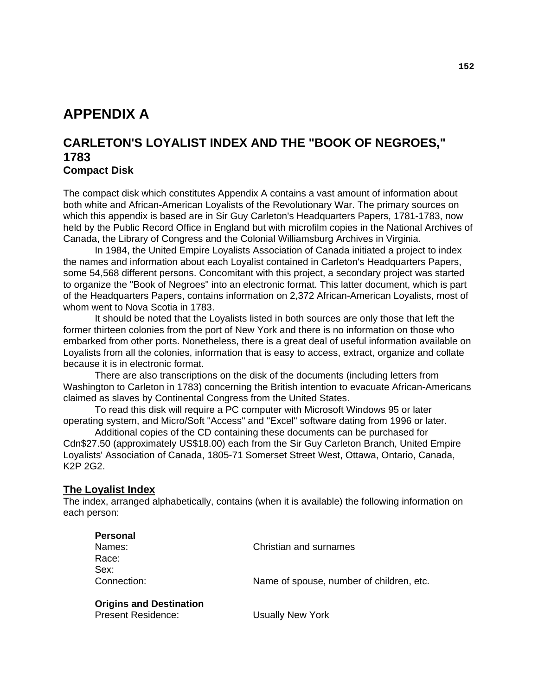# **APPENDIX A**

## **CARLETON'S LOYALIST INDEX AND THE "BOOK OF NEGROES," 1783 Compact Disk**

The compact disk which constitutes Appendix A contains a vast amount of information about both white and African-American Loyalists of the Revolutionary War. The primary sources on which this appendix is based are in Sir Guy Carleton's Headquarters Papers, 1781-1783, now held by the Public Record Office in England but with microfilm copies in the National Archives of Canada, the Library of Congress and the Colonial Williamsburg Archives in Virginia.

 In 1984, the United Empire Loyalists Association of Canada initiated a project to index the names and information about each Loyalist contained in Carleton's Headquarters Papers, some 54,568 different persons. Concomitant with this project, a secondary project was started to organize the "Book of Negroes" into an electronic format. This latter document, which is part of the Headquarters Papers, contains information on 2,372 African-American Loyalists, most of whom went to Nova Scotia in 1783.

 It should be noted that the Loyalists listed in both sources are only those that left the former thirteen colonies from the port of New York and there is no information on those who embarked from other ports. Nonetheless, there is a great deal of useful information available on Loyalists from all the colonies, information that is easy to access, extract, organize and collate because it is in electronic format.

 There are also transcriptions on the disk of the documents (including letters from Washington to Carleton in 1783) concerning the British intention to evacuate African-Americans claimed as slaves by Continental Congress from the United States.

 To read this disk will require a PC computer with Microsoft Windows 95 or later operating system, and Micro/Soft "Access" and "Excel" software dating from 1996 or later.

 Additional copies of the CD containing these documents can be purchased for Cdn\$27.50 (approximately US\$18.00) each from the Sir Guy Carleton Branch, United Empire Loyalists' Association of Canada, 1805-71 Somerset Street West, Ottawa, Ontario, Canada, K2P 2G2.

#### **The Loyalist Index**

The index, arranged alphabetically, contains (when it is available) the following information on each person:

| <b>Personal</b>                |                                          |
|--------------------------------|------------------------------------------|
| Names:                         | Christian and surnames                   |
| Race:                          |                                          |
| Sex:                           |                                          |
| Connection:                    | Name of spouse, number of children, etc. |
| <b>Origins and Destination</b> |                                          |
| <b>Present Residence:</b>      | <b>Usually New York</b>                  |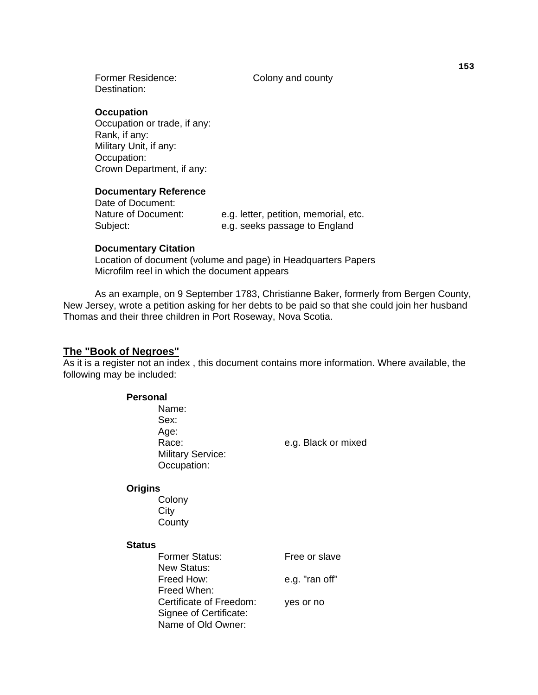Former Residence: Colony and county Destination:

 **Occupation** 

 Occupation or trade, if any: Rank, if any: Military Unit, if any: Occupation: Crown Department, if any:

#### **Documentary Reference**

Date of Document:

Nature of Document: e.g. letter, petition, memorial, etc. Subject: e.g. seeks passage to England

#### **Documentary Citation**

 Location of document (volume and page) in Headquarters Papers Microfilm reel in which the document appears

 As an example, on 9 September 1783, Christianne Baker, formerly from Bergen County, New Jersey, wrote a petition asking for her debts to be paid so that she could join her husband Thomas and their three children in Port Roseway, Nova Scotia.

## **The "Book of Negroes"**

As it is a register not an index , this document contains more information. Where available, the following may be included:

| <b>Personal</b> |                          |                     |
|-----------------|--------------------------|---------------------|
|                 | Name:                    |                     |
|                 | Sex:                     |                     |
|                 | Age:                     |                     |
|                 | Race:                    | e.g. Black or mixed |
|                 | <b>Military Service:</b> |                     |
|                 | Occupation:              |                     |
| <b>Origins</b>  |                          |                     |
|                 | Colony                   |                     |
|                 | City                     |                     |
|                 | County                   |                     |
| <b>Status</b>   |                          |                     |
|                 | <b>Former Status:</b>    | Free or slave       |
|                 | <b>New Status:</b>       |                     |
|                 | Freed How:               | e.g. "ran off"      |
|                 | Freed When:              |                     |
|                 | Certificate of Freedom:  | yes or no           |
|                 | Signee of Certificate:   |                     |
|                 | Name of Old Owner:       |                     |
|                 |                          |                     |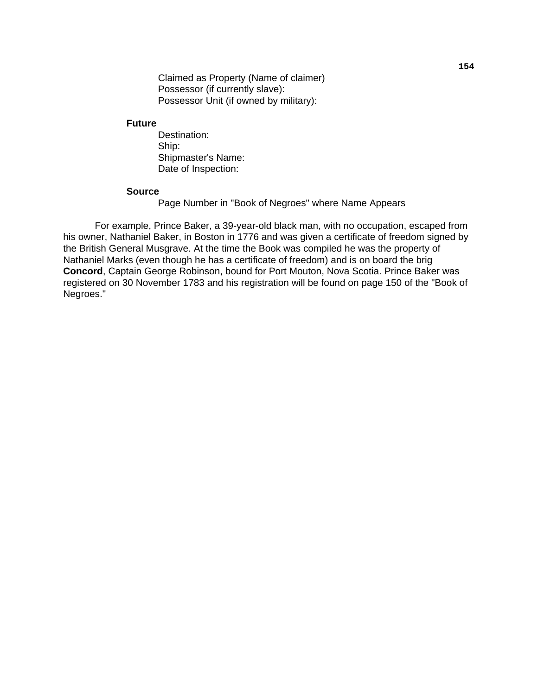Claimed as Property (Name of claimer) Possessor (if currently slave): Possessor Unit (if owned by military):

#### **Future**

 Destination: Ship: Shipmaster's Name: Date of Inspection:

#### **Source**

Page Number in "Book of Negroes" where Name Appears

 For example, Prince Baker, a 39-year-old black man, with no occupation, escaped from his owner, Nathaniel Baker, in Boston in 1776 and was given a certificate of freedom signed by the British General Musgrave. At the time the Book was compiled he was the property of Nathaniel Marks (even though he has a certificate of freedom) and is on board the brig **Concord**, Captain George Robinson, bound for Port Mouton, Nova Scotia. Prince Baker was registered on 30 November 1783 and his registration will be found on page 150 of the "Book of Negroes."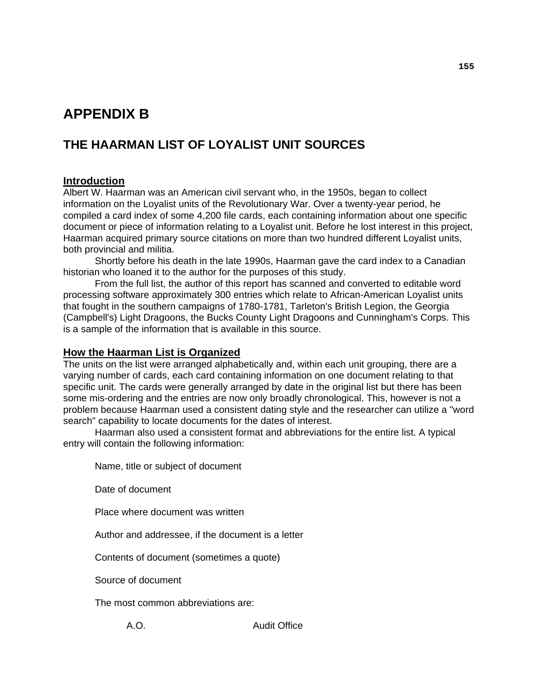# **APPENDIX B**

## **THE HAARMAN LIST OF LOYALIST UNIT SOURCES**

## **Introduction**

Albert W. Haarman was an American civil servant who, in the 1950s, began to collect information on the Loyalist units of the Revolutionary War. Over a twenty-year period, he compiled a card index of some 4,200 file cards, each containing information about one specific document or piece of information relating to a Loyalist unit. Before he lost interest in this project, Haarman acquired primary source citations on more than two hundred different Loyalist units, both provincial and militia.

 Shortly before his death in the late 1990s, Haarman gave the card index to a Canadian historian who loaned it to the author for the purposes of this study.

 From the full list, the author of this report has scanned and converted to editable word processing software approximately 300 entries which relate to African-American Loyalist units that fought in the southern campaigns of 1780-1781, Tarleton's British Legion, the Georgia (Campbell's) Light Dragoons, the Bucks County Light Dragoons and Cunningham's Corps. This is a sample of the information that is available in this source.

#### **How the Haarman List is Organized**

The units on the list were arranged alphabetically and, within each unit grouping, there are a varying number of cards, each card containing information on one document relating to that specific unit. The cards were generally arranged by date in the original list but there has been some mis-ordering and the entries are now only broadly chronological. This, however is not a problem because Haarman used a consistent dating style and the researcher can utilize a "word search" capability to locate documents for the dates of interest.

 Haarman also used a consistent format and abbreviations for the entire list. A typical entry will contain the following information:

Name, title or subject of document

Date of document

Place where document was written

Author and addressee, if the document is a letter

Contents of document (sometimes a quote)

Source of document

The most common abbreviations are:

A.O. **Audit Office**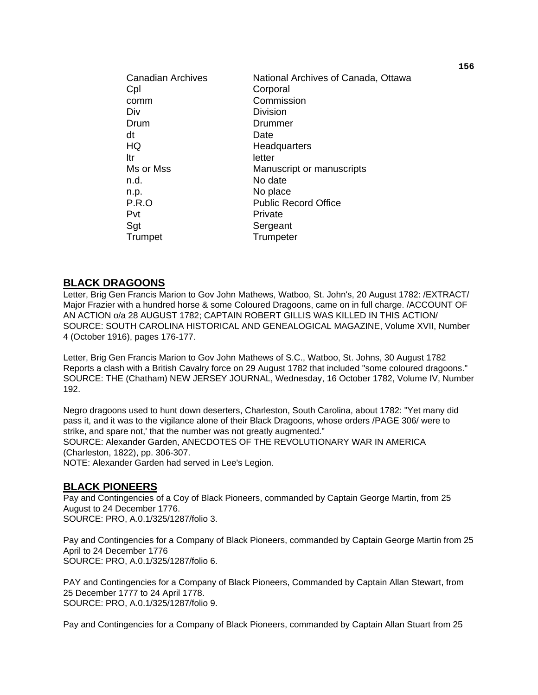| <b>Canadian Archives</b><br>Cpl<br>comm<br>Div<br>Drum<br>dt<br>HQ<br>ltr<br>Ms or Mss<br>n.d.<br>n.p.<br>P.R.O | National Archives of Canada, Ottawa<br>Corporal<br>Commission<br><b>Division</b><br>Drummer<br>Date<br>Headquarters<br>letter<br>Manuscript or manuscripts<br>No date<br>No place<br><b>Public Record Office</b> |
|-----------------------------------------------------------------------------------------------------------------|------------------------------------------------------------------------------------------------------------------------------------------------------------------------------------------------------------------|
| Pvt<br>Sgt<br>Trumpet                                                                                           | Private<br>Sergeant<br>Trumpeter                                                                                                                                                                                 |

#### **BLACK DRAGOONS**

Letter, Brig Gen Francis Marion to Gov John Mathews, Watboo, St. John's, 20 August 1782: /EXTRACT/ Major Frazier with a hundred horse & some Coloured Dragoons, came on in full charge. /ACCOUNT OF AN ACTION o/a 28 AUGUST 1782; CAPTAIN ROBERT GILLIS WAS KILLED IN THIS ACTION/ SOURCE: SOUTH CAROLINA HISTORICAL AND GENEALOGICAL MAGAZINE, Volume XVII, Number 4 (October 1916), pages 176-177.

Letter, Brig Gen Francis Marion to Gov John Mathews of S.C., Watboo, St. Johns, 30 August 1782 Reports a clash with a British Cavalry force on 29 August 1782 that included "some coloured dragoons." SOURCE: THE (Chatham) NEW JERSEY JOURNAL, Wednesday, 16 October 1782, Volume IV, Number 192.

Negro dragoons used to hunt down deserters, Charleston, South Carolina, about 1782: "Yet many did pass it, and it was to the vigilance alone of their Black Dragoons, whose orders /PAGE 306/ were to strike, and spare not,' that the number was not greatly augmented." SOURCE: Alexander Garden, ANECDOTES OF THE REVOLUTIONARY WAR IN AMERICA (Charleston, 1822), pp. 306-307. NOTE: Alexander Garden had served in Lee's Legion.

**BLACK PIONEERS**

Pay and Contingencies of a Coy of Black Pioneers, commanded by Captain George Martin, from 25 August to 24 December 1776. SOURCE: PRO, A.0.1/325/1287/folio 3.

Pay and Contingencies for a Company of Black Pioneers, commanded by Captain George Martin from 25 April to 24 December 1776 SOURCE: PRO, A.0.1/325/1287/folio 6.

PAY and Contingencies for a Company of Black Pioneers, Commanded by Captain Allan Stewart, from 25 December 1777 to 24 April 1778. SOURCE: PRO, A.0.1/325/1287/folio 9.

Pay and Contingencies for a Company of Black Pioneers, commanded by Captain Allan Stuart from 25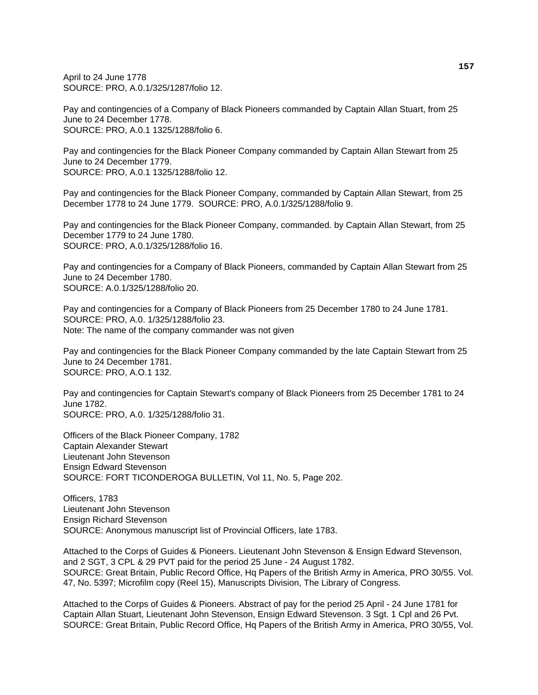April to 24 June 1778 SOURCE: PRO, A.0.1/325/1287/folio 12.

Pay and contingencies of a Company of Black Pioneers commanded by Captain Allan Stuart, from 25 June to 24 December 1778. SOURCE: PRO, A.0.1 1325/1288/folio 6.

Pay and contingencies for the Black Pioneer Company commanded by Captain Allan Stewart from 25 June to 24 December 1779. SOURCE: PRO, A.0.1 1325/1288/folio 12.

Pay and contingencies for the Black Pioneer Company, commanded by Captain Allan Stewart, from 25 December 1778 to 24 June 1779. SOURCE: PRO, A.0.1/325/1288/folio 9.

Pay and contingencies for the Black Pioneer Company, commanded. by Captain Allan Stewart, from 25 December 1779 to 24 June 1780. SOURCE: PRO, A.0.1/325/1288/folio 16.

Pay and contingencies for a Company of Black Pioneers, commanded by Captain Allan Stewart from 25 June to 24 December 1780. SOURCE: A.0.1/325/1288/folio 20.

Pay and contingencies for a Company of Black Pioneers from 25 December 1780 to 24 June 1781. SOURCE: PRO, A.0. 1/325/1288/folio 23. Note: The name of the company commander was not given

Pay and contingencies for the Black Pioneer Company commanded by the late Captain Stewart from 25 June to 24 December 1781. SOURCE: PRO, A.O.1 132.

Pay and contingencies for Captain Stewart's company of Black Pioneers from 25 December 1781 to 24 June 1782. SOURCE: PRO, A.0. 1/325/1288/folio 31.

Officers of the Black Pioneer Company, 1782 Captain Alexander Stewart Lieutenant John Stevenson Ensign Edward Stevenson SOURCE: FORT TICONDEROGA BULLETIN, Vol 11, No. 5, Page 202.

Officers, 1783 Lieutenant John Stevenson Ensign Richard Stevenson SOURCE: Anonymous manuscript list of Provincial Officers, late 1783.

Attached to the Corps of Guides & Pioneers. Lieutenant John Stevenson & Ensign Edward Stevenson, and 2 SGT, 3 CPL & 29 PVT paid for the period 25 June - 24 August 1782. SOURCE: Great Britain, Public Record Office, Hq Papers of the British Army in America, PRO 30/55. Vol. 47, No. 5397; Microfilm copy (Reel 15), Manuscripts Division, The Library of Congress.

Attached to the Corps of Guides & Pioneers. Abstract of pay for the period 25 April - 24 June 1781 for Captain Allan Stuart, Lieutenant John Stevenson, Ensign Edward Stevenson. 3 Sgt. 1 Cpl and 26 Pvt. SOURCE: Great Britain, Public Record Office, Hq Papers of the British Army in America, PRO 30/55, Vol.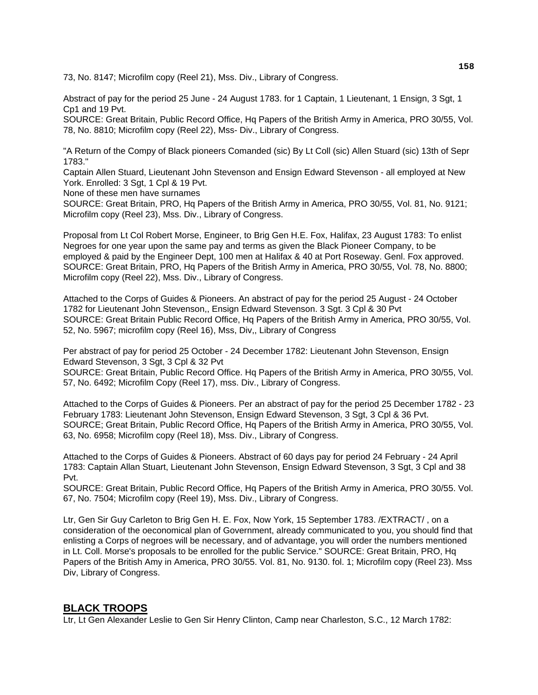73, No. 8147; Microfilm copy (Reel 21), Mss. Div., Library of Congress.

Abstract of pay for the period 25 June - 24 August 1783. for 1 Captain, 1 Lieutenant, 1 Ensign, 3 Sgt, 1 Cp1 and 19 Pvt.

SOURCE: Great Britain, Public Record Office, Hq Papers of the British Army in America, PRO 30/55, Vol. 78, No. 8810; Microfilm copy (Reel 22), Mss- Div., Library of Congress.

"A Return of the Compy of Black pioneers Comanded (sic) By Lt Coll (sic) Allen Stuard (sic) 13th of Sepr 1783."

Captain Allen Stuard, Lieutenant John Stevenson and Ensign Edward Stevenson - all employed at New York. Enrolled: 3 Sgt, 1 Cpl & 19 Pvt.

None of these men have surnames

SOURCE: Great Britain, PRO, Hq Papers of the British Army in America, PRO 30/55, Vol. 81, No. 9121; Microfilm copy (Reel 23), Mss. Div., Library of Congress.

Proposal from Lt Col Robert Morse, Engineer, to Brig Gen H.E. Fox, Halifax, 23 August 1783: To enlist Negroes for one year upon the same pay and terms as given the Black Pioneer Company, to be employed & paid by the Engineer Dept, 100 men at Halifax & 40 at Port Roseway. Genl. Fox approved. SOURCE: Great Britain, PRO, Hq Papers of the British Army in America, PRO 30/55, Vol. 78, No. 8800; Microfilm copy (Reel 22), Mss. Div., Library of Congress.

Attached to the Corps of Guides & Pioneers. An abstract of pay for the period 25 August - 24 October 1782 for Lieutenant John Stevenson,, Ensign Edward Stevenson. 3 Sgt. 3 Cpl & 30 Pvt SOURCE: Great Britain Public Record Office, Hq Papers of the British Army in America, PRO 30/55, Vol. 52, No. 5967; microfilm copy (Reel 16), Mss, Div,, Library of Congress

Per abstract of pay for period 25 October - 24 December 1782: Lieutenant John Stevenson, Ensign Edward Stevenson, 3 Sgt, 3 Cpl & 32 Pvt

SOURCE: Great Britain, Public Record Office. Hq Papers of the British Army in America, PRO 30/55, Vol. 57, No. 6492; Microfilm Copy (Reel 17), mss. Div., Library of Congress.

Attached to the Corps of Guides & Pioneers. Per an abstract of pay for the period 25 December 1782 - 23 February 1783: Lieutenant John Stevenson, Ensign Edward Stevenson, 3 Sgt, 3 Cpl & 36 Pvt. SOURCE; Great Britain, Public Record Office, Hq Papers of the British Army in America, PRO 30/55, Vol. 63, No. 6958; Microfilm copy (Reel 18), Mss. Div., Library of Congress.

Attached to the Corps of Guides & Pioneers. Abstract of 60 days pay for period 24 February - 24 April 1783: Captain Allan Stuart, Lieutenant John Stevenson, Ensign Edward Stevenson, 3 Sgt, 3 Cpl and 38 Pvt.

SOURCE: Great Britain, Public Record Office, Hq Papers of the British Army in America, PRO 30/55. Vol. 67, No. 7504; Microfilm copy (Reel 19), Mss. Div., Library of Congress.

Ltr, Gen Sir Guy Carleton to Brig Gen H. E. Fox, Now York, 15 September 1783. /EXTRACT/ , on a consideration of the oeconomical plan of Government, already communicated to you, you should find that enlisting a Corps of negroes will be necessary, and of advantage, you will order the numbers mentioned in Lt. Coll. Morse's proposals to be enrolled for the public Service." SOURCE: Great Britain, PRO, Hq Papers of the British Amy in America, PRO 30/55. Vol. 81, No. 9130. fol. 1; Microfilm copy (Reel 23). Mss Div, Library of Congress.

#### **BLACK TROOPS**

Ltr, Lt Gen Alexander Leslie to Gen Sir Henry Clinton, Camp near Charleston, S.C., 12 March 1782: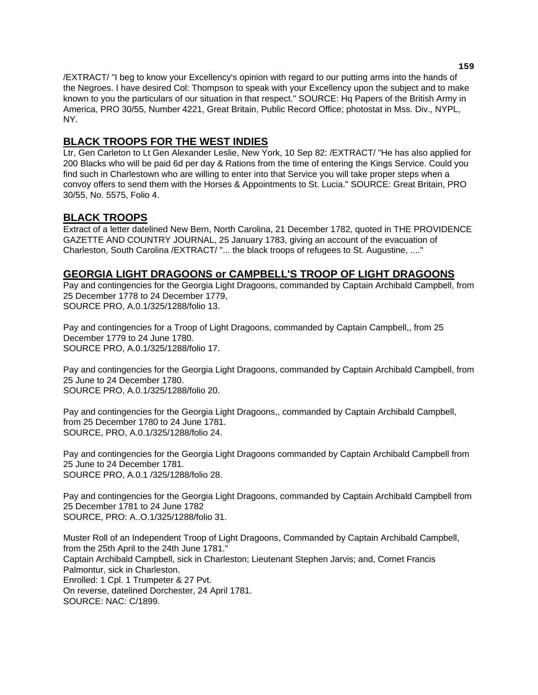/EXTRACT/ "I beg to know your Excellency's opinion with regard to our putting arms into the hands of the Negroes. I have desired Col: Thompson to speak with your Excellency upon the subject and to make known to you the particulars of our situation in that respect." SOURCE: Hq Papers of the British Army in America, PRO 30/55, Number 4221, Great Britain, Public Record Office; photostat in Mss. Div., NYPL, NY.

## **BLACK TROOPS FOR THE WEST INDIES**

Ltr, Gen Carleton to Lt Gen Alexander Leslie, New York, 10 Sep 82: /EXTRACT/ "He has also applied for 200 Blacks who will be paid 6d per day & Rations from the time of entering the Kings Service. Could you find such in Charlestown who are willing to enter into that Service you will take proper steps when a convoy offers to send them with the Horses & Appointments to St. Lucia." SOURCE: Great Britain, PRO 30/55, No. 5575, Folio 4.

## **BLACK TROOPS**

Extract of a letter datelined New Bern, North Carolina, 21 December 1782, quoted in THE PROVIDENCE GAZETTE AND COUNTRY JOURNAL, 25 January 1783, giving an account of the evacuation of Charleston, South Carolina /EXTRACT/ "... the black troops of refugees to St. Augustine, ...."

#### **GEORGIA LIGHT DRAGOONS or CAMPBELL'S TROOP OF LIGHT DRAGOONS**

Pay and contingencies for the Georgia Light Dragoons, commanded by Captain Archibald Campbell, from 25 December 1778 to 24 December 1779, SOURCE PRO, A.0.1/325/1288/folio 13.

Pay and contingencies for a Troop of Light Dragoons, commanded by Captain Campbell,, from 25 December 1779 to 24 June 1780. SOURCE PRO, A.0.1/325/1288/folio 17.

Pay and contingencies for the Georgia Light Dragoons, commanded by Captain Archibald Campbell, from 25 June to 24 December 1780. SOURCE PRO, A.0.1/325/1288/folio 20.

Pay and contingencies for the Georgia Light Dragoons,, commanded by Captain Archibald Campbell, from 25 December 1780 to 24 June 1781. SOURCE, PRO, A.0.1/325/1288/folio 24.

Pay and contingencies for the Georgia Light Dragoons commanded by Captain Archibald Campbell from 25 June to 24 December 1781. SOURCE PRO, A.0.1 /325/1288/folio 28.

Pay and contingencies for the Georgia Light Dragoons, commanded by Captain Archibald Campbell from 25 December 1781 to 24 June 1782 SOURCE, PRO: A..O.1/325/1288/folio 31.

Muster Roll of an Independent Troop of Light Dragoons, Commanded by Captain Archibald Campbell, from the 25th April to the 24th June 1781." Captain Archibald Campbell, sick in Charleston; Lieutenant Stephen Jarvis; and, Cornet Francis Palmontur, sick in Charleston. Enrolled: 1 Cpl. 1 Trumpeter & 27 Pvt. On reverse, datelined Dorchester, 24 April 1781. SOURCE: NAC: C/1899.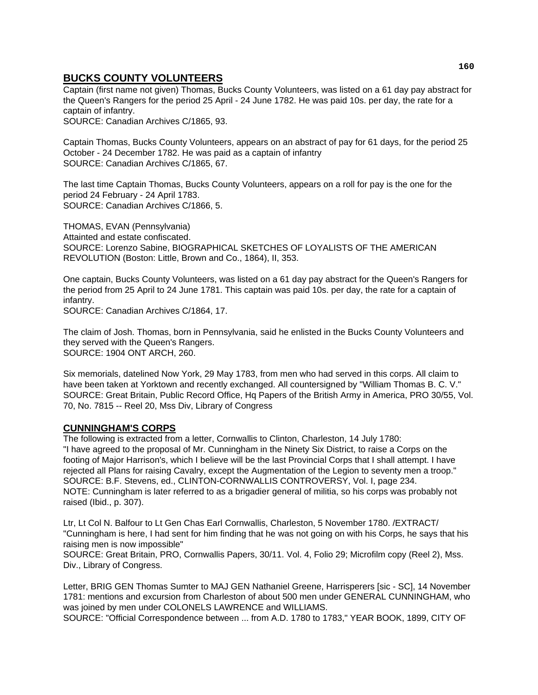## **BUCKS COUNTY VOLUNTEERS**

Captain (first name not given) Thomas, Bucks County Volunteers, was listed on a 61 day pay abstract for the Queen's Rangers for the period 25 April - 24 June 1782. He was paid 10s. per day, the rate for a captain of infantry.

SOURCE: Canadian Archives C/1865, 93.

Captain Thomas, Bucks County Volunteers, appears on an abstract of pay for 61 days, for the period 25 October - 24 December 1782. He was paid as a captain of infantry SOURCE: Canadian Archives C/1865, 67.

The last time Captain Thomas, Bucks County Volunteers, appears on a roll for pay is the one for the period 24 February - 24 April 1783. SOURCE: Canadian Archives C/1866, 5.

THOMAS, EVAN (Pennsylvania) Attainted and estate confiscated. SOURCE: Lorenzo Sabine, BIOGRAPHICAL SKETCHES OF LOYALISTS OF THE AMERICAN REVOLUTION (Boston: Little, Brown and Co., 1864), II, 353.

One captain, Bucks County Volunteers, was listed on a 61 day pay abstract for the Queen's Rangers for the period from 25 April to 24 June 1781. This captain was paid 10s. per day, the rate for a captain of infantry.

SOURCE: Canadian Archives C/1864, 17.

The claim of Josh. Thomas, born in Pennsylvania, said he enlisted in the Bucks County Volunteers and they served with the Queen's Rangers. SOURCE: 1904 ONT ARCH, 260.

Six memorials, datelined Now York, 29 May 1783, from men who had served in this corps. All claim to have been taken at Yorktown and recently exchanged. All countersigned by "William Thomas B. C. V." SOURCE: Great Britain, Public Record Office, Hq Papers of the British Army in America, PRO 30/55, Vol. 70, No. 7815 -- Reel 20, Mss Div, Library of Congress

#### **CUNNINGHAM'S CORPS**

The following is extracted from a letter, Cornwallis to Clinton, Charleston, 14 July 1780: "I have agreed to the proposal of Mr. Cunningham in the Ninety Six District, to raise a Corps on the footing of Major Harrison's, which I believe will be the last Provincial Corps that I shall attempt. I have rejected all Plans for raising Cavalry, except the Augmentation of the Legion to seventy men a troop." SOURCE: B.F. Stevens, ed., CLINTON-CORNWALLIS CONTROVERSY, Vol. I, page 234. NOTE: Cunningham is later referred to as a brigadier general of militia, so his corps was probably not raised (Ibid., p. 307).

Ltr, Lt Col N. Balfour to Lt Gen Chas Earl Cornwallis, Charleston, 5 November 1780. /EXTRACT/ "Cunningham is here, I had sent for him finding that he was not going on with his Corps, he says that his raising men is now impossible"

SOURCE: Great Britain, PRO, Cornwallis Papers, 30/11. Vol. 4, Folio 29; Microfilm copy (Reel 2), Mss. Div., Library of Congress.

Letter, BRIG GEN Thomas Sumter to MAJ GEN Nathaniel Greene, Harrisperers [sic - SC], 14 November 1781: mentions and excursion from Charleston of about 500 men under GENERAL CUNNINGHAM, who was joined by men under COLONELS LAWRENCE and WILLIAMS.

SOURCE: "Official Correspondence between ... from A.D. 1780 to 1783," YEAR BOOK, 1899, CITY OF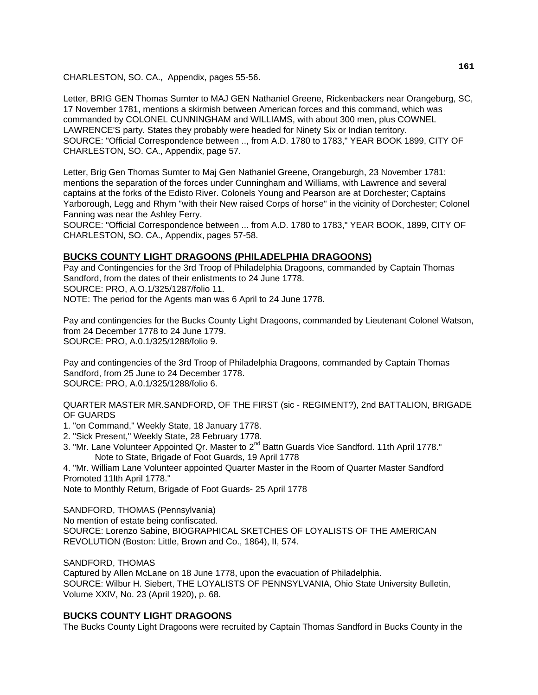CHARLESTON, SO. CA., Appendix, pages 55-56.

Letter, BRIG GEN Thomas Sumter to MAJ GEN Nathaniel Greene, Rickenbackers near Orangeburg, SC, 17 November 1781, mentions a skirmish between American forces and this command, which was commanded by COLONEL CUNNINGHAM and WILLIAMS, with about 300 men, plus COWNEL LAWRENCE'S party. States they probably were headed for Ninety Six or Indian territory. SOURCE: "Official Correspondence between .., from A.D. 1780 to 1783," YEAR BOOK 1899, CITY OF CHARLESTON, SO. CA., Appendix, page 57.

Letter, Brig Gen Thomas Sumter to Maj Gen Nathaniel Greene, Orangeburgh, 23 November 1781: mentions the separation of the forces under Cunningham and Williams, with Lawrence and several captains at the forks of the Edisto River. Colonels Young and Pearson are at Dorchester; Captains Yarborough, Legg and Rhym "with their New raised Corps of horse" in the vicinity of Dorchester; Colonel Fanning was near the Ashley Ferry.

SOURCE: "Official Correspondence between ... from A.D. 1780 to 1783," YEAR BOOK, 1899, CITY OF CHARLESTON, SO. CA., Appendix, pages 57-58.

#### **BUCKS COUNTY LIGHT DRAGOONS (PHILADELPHIA DRAGOONS)**

Pay and Contingencies for the 3rd Troop of Philadelphia Dragoons, commanded by Captain Thomas Sandford, from the dates of their enlistments to 24 June 1778. SOURCE: PRO, A.O.1/325/1287/folio 11. NOTE: The period for the Agents man was 6 April to 24 June 1778.

Pay and contingencies for the Bucks County Light Dragoons, commanded by Lieutenant Colonel Watson, from 24 December 1778 to 24 June 1779. SOURCE: PRO, A.0.1/325/1288/folio 9.

Pay and contingencies of the 3rd Troop of Philadelphia Dragoons, commanded by Captain Thomas Sandford, from 25 June to 24 December 1778. SOURCE: PRO, A.0.1/325/1288/folio 6.

QUARTER MASTER MR.SANDFORD, OF THE FIRST (sic - REGIMENT?), 2nd BATTALION, BRIGADE OF GUARDS

- 1. "on Command," Weekly State, 18 January 1778.
- 2. "Sick Present," Weekly State, 28 February 1778.
- 3. "Mr. Lane Volunteer Appointed Qr. Master to 2<sup>nd</sup> Battn Guards Vice Sandford. 11th April 1778." Note to State, Brigade of Foot Guards, 19 April 1778

4. "Mr. William Lane Volunteer appointed Quarter Master in the Room of Quarter Master Sandford Promoted 11lth April 1778."

Note to Monthly Return, Brigade of Foot Guards- 25 April 1778

SANDFORD, THOMAS (Pennsylvania) No mention of estate being confiscated. SOURCE: Lorenzo Sabine, BIOGRAPHICAL SKETCHES OF LOYALISTS OF THE AMERICAN REVOLUTION (Boston: Little, Brown and Co., 1864), II, 574.

SANDFORD, THOMAS

Captured by Allen McLane on 18 June 1778, upon the evacuation of Philadelphia. SOURCE: Wilbur H. Siebert, THE LOYALISTS OF PENNSYLVANIA, Ohio State University Bulletin, Volume XXIV, No. 23 (April 1920), p. 68.

#### **BUCKS COUNTY LIGHT DRAGOONS**

The Bucks County Light Dragoons were recruited by Captain Thomas Sandford in Bucks County in the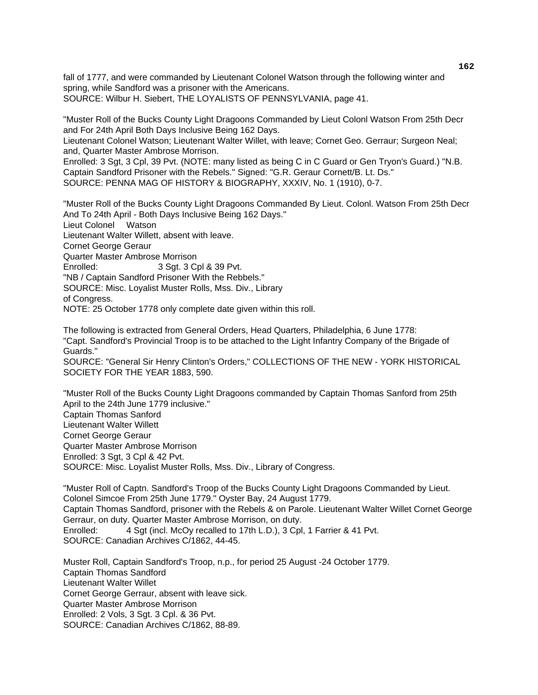fall of 1777, and were commanded by Lieutenant Colonel Watson through the following winter and spring, while Sandford was a prisoner with the Americans. SOURCE: Wilbur H. Siebert, THE LOYALISTS OF PENNSYLVANIA, page 41.

"Muster Roll of the Bucks County Light Dragoons Commanded by Lieut Colonl Watson From 25th Decr and For 24th April Both Days Inclusive Being 162 Days.

Lieutenant Colonel Watson; Lieutenant Walter Willet, with leave; Cornet Geo. Gerraur; Surgeon Neal; and, Quarter Master Ambrose Morrison.

Enrolled: 3 Sgt, 3 Cpl, 39 Pvt. (NOTE: many listed as being C in C Guard or Gen Tryon's Guard.) "N.B. Captain Sandford Prisoner with the Rebels." Signed: "G.R. Geraur Cornett/B. Lt. Ds." SOURCE: PENNA MAG OF HISTORY & BIOGRAPHY, XXXIV, No. 1 (1910), 0-7.

"Muster Roll of the Bucks County Light Dragoons Commanded By Lieut. Colonl. Watson From 25th Decr And To 24th April - Both Days Inclusive Being 162 Days." Lieut Colonel Watson Lieutenant Walter Willett, absent with leave. Cornet George Geraur Quarter Master Ambrose Morrison Enrolled: 3 Sqt. 3 Cpl & 39 Pvt. "NB / Captain Sandford Prisoner With the Rebbels." SOURCE: Misc. Loyalist Muster Rolls, Mss. Div., Library of Congress.

NOTE: 25 October 1778 only complete date given within this roll.

The following is extracted from General Orders, Head Quarters, Philadelphia, 6 June 1778: "Capt. Sandford's Provincial Troop is to be attached to the Light Infantry Company of the Brigade of Guards."

SOURCE: "General Sir Henry Clinton's Orders," COLLECTIONS OF THE NEW - YORK HISTORICAL SOCIETY FOR THE YEAR 1883, 590.

"Muster Roll of the Bucks County Light Dragoons commanded by Captain Thomas Sanford from 25th April to the 24th June 1779 inclusive."

Captain Thomas Sanford Lieutenant Walter Willett Cornet George Geraur Quarter Master Ambrose Morrison Enrolled: 3 Sgt, 3 Cpl & 42 Pvt. SOURCE: Misc. Loyalist Muster Rolls, Mss. Div., Library of Congress.

"Muster Roll of Captn. Sandford's Troop of the Bucks County Light Dragoons Commanded by Lieut. Colonel Simcoe From 25th June 1779." Oyster Bay, 24 August 1779. Captain Thomas Sandford, prisoner with the Rebels & on Parole. Lieutenant Walter Willet Cornet George Gerraur, on duty. Quarter Master Ambrose Morrison, on duty. Enrolled: 4 Sgt (incl. McOy recalled to 17th L.D.), 3 Cpl, 1 Farrier & 41 Pvt. SOURCE: Canadian Archives C/1862, 44-45.

Muster Roll, Captain Sandford's Troop, n.p., for period 25 August -24 October 1779. Captain Thomas Sandford Lieutenant Walter Willet Cornet George Gerraur, absent with leave sick. Quarter Master Ambrose Morrison Enrolled: 2 Vols, 3 Sgt. 3 Cpl. & 36 Pvt. SOURCE: Canadian Archives C/1862, 88-89.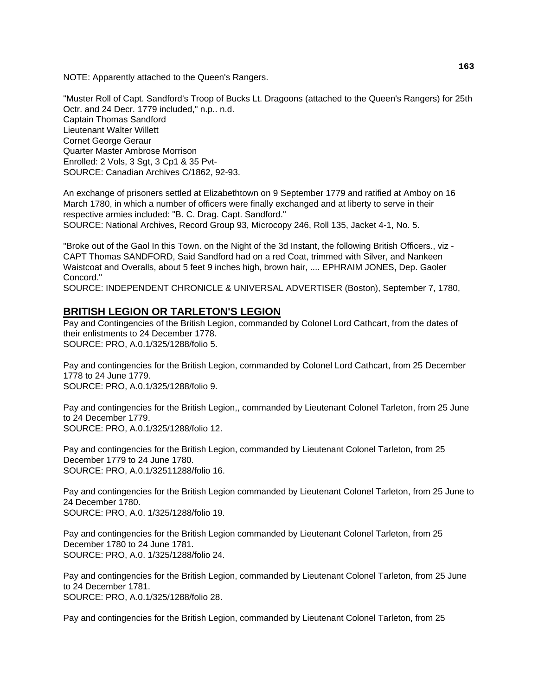NOTE: Apparently attached to the Queen's Rangers.

"Muster Roll of Capt. Sandford's Troop of Bucks Lt. Dragoons (attached to the Queen's Rangers) for 25th Octr. and 24 Decr. 1779 included," n.p.. n.d. Captain Thomas Sandford Lieutenant Walter Willett Cornet George Geraur Quarter Master Ambrose Morrison Enrolled: 2 Vols, 3 Sgt, 3 Cp1 & 35 Pvt-SOURCE: Canadian Archives C/1862, 92-93.

An exchange of prisoners settled at Elizabethtown on 9 September 1779 and ratified at Amboy on 16 March 1780, in which a number of officers were finally exchanged and at liberty to serve in their respective armies included: "B. C. Drag. Capt. Sandford."

SOURCE: National Archives, Record Group 93, Microcopy 246, Roll 135, Jacket 4-1, No. 5.

"Broke out of the Gaol In this Town. on the Night of the 3d Instant, the following British Officers., viz - CAPT Thomas SANDFORD, Said Sandford had on a red Coat, trimmed with Silver, and Nankeen Waistcoat and Overalls, about 5 feet 9 inches high, brown hair, .... EPHRAIM JONES**,** Dep. Gaoler Concord."

SOURCE: INDEPENDENT CHRONICLE & UNIVERSAL ADVERTISER (Boston), September 7, 1780,

#### **BRITISH LEGION OR TARLETON'S LEGION**

Pay and Contingencies of the British Legion, commanded by Colonel Lord Cathcart, from the dates of their enlistments to 24 December 1778. SOURCE: PRO, A.0.1/325/1288/folio 5.

Pay and contingencies for the British Legion, commanded by Colonel Lord Cathcart, from 25 December 1778 to 24 June 1779. SOURCE: PRO, A.0.1/325/1288/folio 9.

Pay and contingencies for the British Legion,, commanded by Lieutenant Colonel Tarleton, from 25 June to 24 December 1779. SOURCE: PRO, A.0.1/325/1288/folio 12.

Pay and contingencies for the British Legion, commanded by Lieutenant Colonel Tarleton, from 25 December 1779 to 24 June 1780. SOURCE: PRO, A.0.1/32511288/folio 16.

Pay and contingencies for the British Legion commanded by Lieutenant Colonel Tarleton, from 25 June to 24 December 1780. SOURCE: PRO, A.0. 1/325/1288/folio 19.

Pay and contingencies for the British Legion commanded by Lieutenant Colonel Tarleton, from 25 December 1780 to 24 June 1781. SOURCE: PRO, A.0. 1/325/1288/folio 24.

Pay and contingencies for the British Legion, commanded by Lieutenant Colonel Tarleton, from 25 June to 24 December 1781. SOURCE: PRO, A.0.1/325/1288/folio 28.

Pay and contingencies for the British Legion, commanded by Lieutenant Colonel Tarleton, from 25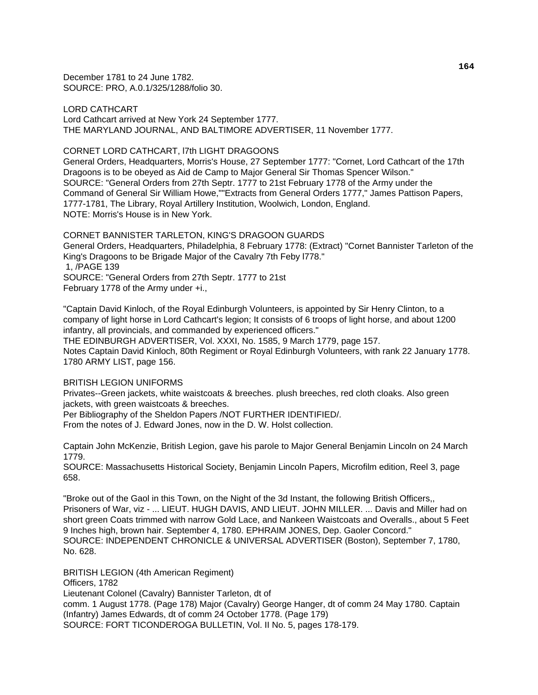December 1781 to 24 June 1782. SOURCE: PRO, A.0.1/325/1288/folio 30.

LORD CATHCART Lord Cathcart arrived at New York 24 September 1777. THE MARYLAND JOURNAL, AND BALTIMORE ADVERTISER, 11 November 1777.

CORNET LORD CATHCART, l7th LIGHT DRAGOONS

General Orders, Headquarters, Morris's House, 27 September 1777: "Cornet, Lord Cathcart of the 17th Dragoons is to be obeyed as Aid de Camp to Major General Sir Thomas Spencer Wilson." SOURCE: "General Orders from 27th Septr. 1777 to 21st February 1778 of the Army under the Command of General Sir William Howe,""Extracts from General Orders 1777," James Pattison Papers, 1777-1781, The Library, Royal Artillery Institution, Woolwich, London, England. NOTE: Morris's House is in New York.

CORNET BANNISTER TARLETON, KING'S DRAGOON GUARDS General Orders, Headquarters, Philadelphia, 8 February 1778: (Extract) "Cornet Bannister Tarleton of the King's Dragoons to be Brigade Major of the Cavalry 7th Feby l778." 1, /PAGE 139 SOURCE: "General Orders from 27th Septr. 1777 to 21st February 1778 of the Army under +i.,

"Captain David Kinloch, of the Royal Edinburgh Volunteers, is appointed by Sir Henry Clinton, to a company of light horse in Lord Cathcart's legion; It consists of 6 troops of light horse, and about 1200 infantry, all provincials, and commanded by experienced officers."

THE EDINBURGH ADVERTISER, Vol. XXXI, No. 1585, 9 March 1779, page 157. Notes Captain David Kinloch, 80th Regiment or Royal Edinburgh Volunteers, with rank 22 January 1778. 1780 ARMY LIST, page 156.

BRITISH LEGION UNIFORMS

Privates--Green jackets, white waistcoats & breeches. plush breeches, red cloth cloaks. Also green jackets, with green waistcoats & breeches.

Per Bibliography of the Sheldon Papers /NOT FURTHER IDENTIFIED/.

From the notes of J. Edward Jones, now in the D. W. Holst collection.

Captain John McKenzie, British Legion, gave his parole to Major General Benjamin Lincoln on 24 March 1779.

SOURCE: Massachusetts Historical Society, Benjamin Lincoln Papers, Microfilm edition, Reel 3, page 658.

"Broke out of the Gaol in this Town, on the Night of the 3d Instant, the following British Officers,, Prisoners of War, viz - ... LIEUT. HUGH DAVIS, AND LIEUT. JOHN MILLER. ... Davis and Miller had on short green Coats trimmed with narrow Gold Lace, and Nankeen Waistcoats and Overalls., about 5 Feet 9 Inches high, brown hair. September 4, 1780. EPHRAIM JONES, Dep. Gaoler Concord." SOURCE: INDEPENDENT CHRONICLE & UNIVERSAL ADVERTISER (Boston), September 7, 1780, No. 628.

BRITISH LEGION (4th American Regiment) Officers, 1782 Lieutenant Colonel (Cavalry) Bannister Tarleton, dt of comm. 1 August 1778. (Page 178) Major (Cavalry) George Hanger, dt of comm 24 May 1780. Captain (Infantry) James Edwards, dt of comm 24 October 1778. (Page 179) SOURCE: FORT TICONDEROGA BULLETIN, Vol. II No. 5, pages 178-179.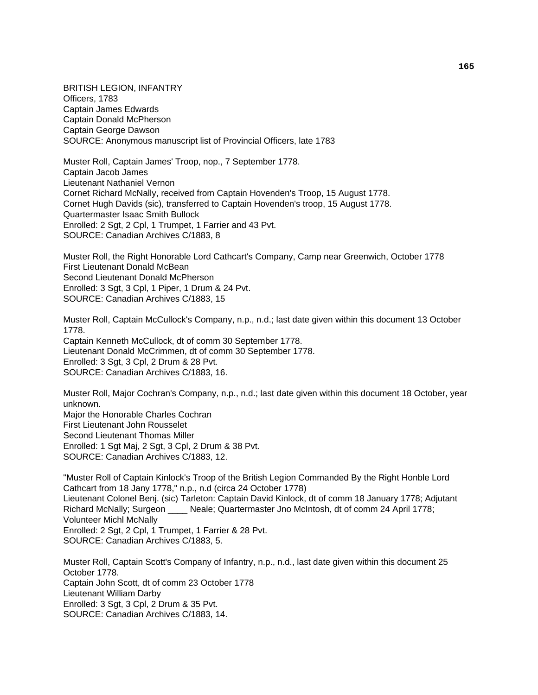BRITISH LEGION, INFANTRY Officers, 1783 Captain James Edwards Captain Donald McPherson Captain George Dawson SOURCE: Anonymous manuscript list of Provincial Officers, late 1783

Muster Roll, Captain James' Troop, nop., 7 September 1778. Captain Jacob James Lieutenant Nathaniel Vernon Cornet Richard McNally, received from Captain Hovenden's Troop, 15 August 1778. Cornet Hugh Davids (sic), transferred to Captain Hovenden's troop, 15 August 1778. Quartermaster Isaac Smith Bullock Enrolled: 2 Sgt, 2 Cpl, 1 Trumpet, 1 Farrier and 43 Pvt. SOURCE: Canadian Archives C/1883, 8

Muster Roll, the Right Honorable Lord Cathcart's Company, Camp near Greenwich, October 1778 First Lieutenant Donald McBean Second Lieutenant Donald McPherson Enrolled: 3 Sgt, 3 Cpl, 1 Piper, 1 Drum & 24 Pvt. SOURCE: Canadian Archives C/1883, 15

Muster Roll, Captain McCullock's Company, n.p., n.d.; last date given within this document 13 October 1778. Captain Kenneth McCullock, dt of comm 30 September 1778. Lieutenant Donald McCrimmen, dt of comm 30 September 1778. Enrolled: 3 Sgt, 3 Cpl, 2 Drum & 28 Pvt. SOURCE: Canadian Archives C/1883, 16.

Muster Roll, Major Cochran's Company, n.p., n.d.; last date given within this document 18 October, year unknown. Major the Honorable Charles Cochran First Lieutenant John Rousselet Second Lieutenant Thomas Miller Enrolled: 1 Sgt Maj, 2 Sgt, 3 Cpl, 2 Drum & 38 Pvt. SOURCE: Canadian Archives C/1883, 12.

"Muster Roll of Captain Kinlock's Troop of the British Legion Commanded By the Right Honble Lord Cathcart from 18 Jany 1778," n.p., n.d (circa 24 October 1778) Lieutenant Colonel Benj. (sic) Tarleton: Captain David Kinlock, dt of comm 18 January 1778; Adjutant Richard McNally; Surgeon \_\_\_\_ Neale; Quartermaster Jno McIntosh, dt of comm 24 April 1778; Volunteer Michl McNally Enrolled: 2 Sgt, 2 Cpl, 1 Trumpet, 1 Farrier & 28 Pvt. SOURCE: Canadian Archives C/1883, 5.

Muster Roll, Captain Scott's Company of Infantry, n.p., n.d., last date given within this document 25 October 1778. Captain John Scott, dt of comm 23 October 1778 Lieutenant William Darby Enrolled: 3 Sgt, 3 Cpl, 2 Drum & 35 Pvt. SOURCE: Canadian Archives C/1883, 14.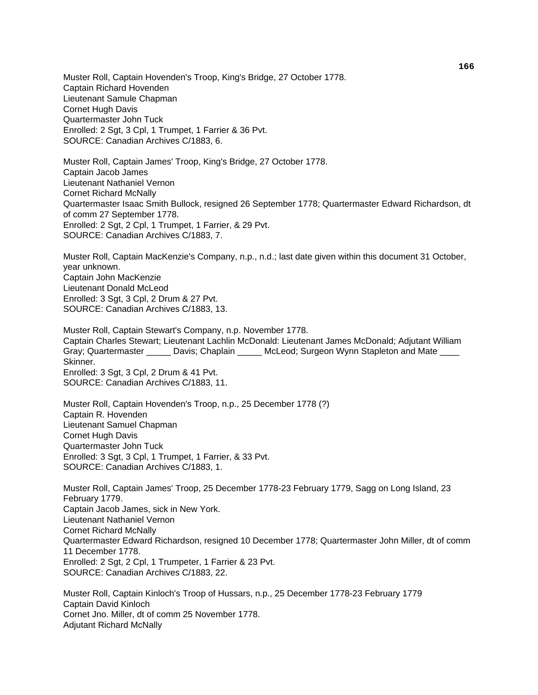Muster Roll, Captain Hovenden's Troop, King's Bridge, 27 October 1778. Captain Richard Hovenden Lieutenant Samule Chapman Cornet Hugh Davis Quartermaster John Tuck Enrolled: 2 Sgt, 3 Cpl, 1 Trumpet, 1 Farrier & 36 Pvt. SOURCE: Canadian Archives C/1883, 6.

Muster Roll, Captain James' Troop, King's Bridge, 27 October 1778. Captain Jacob James Lieutenant Nathaniel Vernon Cornet Richard McNally Quartermaster Isaac Smith Bullock, resigned 26 September 1778; Quartermaster Edward Richardson, dt of comm 27 September 1778. Enrolled: 2 Sgt, 2 Cpl, 1 Trumpet, 1 Farrier, & 29 Pvt. SOURCE: Canadian Archives C/1883, 7.

Muster Roll, Captain MacKenzie's Company, n.p., n.d.; last date given within this document 31 October, year unknown. Captain John MacKenzie Lieutenant Donald McLeod Enrolled: 3 Sgt, 3 Cpl, 2 Drum & 27 Pvt. SOURCE: Canadian Archives C/1883, 13.

Muster Roll, Captain Stewart's Company, n.p. November 1778. Captain Charles Stewart; Lieutenant Lachlin McDonald: Lieutenant James McDonald; Adjutant William Gray; Quartermaster \_\_\_\_\_\_ Davis; Chaplain \_\_\_\_\_ McLeod; Surgeon Wynn Stapleton and Mate \_\_\_\_ Skinner. Enrolled: 3 Sgt, 3 Cpl, 2 Drum & 41 Pvt. SOURCE: Canadian Archives C/1883, 11.

Muster Roll, Captain Hovenden's Troop, n.p., 25 December 1778 (?) Captain R. Hovenden Lieutenant Samuel Chapman Cornet Hugh Davis Quartermaster John Tuck Enrolled: 3 Sgt, 3 Cpl, 1 Trumpet, 1 Farrier, & 33 Pvt. SOURCE: Canadian Archives C/1883, 1.

Muster Roll, Captain James' Troop, 25 December 1778-23 February 1779, Sagg on Long Island, 23 February 1779. Captain Jacob James, sick in New York. Lieutenant Nathaniel Vernon Cornet Richard McNally Quartermaster Edward Richardson, resigned 10 December 1778; Quartermaster John Miller, dt of comm 11 December 1778. Enrolled: 2 Sgt, 2 Cpl, 1 Trumpeter, 1 Farrier & 23 Pvt. SOURCE: Canadian Archives C/1883, 22.

Muster Roll, Captain Kinloch's Troop of Hussars, n.p., 25 December 1778-23 February 1779 Captain David Kinloch Cornet Jno. Miller, dt of comm 25 November 1778. Adjutant Richard McNally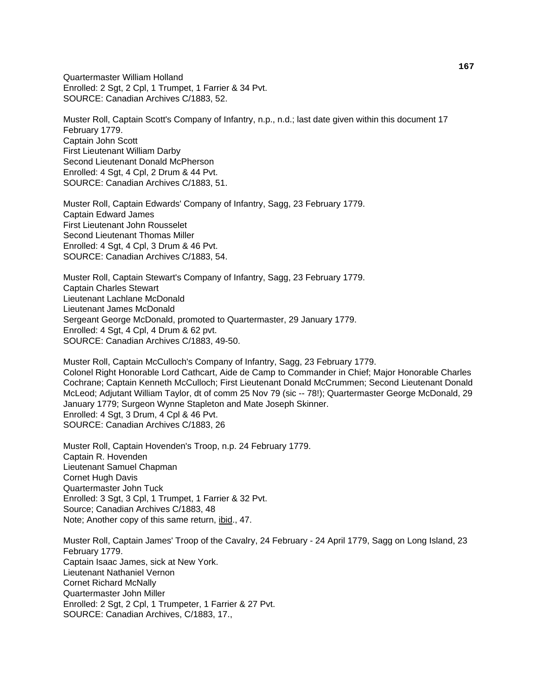Quartermaster William Holland Enrolled: 2 Sgt, 2 Cpl, 1 Trumpet, 1 Farrier & 34 Pvt. SOURCE: Canadian Archives C/1883, 52.

Muster Roll, Captain Scott's Company of Infantry, n.p., n.d.; last date given within this document 17 February 1779. Captain John Scott First Lieutenant William Darby Second Lieutenant Donald McPherson Enrolled: 4 Sgt, 4 Cpl, 2 Drum & 44 Pvt. SOURCE: Canadian Archives C/1883, 51.

Muster Roll, Captain Edwards' Company of Infantry, Sagg, 23 February 1779. Captain Edward James First Lieutenant John Rousselet Second Lieutenant Thomas Miller Enrolled: 4 Sgt, 4 Cpl, 3 Drum & 46 Pvt. SOURCE: Canadian Archives C/1883, 54.

Muster Roll, Captain Stewart's Company of Infantry, Sagg, 23 February 1779. Captain Charles Stewart Lieutenant Lachlane McDonald Lieutenant James McDonald Sergeant George McDonald, promoted to Quartermaster, 29 January 1779. Enrolled: 4 Sgt, 4 Cpl, 4 Drum & 62 pvt. SOURCE: Canadian Archives C/1883, 49-50.

Muster Roll, Captain McCulloch's Company of Infantry, Sagg, 23 February 1779. Colonel Right Honorable Lord Cathcart, Aide de Camp to Commander in Chief; Major Honorable Charles Cochrane; Captain Kenneth McCulloch; First Lieutenant Donald McCrummen; Second Lieutenant Donald McLeod; Adjutant William Taylor, dt of comm 25 Nov 79 (sic -- 78!); Quartermaster George McDonald, 29 January 1779; Surgeon Wynne Stapleton and Mate Joseph Skinner. Enrolled: 4 Sgt, 3 Drum, 4 Cpl & 46 Pvt. SOURCE: Canadian Archives C/1883, 26

Muster Roll, Captain Hovenden's Troop, n.p. 24 February 1779. Captain R. Hovenden Lieutenant Samuel Chapman Cornet Hugh Davis Quartermaster John Tuck Enrolled: 3 Sgt, 3 Cpl, 1 Trumpet, 1 Farrier & 32 Pvt. Source; Canadian Archives C/1883, 48 Note; Another copy of this same return, ibid., 47.

Muster Roll, Captain James' Troop of the Cavalry, 24 February - 24 April 1779, Sagg on Long Island, 23 February 1779. Captain Isaac James, sick at New York. Lieutenant Nathaniel Vernon Cornet Richard McNally Quartermaster John Miller Enrolled: 2 Sgt, 2 Cpl, 1 Trumpeter, 1 Farrier & 27 Pvt. SOURCE: Canadian Archives, C/1883, 17.,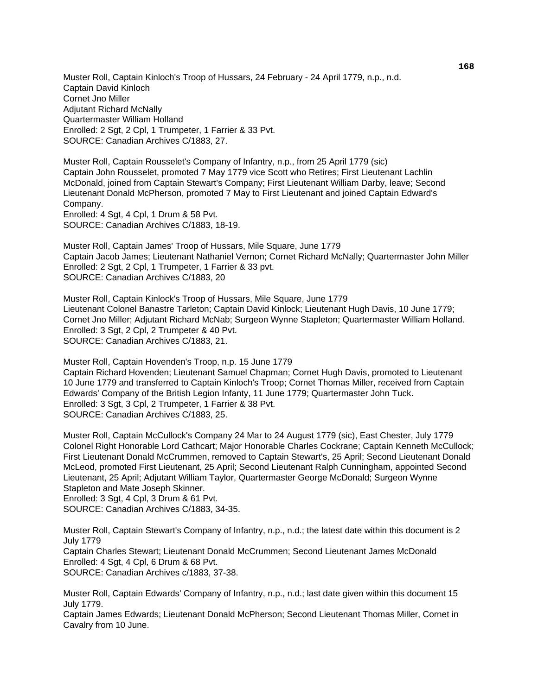Muster Roll, Captain Kinloch's Troop of Hussars, 24 February - 24 April 1779, n.p., n.d. Captain David Kinloch Cornet Jno Miller Adjutant Richard McNally Quartermaster William Holland Enrolled: 2 Sgt, 2 Cpl, 1 Trumpeter, 1 Farrier & 33 Pvt. SOURCE: Canadian Archives C/1883, 27.

Muster Roll, Captain Rousselet's Company of Infantry, n.p., from 25 April 1779 (sic) Captain John Rousselet, promoted 7 May 1779 vice Scott who Retires; First Lieutenant Lachlin McDonald, joined from Captain Stewart's Company; First Lieutenant William Darby, leave; Second Lieutenant Donald McPherson, promoted 7 May to First Lieutenant and joined Captain Edward's Company.

Enrolled: 4 Sgt, 4 Cpl, 1 Drum & 58 Pvt. SOURCE: Canadian Archives C/1883, 18-19.

Muster Roll, Captain James' Troop of Hussars, Mile Square, June 1779 Captain Jacob James; Lieutenant Nathaniel Vernon; Cornet Richard McNally; Quartermaster John Miller Enrolled: 2 Sgt, 2 Cpl, 1 Trumpeter, 1 Farrier & 33 pvt. SOURCE: Canadian Archives C/1883, 20

Muster Roll, Captain Kinlock's Troop of Hussars, Mile Square, June 1779 Lieutenant Colonel Banastre Tarleton; Captain David Kinlock; Lieutenant Hugh Davis, 10 June 1779; Cornet Jno Miller; Adjutant Richard McNab; Surgeon Wynne Stapleton; Quartermaster William Holland. Enrolled: 3 Sgt, 2 Cpl, 2 Trumpeter & 40 Pvt. SOURCE: Canadian Archives C/1883, 21.

Muster Roll, Captain Hovenden's Troop, n.p. 15 June 1779 Captain Richard Hovenden; Lieutenant Samuel Chapman; Cornet Hugh Davis, promoted to Lieutenant 10 June 1779 and transferred to Captain Kinloch's Troop; Cornet Thomas Miller, received from Captain Edwards' Company of the British Legion Infanty, 11 June 1779; Quartermaster John Tuck. Enrolled: 3 Sgt, 3 Cpl, 2 Trumpeter, 1 Farrier & 38 Pvt. SOURCE: Canadian Archives C/1883, 25.

Muster Roll, Captain McCullock's Company 24 Mar to 24 August 1779 (sic), East Chester, July 1779 Colonel Right Honorable Lord Cathcart; Major Honorable Charles Cockrane; Captain Kenneth McCullock; First Lieutenant Donald McCrummen, removed to Captain Stewart's, 25 April; Second Lieutenant Donald McLeod, promoted First Lieutenant, 25 April; Second Lieutenant Ralph Cunningham, appointed Second Lieutenant, 25 April; Adjutant William Taylor, Quartermaster George McDonald; Surgeon Wynne Stapleton and Mate Joseph Skinner.

Enrolled: 3 Sgt, 4 Cpl, 3 Drum & 61 Pvt.

SOURCE: Canadian Archives C/1883, 34-35.

Muster Roll, Captain Stewart's Company of Infantry, n.p., n.d.; the latest date within this document is 2 July 1779

Captain Charles Stewart; Lieutenant Donald McCrummen; Second Lieutenant James McDonald Enrolled: 4 Sgt, 4 Cpl, 6 Drum & 68 Pvt. SOURCE: Canadian Archives c/1883, 37-38.

Muster Roll, Captain Edwards' Company of Infantry, n.p., n.d.; last date given within this document 15 July 1779.

Captain James Edwards; Lieutenant Donald McPherson; Second Lieutenant Thomas Miller, Cornet in Cavalry from 10 June.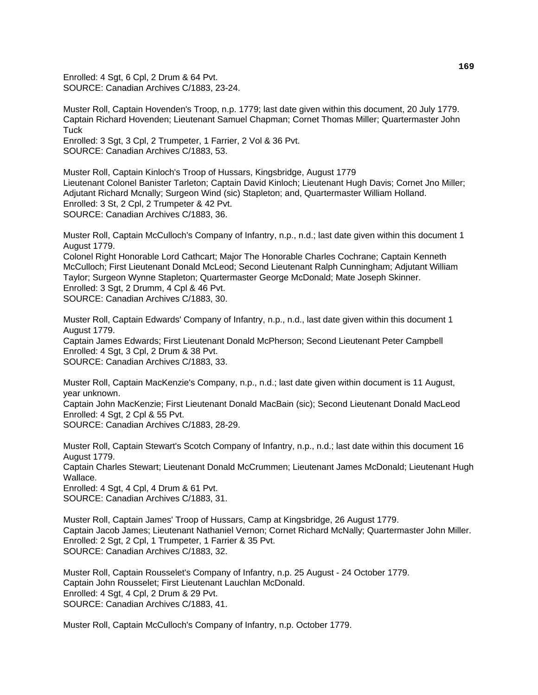Enrolled: 4 Sgt, 6 Cpl, 2 Drum & 64 Pvt. SOURCE: Canadian Archives C/1883, 23-24.

Muster Roll, Captain Hovenden's Troop, n.p. 1779; last date given within this document, 20 July 1779. Captain Richard Hovenden; Lieutenant Samuel Chapman; Cornet Thomas Miller; Quartermaster John **Tuck** 

Enrolled: 3 Sgt, 3 Cpl, 2 Trumpeter, 1 Farrier, 2 Vol & 36 Pvt. SOURCE: Canadian Archives C/1883, 53.

Muster Roll, Captain Kinloch's Troop of Hussars, Kingsbridge, August 1779 Lieutenant Colonel Banister Tarleton; Captain David Kinloch; Lieutenant Hugh Davis; Cornet Jno Miller; Adjutant Richard Mcnally; Surgeon Wind (sic) Stapleton; and, Quartermaster William Holland. Enrolled: 3 St, 2 Cpl, 2 Trumpeter & 42 Pvt. SOURCE: Canadian Archives C/1883, 36.

Muster Roll, Captain McCulloch's Company of Infantry, n.p., n.d.; last date given within this document 1 August 1779.

Colonel Right Honorable Lord Cathcart; Major The Honorable Charles Cochrane; Captain Kenneth McCulloch; First Lieutenant Donald McLeod; Second Lieutenant Ralph Cunningham; Adjutant William Taylor; Surgeon Wynne Stapleton; Quartermaster George McDonald; Mate Joseph Skinner. Enrolled: 3 Sgt, 2 Drumm, 4 Cpl & 46 Pvt. SOURCE: Canadian Archives C/1883, 30.

Muster Roll, Captain Edwards' Company of Infantry, n.p., n.d., last date given within this document 1 August 1779. Captain James Edwards; First Lieutenant Donald McPherson; Second Lieutenant Peter Campbell Enrolled: 4 Sgt, 3 Cpl, 2 Drum & 38 Pvt. SOURCE: Canadian Archives C/1883, 33.

Muster Roll, Captain MacKenzie's Company, n.p., n.d.; last date given within document is 11 August, year unknown.

Captain John MacKenzie; First Lieutenant Donald MacBain (sic); Second Lieutenant Donald MacLeod Enrolled: 4 Sgt, 2 Cpl & 55 Pvt.

SOURCE: Canadian Archives C/1883, 28-29.

Muster Roll, Captain Stewart's Scotch Company of Infantry, n.p., n.d.; last date within this document 16 August 1779.

Captain Charles Stewart; Lieutenant Donald McCrummen; Lieutenant James McDonald; Lieutenant Hugh Wallace.

Enrolled: 4 Sgt, 4 Cpl, 4 Drum & 61 Pvt.

SOURCE: Canadian Archives C/1883, 31.

Muster Roll, Captain James' Troop of Hussars, Camp at Kingsbridge, 26 August 1779. Captain Jacob James; Lieutenant Nathaniel Vernon; Cornet Richard McNally; Quartermaster John Miller. Enrolled: 2 Sgt, 2 Cpl, 1 Trumpeter, 1 Farrier & 35 Pvt. SOURCE: Canadian Archives C/1883, 32.

Muster Roll, Captain Rousselet's Company of Infantry, n.p. 25 August - 24 October 1779. Captain John Rousselet; First Lieutenant Lauchlan McDonald. Enrolled: 4 Sgt, 4 Cpl, 2 Drum & 29 Pvt. SOURCE: Canadian Archives C/1883, 41.

Muster Roll, Captain McCulloch's Company of Infantry, n.p. October 1779.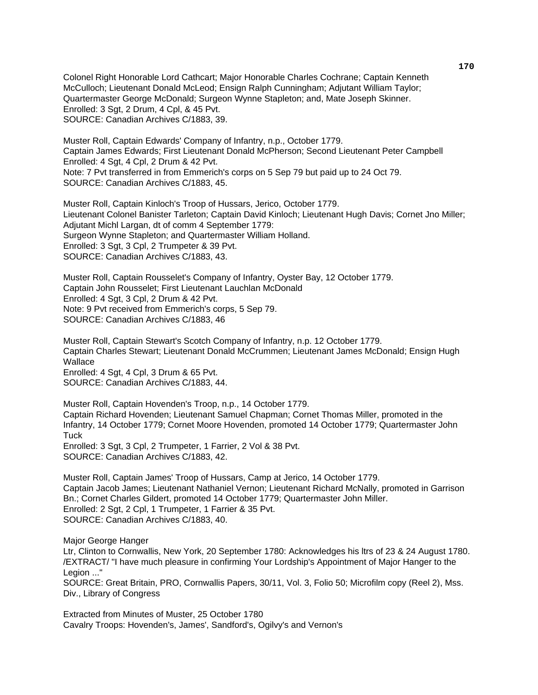Colonel Right Honorable Lord Cathcart; Major Honorable Charles Cochrane; Captain Kenneth McCulloch; Lieutenant Donald McLeod; Ensign Ralph Cunningham; Adjutant William Taylor; Quartermaster George McDonald; Surgeon Wynne Stapleton; and, Mate Joseph Skinner. Enrolled: 3 Sgt, 2 Drum, 4 Cpl, & 45 Pvt. SOURCE: Canadian Archives C/1883, 39.

Muster Roll, Captain Edwards' Company of Infantry, n.p., October 1779. Captain James Edwards; First Lieutenant Donald McPherson; Second Lieutenant Peter Campbell Enrolled: 4 Sgt, 4 Cpl, 2 Drum & 42 Pvt. Note: 7 Pvt transferred in from Emmerich's corps on 5 Sep 79 but paid up to 24 Oct 79. SOURCE: Canadian Archives C/1883, 45.

Muster Roll, Captain Kinloch's Troop of Hussars, Jerico, October 1779. Lieutenant Colonel Banister Tarleton; Captain David Kinloch; Lieutenant Hugh Davis; Cornet Jno Miller; Adjutant Michl Largan, dt of comm 4 September 1779: Surgeon Wynne Stapleton; and Quartermaster William Holland. Enrolled: 3 Sgt, 3 Cpl, 2 Trumpeter & 39 Pvt. SOURCE: Canadian Archives C/1883, 43.

Muster Roll, Captain Rousselet's Company of Infantry, Oyster Bay, 12 October 1779. Captain John Rousselet; First Lieutenant Lauchlan McDonald Enrolled: 4 Sgt, 3 Cpl, 2 Drum & 42 Pvt. Note: 9 Pvt received from Emmerich's corps, 5 Sep 79. SOURCE: Canadian Archives C/1883, 46

Muster Roll, Captain Stewart's Scotch Company of Infantry, n.p. 12 October 1779. Captain Charles Stewart; Lieutenant Donald McCrummen; Lieutenant James McDonald; Ensign Hugh **Wallace** Enrolled: 4 Sgt, 4 Cpl, 3 Drum & 65 Pvt.

SOURCE: Canadian Archives C/1883, 44.

Muster Roll, Captain Hovenden's Troop, n.p., 14 October 1779. Captain Richard Hovenden; Lieutenant Samuel Chapman; Cornet Thomas Miller, promoted in the Infantry, 14 October 1779; Cornet Moore Hovenden, promoted 14 October 1779; Quartermaster John **Tuck** 

Enrolled: 3 Sgt, 3 Cpl, 2 Trumpeter, 1 Farrier, 2 Vol & 38 Pvt. SOURCE: Canadian Archives C/1883, 42.

Muster Roll, Captain James' Troop of Hussars, Camp at Jerico, 14 October 1779. Captain Jacob James; Lieutenant Nathaniel Vernon; Lieutenant Richard McNally, promoted in Garrison Bn.; Cornet Charles Gildert, promoted 14 October 1779; Quartermaster John Miller. Enrolled: 2 Sgt, 2 Cpl, 1 Trumpeter, 1 Farrier & 35 Pvt. SOURCE: Canadian Archives C/1883, 40.

Major George Hanger

Ltr, Clinton to Cornwallis, New York, 20 September 1780: Acknowledges his ltrs of 23 & 24 August 1780. /EXTRACT/ "I have much pleasure in confirming Your Lordship's Appointment of Major Hanger to the Legion ..."

SOURCE: Great Britain, PRO, Cornwallis Papers, 30/11, Vol. 3, Folio 50; Microfilm copy (Reel 2), Mss. Div., Library of Congress

Extracted from Minutes of Muster, 25 October 1780 Cavalry Troops: Hovenden's, James', Sandford's, Ogilvy's and Vernon's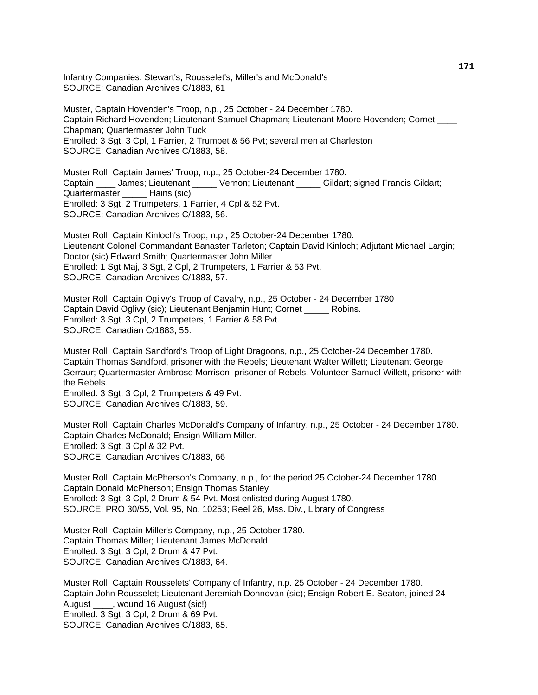Infantry Companies: Stewart's, Rousselet's, Miller's and McDonald's SOURCE; Canadian Archives C/1883, 61

Muster, Captain Hovenden's Troop, n.p., 25 October - 24 December 1780. Captain Richard Hovenden; Lieutenant Samuel Chapman; Lieutenant Moore Hovenden; Cornet \_\_\_\_ Chapman; Quartermaster John Tuck Enrolled: 3 Sgt, 3 Cpl, 1 Farrier, 2 Trumpet & 56 Pvt; several men at Charleston SOURCE: Canadian Archives C/1883, 58.

Muster Roll, Captain James' Troop, n.p., 25 October-24 December 1780. Captain \_\_\_\_ James; Lieutenant \_\_\_\_\_ Vernon; Lieutenant \_\_\_\_\_ Gildart; signed Francis Gildart; Quartermaster \_\_\_\_\_ Hains (sic) Enrolled: 3 Sgt, 2 Trumpeters, 1 Farrier, 4 Cpl & 52 Pvt. SOURCE; Canadian Archives C/1883, 56.

Muster Roll, Captain Kinloch's Troop, n.p., 25 October-24 December 1780. Lieutenant Colonel Commandant Banaster Tarleton; Captain David Kinloch; Adjutant Michael Largin; Doctor (sic) Edward Smith; Quartermaster John Miller Enrolled: 1 Sgt Maj, 3 Sgt, 2 Cpl, 2 Trumpeters, 1 Farrier & 53 Pvt. SOURCE: Canadian Archives C/1883, 57.

Muster Roll, Captain Ogilvy's Troop of Cavalry, n.p., 25 October - 24 December 1780 Captain David Oglivy (sic); Lieutenant Benjamin Hunt; Cornet \_\_\_\_\_ Robins. Enrolled: 3 Sgt, 3 Cpl, 2 Trumpeters, 1 Farrier & 58 Pvt. SOURCE: Canadian C/1883, 55.

Muster Roll, Captain Sandford's Troop of Light Dragoons, n.p., 25 October-24 December 1780. Captain Thomas Sandford, prisoner with the Rebels; Lieutenant Walter Willett; Lieutenant George Gerraur; Quartermaster Ambrose Morrison, prisoner of Rebels. Volunteer Samuel Willett, prisoner with the Rebels.

Enrolled: 3 Sgt, 3 Cpl, 2 Trumpeters & 49 Pvt. SOURCE: Canadian Archives C/1883, 59.

Muster Roll, Captain Charles McDonald's Company of Infantry, n.p., 25 October - 24 December 1780. Captain Charles McDonald; Ensign William Miller. Enrolled: 3 Sgt, 3 Cpl & 32 Pvt. SOURCE: Canadian Archives C/1883, 66

Muster Roll, Captain McPherson's Company, n.p., for the period 25 October-24 December 1780. Captain Donald McPherson; Ensign Thomas Stanley Enrolled: 3 Sgt, 3 Cpl, 2 Drum & 54 Pvt. Most enlisted during August 1780. SOURCE: PRO 30/55, Vol. 95, No. 10253; Reel 26, Mss. Div., Library of Congress

Muster Roll, Captain Miller's Company, n.p., 25 October 1780. Captain Thomas Miller; Lieutenant James McDonald. Enrolled: 3 Sgt, 3 Cpl, 2 Drum & 47 Pvt. SOURCE: Canadian Archives C/1883, 64.

Muster Roll, Captain Rousselets' Company of Infantry, n.p. 25 October - 24 December 1780. Captain John Rousselet; Lieutenant Jeremiah Donnovan (sic); Ensign Robert E. Seaton, joined 24 August \_\_\_\_, wound 16 August (sic!) Enrolled: 3 Sgt, 3 Cpl, 2 Drum & 69 Pvt. SOURCE: Canadian Archives C/1883, 65.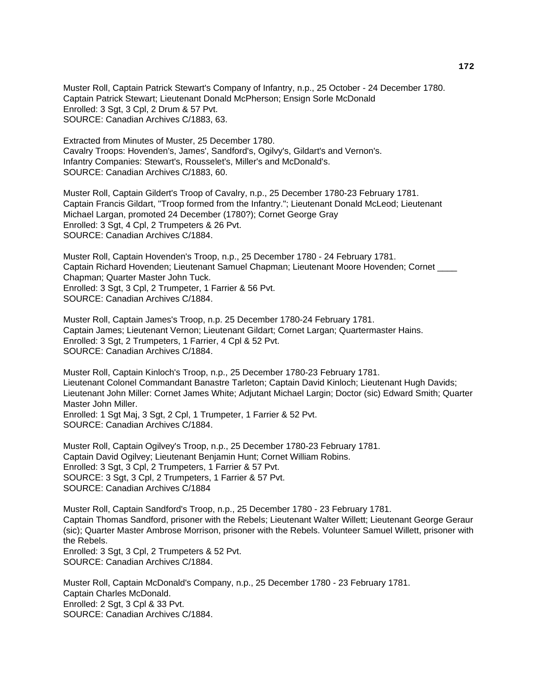Muster Roll, Captain Patrick Stewart's Company of Infantry, n.p., 25 October - 24 December 1780. Captain Patrick Stewart; Lieutenant Donald McPherson; Ensign Sorle McDonald Enrolled: 3 Sgt, 3 Cpl, 2 Drum & 57 Pvt. SOURCE: Canadian Archives C/1883, 63.

Extracted from Minutes of Muster, 25 December 1780. Cavalry Troops: Hovenden's, James', Sandford's, Ogilvy's, Gildart's and Vernon's. Infantry Companies: Stewart's, Rousselet's, Miller's and McDonald's. SOURCE: Canadian Archives C/1883, 60.

Muster Roll, Captain Gildert's Troop of Cavalry, n.p., 25 December 1780-23 February 1781. Captain Francis Gildart, "Troop formed from the Infantry."; Lieutenant Donald McLeod; Lieutenant Michael Largan, promoted 24 December (1780?); Cornet George Gray Enrolled: 3 Sgt, 4 Cpl, 2 Trumpeters & 26 Pvt. SOURCE: Canadian Archives C/1884.

Muster Roll, Captain Hovenden's Troop, n.p., 25 December 1780 - 24 February 1781. Captain Richard Hovenden; Lieutenant Samuel Chapman; Lieutenant Moore Hovenden; Cornet \_\_\_\_ Chapman; Quarter Master John Tuck. Enrolled: 3 Sgt, 3 Cpl, 2 Trumpeter, 1 Farrier & 56 Pvt. SOURCE: Canadian Archives C/1884.

Muster Roll, Captain James's Troop, n.p. 25 December 1780-24 February 1781. Captain James; Lieutenant Vernon; Lieutenant Gildart; Cornet Largan; Quartermaster Hains. Enrolled: 3 Sgt, 2 Trumpeters, 1 Farrier, 4 Cpl & 52 Pvt. SOURCE: Canadian Archives C/1884.

Muster Roll, Captain Kinloch's Troop, n.p., 25 December 1780-23 February 1781. Lieutenant Colonel Commandant Banastre Tarleton; Captain David Kinloch; Lieutenant Hugh Davids; Lieutenant John Miller: Cornet James White; Adjutant Michael Largin; Doctor (sic) Edward Smith; Quarter Master John Miller. Enrolled: 1 Sgt Maj, 3 Sgt, 2 Cpl, 1 Trumpeter, 1 Farrier & 52 Pvt.

SOURCE: Canadian Archives C/1884.

Muster Roll, Captain Ogilvey's Troop, n.p., 25 December 1780-23 February 1781. Captain David Ogilvey; Lieutenant Benjamin Hunt; Cornet William Robins. Enrolled: 3 Sgt, 3 Cpl, 2 Trumpeters, 1 Farrier & 57 Pvt. SOURCE: 3 Sgt, 3 Cpl, 2 Trumpeters, 1 Farrier & 57 Pvt. SOURCE: Canadian Archives C/1884

Muster Roll, Captain Sandford's Troop, n.p., 25 December 1780 - 23 February 1781. Captain Thomas Sandford, prisoner with the Rebels; Lieutenant Walter Willett; Lieutenant George Geraur (sic); Quarter Master Ambrose Morrison, prisoner with the Rebels. Volunteer Samuel Willett, prisoner with the Rebels. Enrolled: 3 Sgt, 3 Cpl, 2 Trumpeters & 52 Pvt. SOURCE: Canadian Archives C/1884.

Muster Roll, Captain McDonald's Company, n.p., 25 December 1780 - 23 February 1781. Captain Charles McDonald. Enrolled: 2 Sgt, 3 Cpl & 33 Pvt. SOURCE: Canadian Archives C/1884.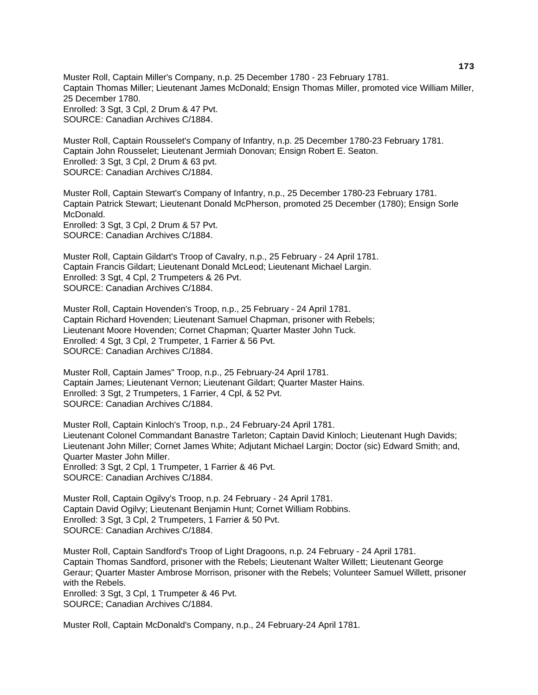Muster Roll, Captain Miller's Company, n.p. 25 December 1780 - 23 February 1781. Captain Thomas Miller; Lieutenant James McDonald; Ensign Thomas Miller, promoted vice William Miller, 25 December 1780. Enrolled: 3 Sgt, 3 Cpl, 2 Drum & 47 Pvt. SOURCE: Canadian Archives C/1884.

Muster Roll, Captain Rousselet's Company of Infantry, n.p. 25 December 1780-23 February 1781. Captain John Rousselet; Lieutenant Jermiah Donovan; Ensign Robert E. Seaton. Enrolled: 3 Sgt, 3 Cpl, 2 Drum & 63 pvt. SOURCE: Canadian Archives C/1884.

Muster Roll, Captain Stewart's Company of Infantry, n.p., 25 December 1780-23 February 1781. Captain Patrick Stewart; Lieutenant Donald McPherson, promoted 25 December (1780); Ensign Sorle McDonald. Enrolled: 3 Sgt, 3 Cpl, 2 Drum & 57 Pvt. SOURCE: Canadian Archives C/1884.

Muster Roll, Captain Gildart's Troop of Cavalry, n.p., 25 February - 24 April 1781. Captain Francis Gildart; Lieutenant Donald McLeod; Lieutenant Michael Largin. Enrolled: 3 Sgt, 4 Cpl, 2 Trumpeters & 26 Pvt. SOURCE: Canadian Archives C/1884.

Muster Roll, Captain Hovenden's Troop, n.p., 25 February - 24 April 1781. Captain Richard Hovenden; Lieutenant Samuel Chapman, prisoner with Rebels; Lieutenant Moore Hovenden; Cornet Chapman; Quarter Master John Tuck. Enrolled: 4 Sgt, 3 Cpl, 2 Trumpeter, 1 Farrier & 56 Pvt. SOURCE: Canadian Archives C/1884.

Muster Roll, Captain James" Troop, n.p., 25 February-24 April 1781. Captain James; Lieutenant Vernon; Lieutenant Gildart; Quarter Master Hains. Enrolled: 3 Sgt, 2 Trumpeters, 1 Farrier, 4 Cpl, & 52 Pvt. SOURCE: Canadian Archives C/1884.

Muster Roll, Captain Kinloch's Troop, n.p., 24 February-24 April 1781. Lieutenant Colonel Commandant Banastre Tarleton; Captain David Kinloch; Lieutenant Hugh Davids; Lieutenant John Miller; Cornet James White; Adjutant Michael Largin; Doctor (sic) Edward Smith; and, Quarter Master John Miller. Enrolled: 3 Sgt, 2 Cpl, 1 Trumpeter, 1 Farrier & 46 Pvt. SOURCE: Canadian Archives C/1884.

Muster Roll, Captain Ogilvy's Troop, n.p. 24 February - 24 April 1781. Captain David Ogilvy; Lieutenant Benjamin Hunt; Cornet William Robbins. Enrolled: 3 Sgt, 3 Cpl, 2 Trumpeters, 1 Farrier & 50 Pvt. SOURCE: Canadian Archives C/1884.

Muster Roll, Captain Sandford's Troop of Light Dragoons, n.p. 24 February - 24 April 1781. Captain Thomas Sandford, prisoner with the Rebels; Lieutenant Walter Willett; Lieutenant George Geraur; Quarter Master Ambrose Morrison, prisoner with the Rebels; Volunteer Samuel Willett, prisoner with the Rebels. Enrolled: 3 Sgt, 3 Cpl, 1 Trumpeter & 46 Pvt. SOURCE; Canadian Archives C/1884.

Muster Roll, Captain McDonald's Company, n.p., 24 February-24 April 1781.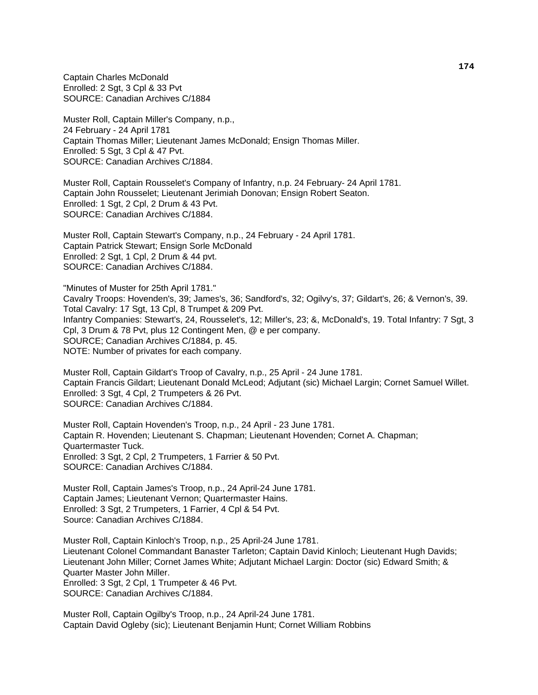Captain Charles McDonald Enrolled: 2 Sgt, 3 Cpl & 33 Pvt SOURCE: Canadian Archives C/1884

Muster Roll, Captain Miller's Company, n.p., 24 February - 24 April 1781 Captain Thomas Miller; Lieutenant James McDonald; Ensign Thomas Miller. Enrolled: 5 Sqt, 3 Cpl & 47 Pvt. SOURCE: Canadian Archives C/1884.

Muster Roll, Captain Rousselet's Company of Infantry, n.p. 24 February- 24 April 1781. Captain John Rousselet; Lieutenant Jerimiah Donovan; Ensign Robert Seaton. Enrolled: 1 Sgt, 2 Cpl, 2 Drum & 43 Pvt. SOURCE: Canadian Archives C/1884.

Muster Roll, Captain Stewart's Company, n.p., 24 February - 24 April 1781. Captain Patrick Stewart; Ensign Sorle McDonald Enrolled: 2 Sgt, 1 Cpl, 2 Drum & 44 pvt. SOURCE: Canadian Archives C/1884.

"Minutes of Muster for 25th April 1781." Cavalry Troops: Hovenden's, 39; James's, 36; Sandford's, 32; Ogilvy's, 37; Gildart's, 26; & Vernon's, 39. Total Cavalry: 17 Sgt, 13 Cpl, 8 Trumpet & 209 Pvt. Infantry Companies: Stewart's, 24, Rousselet's, 12; Miller's, 23; &, McDonald's, 19. Total Infantry: 7 Sgt, 3 Cpl, 3 Drum & 78 Pvt, plus 12 Contingent Men, @ e per company. SOURCE; Canadian Archives C/1884, p. 45. NOTE: Number of privates for each company.

Muster Roll, Captain Gildart's Troop of Cavalry, n.p., 25 April - 24 June 1781. Captain Francis Gildart; Lieutenant Donald McLeod; Adjutant (sic) Michael Largin; Cornet Samuel Willet. Enrolled: 3 Sgt, 4 Cpl, 2 Trumpeters & 26 Pvt. SOURCE: Canadian Archives C/1884.

Muster Roll, Captain Hovenden's Troop, n.p., 24 April - 23 June 1781. Captain R. Hovenden; Lieutenant S. Chapman; Lieutenant Hovenden; Cornet A. Chapman; Quartermaster Tuck. Enrolled: 3 Sgt, 2 Cpl, 2 Trumpeters, 1 Farrier & 50 Pvt. SOURCE: Canadian Archives C/1884.

Muster Roll, Captain James's Troop, n.p., 24 April-24 June 1781. Captain James; Lieutenant Vernon; Quartermaster Hains. Enrolled: 3 Sgt, 2 Trumpeters, 1 Farrier, 4 Cpl & 54 Pvt. Source: Canadian Archives C/1884.

Muster Roll, Captain Kinloch's Troop, n.p., 25 April-24 June 1781. Lieutenant Colonel Commandant Banaster Tarleton; Captain David Kinloch; Lieutenant Hugh Davids; Lieutenant John Miller; Cornet James White; Adjutant Michael Largin: Doctor (sic) Edward Smith; & Quarter Master John Miller. Enrolled: 3 Sgt, 2 Cpl, 1 Trumpeter & 46 Pvt. SOURCE: Canadian Archives C/1884.

Muster Roll, Captain Ogilby's Troop, n.p., 24 April-24 June 1781. Captain David Ogleby (sic); Lieutenant Benjamin Hunt; Cornet William Robbins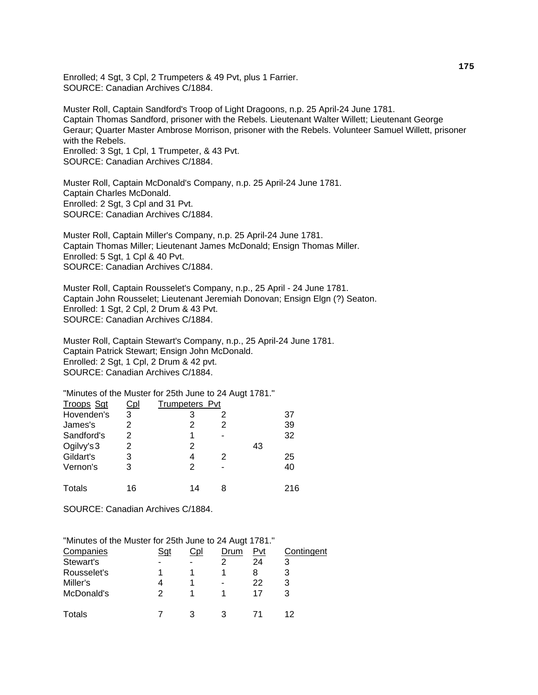Enrolled; 4 Sgt, 3 Cpl, 2 Trumpeters & 49 Pvt, plus 1 Farrier. SOURCE: Canadian Archives C/1884.

Muster Roll, Captain Sandford's Troop of Light Dragoons, n.p. 25 April-24 June 1781. Captain Thomas Sandford, prisoner with the Rebels. Lieutenant Walter Willett; Lieutenant George Geraur; Quarter Master Ambrose Morrison, prisoner with the Rebels. Volunteer Samuel Willett, prisoner with the Rebels. Enrolled: 3 Sgt, 1 Cpl, 1 Trumpeter, & 43 Pvt. SOURCE: Canadian Archives C/1884.

Muster Roll, Captain McDonald's Company, n.p. 25 April-24 June 1781. Captain Charles McDonald. Enrolled: 2 Sgt, 3 Cpl and 31 Pvt. SOURCE: Canadian Archives C/1884.

Muster Roll, Captain Miller's Company, n.p. 25 April-24 June 1781. Captain Thomas Miller; Lieutenant James McDonald; Ensign Thomas Miller. Enrolled: 5 Sgt, 1 Cpl & 40 Pvt. SOURCE: Canadian Archives C/1884.

Muster Roll, Captain Rousselet's Company, n.p., 25 April - 24 June 1781. Captain John Rousselet; Lieutenant Jeremiah Donovan; Ensign Elgn (?) Seaton. Enrolled: 1 Sgt, 2 Cpl, 2 Drum & 43 Pvt. SOURCE: Canadian Archives C/1884.

Muster Roll, Captain Stewart's Company, n.p., 25 April-24 June 1781. Captain Patrick Stewart; Ensign John McDonald. Enrolled: 2 Sgt, 1 Cpl, 2 Drum & 42 pvt. SOURCE: Canadian Archives C/1884.

"Minutes of the Muster for 25th June to 24 Augt 1781."

| <b>Troops Sgt</b> | <u>Cpl</u> | <b>Trumpeters Pvt</b> |   |    |     |
|-------------------|------------|-----------------------|---|----|-----|
| Hovenden's        | 3          |                       | 2 |    | 37  |
| James's           | 2          |                       |   |    | 39  |
| Sandford's        | 2          | 1                     |   |    | 32  |
| Ogilvy's 3        | 2          | 2                     |   | 43 |     |
| Gildart's         | 3          | 4                     | 2 |    | 25  |
| Vernon's          | 3          | 2                     |   |    | 40  |
| Totals            | 16         | 14                    | 8 |    | 216 |

SOURCE: Canadian Archives C/1884.

| "Minutes of the Muster for 25th June to 24 Augt 1781." |     |     |      |     |            |
|--------------------------------------------------------|-----|-----|------|-----|------------|
| Companies                                              | Sgt | Cpl | Drum | Pvt | Contingent |
| Stewart's                                              |     |     |      | 24  | 3          |
| Rousselet's                                            |     |     |      | 8   |            |
| Miller's                                               |     |     |      | 22  |            |
| McDonald's                                             |     |     |      | 17  | З          |
| <b>Totals</b>                                          |     |     |      |     |            |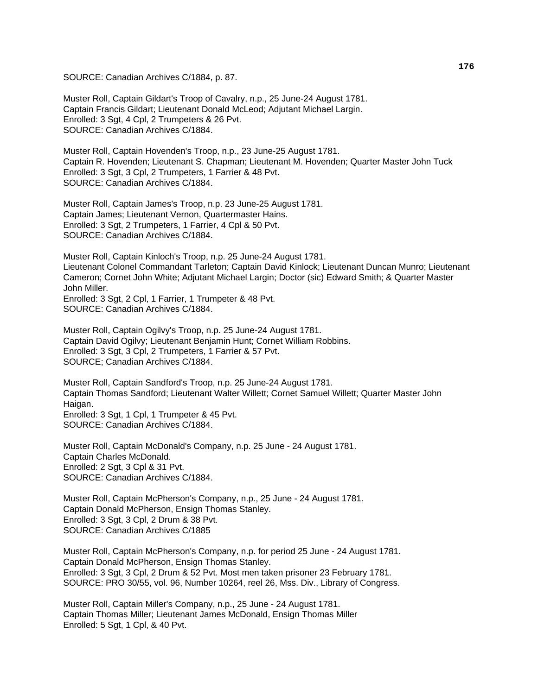SOURCE: Canadian Archives C/1884, p. 87.

Muster Roll, Captain Gildart's Troop of Cavalry, n.p., 25 June-24 August 1781. Captain Francis Gildart; Lieutenant Donald McLeod; Adjutant Michael Largin. Enrolled: 3 Sgt, 4 Cpl, 2 Trumpeters & 26 Pvt. SOURCE: Canadian Archives C/1884.

Muster Roll, Captain Hovenden's Troop, n.p., 23 June-25 August 1781. Captain R. Hovenden; Lieutenant S. Chapman; Lieutenant M. Hovenden; Quarter Master John Tuck Enrolled: 3 Sgt, 3 Cpl, 2 Trumpeters, 1 Farrier & 48 Pvt. SOURCE: Canadian Archives C/1884.

Muster Roll, Captain James's Troop, n.p. 23 June-25 August 1781. Captain James; Lieutenant Vernon, Quartermaster Hains. Enrolled: 3 Sgt, 2 Trumpeters, 1 Farrier, 4 Cpl & 50 Pvt. SOURCE: Canadian Archives C/1884.

Muster Roll, Captain Kinloch's Troop, n.p. 25 June-24 August 1781. Lieutenant Colonel Commandant Tarleton; Captain David Kinlock; Lieutenant Duncan Munro; Lieutenant Cameron; Cornet John White; Adjutant Michael Largin; Doctor (sic) Edward Smith; & Quarter Master John Miller. Enrolled: 3 Sgt, 2 Cpl, 1 Farrier, 1 Trumpeter & 48 Pvt.

SOURCE: Canadian Archives C/1884.

Muster Roll, Captain Ogilvy's Troop, n.p. 25 June-24 August 1781. Captain David Ogilvy; Lieutenant Benjamin Hunt; Cornet William Robbins. Enrolled: 3 Sgt, 3 Cpl, 2 Trumpeters, 1 Farrier & 57 Pvt. SOURCE; Canadian Archives C/1884.

Muster Roll, Captain Sandford's Troop, n.p. 25 June-24 August 1781. Captain Thomas Sandford; Lieutenant Walter Willett; Cornet Samuel Willett; Quarter Master John Haigan. Enrolled: 3 Sgt, 1 Cpl, 1 Trumpeter & 45 Pvt.

SOURCE: Canadian Archives C/1884.

Muster Roll, Captain McDonald's Company, n.p. 25 June - 24 August 1781. Captain Charles McDonald. Enrolled: 2 Sgt, 3 Cpl & 31 Pvt. SOURCE: Canadian Archives C/1884.

Muster Roll, Captain McPherson's Company, n.p., 25 June - 24 August 1781. Captain Donald McPherson, Ensign Thomas Stanley. Enrolled: 3 Sgt, 3 Cpl, 2 Drum & 38 Pvt. SOURCE: Canadian Archives C/1885

Muster Roll, Captain McPherson's Company, n.p. for period 25 June - 24 August 1781. Captain Donald McPherson, Ensign Thomas Stanley. Enrolled: 3 Sgt, 3 Cpl, 2 Drum & 52 Pvt. Most men taken prisoner 23 February 1781. SOURCE: PRO 30/55, vol. 96, Number 10264, reel 26, Mss. Div., Library of Congress.

Muster Roll, Captain Miller's Company, n.p., 25 June - 24 August 1781. Captain Thomas Miller; Lieutenant James McDonald, Ensign Thomas Miller Enrolled: 5 Sgt, 1 Cpl, & 40 Pvt.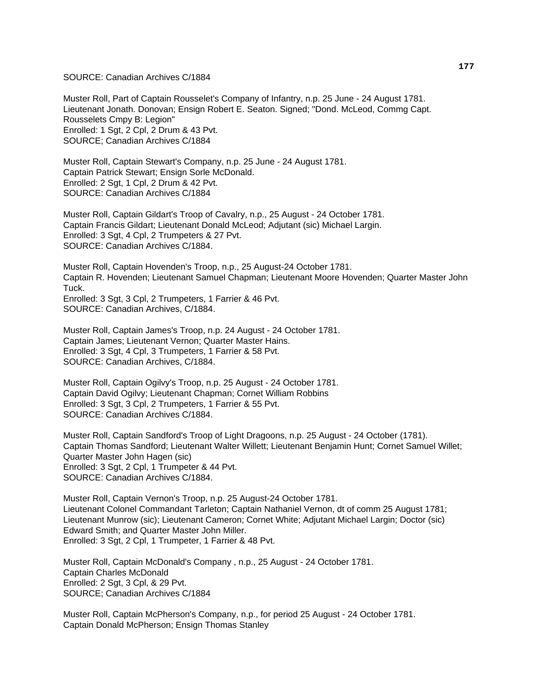SOURCE: Canadian Archives C/1884

Muster Roll, Part of Captain Rousselet's Company of Infantry, n.p. 25 June - 24 August 1781. Lieutenant Jonath. Donovan; Ensign Robert E. Seaton. Signed; "Dond. McLeod, Commg Capt. Rousselets Cmpy B: Legion" Enrolled: 1 Sgt, 2 Cpl, 2 Drum & 43 Pvt. SOURCE; Canadian Archives C/1884

Muster Roll, Captain Stewart's Company, n.p. 25 June - 24 August 1781. Captain Patrick Stewart; Ensign Sorle McDonald. Enrolled: 2 Sgt, 1 Cpl, 2 Drum & 42 Pvt. SOURCE: Canadian Archives C/1884

Muster Roll, Captain Gildart's Troop of Cavalry, n.p., 25 August - 24 October 1781. Captain Francis Gildart; Lieutenant Donald McLeod; Adjutant (sic) Michael Largin. Enrolled: 3 Sgt, 4 Cpl, 2 Trumpeters & 27 Pvt. SOURCE: Canadian Archives C/1884.

Muster Roll, Captain Hovenden's Troop, n.p., 25 August-24 October 1781. Captain R. Hovenden; Lieutenant Samuel Chapman; Lieutenant Moore Hovenden; Quarter Master John **Tuck.** Enrolled: 3 Sgt, 3 Cpl, 2 Trumpeters, 1 Farrier & 46 Pvt.

SOURCE: Canadian Archives, C/1884.

Muster Roll, Captain James's Troop, n.p. 24 August - 24 October 1781. Captain James; Lieutenant Vernon; Quarter Master Hains. Enrolled: 3 Sgt, 4 Cpl, 3 Trumpeters, 1 Farrier & 58 Pvt. SOURCE: Canadian Archives, C/1884.

Muster Roll, Captain Ogilvy's Troop, n.p. 25 August - 24 October 1781. Captain David Ogilvy; Lieutenant Chapman; Cornet William Robbins Enrolled: 3 Sgt, 3 Cpl, 2 Trumpeters, 1 Farrier & 55 Pvt. SOURCE: Canadian Archives C/1884.

Muster Roll, Captain Sandford's Troop of Light Dragoons, n.p. 25 August - 24 October (1781). Captain Thomas Sandford; Lieutenant Walter Willett; Lieutenant Benjamin Hunt; Cornet Samuel Willet; Quarter Master John Hagen (sic) Enrolled: 3 Sgt, 2 Cpl, 1 Trumpeter & 44 Pvt. SOURCE: Canadian Archives C/1884.

Muster Roll, Captain Vernon's Troop, n.p. 25 August-24 October 1781. Lieutenant Colonel Commandant Tarleton; Captain Nathaniel Vernon, dt of comm 25 August 1781; Lieutenant Munrow (sic); Lieutenant Cameron; Cornet White; Adjutant Michael Largin; Doctor (sic) Edward Smith; and Quarter Master John Miller. Enrolled: 3 Sgt, 2 Cpl, 1 Trumpeter, 1 Farrier & 48 Pvt.

Muster Roll, Captain McDonald's Company , n.p., 25 August - 24 October 1781. Captain Charles McDonald Enrolled: 2 Sgt, 3 Cpl, & 29 Pvt. SOURCE; Canadian Archives C/1884

Muster Roll, Captain McPherson's Company, n.p., for period 25 August - 24 October 1781. Captain Donald McPherson; Ensign Thomas Stanley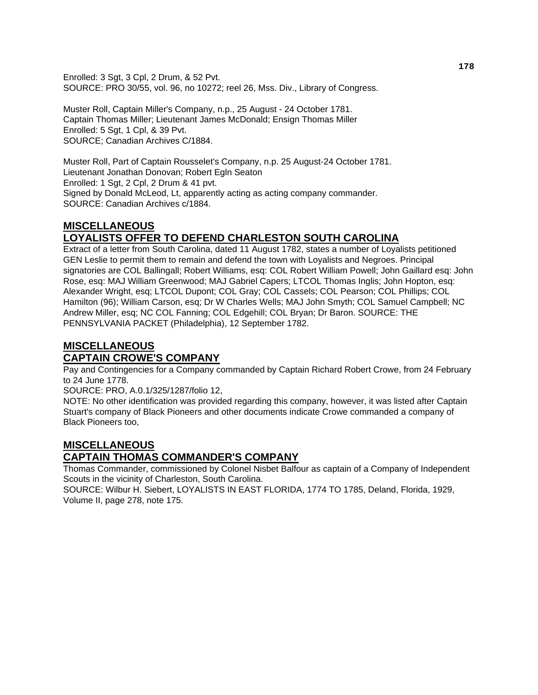Enrolled: 3 Sgt, 3 Cpl, 2 Drum, & 52 Pvt. SOURCE: PRO 30/55, vol. 96, no 10272; reel 26, Mss. Div., Library of Congress.

Muster Roll, Captain Miller's Company, n.p., 25 August - 24 October 1781. Captain Thomas Miller; Lieutenant James McDonald; Ensign Thomas Miller Enrolled: 5 Sgt, 1 Cpl, & 39 Pvt. SOURCE; Canadian Archives C/1884.

Muster Roll, Part of Captain Rousselet's Company, n.p. 25 August-24 October 1781. Lieutenant Jonathan Donovan; Robert Egln Seaton Enrolled: 1 Sgt, 2 Cpl, 2 Drum & 41 pvt. Signed by Donald McLeod, Lt, apparently acting as acting company commander. SOURCE: Canadian Archives c/1884.

# **MISCELLANEOUS LOYALISTS OFFER TO DEFEND CHARLESTON SOUTH CAROLINA**

Extract of a letter from South Carolina, dated 11 August 1782, states a number of Loyalists petitioned GEN Leslie to permit them to remain and defend the town with Loyalists and Negroes. Principal signatories are COL Ballingall; Robert Williams, esq: COL Robert William Powell; John Gaillard esq: John Rose, esq: MAJ William Greenwood; MAJ Gabriel Capers; LTCOL Thomas Inglis; John Hopton, esq: Alexander Wright, esq; LTCOL Dupont; COL Gray; COL Cassels; COL Pearson; COL Phillips; COL Hamilton (96); William Carson, esq; Dr W Charles Wells; MAJ John Smyth; COL Samuel Campbell; NC Andrew Miller, esq; NC COL Fanning; COL Edgehill; COL Bryan; Dr Baron. SOURCE: THE PENNSYLVANIA PACKET (Philadelphia), 12 September 1782.

## **MISCELLANEOUS CAPTAIN CROWE'S COMPANY**

Pay and Contingencies for a Company commanded by Captain Richard Robert Crowe, from 24 February to 24 June 1778.

SOURCE: PRO, A.0.1/325/1287/folio 12,

NOTE: No other identification was provided regarding this company, however, it was listed after Captain Stuart's company of Black Pioneers and other documents indicate Crowe commanded a company of Black Pioneers too,

## **MISCELLANEOUS CAPTAIN THOMAS COMMANDER'S COMPANY**

Thomas Commander, commissioned by Colonel Nisbet Balfour as captain of a Company of Independent Scouts in the vicinity of Charleston, South Carolina.

SOURCE: Wilbur H. Siebert, LOYALISTS IN EAST FLORIDA, 1774 TO 1785, Deland, Florida, 1929, Volume II, page 278, note 175.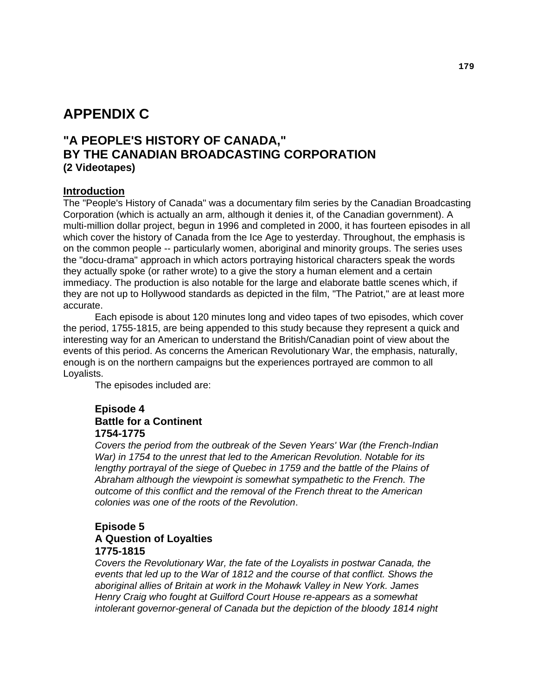# **APPENDIX C**

# **"A PEOPLE'S HISTORY OF CANADA," BY THE CANADIAN BROADCASTING CORPORATION (2 Videotapes)**

#### **Introduction**

The "People's History of Canada" was a documentary film series by the Canadian Broadcasting Corporation (which is actually an arm, although it denies it, of the Canadian government). A multi-million dollar project, begun in 1996 and completed in 2000, it has fourteen episodes in all which cover the history of Canada from the Ice Age to yesterday. Throughout, the emphasis is on the common people -- particularly women, aboriginal and minority groups. The series uses the "docu-drama" approach in which actors portraying historical characters speak the words they actually spoke (or rather wrote) to a give the story a human element and a certain immediacy. The production is also notable for the large and elaborate battle scenes which, if they are not up to Hollywood standards as depicted in the film, "The Patriot," are at least more accurate.

 Each episode is about 120 minutes long and video tapes of two episodes, which cover the period, 1755-1815, are being appended to this study because they represent a quick and interesting way for an American to understand the British/Canadian point of view about the events of this period. As concerns the American Revolutionary War, the emphasis, naturally, enough is on the northern campaigns but the experiences portrayed are common to all Loyalists.

The episodes included are:

### **Episode 4 Battle for a Continent 1754-1775**

*Covers the period from the outbreak of the Seven Years' War (the French-Indian War) in 1754 to the unrest that led to the American Revolution. Notable for its lengthy portrayal of the siege of Quebec in 1759 and the battle of the Plains of Abraham although the viewpoint is somewhat sympathetic to the French. The outcome of this conflict and the removal of the French threat to the American colonies was one of the roots of the Revolution*.

#### **Episode 5 A Question of Loyalties 1775-1815**

*Covers the Revolutionary War, the fate of the Loyalists in postwar Canada, the events that led up to the War of 1812 and the course of that conflict. Shows the aboriginal allies of Britain at work in the Mohawk Valley in New York. James Henry Craig who fought at Guilford Court House re-appears as a somewhat intolerant governor-general of Canada but the depiction of the bloody 1814 night*